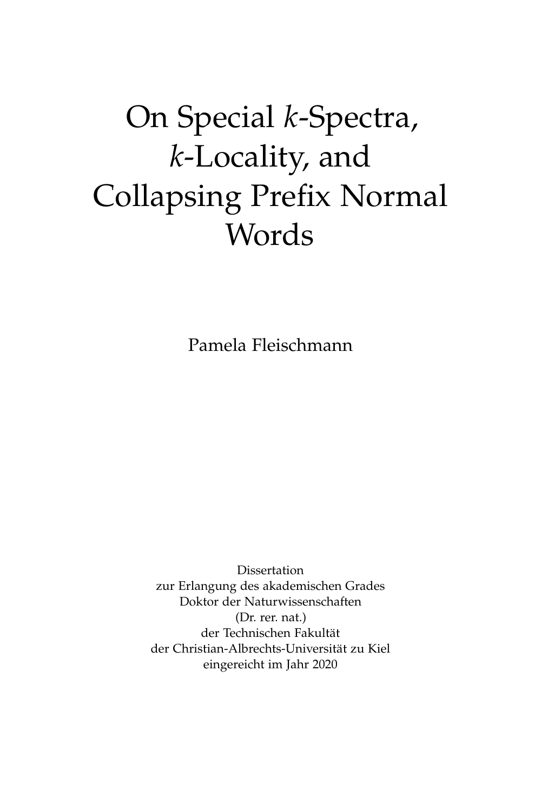# On Special *k*-Spectra, *k*-Locality, and Collapsing Prefix Normal Words

Pamela Fleischmann

Dissertation zur Erlangung des akademischen Grades Doktor der Naturwissenschaften (Dr. rer. nat.) der Technischen Fakultät der Christian-Albrechts-Universität zu Kiel eingereicht im Jahr 2020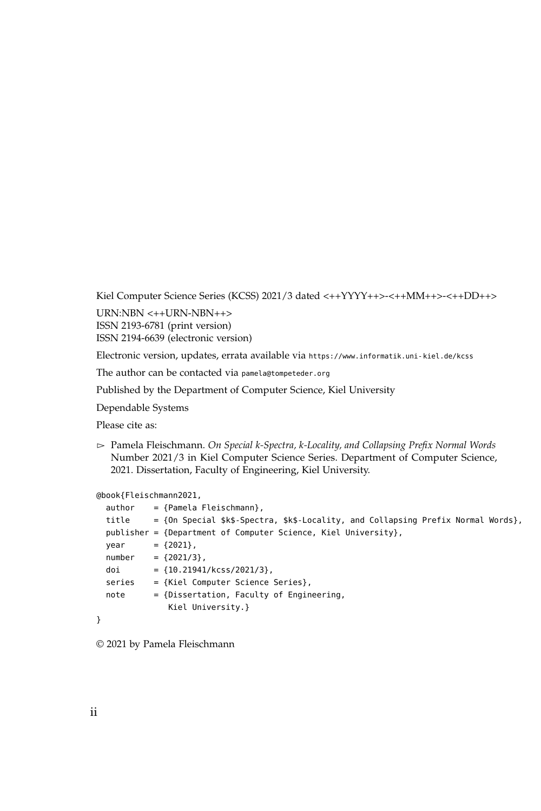Kiel Computer Science Series (KCSS) 2021/3 dated <++YYYY++>-<++MM++>-<++DD++>

URN:NBN <++URN-NBN++> ISSN 2193-6781 (print version) ISSN 2194-6639 (electronic version)

Electronic version, updates, errata available via <https://www.informatik.uni-kiel.de/kcss>

The author can be contacted via [pamela@tompeteder.org](mailto:pamela@tompeteder.org)

Published by the Department of Computer Science, Kiel University

Dependable Systems

Please cite as:

 $\triangleright$  Pamela Fleischmann. *On Special k-Spectra, k-Locality, and Collapsing Prefix Normal Words* Number 2021/3 in Kiel Computer Science Series. Department of Computer Science, 2021. Dissertation, Faculty of Engineering, Kiel University.

#### @book{Fleischmann2021,

```
author = {Pamela Fleischmann},title = {On Special $k$-Spectra, $k$-Locality, and Collapsing Prefix Normal Words},
publisher = {Department of Computer Science, Kiel University},
year = {2021},number = {2021/3},doi = {10.21941/kcss/2021/3},
series = {Kiel Computer Science Series},
note = {Dissertation, Faculty of Engineering,
           Kiel University.}
```

```
}
```
© 2021 by Pamela Fleischmann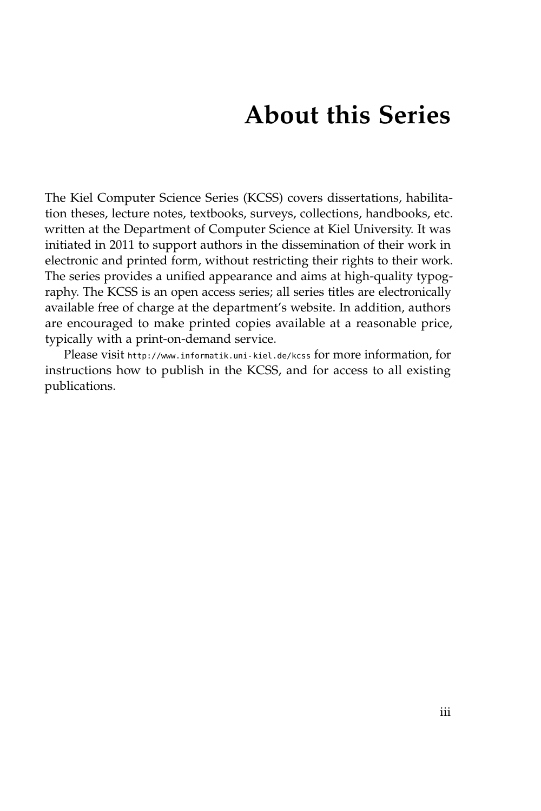## **About this Series**

The Kiel Computer Science Series (KCSS) covers dissertations, habilitation theses, lecture notes, textbooks, surveys, collections, handbooks, etc. written at the Department of Computer Science at Kiel University. It was initiated in 2011 to support authors in the dissemination of their work in electronic and printed form, without restricting their rights to their work. The series provides a unified appearance and aims at high-quality typography. The KCSS is an open access series; all series titles are electronically available free of charge at the department's website. In addition, authors are encouraged to make printed copies available at a reasonable price, typically with a print-on-demand service.

Please visit <http://www.informatik.uni-kiel.de/kcss> for more information, for instructions how to publish in the KCSS, and for access to all existing publications.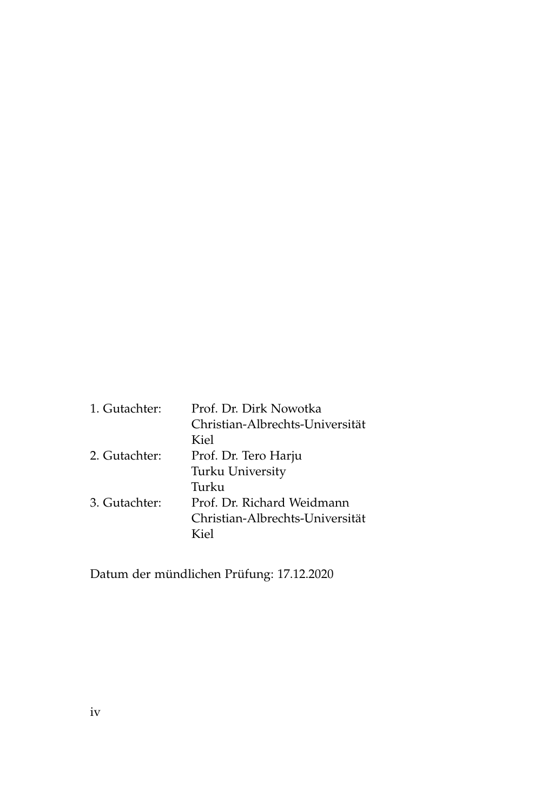| 1. Gutachter: | Prof. Dr. Dirk Nowotka          |
|---------------|---------------------------------|
|               | Christian-Albrechts-Universität |
|               | Kiel                            |
| 2. Gutachter: | Prof. Dr. Tero Harju            |
|               | Turku University                |
|               | Turku                           |
| 3. Gutachter: | Prof. Dr. Richard Weidmann      |
|               | Christian-Albrechts-Universität |
|               | Kiel                            |

Datum der mündlichen Prüfung: 17.12.2020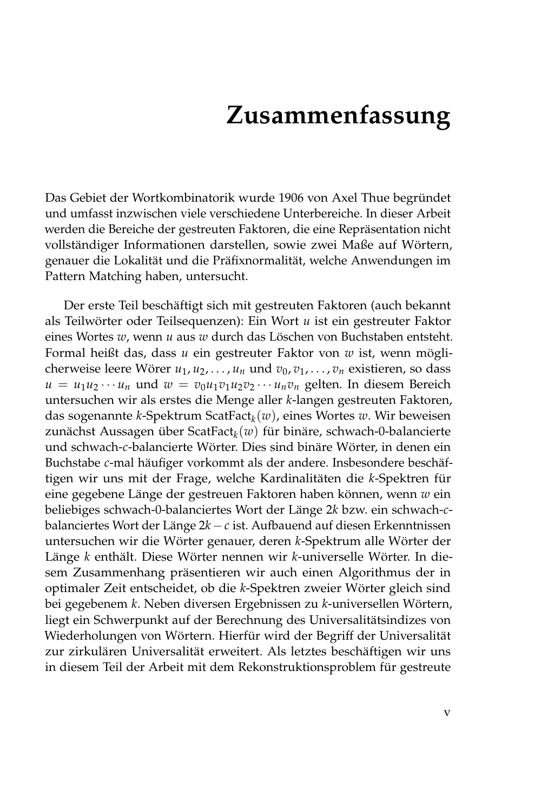## **Zusammenfassung**

Das Gebiet der Wortkombinatorik wurde 1906 von Axel Thue begründet und umfasst inzwischen viele verschiedene Unterbereiche. In dieser Arbeit werden die Bereiche der gestreuten Faktoren, die eine Repräsentation nicht vollständiger Informationen darstellen, sowie zwei Maße auf Wörtern, genauer die Lokalität und die Präfixnormalität, welche Anwendungen im Pattern Matching haben, untersucht.

Der erste Teil beschäftigt sich mit gestreuten Faktoren (auch bekannt als Teilwörter oder Teilsequenzen): Ein Wort *u* ist ein gestreuter Faktor eines Wortes *w*, wenn *u* aus *w* durch das Löschen von Buchstaben entsteht. Formal heißt das, dass *u* ein gestreuter Faktor von *w* ist, wenn möglicherweise leere Wörer  $u_1, u_2, \ldots, u_n$  und  $v_0, v_1, \ldots, v_n$  existieren, so dass  $u = u_1 u_2 \cdots u_n$  und  $w = v_0 u_1 v_1 u_2 v_2 \cdots u_n v_n$  gelten. In diesem Bereich untersuchen wir als erstes die Menge aller *k*-langen gestreuten Faktoren, das sogenannte *k*-Spektrum ScatFact*<sup>k</sup>* (*w*), eines Wortes *w*. Wir beweisen zunächst Aussagen über ScatFact*<sup>k</sup>* (*w*) für binäre, schwach-0-balancierte und schwach-*c*-balancierte Wörter. Dies sind binäre Wörter, in denen ein Buchstabe *c*-mal häufiger vorkommt als der andere. Insbesondere beschäftigen wir uns mit der Frage, welche Kardinalitäten die *k*-Spektren für eine gegebene Länge der gestreuen Faktoren haben können, wenn *w* ein beliebiges schwach-0-balanciertes Wort der Länge 2*k* bzw. ein schwach-*c*balanciertes Wort der Länge  $2k - c$  ist. Aufbauend auf diesen Erkenntnissen untersuchen wir die Wörter genauer, deren *k*-Spektrum alle Wörter der Länge *k* enthält. Diese Wörter nennen wir *k*-universelle Wörter. In diesem Zusammenhang präsentieren wir auch einen Algorithmus der in optimaler Zeit entscheidet, ob die *k*-Spektren zweier Wörter gleich sind bei gegebenem *k*. Neben diversen Ergebnissen zu *k*-universellen Wörtern, liegt ein Schwerpunkt auf der Berechnung des Universalitätsindizes von Wiederholungen von Wörtern. Hierfür wird der Begriff der Universalität zur zirkulären Universalität erweitert. Als letztes beschäftigen wir uns in diesem Teil der Arbeit mit dem Rekonstruktionsproblem für gestreute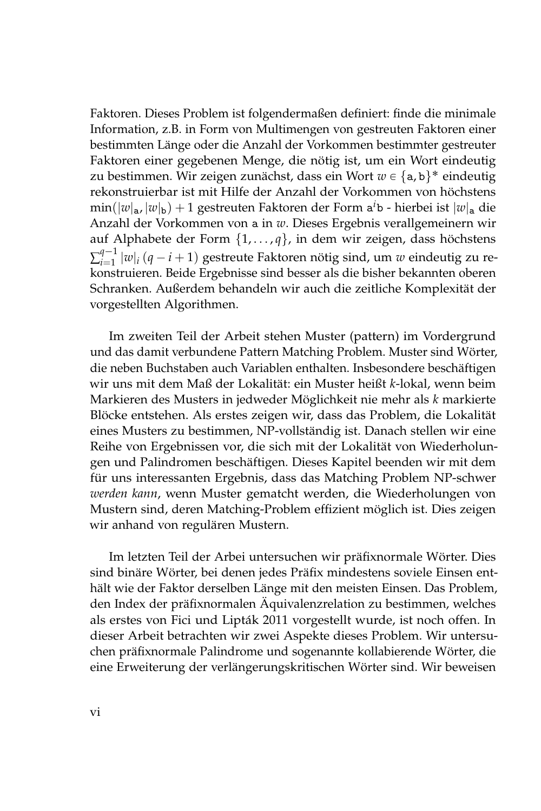Faktoren. Dieses Problem ist folgendermaßen definiert: finde die minimale Information, z.B. in Form von Multimengen von gestreuten Faktoren einer bestimmten Länge oder die Anzahl der Vorkommen bestimmter gestreuter Faktoren einer gegebenen Menge, die nötig ist, um ein Wort eindeutig zu bestimmen. Wir zeigen zunächst, dass ein Wort  $w \in \{\texttt{a}, \texttt{b}\}^*$  eindeutig rekonstruierbar ist mit Hilfe der Anzahl der Vorkommen von höchstens min(|*w*|a, |*w*|b) + 1 gestreuten Faktoren der Form a *<sup>i</sup>*b - hierbei ist |*w*|<sup>a</sup> die Anzahl der Vorkommen von a in *w*. Dieses Ergebnis verallgemeinern wir auf Alphabete der Form {1, . . . , *q*}, in dem wir zeigen, dass höchstens  $\sum_{i=1}^{q-1}$  $\lim_{i=1}^{q-1} |w|_i (q-i+1)$  gestreute Faktoren nötig sind, um *w* eindeutig zu re- $\frac{m-1}{n}$ konstruieren. Beide Ergebnisse sind besser als die bisher bekannten oberen Schranken. Außerdem behandeln wir auch die zeitliche Komplexität der vorgestellten Algorithmen.

Im zweiten Teil der Arbeit stehen Muster (pattern) im Vordergrund und das damit verbundene Pattern Matching Problem. Muster sind Wörter, die neben Buchstaben auch Variablen enthalten. Insbesondere beschäftigen wir uns mit dem Maß der Lokalität: ein Muster heißt *k*-lokal, wenn beim Markieren des Musters in jedweder Möglichkeit nie mehr als *k* markierte Blöcke entstehen. Als erstes zeigen wir, dass das Problem, die Lokalität eines Musters zu bestimmen, NP-vollständig ist. Danach stellen wir eine Reihe von Ergebnissen vor, die sich mit der Lokalität von Wiederholungen und Palindromen beschäftigen. Dieses Kapitel beenden wir mit dem für uns interessanten Ergebnis, dass das Matching Problem NP-schwer *werden kann*, wenn Muster gematcht werden, die Wiederholungen von Mustern sind, deren Matching-Problem effizient möglich ist. Dies zeigen wir anhand von regulären Mustern.

Im letzten Teil der Arbei untersuchen wir präfixnormale Wörter. Dies sind binäre Wörter, bei denen jedes Präfix mindestens soviele Einsen enthält wie der Faktor derselben Länge mit den meisten Einsen. Das Problem, den Index der präfixnormalen Äquivalenzrelation zu bestimmen, welches als erstes von Fici und Lipták 2011 vorgestellt wurde, ist noch offen. In dieser Arbeit betrachten wir zwei Aspekte dieses Problem. Wir untersuchen präfixnormale Palindrome und sogenannte kollabierende Wörter, die eine Erweiterung der verlängerungskritischen Wörter sind. Wir beweisen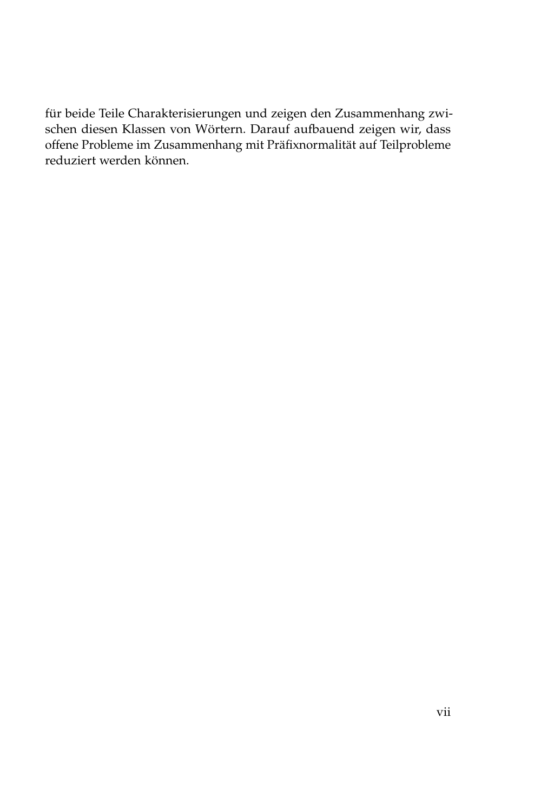für beide Teile Charakterisierungen und zeigen den Zusammenhang zwischen diesen Klassen von Wörtern. Darauf aufbauend zeigen wir, dass offene Probleme im Zusammenhang mit Präfixnormalität auf Teilprobleme reduziert werden können.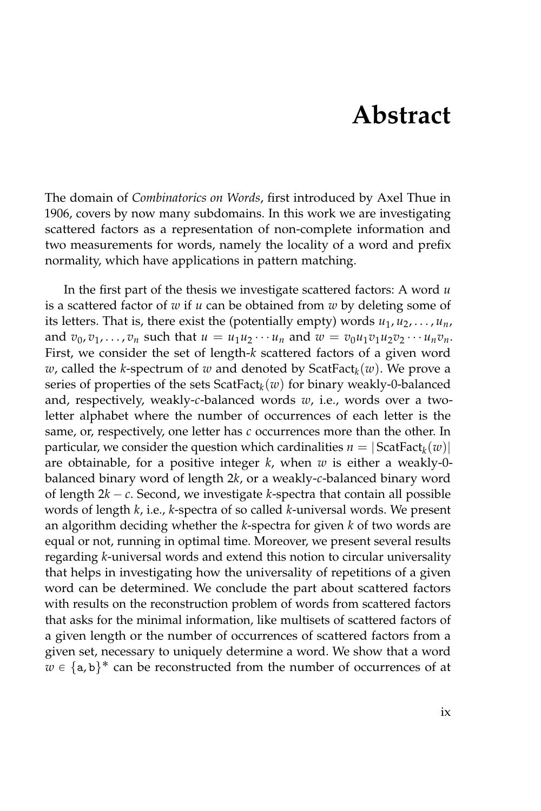## **Abstract**

The domain of *Combinatorics on Words*, first introduced by Axel Thue in 1906, covers by now many subdomains. In this work we are investigating scattered factors as a representation of non-complete information and two measurements for words, namely the locality of a word and prefix normality, which have applications in pattern matching.

In the first part of the thesis we investigate scattered factors: A word *u* is a scattered factor of *w* if *u* can be obtained from *w* by deleting some of its letters. That is, there exist the (potentially empty) words  $u_1, u_2, \ldots, u_n$ , and  $v_0, v_1, \ldots, v_n$  such that  $u = u_1 u_2 \cdots u_n$  and  $w = v_0 u_1 v_1 u_2 v_2 \cdots u_n v_n$ . First, we consider the set of length-*k* scattered factors of a given word *w*, called the *k*-spectrum of *w* and denoted by ScatFact*<sup>k</sup>* (*w*). We prove a series of properties of the sets ScatFact*<sup>k</sup>* (*w*) for binary weakly-0-balanced and, respectively, weakly-*c*-balanced words *w*, i.e., words over a twoletter alphabet where the number of occurrences of each letter is the same, or, respectively, one letter has  $c$  occurrences more than the other. In particular, we consider the question which cardinalities  $n = |\text{ScatFact}_k(w)|$ are obtainable, for a positive integer *k*, when *w* is either a weakly-0 balanced binary word of length 2*k*, or a weakly-*c*-balanced binary word of length  $2k - c$ . Second, we investigate *k*-spectra that contain all possible words of length *k*, i.e., *k*-spectra of so called *k*-universal words. We present an algorithm deciding whether the *k*-spectra for given *k* of two words are equal or not, running in optimal time. Moreover, we present several results regarding *k*-universal words and extend this notion to circular universality that helps in investigating how the universality of repetitions of a given word can be determined. We conclude the part about scattered factors with results on the reconstruction problem of words from scattered factors that asks for the minimal information, like multisets of scattered factors of a given length or the number of occurrences of scattered factors from a given set, necessary to uniquely determine a word. We show that a word  $w \in \{a, b\}^*$  can be reconstructed from the number of occurrences of at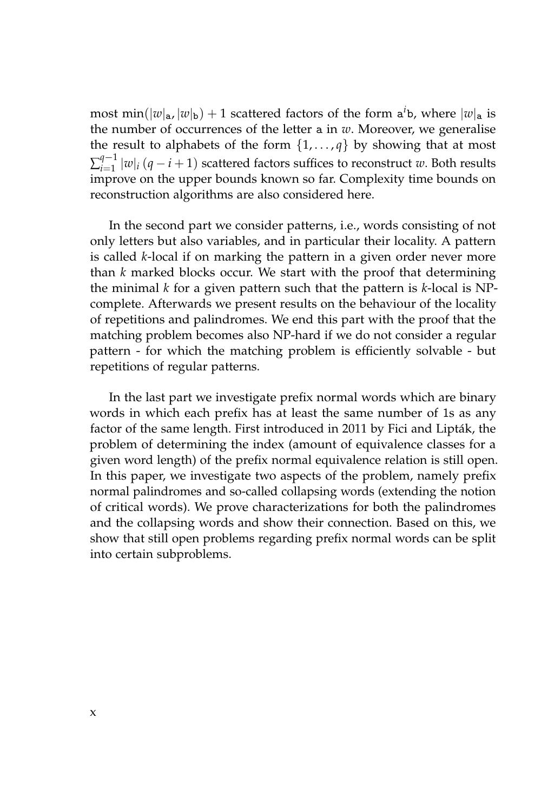most min( $|w|_a$ ,  $|w|_b$ ) + 1 scattered factors of the form  $a^i$ b, where  $|w|_a$  is the number of occurrences of the letter a in *w*. Moreover, we generalise the result to alphabets of the form  $\{1, \ldots, q\}$  by showing that at most  $\sum_{i=1}^{q-1}$  $\lim_{i=1}^{q-1} |w|_i (q-i+1)$  scattered factors suffices to reconstruct *w*. Both results improve on the upper bounds known so far. Complexity time bounds on reconstruction algorithms are also considered here.

In the second part we consider patterns, i.e., words consisting of not only letters but also variables, and in particular their locality. A pattern is called *k*-local if on marking the pattern in a given order never more than *k* marked blocks occur. We start with the proof that determining the minimal *k* for a given pattern such that the pattern is *k*-local is NPcomplete. Afterwards we present results on the behaviour of the locality of repetitions and palindromes. We end this part with the proof that the matching problem becomes also NP-hard if we do not consider a regular pattern - for which the matching problem is efficiently solvable - but repetitions of regular patterns.

In the last part we investigate prefix normal words which are binary words in which each prefix has at least the same number of 1s as any factor of the same length. First introduced in 2011 by Fici and Lipták, the problem of determining the index (amount of equivalence classes for a given word length) of the prefix normal equivalence relation is still open. In this paper, we investigate two aspects of the problem, namely prefix normal palindromes and so-called collapsing words (extending the notion of critical words). We prove characterizations for both the palindromes and the collapsing words and show their connection. Based on this, we show that still open problems regarding prefix normal words can be split into certain subproblems.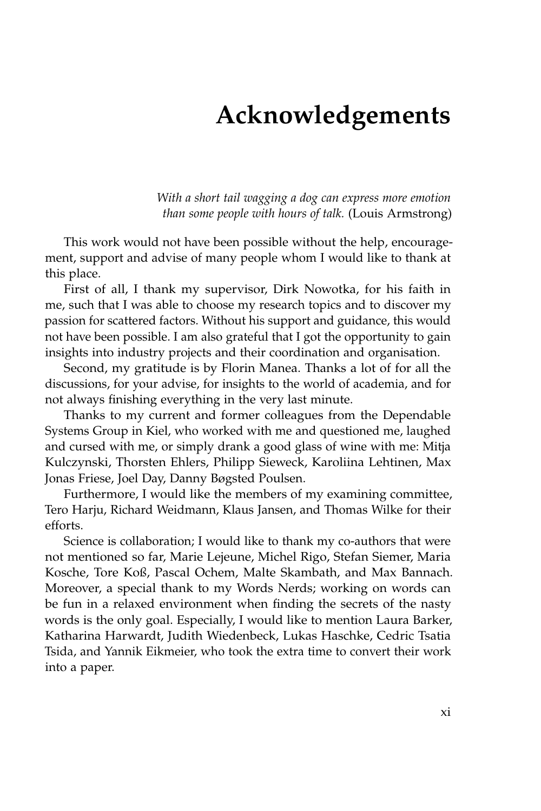## **Acknowledgements**

*With a short tail wagging a dog can express more emotion than some people with hours of talk.* (Louis Armstrong)

This work would not have been possible without the help, encouragement, support and advise of many people whom I would like to thank at this place.

First of all, I thank my supervisor, Dirk Nowotka, for his faith in me, such that I was able to choose my research topics and to discover my passion for scattered factors. Without his support and guidance, this would not have been possible. I am also grateful that I got the opportunity to gain insights into industry projects and their coordination and organisation.

Second, my gratitude is by Florin Manea. Thanks a lot of for all the discussions, for your advise, for insights to the world of academia, and for not always finishing everything in the very last minute.

Thanks to my current and former colleagues from the Dependable Systems Group in Kiel, who worked with me and questioned me, laughed and cursed with me, or simply drank a good glass of wine with me: Mitja Kulczynski, Thorsten Ehlers, Philipp Sieweck, Karoliina Lehtinen, Max Jonas Friese, Joel Day, Danny Bøgsted Poulsen.

Furthermore, I would like the members of my examining committee, Tero Harju, Richard Weidmann, Klaus Jansen, and Thomas Wilke for their efforts.

Science is collaboration; I would like to thank my co-authors that were not mentioned so far, Marie Lejeune, Michel Rigo, Stefan Siemer, Maria Kosche, Tore Koß, Pascal Ochem, Malte Skambath, and Max Bannach. Moreover, a special thank to my Words Nerds; working on words can be fun in a relaxed environment when finding the secrets of the nasty words is the only goal. Especially, I would like to mention Laura Barker, Katharina Harwardt, Judith Wiedenbeck, Lukas Haschke, Cedric Tsatia Tsida, and Yannik Eikmeier, who took the extra time to convert their work into a paper.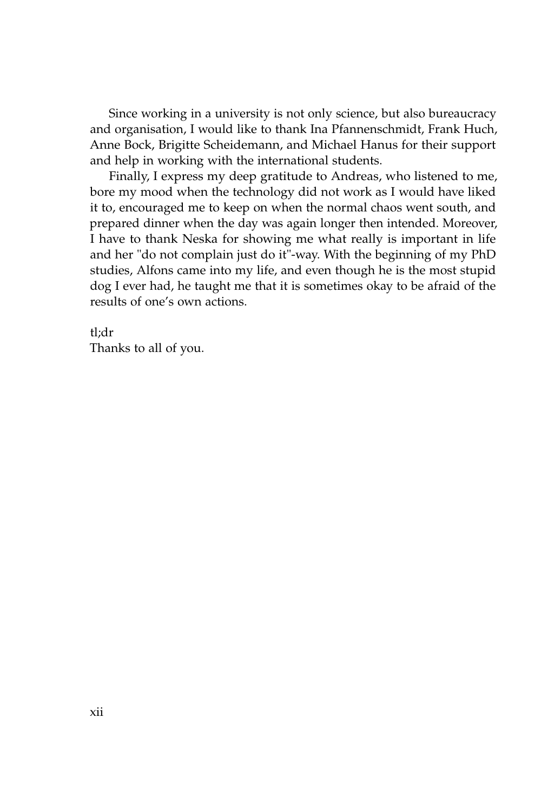Since working in a university is not only science, but also bureaucracy and organisation, I would like to thank Ina Pfannenschmidt, Frank Huch, Anne Bock, Brigitte Scheidemann, and Michael Hanus for their support and help in working with the international students.

Finally, I express my deep gratitude to Andreas, who listened to me, bore my mood when the technology did not work as I would have liked it to, encouraged me to keep on when the normal chaos went south, and prepared dinner when the day was again longer then intended. Moreover, I have to thank Neska for showing me what really is important in life and her "do not complain just do it"-way. With the beginning of my PhD studies, Alfons came into my life, and even though he is the most stupid dog I ever had, he taught me that it is sometimes okay to be afraid of the results of one's own actions.

tl;dr Thanks to all of you.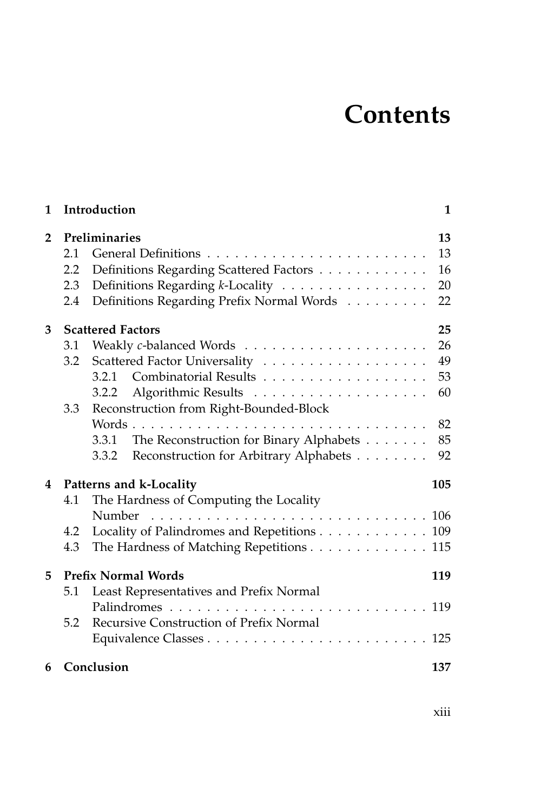## **Contents**

| 1              |     | Introduction                                     | 1   |
|----------------|-----|--------------------------------------------------|-----|
| $\overline{2}$ |     | Preliminaries                                    | 13  |
|                | 2.1 |                                                  | 13  |
|                | 2.2 | Definitions Regarding Scattered Factors          | 16  |
|                | 2.3 | Definitions Regarding k-Locality                 | 20  |
|                | 2.4 | Definitions Regarding Prefix Normal Words        | 22  |
| 3              |     | <b>Scattered Factors</b>                         | 25  |
|                | 3.1 |                                                  | 26  |
|                | 3.2 |                                                  | 49  |
|                |     | 3.2.1                                            | 53  |
|                |     | 3.2.2                                            | 60  |
|                | 3.3 | Reconstruction from Right-Bounded-Block          |     |
|                |     |                                                  | 82  |
|                |     | The Reconstruction for Binary Alphabets<br>3.3.1 | 85  |
|                |     | Reconstruction for Arbitrary Alphabets<br>3.3.2  | 92  |
| $\overline{4}$ |     | Patterns and k-Locality                          | 105 |
|                | 4.1 | The Hardness of Computing the Locality           |     |
|                |     | Number                                           |     |
|                | 4.2 | Locality of Palindromes and Repetitions 109      |     |
|                | 4.3 | The Hardness of Matching Repetitions 115         |     |
| 5              |     | <b>Prefix Normal Words</b>                       | 119 |
|                | 5.1 | Least Representatives and Prefix Normal          |     |
|                |     |                                                  |     |
|                | 5.2 | Recursive Construction of Prefix Normal          |     |
|                |     |                                                  |     |
| 6              |     | Conclusion                                       | 137 |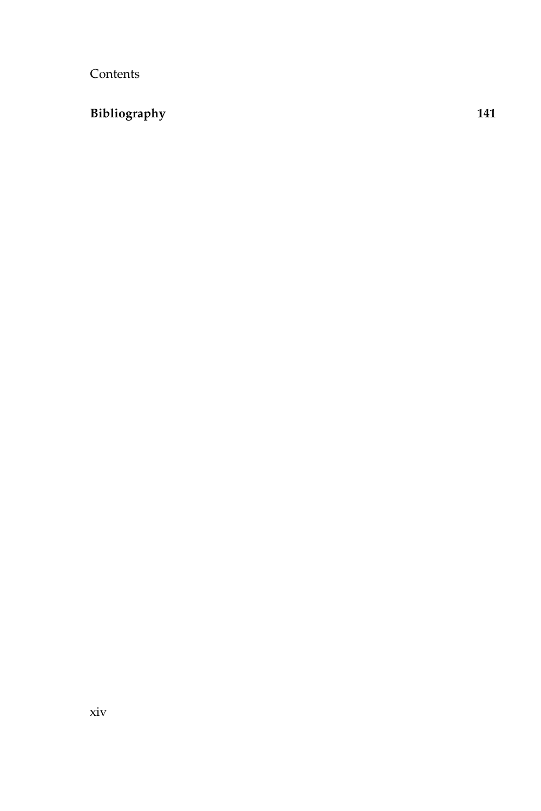Contents

### **[Bibliography](#page-158-0) 141**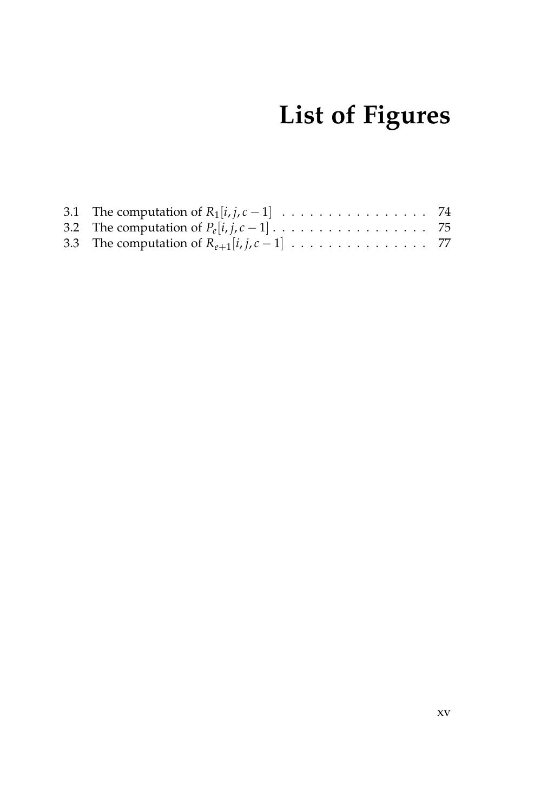# **List of Figures**

| 3.1 The computation of $R_1[i, j, c-1]$ 74   |  |
|----------------------------------------------|--|
|                                              |  |
| 3.3 The computation of $R_{e+1}[i,j,c-1]$ 77 |  |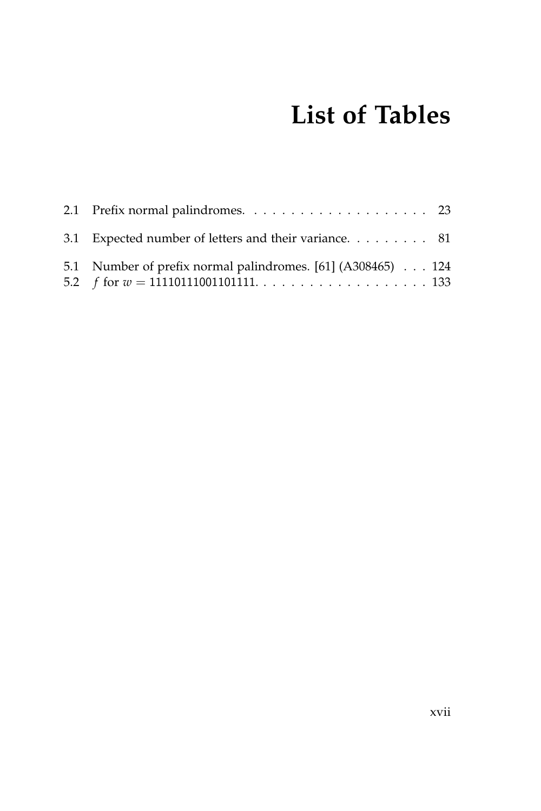# **List of Tables**

| 3.1 Expected number of letters and their variance. 81       |  |
|-------------------------------------------------------------|--|
| 5.1 Number of prefix normal palindromes. [61] (A308465) 124 |  |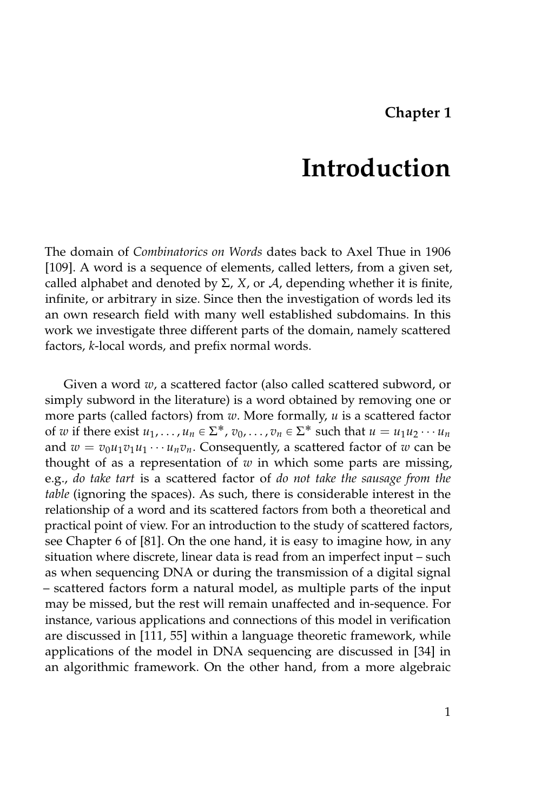### **Chapter 1**

### **Introduction**

<span id="page-18-0"></span>The domain of *Combinatorics on Words* dates back to Axel Thue in 1906 [\[109\]](#page-167-0). A word is a sequence of elements, called letters, from a given set, called alphabet and denoted by  $\Sigma$ , *X*, or *A*, depending whether it is finite, infinite, or arbitrary in size. Since then the investigation of words led its an own research field with many well established subdomains. In this work we investigate three different parts of the domain, namely scattered factors, *k*-local words, and prefix normal words.

Given a word *w*, a scattered factor (also called scattered subword, or simply subword in the literature) is a word obtained by removing one or more parts (called factors) from *w*. More formally, *u* is a scattered factor of *w* if there exist  $u_1, \ldots, u_n \in \Sigma^*$ ,  $v_0, \ldots, v_n \in \Sigma^*$  such that  $u = u_1 u_2 \cdots u_n$ and  $w = v_0 u_1 v_1 u_1 \cdots u_n v_n$ . Consequently, a scattered factor of w can be thought of as a representation of  $w$  in which some parts are missing, e.g., *do take tart* is a scattered factor of *do not take the sausage from the table* (ignoring the spaces). As such, there is considerable interest in the relationship of a word and its scattered factors from both a theoretical and practical point of view. For an introduction to the study of scattered factors, see Chapter 6 of [\[81\]](#page-165-0). On the one hand, it is easy to imagine how, in any situation where discrete, linear data is read from an imperfect input – such as when sequencing DNA or during the transmission of a digital signal – scattered factors form a natural model, as multiple parts of the input may be missed, but the rest will remain unaffected and in-sequence. For instance, various applications and connections of this model in verification are discussed in [\[111,](#page-167-1) [55\]](#page-163-1) within a language theoretic framework, while applications of the model in DNA sequencing are discussed in [\[34\]](#page-161-0) in an algorithmic framework. On the other hand, from a more algebraic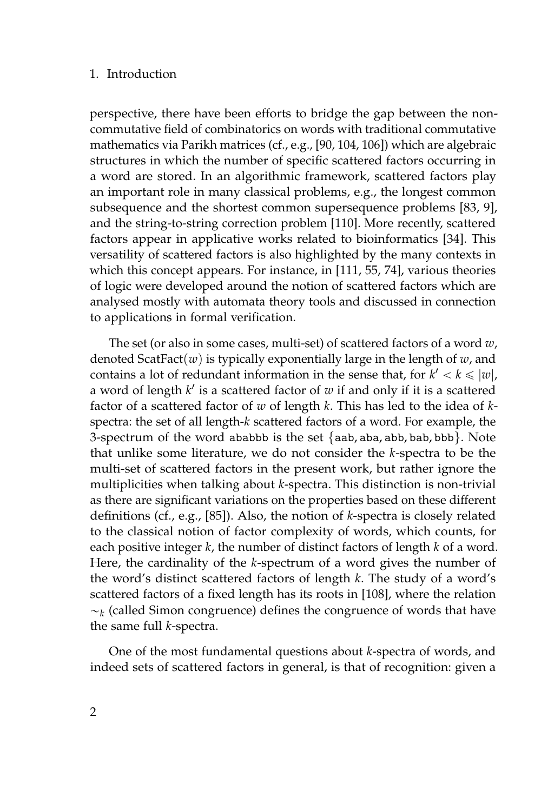#### 1. Introduction

perspective, there have been efforts to bridge the gap between the noncommutative field of combinatorics on words with traditional commutative mathematics via Parikh matrices (cf., e.g., [\[90,](#page-165-1) [104,](#page-166-0) [106\]](#page-167-2)) which are algebraic structures in which the number of specific scattered factors occurring in a word are stored. In an algorithmic framework, scattered factors play an important role in many classical problems, e.g., the longest common subsequence and the shortest common supersequence problems [\[83,](#page-165-2) [9\]](#page-158-1), and the string-to-string correction problem [\[110\]](#page-167-3). More recently, scattered factors appear in applicative works related to bioinformatics [\[34\]](#page-161-0). This versatility of scattered factors is also highlighted by the many contexts in which this concept appears. For instance, in [\[111,](#page-167-1) [55,](#page-163-1) [74\]](#page-164-0), various theories of logic were developed around the notion of scattered factors which are analysed mostly with automata theory tools and discussed in connection to applications in formal verification.

The set (or also in some cases, multi-set) of scattered factors of a word *w*, denoted ScatFact(*w*) is typically exponentially large in the length of *w*, and contains a lot of redundant information in the sense that, for  $k' < k \leq |w|$ , a word of length *k* 1 is a scattered factor of *w* if and only if it is a scattered factor of a scattered factor of *w* of length *k*. This has led to the idea of *k*spectra: the set of all length-*k* scattered factors of a word. For example, the 3-spectrum of the word ababbb is the set {aab, aba, abb, bab, bbb}. Note that unlike some literature, we do not consider the *k*-spectra to be the multi-set of scattered factors in the present work, but rather ignore the multiplicities when talking about *k*-spectra. This distinction is non-trivial as there are significant variations on the properties based on these different definitions (cf., e.g., [\[85\]](#page-165-3)). Also, the notion of *k*-spectra is closely related to the classical notion of factor complexity of words, which counts, for each positive integer *k*, the number of distinct factors of length *k* of a word. Here, the cardinality of the *k*-spectrum of a word gives the number of the word's distinct scattered factors of length *k*. The study of a word's scattered factors of a fixed length has its roots in [\[108\]](#page-167-4), where the relation  $\sim_k$  (called Simon congruence) defines the congruence of words that have the same full *k*-spectra.

One of the most fundamental questions about *k*-spectra of words, and indeed sets of scattered factors in general, is that of recognition: given a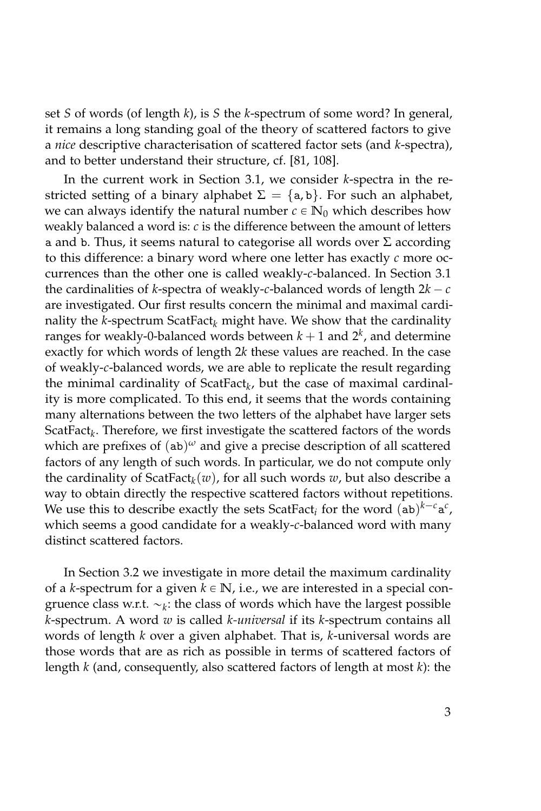set *S* of words (of length *k*), is *S* the *k*-spectrum of some word? In general, it remains a long standing goal of the theory of scattered factors to give a *nice* descriptive characterisation of scattered factor sets (and *k*-spectra), and to better understand their structure, cf. [\[81,](#page-165-0) [108\]](#page-167-4).

In the current work in Section [3.1,](#page-43-0) we consider *k*-spectra in the restricted setting of a binary alphabet  $\Sigma = \{a, b\}$ . For such an alphabet, we can always identify the natural number  $c \in \mathbb{N}_0$  which describes how weakly balanced a word is: *c* is the difference between the amount of letters a and b. Thus, it seems natural to categorise all words over  $\Sigma$  according to this difference: a binary word where one letter has exactly *c* more occurrences than the other one is called weakly-*c*-balanced. In Section [3.1](#page-43-0) the cardinalities of *k*-spectra of weakly-*c*-balanced words of length  $2k - c$ are investigated. Our first results concern the minimal and maximal cardinality the *k*-spectrum ScatFact*<sup>k</sup>* might have. We show that the cardinality ranges for weakly-0-balanced words between  $k + 1$  and  $2<sup>k</sup>$ , and determine exactly for which words of length 2*k* these values are reached. In the case of weakly-*c*-balanced words, we are able to replicate the result regarding the minimal cardinality of ScatFact*<sup>k</sup>* , but the case of maximal cardinality is more complicated. To this end, it seems that the words containing many alternations between the two letters of the alphabet have larger sets ScatFact*<sup>k</sup>* . Therefore, we first investigate the scattered factors of the words which are prefixes of (ab) *<sup>ω</sup>* and give a precise description of all scattered factors of any length of such words. In particular, we do not compute only the cardinality of ScatFact*<sup>k</sup>* (*w*), for all such words *w*, but also describe a way to obtain directly the respective scattered factors without repetitions. We use this to describe exactly the sets ScatFact<sub>*i*</sub> for the word  $(ab)^{k-c}a^c$ , which seems a good candidate for a weakly-*c*-balanced word with many distinct scattered factors.

In Section [3.2](#page-66-0) we investigate in more detail the maximum cardinality of a *k*-spectrum for a given  $k \in \mathbb{N}$ , i.e., we are interested in a special congruence class w.r.t.  $\sim_k$ : the class of words which have the largest possible *k*-spectrum. A word *w* is called *k-universal* if its *k*-spectrum contains all words of length *k* over a given alphabet. That is, *k*-universal words are those words that are as rich as possible in terms of scattered factors of length *k* (and, consequently, also scattered factors of length at most *k*): the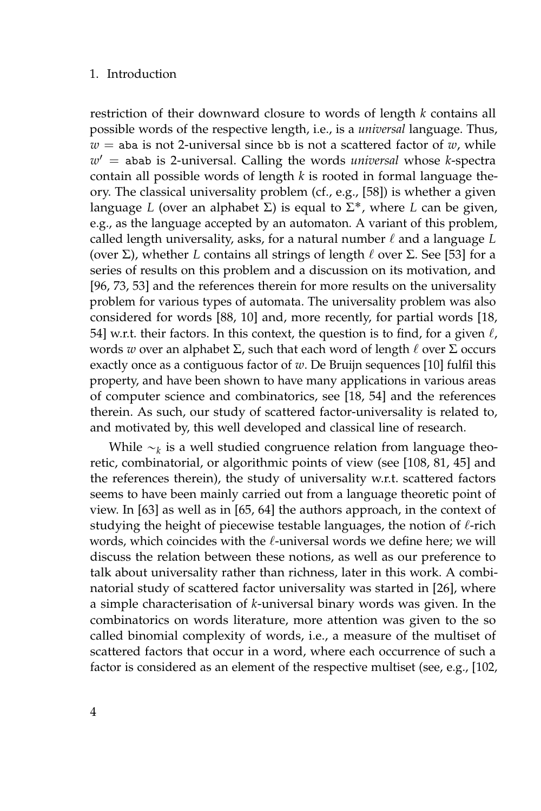#### 1. Introduction

restriction of their downward closure to words of length *k* contains all possible words of the respective length, i.e., is a *universal* language. Thus,  $w =$  aba is not 2-universal since bb is not a scattered factor of  $w$ , while *w* <sup>1</sup> = abab is 2-universal. Calling the words *universal* whose *k*-spectra contain all possible words of length *k* is rooted in formal language theory. The classical universality problem (cf., e.g., [\[58\]](#page-163-2)) is whether a given language *L* (over an alphabet Σ) is equal to Σ ˚, where *L* can be given, e.g., as the language accepted by an automaton. A variant of this problem, called length universality, asks, for a natural number  $\ell$  and a language  $L$ (over  $\Sigma$ ), whether *L* contains all strings of length  $\ell$  over  $\Sigma$ . See [\[53\]](#page-162-0) for a series of results on this problem and a discussion on its motivation, and [\[96,](#page-166-1) [73,](#page-164-1) [53\]](#page-162-0) and the references therein for more results on the universality problem for various types of automata. The universality problem was also considered for words [\[88,](#page-165-4) [10\]](#page-159-0) and, more recently, for partial words [\[18,](#page-159-1) [54\]](#page-162-1) w.r.t. their factors. In this context, the question is to find, for a given  $\ell$ , words *w* over an alphabet  $\Sigma$ , such that each word of length  $\ell$  over  $\Sigma$  occurs exactly once as a contiguous factor of *w*. De Bruijn sequences [\[10\]](#page-159-0) fulfil this property, and have been shown to have many applications in various areas of computer science and combinatorics, see [\[18,](#page-159-1) [54\]](#page-162-1) and the references therein. As such, our study of scattered factor-universality is related to, and motivated by, this well developed and classical line of research.

While  $\sim_k$  is a well studied congruence relation from language theoretic, combinatorial, or algorithmic points of view (see [\[108,](#page-167-4) [81,](#page-165-0) [45\]](#page-162-2) and the references therein), the study of universality w.r.t. scattered factors seems to have been mainly carried out from a language theoretic point of view. In [\[63\]](#page-163-3) as well as in [\[65,](#page-163-4) [64\]](#page-163-5) the authors approach, in the context of studying the height of piecewise testable languages, the notion of  $\ell$ -rich words, which coincides with the  $\ell$ -universal words we define here; we will discuss the relation between these notions, as well as our preference to talk about universality rather than richness, later in this work. A combinatorial study of scattered factor universality was started in [\[26\]](#page-160-0), where a simple characterisation of *k*-universal binary words was given. In the combinatorics on words literature, more attention was given to the so called binomial complexity of words, i.e., a measure of the multiset of scattered factors that occur in a word, where each occurrence of such a factor is considered as an element of the respective multiset (see, e.g., [\[102,](#page-166-2)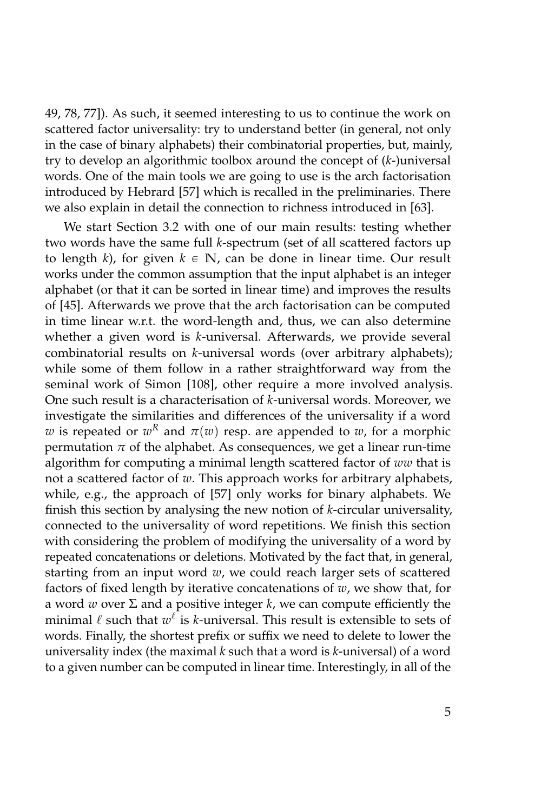[49,](#page-162-3) [78,](#page-165-5) [77\]](#page-164-2)). As such, it seemed interesting to us to continue the work on scattered factor universality: try to understand better (in general, not only in the case of binary alphabets) their combinatorial properties, but, mainly, try to develop an algorithmic toolbox around the concept of (*k*-)universal words. One of the main tools we are going to use is the arch factorisation introduced by Hebrard [\[57\]](#page-163-6) which is recalled in the preliminaries. There we also explain in detail the connection to richness introduced in [\[63\]](#page-163-3).

We start Section [3.2](#page-66-0) with one of our main results: testing whether two words have the same full *k*-spectrum (set of all scattered factors up to length *k*), for given  $k \in \mathbb{N}$ , can be done in linear time. Our result works under the common assumption that the input alphabet is an integer alphabet (or that it can be sorted in linear time) and improves the results of [\[45\]](#page-162-2). Afterwards we prove that the arch factorisation can be computed in time linear w.r.t. the word-length and, thus, we can also determine whether a given word is *k*-universal. Afterwards, we provide several combinatorial results on *k*-universal words (over arbitrary alphabets); while some of them follow in a rather straightforward way from the seminal work of Simon [\[108\]](#page-167-4), other require a more involved analysis. One such result is a characterisation of *k*-universal words. Moreover, we investigate the similarities and differences of the universality if a word  $w$  is repeated or  $w^R$  and  $\pi(w)$  resp. are appended to  $w$ , for a morphic permutation  $\pi$  of the alphabet. As consequences, we get a linear run-time algorithm for computing a minimal length scattered factor of *ww* that is not a scattered factor of *w*. This approach works for arbitrary alphabets, while, e.g., the approach of [\[57\]](#page-163-6) only works for binary alphabets. We finish this section by analysing the new notion of *k*-circular universality, connected to the universality of word repetitions. We finish this section with considering the problem of modifying the universality of a word by repeated concatenations or deletions. Motivated by the fact that, in general, starting from an input word *w*, we could reach larger sets of scattered factors of fixed length by iterative concatenations of *w*, we show that, for a word *w* over Σ and a positive integer *k*, we can compute efficiently the minimal  $\ell$  such that  $w^{\ell}$  is *k*-universal. This result is extensible to sets of words. Finally, the shortest prefix or suffix we need to delete to lower the universality index (the maximal *k* such that a word is *k*-universal) of a word to a given number can be computed in linear time. Interestingly, in all of the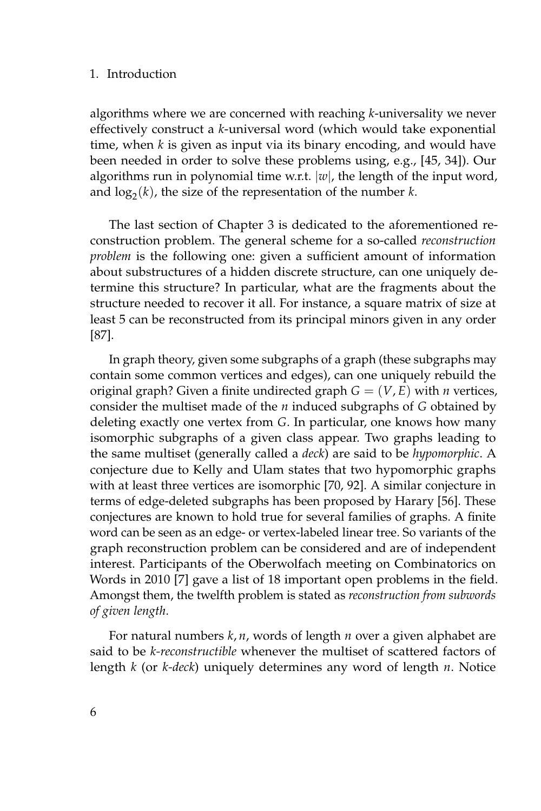#### 1. Introduction

algorithms where we are concerned with reaching *k*-universality we never effectively construct a *k*-universal word (which would take exponential time, when *k* is given as input via its binary encoding, and would have been needed in order to solve these problems using, e.g., [\[45,](#page-162-2) [34\]](#page-161-0)). Our algorithms run in polynomial time w.r.t. |*w*|, the length of the input word, and  $\log_2(k)$ , the size of the representation of the number *k*.

The last section of Chapter [3](#page-42-0) is dedicated to the aforementioned reconstruction problem. The general scheme for a so-called *reconstruction problem* is the following one: given a sufficient amount of information about substructures of a hidden discrete structure, can one uniquely determine this structure? In particular, what are the fragments about the structure needed to recover it all. For instance, a square matrix of size at least 5 can be reconstructed from its principal minors given in any order [\[87\]](#page-165-6).

In graph theory, given some subgraphs of a graph (these subgraphs may contain some common vertices and edges), can one uniquely rebuild the original graph? Given a finite undirected graph  $G = (V, E)$  with *n* vertices, consider the multiset made of the *n* induced subgraphs of *G* obtained by deleting exactly one vertex from *G*. In particular, one knows how many isomorphic subgraphs of a given class appear. Two graphs leading to the same multiset (generally called a *deck*) are said to be *hypomorphic*. A conjecture due to Kelly and Ulam states that two hypomorphic graphs with at least three vertices are isomorphic [\[70,](#page-164-3) [92\]](#page-166-3). A similar conjecture in terms of edge-deleted subgraphs has been proposed by Harary [\[56\]](#page-163-7). These conjectures are known to hold true for several families of graphs. A finite word can be seen as an edge- or vertex-labeled linear tree. So variants of the graph reconstruction problem can be considered and are of independent interest. Participants of the Oberwolfach meeting on Combinatorics on Words in 2010 [\[7\]](#page-158-2) gave a list of 18 important open problems in the field. Amongst them, the twelfth problem is stated as *reconstruction from subwords of given length*.

For natural numbers *k*, *n*, words of length *n* over a given alphabet are said to be *k-reconstructible* whenever the multiset of scattered factors of length *k* (or *k-deck*) uniquely determines any word of length *n*. Notice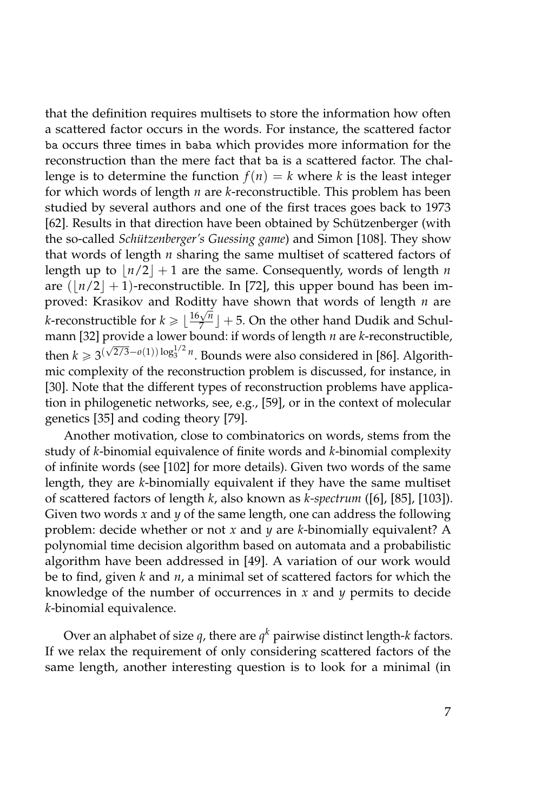that the definition requires multisets to store the information how often a scattered factor occurs in the words. For instance, the scattered factor ba occurs three times in baba which provides more information for the reconstruction than the mere fact that ba is a scattered factor. The challenge is to determine the function  $f(n) = k$  where *k* is the least integer for which words of length *n* are *k*-reconstructible. This problem has been studied by several authors and one of the first traces goes back to 1973 [\[62\]](#page-163-8). Results in that direction have been obtained by Schützenberger (with the so-called *Schützenberger's Guessing game*) and Simon [\[108\]](#page-167-4). They show that words of length *n* sharing the same multiset of scattered factors of length up to  $\vert n/2 \vert + 1$  are the same. Consequently, words of length *n* are  $(|n/2|+1)$ -reconstructible. In [\[72\]](#page-164-4), this upper bound has been improved: Krasikov and Roditty have shown that words of length *n* are *k*-reconstructible for  $k \geq \lfloor \frac{16\sqrt{n}}{7} \rfloor$  $\frac{\sqrt{n}}{7}$  | + 5. On the other hand Dudik and Schulmann [\[32\]](#page-160-1) provide a lower bound: if words of length *n* are *k*-reconstructible, then  $k \ge 3^{(\sqrt{2}/3-o(1))\log_3^{1/2}n}$ . Bounds were also considered in [\[86\]](#page-165-7). Algorithmic complexity of the reconstruction problem is discussed, for instance, in [\[30\]](#page-160-2). Note that the different types of reconstruction problems have application in philogenetic networks, see, e.g., [\[59\]](#page-163-9), or in the context of molecular genetics [\[35\]](#page-161-1) and coding theory [\[79\]](#page-165-8).

Another motivation, close to combinatorics on words, stems from the study of *k*-binomial equivalence of finite words and *k*-binomial complexity of infinite words (see [\[102\]](#page-166-2) for more details). Given two words of the same length, they are *k*-binomially equivalent if they have the same multiset of scattered factors of length *k*, also known as *k-spectrum* ([\[6\]](#page-158-3), [\[85\]](#page-165-3), [\[103\]](#page-166-4)). Given two words *x* and *y* of the same length, one can address the following problem: decide whether or not *x* and *y* are *k*-binomially equivalent? A polynomial time decision algorithm based on automata and a probabilistic algorithm have been addressed in [\[49\]](#page-162-3). A variation of our work would be to find, given *k* and *n*, a minimal set of scattered factors for which the knowledge of the number of occurrences in *x* and *y* permits to decide *k*-binomial equivalence.

Over an alphabet of size  $q$ , there are  $q^k$  pairwise distinct length-*k* factors. If we relax the requirement of only considering scattered factors of the same length, another interesting question is to look for a minimal (in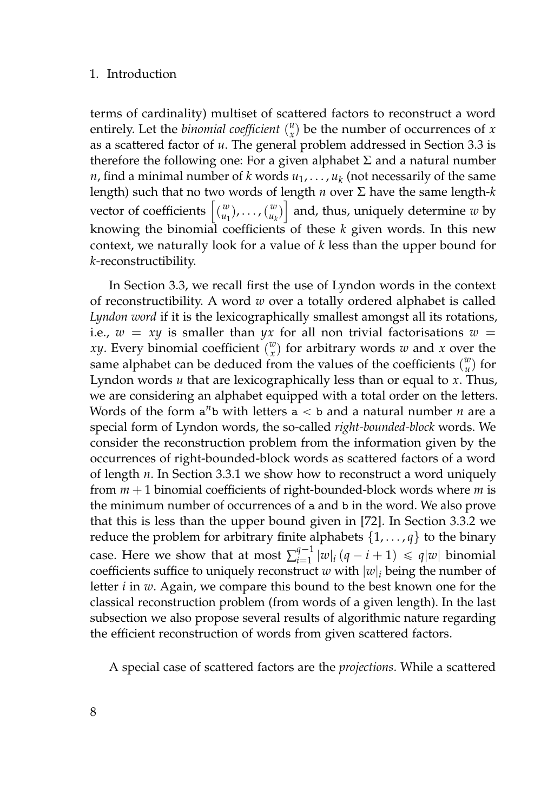#### 1. Introduction

terms of cardinality) multiset of scattered factors to reconstruct a word entirely. Let the *binomial coefficient*  $\binom{u}{x}$  be the number of occurrences of *x* as a scattered factor of *u*. The general problem addressed in Section [3.3](#page-99-0) is therefore the following one: For a given alphabet  $\Sigma$  and a natural number *n*, find a minimal number of *k* words  $u_1, \ldots, u_k$  (not necessarily of the same length) such that no two words of length *n* over Σ have the same length-*k* vector of coefficients  $\begin{bmatrix} w \\ u_1 \end{bmatrix}$ , ...,  $\begin{bmatrix} w \\ u_k \end{bmatrix}$  and, thus, uniquely determine *w* by knowing the binomial coefficients of these *k* given words. In this new context, we naturally look for a value of *k* less than the upper bound for *k*-reconstructibility.

In Section [3.3,](#page-99-0) we recall first the use of Lyndon words in the context of reconstructibility. A word *w* over a totally ordered alphabet is called *Lyndon word* if it is the lexicographically smallest amongst all its rotations, i.e.,  $w = xy$  is smaller than  $yx$  for all non trivial factorisations  $w =$ *xy*. Every binomial coefficient  $\binom{w}{x}$  for arbitrary words *w* and *x* over the same alphabet can be deduced from the values of the coefficients  $\binom{w}{u}$  for Lyndon words *u* that are lexicographically less than or equal to *x*. Thus, we are considering an alphabet equipped with a total order on the letters. Words of the form  $a^n b$  with letters  $a < b$  and a natural number *n* are a special form of Lyndon words, the so-called *right-bounded-block* words. We consider the reconstruction problem from the information given by the occurrences of right-bounded-block words as scattered factors of a word of length *n*. In Section [3.3.1](#page-102-0) we show how to reconstruct a word uniquely from *m* + 1 binomial coefficients of right-bounded-block words where *m* is the minimum number of occurrences of a and b in the word. We also prove that this is less than the upper bound given in [\[72\]](#page-164-4). In Section [3.3.2](#page-109-0) we reduce the problem for arbitrary finite alphabets  $\{1, \ldots, q\}$  to the binary case. Here we show that at most  $\sum_{i=1}^{q-1}$  $\int_{i=1}^{q-1} |w|_i (q - i + 1) \leq q|w|$  binomial coefficients suffice to uniquely reconstruct *w* with  $|w|_i$  being the number of letter *i* in *w*. Again, we compare this bound to the best known one for the classical reconstruction problem (from words of a given length). In the last subsection we also propose several results of algorithmic nature regarding the efficient reconstruction of words from given scattered factors.

A special case of scattered factors are the *projections*. While a scattered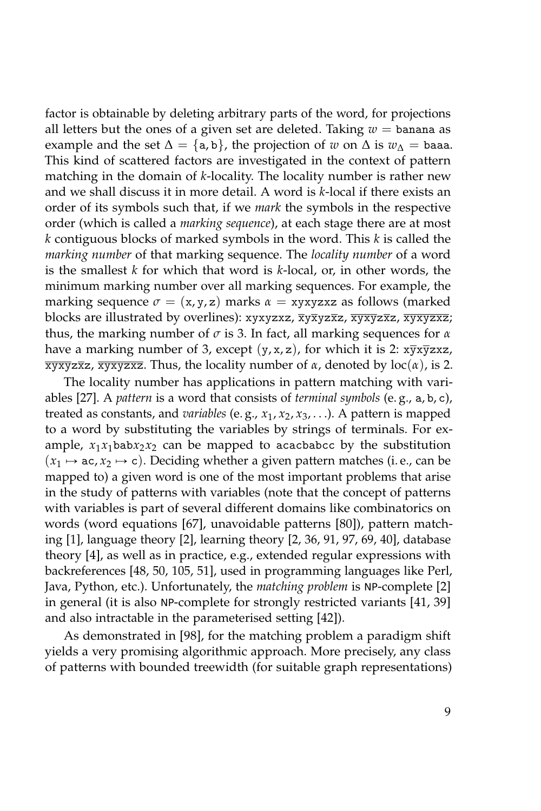factor is obtainable by deleting arbitrary parts of the word, for projections all letters but the ones of a given set are deleted. Taking  $w =$  banana as example and the set  $\Delta = \{a, b\}$ , the projection of *w* on  $\Delta$  is  $w_{\Delta} = \alpha$ This kind of scattered factors are investigated in the context of pattern matching in the domain of *k*-locality. The locality number is rather new and we shall discuss it in more detail. A word is *k*-local if there exists an order of its symbols such that, if we *mark* the symbols in the respective order (which is called a *marking sequence*), at each stage there are at most *k* contiguous blocks of marked symbols in the word. This *k* is called the *marking number* of that marking sequence. The *locality number* of a word is the smallest *k* for which that word is *k*-local, or, in other words, the minimum marking number over all marking sequences. For example, the marking sequence  $\sigma = (x, y, z)$  marks  $\alpha = xyxyzxz$  as follows (marked blocks are illustrated by overlines): xyxyzxz, xyxyzxz, xyxyzxz, xyxyzxz; thus, the marking number of *σ* is 3. In fact, all marking sequences for *α* have a marking number of 3, except  $(y, x, z)$ , for which it is 2:  $\overline{x} \overline{y} \overline{x} \overline{z}$ xyxyzxz, xyxyzxz. Thus, the locality number of *α*, denoted by loc(*α*), is 2.

The locality number has applications in pattern matching with variables [\[27\]](#page-160-3). A *pattern* is a word that consists of *terminal symbols* (e. g., a, b, c), treated as constants, and *variables* (e. g., *x*1, *x*2, *x*3, . . .). A pattern is mapped to a word by substituting the variables by strings of terminals. For example,  $x_1x_1$ bab $x_2x_2$  can be mapped to acacbabcc by the substitution  $(x_1 \mapsto ac, x_2 \mapsto c)$ . Deciding whether a given pattern matches (i. e., can be mapped to) a given word is one of the most important problems that arise in the study of patterns with variables (note that the concept of patterns with variables is part of several different domains like combinatorics on words (word equations [\[67\]](#page-164-5), unavoidable patterns [\[80\]](#page-165-9)), pattern matching [\[1\]](#page-158-4), language theory [\[2\]](#page-158-5), learning theory [\[2,](#page-158-5) [36,](#page-161-2) [91,](#page-165-10) [97,](#page-166-5) [69,](#page-164-6) [40\]](#page-161-3), database theory [\[4\]](#page-158-6), as well as in practice, e.g., extended regular expressions with backreferences [\[48,](#page-162-4) [50,](#page-162-5) [105,](#page-166-6) [51\]](#page-162-6), used in programming languages like Perl, Java, Python, etc.). Unfortunately, the *matching problem* is NP-complete [\[2\]](#page-158-5) in general (it is also NP-complete for strongly restricted variants [\[41,](#page-161-4) [39\]](#page-161-5) and also intractable in the parameterised setting [\[42\]](#page-161-6)).

As demonstrated in [\[98\]](#page-166-7), for the matching problem a paradigm shift yields a very promising algorithmic approach. More precisely, any class of patterns with bounded treewidth (for suitable graph representations)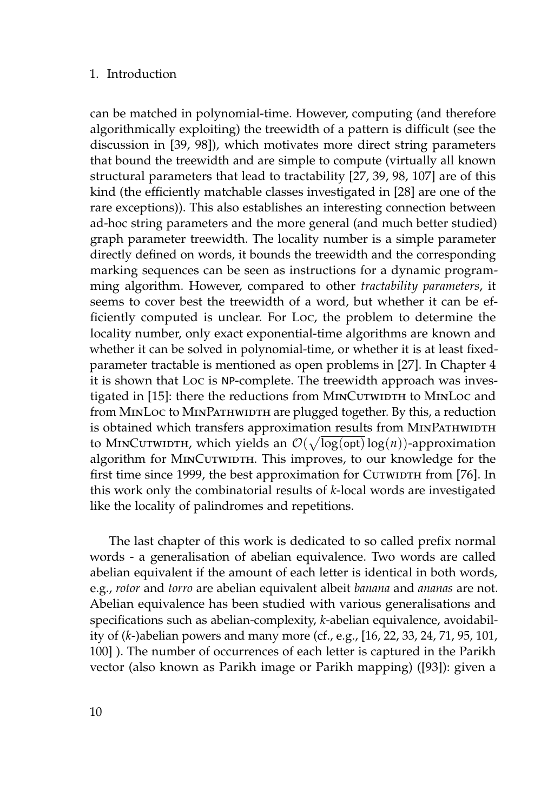#### 1. Introduction

can be matched in polynomial-time. However, computing (and therefore algorithmically exploiting) the treewidth of a pattern is difficult (see the discussion in [\[39,](#page-161-5) [98\]](#page-166-7)), which motivates more direct string parameters that bound the treewidth and are simple to compute (virtually all known structural parameters that lead to tractability [\[27,](#page-160-3) [39,](#page-161-5) [98,](#page-166-7) [107\]](#page-167-5) are of this kind (the efficiently matchable classes investigated in [\[28\]](#page-160-4) are one of the rare exceptions)). This also establishes an interesting connection between ad-hoc string parameters and the more general (and much better studied) graph parameter treewidth. The locality number is a simple parameter directly defined on words, it bounds the treewidth and the corresponding marking sequences can be seen as instructions for a dynamic programming algorithm. However, compared to other *tractability parameters*, it seems to cover best the treewidth of a word, but whether it can be efficiently computed is unclear. For Loc, the problem to determine the locality number, only exact exponential-time algorithms are known and whether it can be solved in polynomial-time, or whether it is at least fixedparameter tractable is mentioned as open problems in [\[27\]](#page-160-3). In Chapter [4](#page-122-0) it is shown that Loc is NP-complete. The treewidth approach was inves-tigated in [\[15\]](#page-159-2): there the reductions from MINCUTWIDTH to MINLoc and from MINLOC to MINPATHWIDTH are plugged together. By this, a reduction is obtained which transfers approximation results from MINPATHWIDTH to MINCUTWIDTH, which yields an  $\mathcal{O}(\sqrt{\log(\mathsf{opt})}\log(n))$ -approximation algorithm for MINCUTWIDTH. This improves, to our knowledge for the first time since 1999, the best approximation for Curwinth from [\[76\]](#page-164-7). In this work only the combinatorial results of *k*-local words are investigated like the locality of palindromes and repetitions.

The last chapter of this work is dedicated to so called prefix normal words - a generalisation of abelian equivalence. Two words are called abelian equivalent if the amount of each letter is identical in both words, e.g., *rotor* and *torro* are abelian equivalent albeit *banana* and *ananas* are not. Abelian equivalence has been studied with various generalisations and specifications such as abelian-complexity, *k*-abelian equivalence, avoidability of (*k*-)abelian powers and many more (cf., e.g., [\[16,](#page-159-3) [22,](#page-160-5) [33,](#page-161-7) [24,](#page-160-6) [71,](#page-164-8) [95,](#page-166-8) [101,](#page-166-9) [100\]](#page-166-10) ). The number of occurrences of each letter is captured in the Parikh vector (also known as Parikh image or Parikh mapping) ([\[93\]](#page-166-11)): given a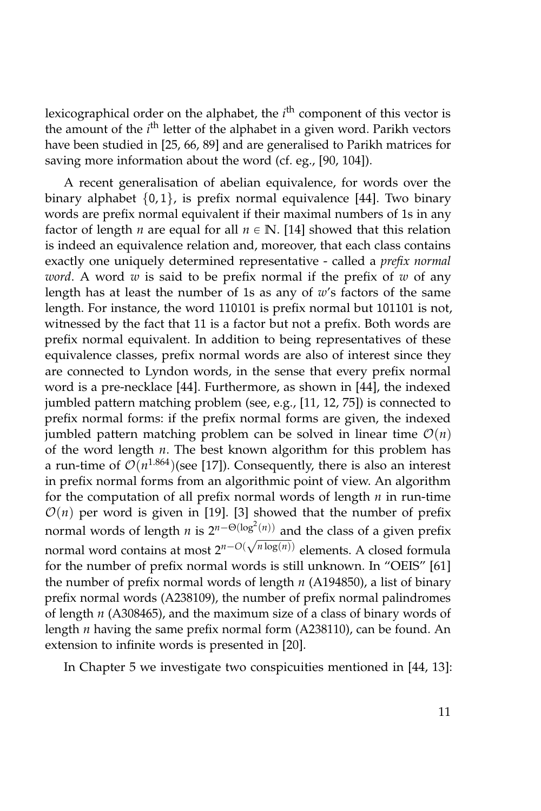lexicographical order on the alphabet, the *i*<sup>th</sup> component of this vector is the amount of the *i*<sup>th</sup> letter of the alphabet in a given word. Parikh vectors have been studied in [\[25,](#page-160-7) [66,](#page-164-9) [89\]](#page-165-11) and are generalised to Parikh matrices for saving more information about the word (cf. eg., [\[90,](#page-165-1) [104\]](#page-166-0)).

A recent generalisation of abelian equivalence, for words over the binary alphabet  $\{0, 1\}$ , is prefix normal equivalence [\[44\]](#page-161-8). Two binary words are prefix normal equivalent if their maximal numbers of 1s in any factor of length *n* are equal for all  $n \in \mathbb{N}$ . [\[14\]](#page-159-4) showed that this relation is indeed an equivalence relation and, moreover, that each class contains exactly one uniquely determined representative - called a *prefix normal word*. A word *w* is said to be prefix normal if the prefix of *w* of any length has at least the number of 1s as any of *w*'s factors of the same length. For instance, the word 110101 is prefix normal but 101101 is not, witnessed by the fact that 11 is a factor but not a prefix. Both words are prefix normal equivalent. In addition to being representatives of these equivalence classes, prefix normal words are also of interest since they are connected to Lyndon words, in the sense that every prefix normal word is a pre-necklace [\[44\]](#page-161-8). Furthermore, as shown in [\[44\]](#page-161-8), the indexed jumbled pattern matching problem (see, e.g., [\[11,](#page-159-5) [12,](#page-159-6) [75\]](#page-164-10)) is connected to prefix normal forms: if the prefix normal forms are given, the indexed jumbled pattern matching problem can be solved in linear time  $\mathcal{O}(n)$ of the word length *n*. The best known algorithm for this problem has a run-time of  $\mathcal{O}(n^{1.864})$ (see [\[17\]](#page-159-7)). Consequently, there is also an interest in prefix normal forms from an algorithmic point of view. An algorithm for the computation of all prefix normal words of length *n* in run-time  $O(n)$  per word is given in [\[19\]](#page-159-8). [\[3\]](#page-158-7) showed that the number of prefix normal words of length *n* is  $2^{n-\Theta(\log^2(n))}$  and the class of a given prefix normal word contains at most  $2^{n-O(\sqrt{n}\log(n))}$  elements. A closed formula for the number of prefix normal words is still unknown. In "OEIS" [\[61\]](#page-163-0) the number of prefix normal words of length *n* (A194850), a list of binary prefix normal words (A238109), the number of prefix normal palindromes of length *n* (A308465), and the maximum size of a class of binary words of length *n* having the same prefix normal form (A238110), can be found. An extension to infinite words is presented in [\[20\]](#page-159-9).

In Chapter [5](#page-136-0) we investigate two conspicuities mentioned in [\[44,](#page-161-8) [13\]](#page-159-10):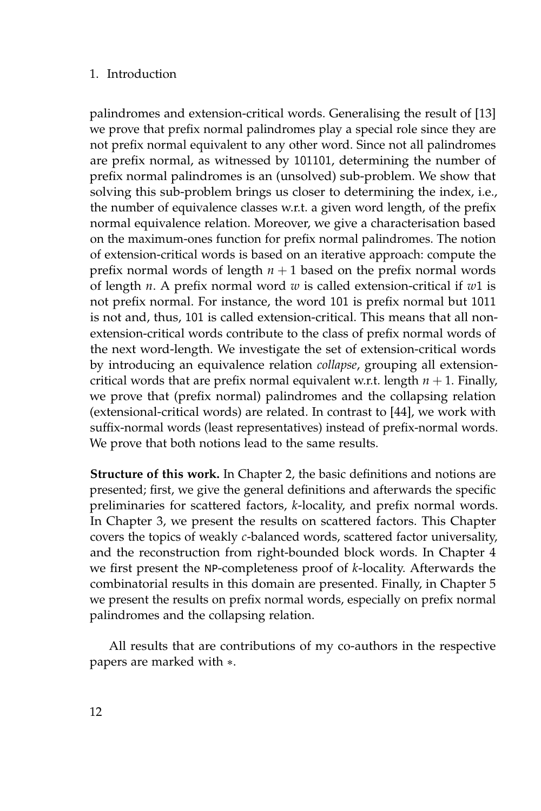#### 1. Introduction

palindromes and extension-critical words. Generalising the result of [\[13\]](#page-159-10) we prove that prefix normal palindromes play a special role since they are not prefix normal equivalent to any other word. Since not all palindromes are prefix normal, as witnessed by 101101, determining the number of prefix normal palindromes is an (unsolved) sub-problem. We show that solving this sub-problem brings us closer to determining the index, i.e., the number of equivalence classes w.r.t. a given word length, of the prefix normal equivalence relation. Moreover, we give a characterisation based on the maximum-ones function for prefix normal palindromes. The notion of extension-critical words is based on an iterative approach: compute the prefix normal words of length  $n + 1$  based on the prefix normal words of length *n*. A prefix normal word *w* is called extension-critical if *w*1 is not prefix normal. For instance, the word 101 is prefix normal but 1011 is not and, thus, 101 is called extension-critical. This means that all nonextension-critical words contribute to the class of prefix normal words of the next word-length. We investigate the set of extension-critical words by introducing an equivalence relation *collapse*, grouping all extensioncritical words that are prefix normal equivalent w.r.t. length  $n + 1$ . Finally, we prove that (prefix normal) palindromes and the collapsing relation (extensional-critical words) are related. In contrast to [\[44\]](#page-161-8), we work with suffix-normal words (least representatives) instead of prefix-normal words. We prove that both notions lead to the same results.

**Structure of this work.** In Chapter [2,](#page-30-0) the basic definitions and notions are presented; first, we give the general definitions and afterwards the specific preliminaries for scattered factors, *k*-locality, and prefix normal words. In Chapter [3,](#page-42-0) we present the results on scattered factors. This Chapter covers the topics of weakly *c*-balanced words, scattered factor universality, and the reconstruction from right-bounded block words. In Chapter [4](#page-122-0) we first present the NP-completeness proof of *k*-locality. Afterwards the combinatorial results in this domain are presented. Finally, in Chapter [5](#page-136-0) we present the results on prefix normal words, especially on prefix normal palindromes and the collapsing relation.

All results that are contributions of my co-authors in the respective papers are marked with  $*$ .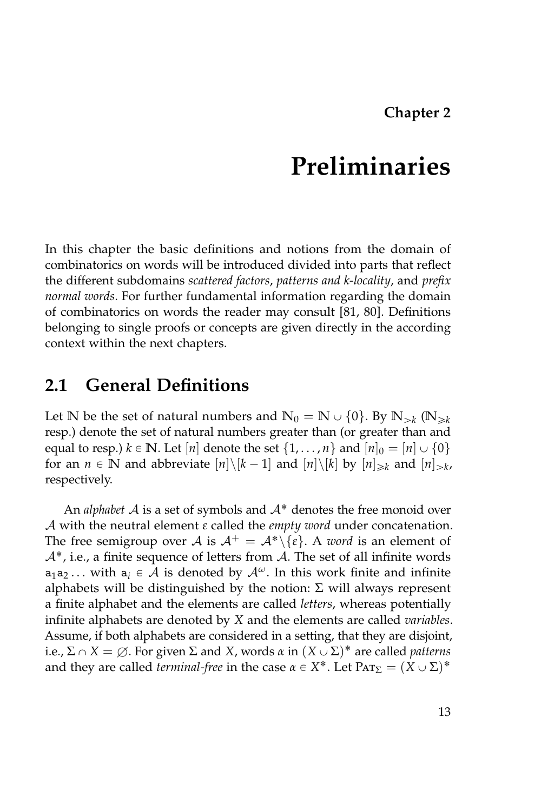### **Chapter 2**

### **Preliminaries**

<span id="page-30-0"></span>In this chapter the basic definitions and notions from the domain of combinatorics on words will be introduced divided into parts that reflect the different subdomains *scattered factors*, *patterns and k-locality*, and *prefix normal words*. For further fundamental information regarding the domain of combinatorics on words the reader may consult [\[81,](#page-165-0) [80\]](#page-165-9). Definitions belonging to single proofs or concepts are given directly in the according context within the next chapters.

### <span id="page-30-1"></span>**2.1 General Definitions**

Let  $\mathbb N$  be the set of natural numbers and  $\mathbb N_0 = \mathbb N \cup \{0\}$ . By  $\mathbb N_{>k}$   $(\mathbb N_{\geqslant k}$ resp.) denote the set of natural numbers greater than (or greater than and equal to resp.)  $k \in \mathbb{N}$ . Let [*n*] denote the set  $\{1, \ldots, n\}$  and  $[n]_0 = [n] \cup \{0\}$ for an  $n \in \mathbb{N}$  and abbreviate  $[n] \setminus [k-1]$  and  $[n] \setminus [k]$  by  $[n]_{\geq k}$  and  $[n]_{>k}$ , respectively.

An *alphabet*  $A$  is a set of symbols and  $A^*$  denotes the free monoid over A with the neutral element *ε* called the *empty word* under concatenation. The free semigroup over A is  $A^+ = A^* \setminus \{\varepsilon\}$ . A *word* is an element of  $A^*$ , i.e., a finite sequence of letters from A. The set of all infinite words  $a_1a_2...$  with  $a_i \in A$  is denoted by  $A^{\omega}$ . In this work finite and infinite alphabets will be distinguished by the notion:  $\Sigma$  will always represent a finite alphabet and the elements are called *letters*, whereas potentially infinite alphabets are denoted by *X* and the elements are called *variables*. Assume, if both alphabets are considered in a setting, that they are disjoint, i.e.,  $\Sigma \cap X = \varnothing$ . For given  $\Sigma$  and  $X$ , words  $\alpha$  in  $(X \cup \Sigma)^*$  are called *patterns* and they are called *terminal-free* in the case  $\alpha \in X^*$ . Let  $\text{Par}_{\Sigma} = (X \cup \Sigma)^*$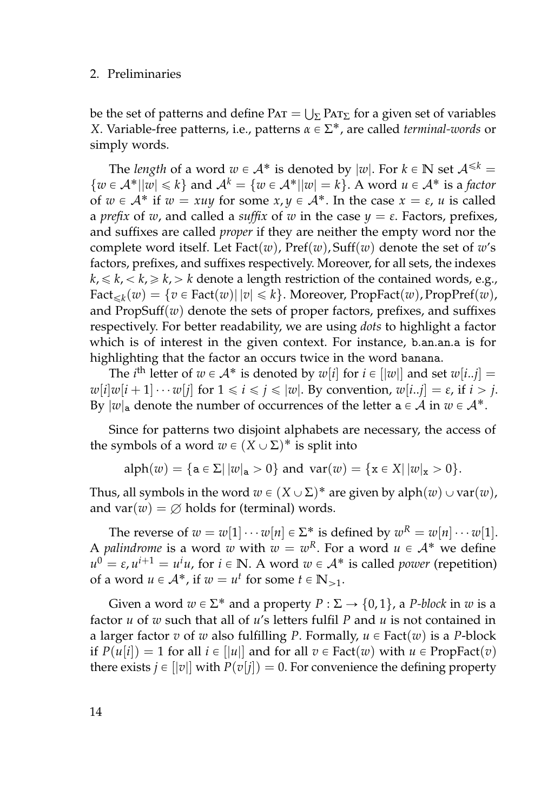#### 2. Preliminaries

be the set of patterns and define  $PAT = \bigcup_{\Sigma} PAT_{\Sigma}$  for a given set of variables *X*. Variable-free patterns, i.e., patterns *α* ∈ Σ<sup>\*</sup>, are called *terminal-words* or simply words.

The *length* of a word  $w \in A^*$  is denoted by  $|w|$ . For  $k \in \mathbb{N}$  set  $A^{\leq k}$  =  $\{w \in \mathcal{A}^* | |w| \leq k\}$  and  $\mathcal{A}^k = \{w \in \mathcal{A}^* | |w| = k\}$ . A word  $u \in \mathcal{A}^*$  is a *factor* of  $w \in A^*$  if  $w = xuy$  for some  $x, y \in A^*$ . In the case  $x = \varepsilon$ , *u* is called a *prefix* of *w*, and called a *suffix* of *w* in the case  $y = \varepsilon$ . Factors, prefixes, and suffixes are called *proper* if they are neither the empty word nor the complete word itself. Let Fact(*w*), Pref(*w*), Suff(*w*) denote the set of *w*'s factors, prefixes, and suffixes respectively. Moreover, for all sets, the indexes  $k, \leq k, \leq k, \geq k, \geq k$  denote a length restriction of the contained words, e.g.,  $\text{Fact}_{\leq k}(w) = \{v \in \text{Fact}(w) | |v| \leq k\}.$  Moreover, PropFact $(w)$ , PropPref $(w)$ , and PropSuff(*w*) denote the sets of proper factors, prefixes, and suffixes respectively. For better readability, we are using *dots* to highlight a factor which is of interest in the given context. For instance, b.an.an.a is for highlighting that the factor an occurs twice in the word banana.

The *i*<sup>th</sup> letter of  $w \in A^*$  is denoted by  $w[i]$  for  $i \in [|w|]$  and set  $w[i..j] =$  $w[i]w[i+1]\cdots w[j]$  for  $1 \leq i \leq j \leq |w|$ . By convention,  $w[i..j] = \varepsilon$ , if  $i > j$ . By  $|w|_a$  denote the number of occurrences of the letter  $a \in A$  in  $w \in A^*$ .

Since for patterns two disjoint alphabets are necessary, the access of the symbols of a word  $w \in (X \cup \Sigma)^*$  is split into

$$
alpha(w) = \{a \in \Sigma | |w|_a > 0\}
$$
 and  $var(w) = \{x \in X | |w|_x > 0\}.$ 

Thus, all symbols in the word  $w \in (X \cup \Sigma)^*$  are given by alph $(w) \cup \text{var}(w)$ , and var $(w) = \emptyset$  holds for (terminal) words.

The reverse of  $w = w[1] \cdots w[n] \in \Sigma^*$  is defined by  $w^R = w[n] \cdots w[1]$ . A *palindrome* is a word *w* with  $w = w^R$ . For a word  $u \in A^*$  we define  $u^0 = \varepsilon$ ,  $u^{i+1} = u^i u$ , for  $i \in \mathbb{N}$ . A word  $w \in \mathcal{A}^*$  is called *power* (repetition) of a word  $u \in A^*$ , if  $w = u^t$  for some  $t \in \mathbb{N}_{>1}$ .

Given a word  $w \in \Sigma^*$  and a property  $P : \Sigma \to \{0, 1\}$ , a *P-block* in *w* is a factor *u* of *w* such that all of *u*'s letters fulfil *P* and *u* is not contained in a larger factor *v* of *w* also fulfilling *P*. Formally,  $u \in Fact(w)$  is a *P*-block if  $P(u[i]) = 1$  for all  $i \in ||u||$  and for all  $v \in$  Fact $(w)$  with  $u \in$  PropFact $(v)$ there exists  $j \in ||v||$  with  $P(v[j]) = 0$ . For convenience the defining property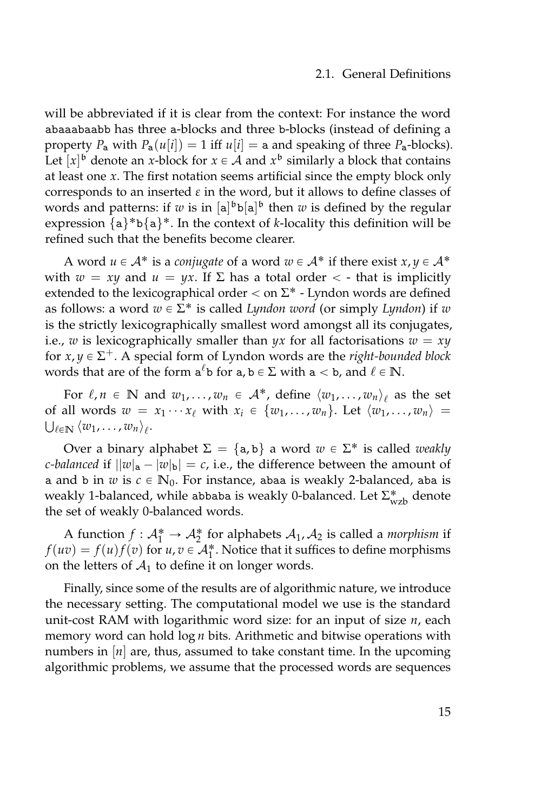#### 2.1. General Definitions

will be abbreviated if it is clear from the context: For instance the word abaaabaabb has three a-blocks and three b-blocks (instead of defining a property *P*<sub>a</sub> with  $P_a(u[i]) = 1$  iff  $u[i] = a$  and speaking of three  $P_a$ -blocks). Let  $[x]$ <sup>b</sup> denote an *x*-block for  $x \in A$  and  $x^b$  similarly a block that contains at least one *x*. The first notation seems artificial since the empty block only corresponds to an inserted *ε* in the word, but it allows to define classes of words and patterns: if *w* is in  $[a]^b$  b $[a]^b$  then *w* is defined by the regular expression  $\{a\}^*b\{a\}^*$ . In the context of *k*-locality this definition will be refined such that the benefits become clearer.

A word  $u \in A^*$  is a *conjugate* of a word  $w \in A^*$  if there exist  $x, y \in A^*$ with  $w = xy$  and  $u = yx$ . If  $\Sigma$  has a total order  $\langle$  - that is implicitly extended to the lexicographical order  $<$  on  $\Sigma^*$  - Lyndon words are defined as follows: a word  $w \in \Sigma^*$  is called *Lyndon word* (or simply *Lyndon*) if  $w$ is the strictly lexicographically smallest word amongst all its conjugates, i.e., *w* is lexicographically smaller than  $yx$  for all factorisations  $w = xy$ for  $x, y \in \Sigma^+$ . A special form of Lyndon words are the *right-bounded block* words that are of the form  $a^{\ell}b$  for  $a, b \in \Sigma$  with  $a < b$ , and  $\ell \in \mathbb{N}$ .

For  $\ell, n \in \mathbb{N}$  and  $w_1, \ldots, w_n \in \mathcal{A}^*$ , define  $\langle w_1, \ldots, w_n \rangle_{\ell}$  as the set of all words  $w = x_1 \cdots x_\ell$  with  $x_i \in \{w_1, \ldots, w_n\}$ . Let  $\langle w_1, \ldots, w_n \rangle =$  $\bigcup_{\ell \in \mathbb{N}} \langle w_1, \ldots, w_n \rangle_{\ell}$ .

Over a binary alphabet  $\Sigma = \{a, b\}$  a word  $w \in \Sigma^*$  is called *weakly c-balanced* if  $||w|_a - |w|_b| = c$ , i.e., the difference between the amount of a and b in *w* is  $c \in \mathbb{N}_0$ . For instance, abaa is weakly 2-balanced, aba is weakly 1-balanced, while abbaba is weakly 0-balanced. Let  $\Sigma_\mathrm{wzb}^*$  denote the set of weakly 0-balanced words.

A function  $f: \mathcal{A}_1^* \to \mathcal{A}_2^*$  for alphabets  $\mathcal{A}_1$ ,  $\mathcal{A}_2$  is called a *morphism* if  $f(uv) = f(u)f(v)$  for  $u, v \in A_1^*$ . Notice that it suffices to define morphisms on the letters of  $A_1$  to define it on longer words.

Finally, since some of the results are of algorithmic nature, we introduce the necessary setting. The computational model we use is the standard unit-cost RAM with logarithmic word size: for an input of size *n*, each memory word can hold log *n* bits. Arithmetic and bitwise operations with numbers in [*n*] are, thus, assumed to take constant time. In the upcoming algorithmic problems, we assume that the processed words are sequences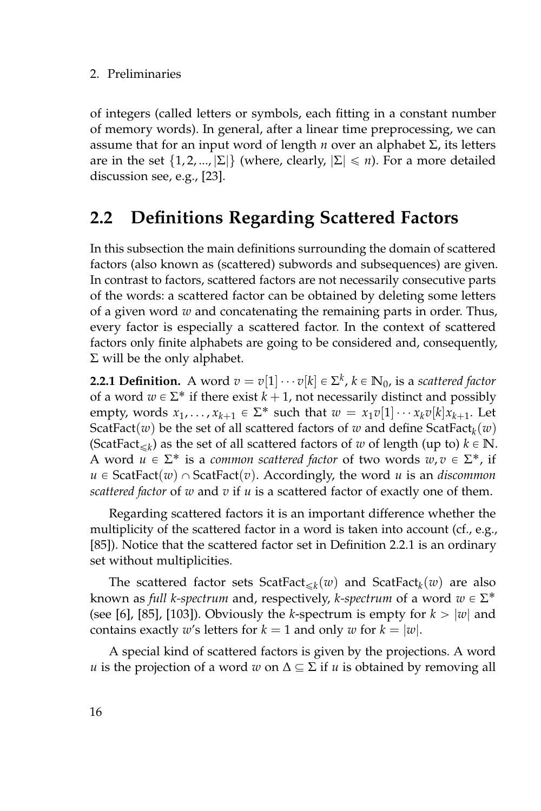of integers (called letters or symbols, each fitting in a constant number of memory words). In general, after a linear time preprocessing, we can assume that for an input word of length *n* over an alphabet Σ, its letters are in the set  $\{1, 2, ..., |\Sigma|\}$  (where, clearly,  $|\Sigma| \leq n$ ). For a more detailed discussion see, e.g., [\[23\]](#page-160-8).

### <span id="page-33-0"></span>**2.2 Definitions Regarding Scattered Factors**

In this subsection the main definitions surrounding the domain of scattered factors (also known as (scattered) subwords and subsequences) are given. In contrast to factors, scattered factors are not necessarily consecutive parts of the words: a scattered factor can be obtained by deleting some letters of a given word *w* and concatenating the remaining parts in order. Thus, every factor is especially a scattered factor. In the context of scattered factors only finite alphabets are going to be considered and, consequently,  $\Sigma$  will be the only alphabet.

<span id="page-33-1"></span>**2.2.1 Definition.** A word  $v = v[1] \cdots v[k] \in \Sigma^k$ ,  $k \in \mathbb{N}_0$ , is a *scattered factor* of a word  $w \in \Sigma^*$  if there exist  $k + 1$ , not necessarily distinct and possibly empty, words  $x_1, \ldots, x_{k+1} \in \Sigma^*$  such that  $w = x_1v[1] \cdots x_kv[k]x_{k+1}$ . Let  $\operatorname{ScatFact}(w)$  be the set of all scattered factors of  $w$  and define  $\operatorname{ScatFact}_{k}(w)$ (ScatFact<sub> $\leq k$ </sub>) as the set of all scattered factors of *w* of length (up to)  $k \in \mathbb{N}$ . A word  $u \in \Sigma^*$  is a *common scattered factor* of two words  $w, v \in \Sigma^*$ , if  $u \in$  ScatFact(*w*)  $\cap$  ScatFact(*v*). Accordingly, the word *u* is an *discommon scattered factor* of *w* and *v* if *u* is a scattered factor of exactly one of them.

Regarding scattered factors it is an important difference whether the multiplicity of the scattered factor in a word is taken into account (cf., e.g., [\[85\]](#page-165-3)). Notice that the scattered factor set in Definition [2.2.1](#page-33-1) is an ordinary set without multiplicities.

The scattered factor sets  $\text{ScatFact}_{\leq k}(w)$  and  $\text{ScatFact}_{k}(w)$  are also known as *full k-spectrum* and, respectively, *k-spectrum* of a word  $w \in \Sigma^*$ (see [\[6\]](#page-158-3), [\[85\]](#page-165-3), [\[103\]](#page-166-4)). Obviously the *k*-spectrum is empty for  $k > |w|$  and contains exactly *w*'s letters for  $k = 1$  and only *w* for  $k = |w|$ .

A special kind of scattered factors is given by the projections. A word *u* is the projection of a word *w* on  $\Delta \subseteq \Sigma$  if *u* is obtained by removing all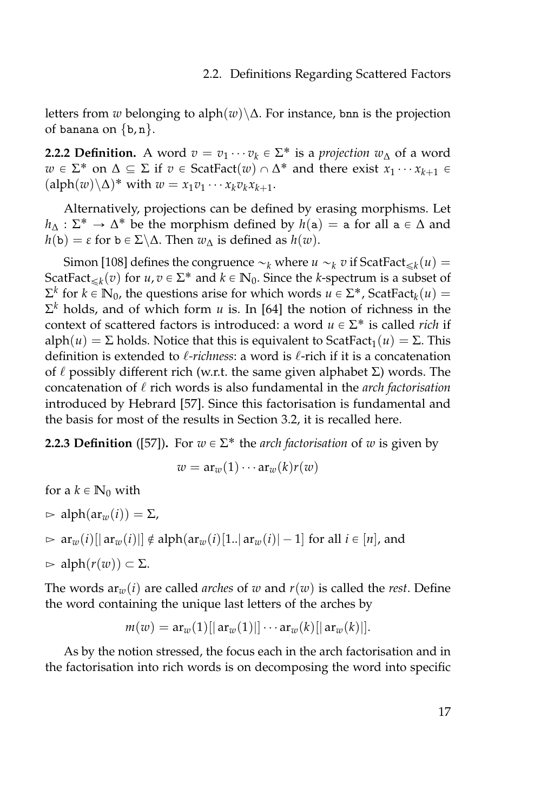letters from *w* belonging to alph $(w) \Delta$ . For instance, bnn is the projection of banana on  $\{b, n\}$ .

**2.2.2 Definition.** A word  $v = v_1 \cdots v_k \in \Sigma^*$  is a *projection*  $w_{\Delta}$  of a word *w* ∈  $\Sigma^*$  on  $\Delta \subseteq \Sigma$  if *v* ∈ ScatFact $(w) \cap \Delta^*$  and there exist  $x_1 \cdots x_{k+1}$  ∈  $(\text{alph}(w) \setminus \Delta)^*$  with  $w = x_1v_1 \cdots x_kv_kx_{k+1}$ .

Alternatively, projections can be defined by erasing morphisms. Let  $h_{\Delta} : \Sigma^* \to \Delta^*$  be the morphism defined by  $h(a) = a$  for all  $a \in \Delta$  and  $h(b) = \varepsilon$  for  $b \in \Sigma \backslash \Delta$ . Then  $w_{\Lambda}$  is defined as  $h(w)$ .

Simon [\[108\]](#page-167-4) defines the congruence  $\sim_k$  where  $u \sim_k v$  if ScatFact $\leq_k (u) =$ ScatFact<sub> $\leq k$ </sub> (*v*) for *u*, *v*  $\in \Sigma^*$  and  $k \in \mathbb{N}_0$ . Since the *k*-spectrum is a subset of  $\Sigma^k$  for *k* ∈ **N**<sub>0</sub>, the questions arise for which words *u* ∈ Σ<sup>\*</sup>, ScatFact<sub>*k*</sub>(*u*) =  $\Sigma^k$  holds, and of which form *u* is. In [\[64\]](#page-163-5) the notion of richness in the context of scattered factors is introduced: a word *u* ∈ Σ<sup>\*</sup> is called *rich* if alph( $u$ ) =  $\Sigma$  holds. Notice that this is equivalent to ScatFact<sub>1</sub>( $u$ ) =  $\Sigma$ . This definition is extended to  $\ell$ -richness: a word is  $\ell$ -rich if it is a concatenation of  $\ell$  possibly different rich (w.r.t. the same given alphabet  $\Sigma$ ) words. The concatenation of  $\ell$  rich words is also fundamental in the *arch factorisation* introduced by Hebrard [\[57\]](#page-163-6). Since this factorisation is fundamental and the basis for most of the results in Section [3.2,](#page-66-0) it is recalled here.

**2.2.3 Definition** ([\[57\]](#page-163-6)). For  $w \in \Sigma^*$  the *arch factorisation* of  $w$  is given by

$$
w = \operatorname{ar}_{w}(1) \cdots \operatorname{ar}_{w}(k)r(w)
$$

for a  $k \in \mathbb{N}_0$  with  $\Rightarrow$  alph( $ar_w(i)$ ) =  $\Sigma$ ,  $\triangleright$  ar<sub>*w*</sub>(*i*)[| ar<sub>*w*</sub>(*i*)|]  $\notin$  alph(ar<sub>*w*</sub>(*i*)[1..] ar<sub>*w*</sub>(*i*)| -1] for all *i*  $\in$  [*n*], and  $\Rightarrow$  alph $(r(w)) \subset \Sigma$ .

The words  $ar_w(i)$  are called *arches* of *w* and  $r(w)$  is called the *rest*. Define the word containing the unique last letters of the arches by

$$
m(w) = \text{ar}_{w}(1)[|\text{ar}_{w}(1)|] \cdots \text{ar}_{w}(k)[|\text{ar}_{w}(k)|].
$$

As by the notion stressed, the focus each in the arch factorisation and in the factorisation into rich words is on decomposing the word into specific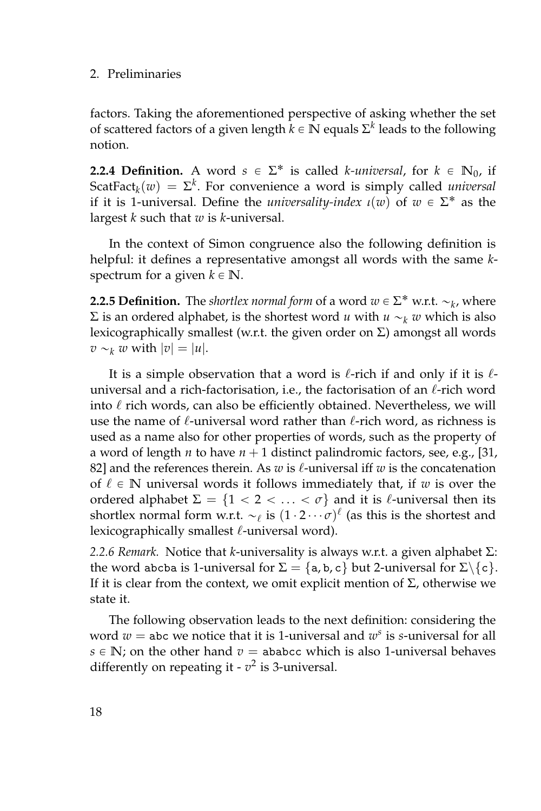#### 2. Preliminaries

factors. Taking the aforementioned perspective of asking whether the set of scattered factors of a given length  $k \in \mathbb{N}$  equals  $\Sigma^k$  leads to the following notion.

**2.2.4 Definition.** A word  $s \in \Sigma^*$  is called *k-universal*, for  $k \in \mathbb{N}_0$ , if  $\text{ScatFact}_k(w) = \Sigma^k$ . For convenience a word is simply called *universal* if it is 1-universal. Define the *universality-index*  $\iota(w)$  of  $w \in \Sigma^*$  as the largest *k* such that *w* is *k*-universal.

In the context of Simon congruence also the following definition is helpful: it defines a representative amongst all words with the same *k*spectrum for a given  $k \in \mathbb{N}$ .

**2.2.5 Definition.** The *shortlex normal form* of a word  $w \in \Sigma^*$  w.r.t.  $\sim_k$ , where  $\Sigma$  is an ordered alphabet, is the shortest word *u* with *u*  $\sim$ <sub>*k*</sub> *w* which is also lexicographically smallest (w.r.t. the given order on  $\Sigma$ ) amongst all words  $v \sim_k w$  with  $|v| = |u|$ .

It is a simple observation that a word is  $\ell$ -rich if and only if it is  $\ell$ universal and a rich-factorisation, i.e., the factorisation of an  $\ell$ -rich word into  $\ell$  rich words, can also be efficiently obtained. Nevertheless, we will use the name of  $\ell$ -universal word rather than  $\ell$ -rich word, as richness is used as a name also for other properties of words, such as the property of a word of length *n* to have  $n + 1$  distinct palindromic factors, see, e.g., [\[31,](#page-160-9) [82\]](#page-165-12) and the references therein. As *w* is  $\ell$ -universal iff *w* is the concatenation of  $\ell \in \mathbb{N}$  universal words it follows immediately that, if *w* is over the ordered alphabet  $\Sigma = \{1 < 2 < \ldots < \sigma\}$  and it is  $\ell$ -universal then its shortlex normal form w.r.t.  $\sim_\ell$  is  $(1 \cdot 2 \cdots \sigma)^\ell$  (as this is the shortest and lexicographically smallest  $\ell$ -universal word).

*2.2.6 Remark.* Notice that *k*-universality is always w.r.t. a given alphabet Σ: the word abcba is 1-universal for  $\Sigma = \{a, b, c\}$  but 2-universal for  $\Sigma \setminus \{c\}.$ If it is clear from the context, we omit explicit mention of  $\Sigma$ , otherwise we state it.

The following observation leads to the next definition: considering the word  $w =$  abc we notice that it is 1-universal and  $w^s$  is *s*-universal for all  $s \in \mathbb{N}$ ; on the other hand  $v =$  ababcc which is also 1-universal behaves differently on repeating it  $\cdot v^2$  is 3-universal.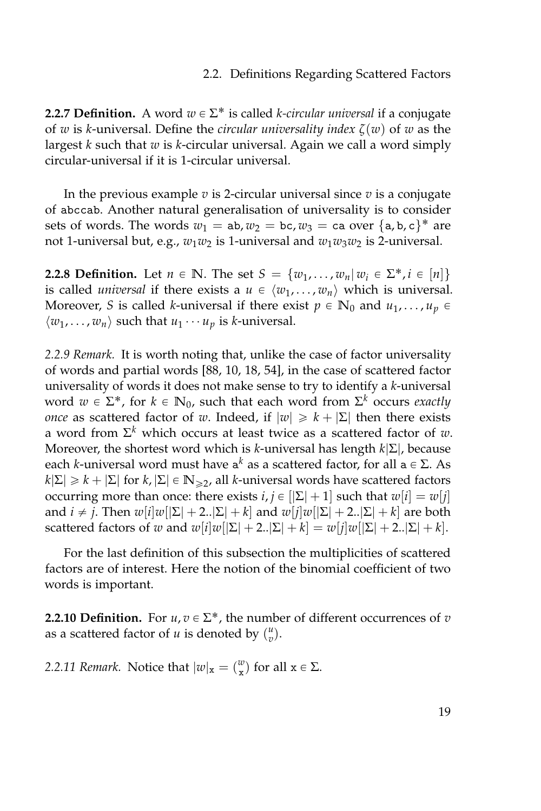#### 2.2. Definitions Regarding Scattered Factors

**2.2.7 Definition.** A word  $w \in \Sigma^*$  is called *k-circular universal* if a conjugate of *w* is *k*-universal. Define the *circular universality index ζ*(*w*) of *w* as the largest *k* such that *w* is *k*-circular universal. Again we call a word simply circular-universal if it is 1-circular universal.

In the previous example  $v$  is 2-circular universal since  $v$  is a conjugate of abccab. Another natural generalisation of universality is to consider sets of words. The words  $w_1 = ab, w_2 = bc, w_3 = ca$  over  $\{a, b, c\}^*$  are not 1-universal but, e.g.,  $w_1w_2$  is 1-universal and  $w_1w_3w_2$  is 2-universal.

**2.2.8 Definition.** Let  $n \in \mathbb{N}$ . The set  $S = \{w_1, \ldots, w_n | w_i \in \Sigma^*, i \in [n]\}$ is called *universal* if there exists a  $u \in \langle w_1, \ldots, w_n \rangle$  which is universal. Moreover, *S* is called *k*-universal if there exist  $p \in \mathbb{N}_0$  and  $u_1, \ldots, u_p \in$  $\langle w_1, \ldots, w_n \rangle$  such that  $u_1 \cdots u_p$  is *k*-universal.

*2.2.9 Remark.* It is worth noting that, unlike the case of factor universality of words and partial words [\[88,](#page-165-0) [10,](#page-159-0) [18,](#page-159-1) [54\]](#page-162-0), in the case of scattered factor universality of words it does not make sense to try to identify a *k*-universal word  $w \in \Sigma^*$ , for  $k \in \mathbb{N}_0$ , such that each word from  $\Sigma^k$  occurs *exactly once* as scattered factor of *w*. Indeed, if  $|w| \ge k + |\Sigma|$  then there exists a word from Σ *<sup>k</sup>* which occurs at least twice as a scattered factor of *w*. Moreover, the shortest word which is *k*-universal has length *k*|Σ|, because each *k*-universal word must have  $a^k$  as a scattered factor, for all  $a \in \Sigma$ . As  $k[\Sigma] \geq k + |\Sigma|$  for  $k, |\Sigma| \in \mathbb{N}_{\geq 2}$ , all *k*-universal words have scattered factors occurring more than once: there exists  $i, j \in [|\Sigma| + 1]$  such that  $w[i] = w[j]$ and *i*  $\neq$  *j*. Then  $w[i]w[|\Sigma| + 2..|\Sigma| + k]$  and  $w[j]w[|\Sigma| + 2..|\Sigma| + k]$  are both scattered factors of *w* and  $w[i]w[|\Sigma| + 2..|\Sigma| + k] = w[j]w[|\Sigma| + 2..|\Sigma| + k].$ 

For the last definition of this subsection the multiplicities of scattered factors are of interest. Here the notion of the binomial coefficient of two words is important.

**2.2.10 Definition.** For  $u, v \in \Sigma^*$ , the number of different occurrences of  $v$ as a scattered factor of *u* is denoted by  $\binom{u}{v}$ .

*2.2.11 Remark.* Notice that  $|w|_{\mathbf{x}} = \binom{w}{\mathbf{x}}$  for all  $\mathbf{x} \in \Sigma$ .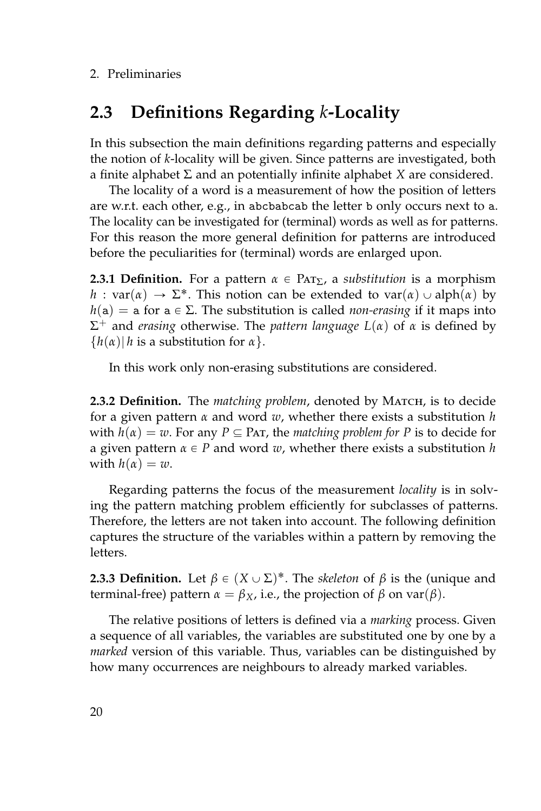# **2.3 Definitions Regarding** *k***-Locality**

In this subsection the main definitions regarding patterns and especially the notion of *k*-locality will be given. Since patterns are investigated, both a finite alphabet Σ and an potentially infinite alphabet *X* are considered.

The locality of a word is a measurement of how the position of letters are w.r.t. each other, e.g., in abcbabcab the letter b only occurs next to a. The locality can be investigated for (terminal) words as well as for patterns. For this reason the more general definition for patterns are introduced before the peculiarities for (terminal) words are enlarged upon.

**2.3.1 Definition.** For a pattern  $\alpha \in \text{Par}_{\Sigma}$ , a *substitution* is a morphism *h* : var( $\alpha$ )  $\rightarrow \Sigma^*$ . This notion can be extended to var( $\alpha$ )  $\cup$  alph( $\alpha$ ) by  $h(a) = a$  for  $a \in \Sigma$ . The substitution is called *non-erasing* if it maps into Σ <sup>+</sup> and *erasing* otherwise. The *pattern language L*(*α*) of *α* is defined by  ${h(\alpha)| h$  is a substitution for  $\alpha$ .

In this work only non-erasing substitutions are considered.

2.3.2 Definition. The *matching problem*, denoted by MATCH, is to decide for a given pattern *α* and word *w*, whether there exists a substitution *h* with  $h(\alpha) = w$ . For any  $P \subseteq PAT$ , the *matching problem for* P is to decide for a given pattern  $\alpha \in P$  and word *w*, whether there exists a substitution *h* with  $h(\alpha) = w$ .

Regarding patterns the focus of the measurement *locality* is in solving the pattern matching problem efficiently for subclasses of patterns. Therefore, the letters are not taken into account. The following definition captures the structure of the variables within a pattern by removing the letters.

**2.3.3 Definition.** Let  $\beta \in (X \cup \Sigma)^*$ . The *skeleton* of  $\beta$  is the (unique and terminal-free) pattern  $α = β<sub>X</sub>$ , i.e., the projection of  $β$  on var( $β$ ).

The relative positions of letters is defined via a *marking* process. Given a sequence of all variables, the variables are substituted one by one by a *marked* version of this variable. Thus, variables can be distinguished by how many occurrences are neighbours to already marked variables.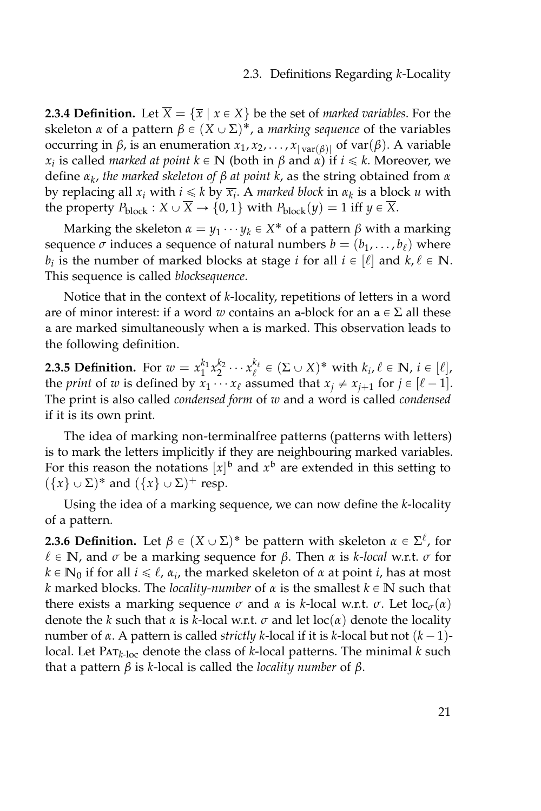**2.3.4 Definition.** Let  $\overline{X} = {\overline{x} \mid x \in X}$  be the set of *marked variables*. For the skeleton *α* of a pattern  $β ∈ (X ∪ Σ)<sup>*</sup>$ , a *marking sequence* of the variables occurring in *β*, is an enumeration  $x_1, x_2, ..., x_{|\text{var}(\beta)|}$  of var(*β*). A variable *x*<sub>*i*</sub> is called *marked at point*  $k \in \mathbb{N}$  (both in  $\beta$  and  $\alpha$ ) if  $i \leq k$ . Moreover, we define *α<sup>k</sup>* , *the marked skeleton of β at point k*, as the string obtained from *α* by replacing all  $x_i$  with  $i \leq k$  by  $\overline{x_i}$ . A *marked block* in  $\alpha_k$  is a block  $u$  with the property  $P_{\text{block}} : X \cup \overline{X} \to \{0, 1\}$  with  $P_{\text{block}}(y) = 1$  iff  $y \in \overline{X}$ .

Marking the skeleton  $\alpha = y_1 \cdots y_k \in X^*$  of a pattern  $\beta$  with a marking sequence  $\sigma$  induces a sequence of natural numbers  $b = (b_1, \ldots, b_\ell)$  where *b*<sub>*i*</sub> is the number of marked blocks at stage *i* for all  $i \in [\ell]$  and  $k, \ell \in \mathbb{N}$ . This sequence is called *blocksequence*.

Notice that in the context of *k*-locality, repetitions of letters in a word are of minor interest: if a word *w* contains an a-block for an  $a \in \Sigma$  all these a are marked simultaneously when a is marked. This observation leads to the following definition.

**2.3.5 Definition.** For  $w = x_1^{k_1} x_2^{k_2} \cdots x_\ell^{k_\ell} \in (\Sigma \cup X)^*$  with  $k_i, \ell \in \mathbb{N}$ ,  $i \in [\ell]$ , the *print* of *w* is defined by  $x_1 \cdots x_\ell$  assumed that  $x_j \neq x_{j+1}$  for  $j \in [\ell - 1]$ . The print is also called *condensed form* of *w* and a word is called *condensed* if it is its own print.

The idea of marking non-terminalfree patterns (patterns with letters) is to mark the letters implicitly if they are neighbouring marked variables. For this reason the notations  $[x]$ <sup>b</sup> and  $x$ <sup>b</sup> are extended in this setting to  $({x} \cup \Sigma)^*$  and  $({x} \cup \Sigma)^+$  resp.

Using the idea of a marking sequence, we can now define the *k*-locality of a pattern.

**2.3.6 Definition.** Let  $\beta \in (X \cup \Sigma)^*$  be pattern with skeleton  $\alpha \in \Sigma^{\ell}$ , for  $\ell \in \mathbb{N}$ , and  $\sigma$  be a marking sequence for  $\beta$ . Then  $\alpha$  is *k-local* w.r.t.  $\sigma$  for  $k \in \mathbb{N}_0$  if for all  $i \leq \ell$ ,  $\alpha_i$ , the marked skeleton of  $\alpha$  at point  $i$ , has at most *k* marked blocks. The *locality-number* of  $\alpha$  is the smallest  $k \in \mathbb{N}$  such that there exists a marking sequence *σ* and *α* is *k*-local w.r.t. *σ*. Let  $\text{loc}_{\sigma}(\alpha)$ denote the *k* such that *α* is *k*-local w.r.t.  $\sigma$  and let loc(*α*) denote the locality number of *α*. A pattern is called *strictly k*-local if it is *k*-local but not  $(k - 1)$ local. Let Pat*k*-loc denote the class of *k*-local patterns. The minimal *k* such that a pattern *β* is *k*-local is called the *locality number* of *β*.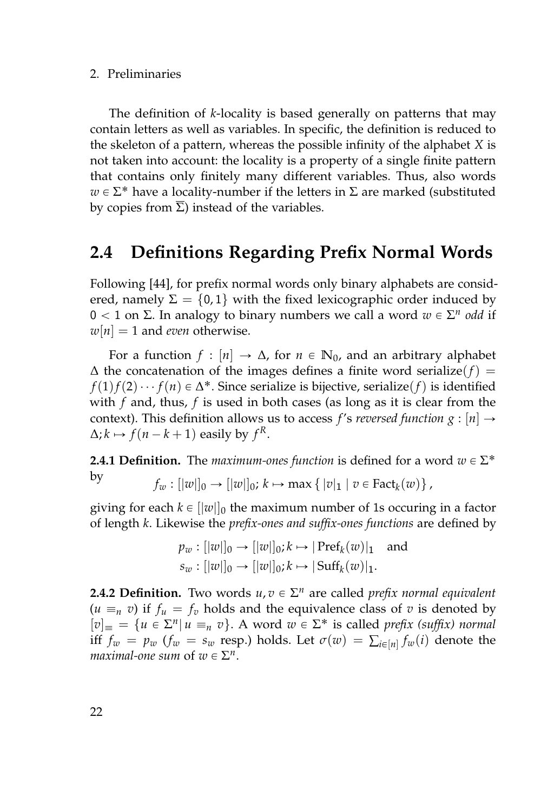# 2. Preliminaries

The definition of *k*-locality is based generally on patterns that may contain letters as well as variables. In specific, the definition is reduced to the skeleton of a pattern, whereas the possible infinity of the alphabet *X* is not taken into account: the locality is a property of a single finite pattern that contains only finitely many different variables. Thus, also words  $w \in \Sigma^*$  have a locality-number if the letters in  $\Sigma$  are marked (substituted by copies from  $\Sigma$ ) instead of the variables.

# **2.4 Definitions Regarding Prefix Normal Words**

Following [\[44\]](#page-161-0), for prefix normal words only binary alphabets are considered, namely  $\Sigma = \{0, 1\}$  with the fixed lexicographic order induced by  $0 < 1$  on Σ. In analogy to binary numbers we call a word  $w \in \Sigma^n$  odd if  $w[n] = 1$  and *even* otherwise.

For a function  $f : [n] \to \Delta$ , for  $n \in \mathbb{N}_0$ , and an arbitrary alphabet  $\Delta$  the concatenation of the images defines a finite word serialize( $f$ ) = *f*(1)*f*(2) · · · *f*(*n*) ∈ ∆<sup>\*</sup>. Since serialize is bijective, serialize(*f*) is identified with *f* and, thus, *f* is used in both cases (as long as it is clear from the context). This definition allows us to access *f's reversed function*  $g : [n] \rightarrow$  $\Delta$ ;  $k \mapsto f(n - k + 1)$  easily by  $f^R$ .

**2.4.1 Definition.** The *maximum-ones function* is defined for a word  $w \in \Sigma^*$ by  $f_w : [|w|]_0 \to [|w|]_0; k \mapsto \max\{|v|_1 | v \in \text{Fact}_k(w)\}\,$ 

giving for each  $k \in ||w||_0$  the maximum number of 1s occuring in a factor of length *k*. Likewise the *prefix-ones and suffix-ones functions* are defined by

$$
p_w : [|w|]_0 \to [|w|]_0; k \mapsto |\text{Pref}_k(w)|_1 \text{ and } s_w : [|w|]_0 \to [|w|]_0; k \mapsto |\text{Suff}_k(w)|_1.
$$

**2.4.2 Definition.** Two words  $u, v \in \Sigma^n$  are called *prefix normal equivalent*  $(u = n v)$  if  $f_u = f_v$  holds and the equivalence class of *v* is denoted by  $[v]_{\equiv} = \{u \in \Sigma^n | u \equiv_n v\}$ . A word  $w \in \Sigma^*$  is called *prefix (suffix) normal* iff  $f_w = p_w$  ( $f_w = s_w$  resp.) holds. Let  $\sigma(w) = \sum_{i \in [n]} f_w(i)$  denote the *maximal-one sum* of  $w \in \Sigma^n$ .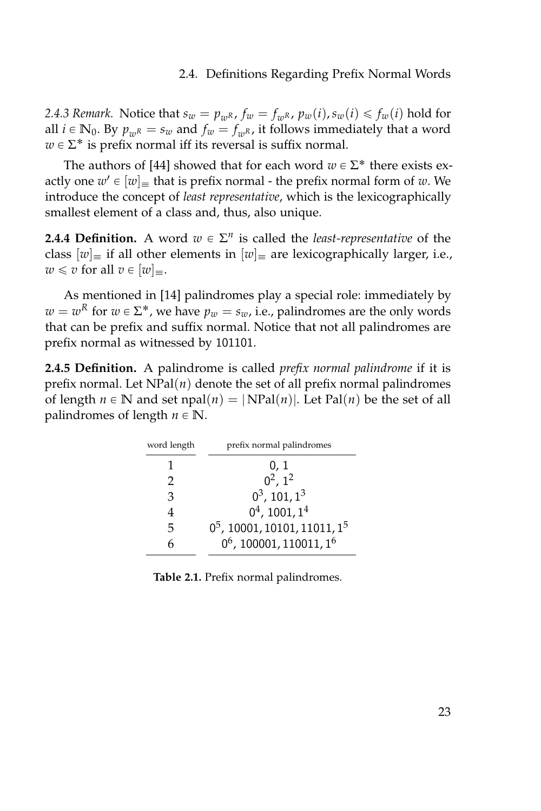# 2.4. Definitions Regarding Prefix Normal Words

2.4.3 *Remark.* Notice that  $s_w = p_{wR}$ ,  $f_w = f_{wR}$ ,  $p_w(i)$ ,  $s_w(i) \leq f_w(i)$  hold for all  $i \in \mathbb{N}_0$ . By  $p_{wR} = s_w$  and  $f_w = f_{wR}$ , it follows immediately that a word  $w \in \Sigma^*$  is prefix normal iff its reversal is suffix normal.

The authors of [\[44\]](#page-161-0) showed that for each word  $w \in \Sigma^*$  there exists exactly one  $w' \in [w]_\equiv$  that is prefix normal - the prefix normal form of  $w$ . We introduce the concept of *least representative*, which is the lexicographically smallest element of a class and, thus, also unique.

**2.4.4 Definition.** A word  $w \in \Sigma^n$  is called the *least-representative* of the class  $[w]_{\equiv}$  if all other elements in  $[w]_{\equiv}$  are lexicographically larger, i.e.,  $w \leq v$  for all  $v \in [w]_{\equiv}$ .

As mentioned in [\[14\]](#page-159-2) palindromes play a special role: immediately by  $w = w^R$  for  $w \in \Sigma^*$ , we have  $p_w = s_w$ , i.e., palindromes are the only words that can be prefix and suffix normal. Notice that not all palindromes are prefix normal as witnessed by 101101.

**2.4.5 Definition.** A palindrome is called *prefix normal palindrome* if it is prefix normal. Let  $NPal(n)$  denote the set of all prefix normal palindromes of length  $n \in \mathbb{N}$  and set npal $(n) = |NPal(n)|$ . Let Pal $(n)$  be the set of all palindromes of length  $n \in \mathbb{N}$ .

| word length   | prefix normal palindromes                   |
|---------------|---------------------------------------------|
|               | 0, 1                                        |
| $\mathcal{P}$ | $0^2$ , $1^2$                               |
| 3             | $0^3$ , 101, $1^3$                          |
| 4             | $0^4$ , 1001, $1^4$                         |
| 5             | $0^5$ , 10001, 10101, 11011, 1 <sup>5</sup> |
| h             | $0^6$ , 100001, 110011, 1 <sup>6</sup>      |

**Table 2.1.** Prefix normal palindromes.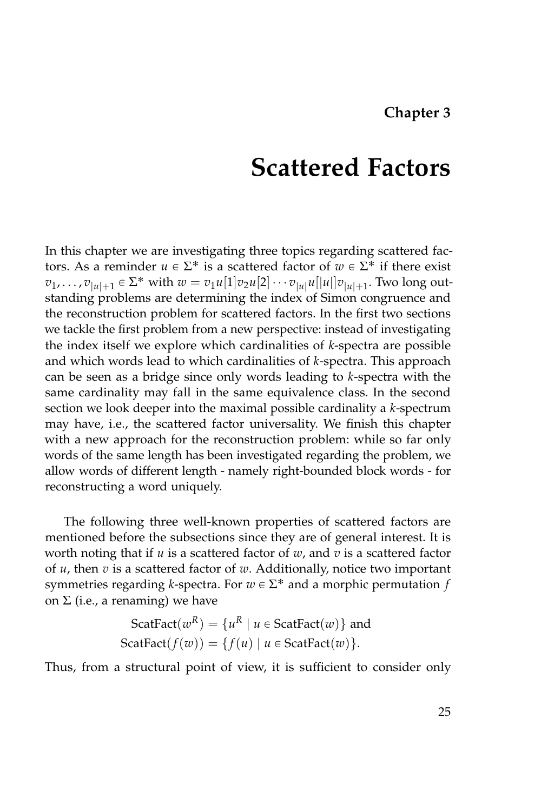In this chapter we are investigating three topics regarding scattered factors. As a reminder  $u \in \Sigma^*$  is a scattered factor of  $w \in \Sigma^*$  if there exist  $v_1, \ldots, v_{|u|+1} \in \Sigma^*$  with  $w = v_1 u[1] v_2 u[2] \cdots v_{|u|} u[|u|] v_{|u|+1}$ . Two long outstanding problems are determining the index of Simon congruence and the reconstruction problem for scattered factors. In the first two sections we tackle the first problem from a new perspective: instead of investigating the index itself we explore which cardinalities of *k*-spectra are possible and which words lead to which cardinalities of *k*-spectra. This approach can be seen as a bridge since only words leading to *k*-spectra with the same cardinality may fall in the same equivalence class. In the second section we look deeper into the maximal possible cardinality a *k*-spectrum may have, i.e., the scattered factor universality. We finish this chapter with a new approach for the reconstruction problem: while so far only words of the same length has been investigated regarding the problem, we allow words of different length - namely right-bounded block words - for reconstructing a word uniquely.

The following three well-known properties of scattered factors are mentioned before the subsections since they are of general interest. It is worth noting that if *u* is a scattered factor of *w*, and *v* is a scattered factor of *u*, then *v* is a scattered factor of *w*. Additionally, notice two important symmetries regarding *k*-spectra. For  $w \in \Sigma^*$  and a morphic permutation *f* on Σ (i.e., a renaming) we have

$$
\text{ScatFact}(w^R) = \{u^R \mid u \in \text{ScatFact}(w)\} \text{ and}
$$
\n
$$
\text{ScatFact}(f(w)) = \{f(u) \mid u \in \text{ScatFact}(w)\}.
$$

Thus, from a structural point of view, it is sufficient to consider only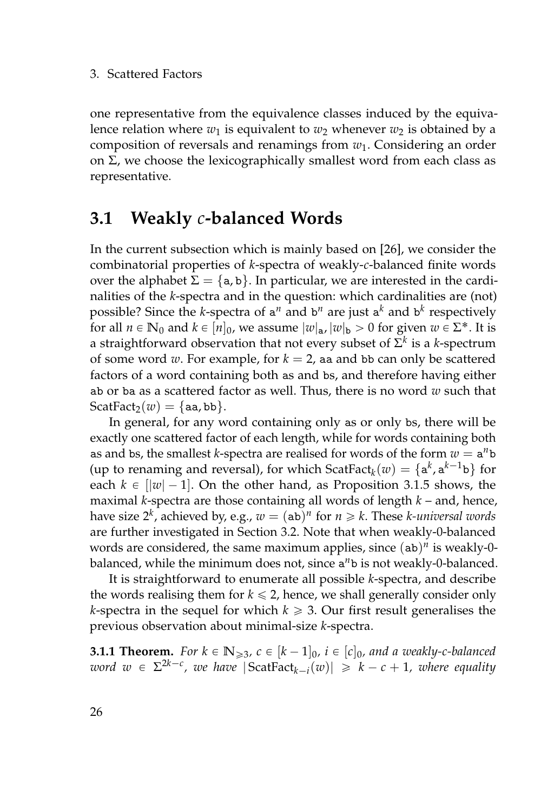one representative from the equivalence classes induced by the equivalence relation where  $w_1$  is equivalent to  $w_2$  whenever  $w_2$  is obtained by a composition of reversals and renamings from *w*1. Considering an order on  $Σ$ , we choose the lexicographically smallest word from each class as representative.

# **3.1 Weakly** *c***-balanced Words**

In the current subsection which is mainly based on [\[26\]](#page-160-0), we consider the combinatorial properties of *k*-spectra of weakly-*c*-balanced finite words over the alphabet  $\Sigma = \{a, b\}$ . In particular, we are interested in the cardinalities of the *k*-spectra and in the question: which cardinalities are (not) possible? Since the *k*-spectra of a<sup>n</sup> and b<sup>n</sup> are just a<sup>k</sup> and b<sup>k</sup> respectively for all  $n \in \mathbb{N}_0$  and  $k \in [n]_0$ , we assume  $|w|_{\mathbf{a}}$ ,  $|w|_{\mathbf{b}} > 0$  for given  $w \in \Sigma^*$ . It is a straightforward observation that not every subset of  $\Sigma^k$  is a *k-*spectrum of some word *w*. For example, for  $k = 2$ , aa and bb can only be scattered factors of a word containing both as and bs, and therefore having either ab or ba as a scattered factor as well. Thus, there is no word *w* such that  $ScatFact<sub>2</sub>(w) = {aa, bb}.$ 

In general, for any word containing only as or only bs, there will be exactly one scattered factor of each length, while for words containing both as and bs, the smallest *k*-spectra are realised for words of the form  $w = a^n b$ (up to renaming and reversal), for which  $ScatFact_k(w) = \{a^k, a^{k-1}b\}$  for each  $k \in [|\mathbf{w}| - 1]$ . On the other hand, as Proposition [3.1.5](#page-48-0) shows, the maximal *k*-spectra are those containing all words of length *k* – and, hence, have size  $2^k$ , achieved by, e.g.,  $w = (ab)^n$  for  $n \geq k$ . These *k-universal words* are further investigated in Section [3.2.](#page-66-0) Note that when weakly-0-balanced words are considered, the same maximum applies, since (ab)<sup>*n*</sup> is weakly-0balanced, while the minimum does not, since a *<sup>n</sup>*b is not weakly-0-balanced.

It is straightforward to enumerate all possible *k*-spectra, and describe the words realising them for  $k \leq 2$ , hence, we shall generally consider only *k*-spectra in the sequel for which  $k \geq 3$ . Our first result generalises the previous observation about minimal-size *k*-spectra.

<span id="page-43-0"></span>**3.1.1 Theorem.** For  $k \in \mathbb{N}_{\geqslant 3}$ ,  $c \in [k-1]_0$ ,  $i \in [c]_0$ , and a weakly-c-balanced  $word \ w \in \Sigma^{2k-c}$ , we have  $|\text{ScatFact}_{k-i}(w)| \geq k-c+1$ , where equality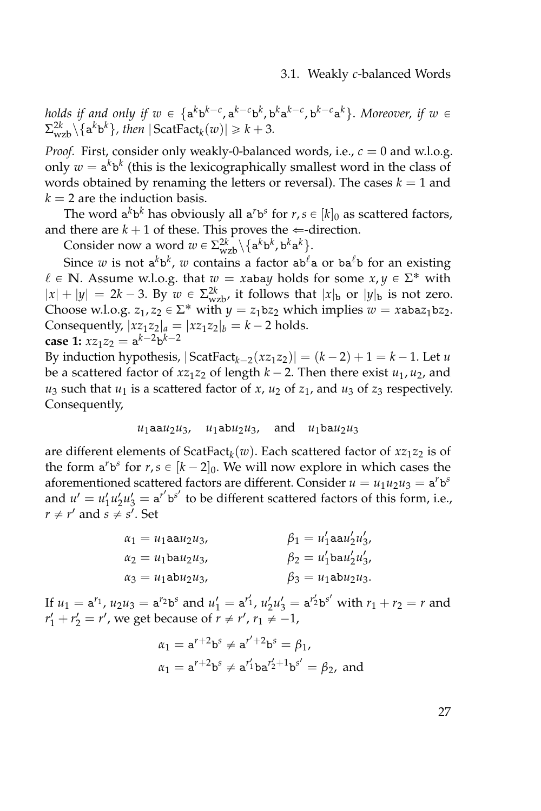*holds if and only if*  $w \in \{a^k b^{k-c}, a^{k-c} b^k, b^k a^{k-c}, b^{k-c} a^k\}$ . Moreover, if  $w \in$  $\sum_{wzb}^{2k} \setminus {\mathbf{a}^k {\mathbf{b}^k}}$ *, then*  $|\operatorname{ScatFact}_k(w)| \geq k + 3$ .

*Proof.* First, consider only weakly-0-balanced words, i.e.,  $c = 0$  and w.l.o.g. only  $w = \mathsf{a}^k \mathsf{b}^k$  (this is the lexicographically smallest word in the class of words obtained by renaming the letters or reversal). The cases  $k = 1$  and  $k = 2$  are the induction basis.

The word  $a^k b^k$  has obviously all  $a^r b^s$  for  $r, s \in [k]_0$  as scattered factors, and there are  $k + 1$  of these. This proves the  $\Leftarrow$ -direction.

Consider now a word  $w \in \Sigma_{wzb}^{2k} \setminus \{a^k b^k, b^k a^k\}.$ 

Since *w* is not  $a^k b^k$ , *w* contains a factor  $a b^{\ell} a$  or  $b a^{\ell} b$  for an existing  $\ell \in \mathbb{N}$ . Assume w.l.o.g. that  $w = x$ abay holds for some  $x, y \in \Sigma^*$  with  $|x| + |y| = 2k - 3$ . By  $w \in \Sigma_{wzb}^{2k}$ , it follows that  $|x|_b$  or  $|y|_b$  is not zero. Choose w.l.o.g.  $z_1, z_2 \in \Sigma^*$  with  $y = z_1bz_2$  which implies  $w = xabaz_1bz_2$ . Consequently,  $|xz_1z_2|_a = |xz_1z_2|_b = k - 2$  holds. **case 1:**  $xz_1z_2 = a^{k-2}b^{k-2}$ 

By induction hypothesis,  $|ScatFact_{k-2}(xz_1z_2)| = (k-2) + 1 = k-1$ . Let *u* be a scattered factor of  $xz_1z_2$  of length  $k - 2$ . Then there exist  $u_1, u_2$ , and  $u_3$  such that  $u_1$  is a scattered factor of *x*,  $u_2$  of  $z_1$ , and  $u_3$  of  $z_3$  respectively. Consequently,

$$
u_1 \text{aa} u_2 u_3, \quad u_1 \text{ab} u_2 u_3, \quad \text{and} \quad u_1 \text{ba} u_2 u_3
$$

are different elements of ScatFact*<sup>k</sup>* (*w*). Each scattered factor of *xz*1*z*<sup>2</sup> is of the form  $a^r b^s$  for  $r, s \in [k-2]_0$ . We will now explore in which cases the aforementioned scattered factors are different. Consider  $u = u_1 u_2 u_3 = \mathbf{a}^r \mathbf{b}^s$ and  $u' = u'_1 u'_2 u'_3 = a^{r'} b^{s'}$  to be different scattered factors of this form, i.e.,  $r \neq r'$  and  $s \neq s'$ . Set

| $\alpha_1 = u_1$ aa $u_2u_3$ , | $\beta_1 = u'_1$ aa $u'_2u'_3$ , |
|--------------------------------|----------------------------------|
| $\alpha_2 = u_1$ ba $u_2u_3$ , | $\beta_2 = u'_1$ ba $u'_2u'_3$ , |
| $\alpha_3 = u_1$ ab $u_2u_3$ , | $\beta_3 = u_1$ ab $u_2u_3$ .    |

If  $u_1 = a^{r_1}$ ,  $u_2 u_3 = a^{r_2} b^s$  and  $u'_1 = a^{r'_1}$ ,  $u'_2 u'_3 = a^{r'_2} b^{s'}$  with  $r_1 + r_2 = r$  and  $r'_1 + r'_2 = r'$ , we get because of  $r \neq r'$ ,  $r_1 \neq -1$ ,

$$
\alpha_1 = a^{r+2}b^s \neq a^{r'+2}b^s = \beta_1,
$$
  

$$
\alpha_1 = a^{r+2}b^s \neq a^{r'_1}ba^{r'_2+1}b^{s'} = \beta_2, \text{ and}
$$

27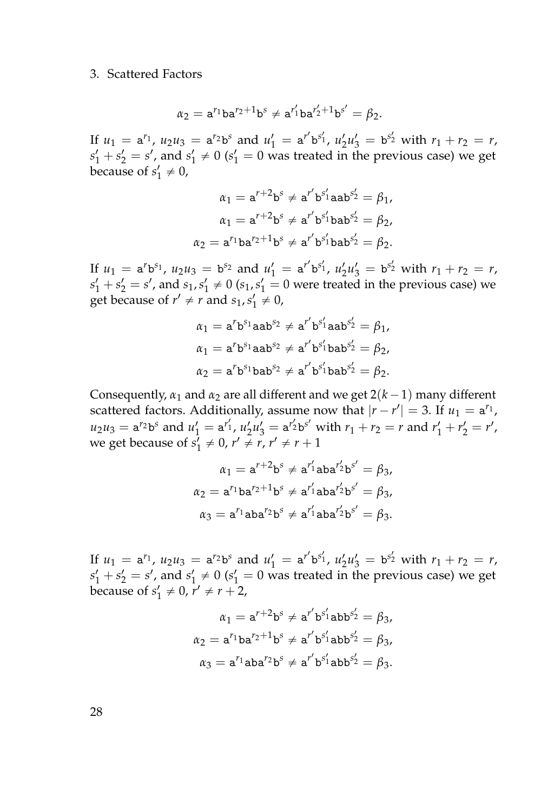$$
\alpha_2 = a^{r_1}ba^{r_2+1}b^s \neq a^{r'_1}ba^{r'_2+1}b^{s'} = \beta_2.
$$

If  $u_1 = a^{r_1}$ ,  $u_2 u_3 = a^{r_2} b^s$  and  $u'_1 = a^{r'} b^{s'_1}$ ,  $u'_2 u'_3 = b^{s'_2}$  with  $r_1 + r_2 = r$ ,  $s'_1 + s'_2 = s'$ , and  $s'_1 \neq 0$  ( $s'_1 = 0$  was treated in the previous case) we get because of  $s'_1 \neq 0$ ,

$$
\alpha_1 = a^{r+2}b^s \neq a^{r'}b^{s'_1}aab^{s'_2} = \beta_1,
$$
  
\n
$$
\alpha_1 = a^{r+2}b^s \neq a^{r'}b^{s'_1}bab^{s'_2} = \beta_2,
$$
  
\n
$$
\alpha_2 = a^{r_1}ba^{r_2+1}b^s \neq a^{r'}b^{s'_1}bab^{s'_2} = \beta_2.
$$

If  $u_1 = a^r b^{s_1}$ ,  $u_2 u_3 = b^{s_2}$  and  $u'_1 = a^{r'} b^{s'_1}$ ,  $u'_2 u'_3 = b^{s'_2}$  with  $r_1 + r_2 = r$ ,  $s'_1 + s'_2 = s'$ , and  $s_1, s'_1 \neq 0$  ( $s_1, s'_1 = 0$  were treated in the previous case) we get because of  $r' \neq r$  and  $s_1, s'_1 \neq 0$ ,

$$
\alpha_1 = a^r b^{s_1} a a b^{s_2} \neq a^{r'} b^{s'_1} a a b^{s'_2} = \beta_1,
$$
  
\n
$$
\alpha_1 = a^r b^{s_1} a a b^{s_2} \neq a^{r'} b^{s'_1} b a b^{s'_2} = \beta_2,
$$
  
\n
$$
\alpha_2 = a^r b^{s_1} b a b^{s_2} \neq a^{r'} b^{s'_1} b a b^{s'_2} = \beta_2.
$$

Consequently,  $\alpha_1$  and  $\alpha_2$  are all different and we get  $2(k-1)$  many different scattered factors. Additionally, assume now that  $|r - r'| = 3$ . If  $u_1 = a^{r_1}$ ,  $u_2 u_3 = a^{r_2} b^s$  and  $u'_1 = a^{r'_1}$ ,  $u'_2 u'_3 = a^{r'_2} b^{s'}$  with  $r_1 + r_2 = r$  and  $r'_1 + r'_2 = r'$ , we get because of  $s'_1 \neq 0$ ,  $r' \neq r$ ,  $r' \neq r + 1$ 

$$
\alpha_1 = a^{r+2}b^s \neq a^{r'_1}aba^{r'_2}b^{s'} = \beta_3,
$$
  
\n
$$
\alpha_2 = a^{r_1}ba^{r_2+1}b^s \neq a^{r'_1}aba^{r'_2}b^{s'} = \beta_3,
$$
  
\n
$$
\alpha_3 = a^{r_1}aba^{r_2}b^s \neq a^{r'_1}aba^{r'_2}b^{s'} = \beta_3.
$$

If  $u_1 = a^{r_1}$ ,  $u_2 u_3 = a^{r_2} b^s$  and  $u'_1 = a^{r'} b^{s'_1}$ ,  $u'_2 u'_3 = b^{s'_2}$  with  $r_1 + r_2 = r$ ,  $s'_1 + s'_2 = s'$ , and  $s'_1 \neq 0$  ( $s'_1 = 0$  was treated in the previous case) we get because of  $s'_1 \neq 0$ ,  $r' \neq r + 2$ ,

$$
\alpha_1 = a^{r+2}b^s \neq a^{r'}b^{s'_1}abb^{s'_2} = \beta_3,
$$
  
\n
$$
\alpha_2 = a^{r_1}ba^{r_2+1}b^s \neq a^{r'}b^{s'_1}abb^{s'_2} = \beta_3,
$$
  
\n
$$
\alpha_3 = a^{r_1}aba^{r_2}b^s \neq a^{r'}b^{s'_1}abb^{s'_2} = \beta_3.
$$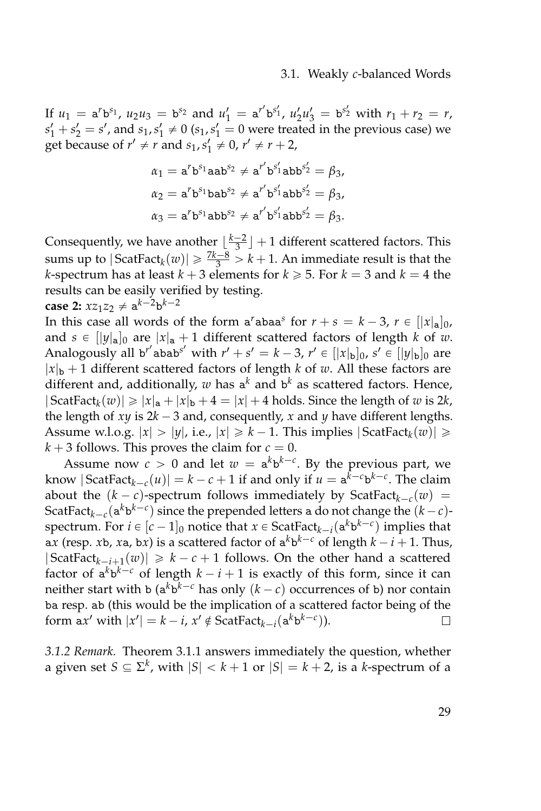If  $u_1 = a^r b^{s_1}$ ,  $u_2 u_3 = b^{s_2}$  and  $u'_1 = a^{r'} b^{s'_1}$ ,  $u'_2 u'_3 = b^{s'_2}$  with  $r_1 + r_2 = r$ ,  $s'_1 + s'_2 = s'$ , and  $s_1, s'_1 \neq 0$  ( $s_1, s'_1 = 0$  were treated in the previous case) we get because of  $r' \neq r$  and  $s_1, s'_1 \neq 0$ ,  $r' \neq r + 2$ ,

$$
\alpha_1 = \mathbf{a}^r \mathbf{b}^{s_1} \mathbf{a} \mathbf{a} \mathbf{b}^{s_2} \neq \mathbf{a}^{r'} \mathbf{b}^{s'_1} \mathbf{a} \mathbf{b} \mathbf{b}^{s'_2} = \beta_3, \n\alpha_2 = \mathbf{a}^r \mathbf{b}^{s_1} \mathbf{b} \mathbf{a} \mathbf{b}^{s_2} \neq \mathbf{a}^{r'} \mathbf{b}^{s'_1} \mathbf{a} \mathbf{b} \mathbf{b}^{s'_2} = \beta_3, \n\alpha_3 = \mathbf{a}^r \mathbf{b}^{s_1} \mathbf{a} \mathbf{b} \mathbf{b}^{s_2} \neq \mathbf{a}^{r'} \mathbf{b}^{s'_1} \mathbf{a} \mathbf{b} \mathbf{b}^{s'_2} = \beta_3.
$$

Consequently, we have another  $\lfloor \frac{k-2}{3} \rfloor + 1$  different scattered factors. This sums up to  $|\mathsf{ScatFact}_{k}(w)| \geq \frac{7k-8}{3} > k+1$ . An immediate result is that the *k*-spectrum has at least  $k + 3$  elements for  $k \ge 5$ . For  $k = 3$  and  $k = 4$  the results can be easily verified by testing.

**case 2:** 
$$
xz_1z_2 \neq a^{k-2}b^{k-2}
$$

In this case all words of the form  $a^r$ aba $a^s$  for  $r + s = k - 3$ ,  $r \in [ |x|_a ]_0$ , and  $s \in ||y||_a$  are  $|x|_a + 1$  different scattered factors of length *k* of *w*. Analogously all b<sup>r'</sup>abab<sup>s'</sup> with  $r' + s' = k - 3$ ,  $r' \in [\vert x \vert_b]_0$ ,  $s' \in [\vert y \vert_b]_0$  are  $|x|_b + 1$  different scattered factors of length *k* of *w*. All these factors are different and, additionally,  $w$  has a<sup>k</sup> and b<sup>k</sup> as scattered factors. Hence,  $|\operatorname{ScatFact}_{k}(w)| \geq |x|_{a} + |x|_{b} + 4 = |x| + 4$  holds. Since the length of *w* is 2*k*, the length of  $xy$  is  $2k - 3$  and, consequently,  $x$  and  $y$  have different lengths. Assume w.l.o.g.  $|x| > |y|$ , i.e.,  $|x| \ge k - 1$ . This implies  $|\text{ScatFact}_{k}(w)| \ge k - 1$ .  $k + 3$  follows. This proves the claim for  $c = 0$ .

Assume now  $c > 0$  and let  $w = a^k b^{k-c}$ . By the previous part, we know  $|\operatorname{ScatFact}_{k-c}(u)| = k - c + 1$  if and only if  $u = \mathbf{a}^{k-c} \mathbf{b}^{k-c}$ . The claim about the  $(k - c)$ -spectrum follows immediately by ScatFact<sub> $k-c$ </sub> $(w)$  = ScatFact<sub>k-*c*</sub>( $a^k b^{k-c}$ ) since the prepended letters a do not change the  $(k-c)$ spectrum. For  $i \in [c-1]_0$  notice that  $x \in \text{ScatFact}_{k-i}(\mathbf{a}^k \mathbf{b}^{k-c})$  implies that a*x* (resp. *x*b, *x*a, b*x*) is a scattered factor of  $a^k b^{k-c}$  of length  $k - i + 1$ . Thus,  $|\text{ScatFact}_{k-i+1}(w)| \geq k - c + 1$  follows. On the other hand a scattered factor of  $a^k b^{k-c}$  of length  $k - i + 1$  is exactly of this form, since it can neither start with b ( $a^k b^{k-c}$  has only  $(k-c)$  occurrences of b) nor contain ba resp. ab (this would be the implication of a scattered factor being of the form  $ax'$  with  $|x'| = k - i$ ,  $x' \notin$  ScatFact<sub> $k-i$ </sub> $(a^k b^{k-c})$ ).  $\Box$ 

<span id="page-46-0"></span>*3.1.2 Remark.* Theorem [3.1.1](#page-43-0) answers immediately the question, whether a given set  $S \subseteq \Sigma^k$ , with  $|S| < k+1$  or  $|S| = k+2$ , is a *k*-spectrum of a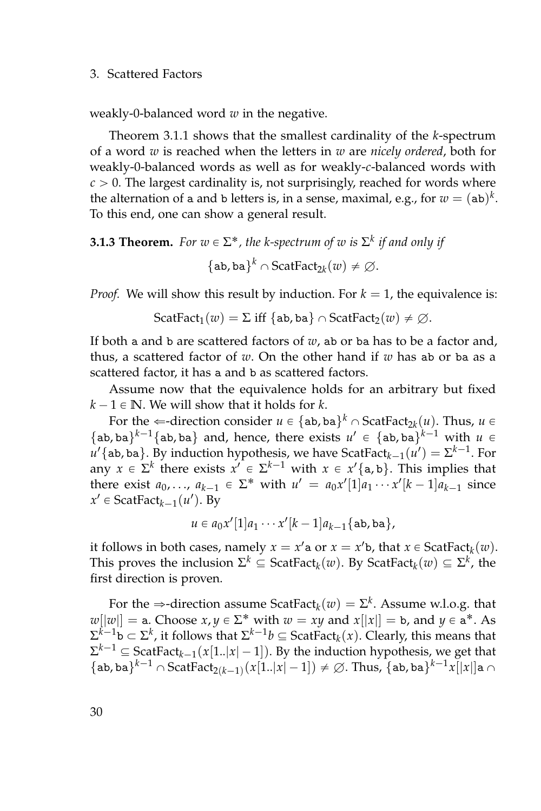weakly-0-balanced word *w* in the negative.

Theorem [3.1.1](#page-43-0) shows that the smallest cardinality of the *k*-spectrum of a word *w* is reached when the letters in *w* are *nicely ordered*, both for weakly-0-balanced words as well as for weakly-*c*-balanced words with  $c > 0$ . The largest cardinality is, not surprisingly, reached for words where the alternation of a and b letters is, in a sense, maximal, e.g., for  $w = (\texttt{ab})^k.$ To this end, one can show a general result.

# <span id="page-47-0"></span>**3.1.3 Theorem.** For  $w \in \Sigma^*$ , the k-spectrum of  $w$  is  $\Sigma^k$  if and only if  $\{\texttt{ab}, \texttt{ba}\}^k \cap \texttt{ScatFact}_{2k}(w) \neq \emptyset.$

*Proof.* We will show this result by induction. For  $k = 1$ , the equivalence is:

$$
ScatFact1(w) = \Sigma \text{ iff } \{ab, ba\} \cap ScatFact2(w) \neq \emptyset.
$$

If both a and b are scattered factors of *w*, ab or ba has to be a factor and, thus, a scattered factor of *w*. On the other hand if *w* has ab or ba as a scattered factor, it has a and b as scattered factors.

Assume now that the equivalence holds for an arbitrary but fixed  $k - 1 \in \mathbb{N}$ . We will show that it holds for *k*.

For the  $\Leftarrow$ -direction consider  $u \in {\mathsf{a} \mathsf{b}}$ , ba $\}^k \cap \mathsf{ScatFact}_{2k}(u)$ . Thus,  $u \in$  ${\{\texttt{ab}, \texttt{ba}\}}^{k-1}{\{\texttt{ab}, \texttt{ba}\}}$  and, hence, there exists  $u' \in {\{\texttt{ab}, \texttt{ba}\}}^{k-1}$  with  $u \in$  $u'\{\texttt{ab}, \texttt{ba}\}$ . By induction hypothesis, we have ScatFact $_{k-1}(u') = \Sigma^{k-1}$ . For any  $x \in \Sigma^k$  there exists  $x' \in \Sigma^{k-1}$  with  $x \in x'$  {a, b}. This implies that there exist  $a_0, ..., a_{k-1} \in \Sigma^*$  with  $u' = a_0 x'[1] a_1 \cdots x'[k-1] a_{k-1}$  since  $x' \in$  ScatFact<sub>*k*-1</sub>( $u'$ ). By

$$
u \in a_0x'[1]a_1\cdots x'[k-1]a_{k-1}\{\mathtt{ab},\mathtt{ba}\},
$$

it follows in both cases, namely  $x = x'$  a or  $x = x'$  b, that  $x \in \text{ScatFact}_{k}(w)$ . This proves the inclusion  $\Sigma^k \subseteq \text{ScatFact}_k(w)$ . By  $\text{ScatFact}_k(w) \subseteq \Sigma^k$ , the first direction is proven.

For the  $\Rightarrow$ -direction assume ScatFact<sub>k</sub> $(w) = \Sigma^k$ . Assume w.l.o.g. that  $w[|w|] =$  a. Choose  $x, y \in \Sigma^*$  with  $w = xy$  and  $x[|x|] =$  b, and  $y \in$  a<sup>\*</sup>. As  $\Sigma^{k-1}$ b  $\subset \Sigma^k$ , it follows that  $\Sigma^{k-1}$ *b*  $\subseteq$  ScatFact<sub>*k*</sub>(*x*). Clearly, this means that  $\Sigma^{k-1} \subseteq \text{ScatFact}_{k-1}(x[1..|x|-1])$ . By the induction hypothesis, we get that  $\{ab,ba\}^{k-1} \cap ScatFact_{2(k-1)}(x[1..|x|-1]) \neq \varnothing$ . Thus,  $\{ab,ba\}^{k-1}x[|x|]a \cap$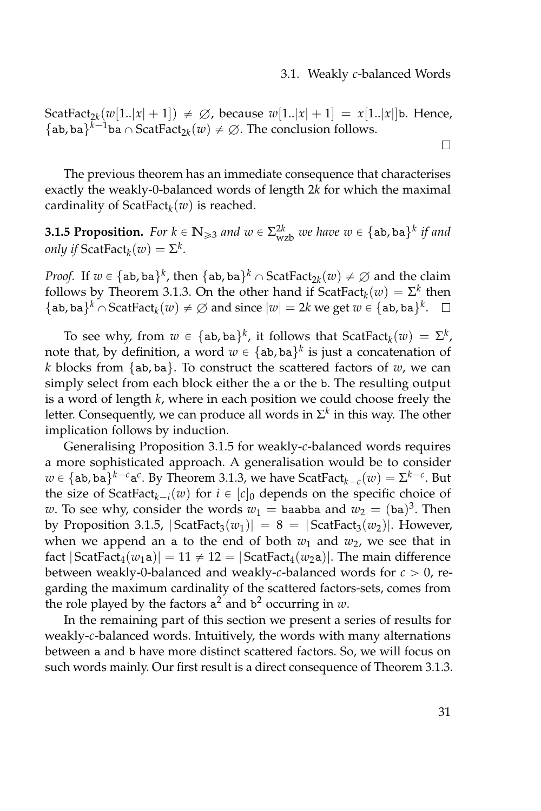$\Box$ 

 $\text{ScatFact}_{2k}(w[1..|x|+1]) \neq \varnothing$ , because  $w[1..|x|+1] = x[1..|x|]$ b. Hence, {ab, ba}<sup>*k*-1</sup>ba  $\cap$  ScatFact<sub>2*k*</sub>(*w*)  $\neq \emptyset$ . The conclusion follows.

The previous theorem has an immediate consequence that characterises exactly the weakly-0-balanced words of length 2*k* for which the maximal cardinality of ScatFact*<sup>k</sup>* (*w*) is reached.

<span id="page-48-0"></span>**3.1.5 Proposition.** For  $k \in \mathbb{N}_{\geq 3}$  and  $w \in \Sigma_{wzb}^{2k}$  we have  $w \in \{\text{ab}, \text{ba}\}^k$  if and *only if*  $\text{ScatFact}_k(w) = \Sigma^k$ .

*Proof.* If  $w \in {\{ab, ba\}}^k$ , then  ${\{ab, ba\}}^k \cap \text{ScatFact}_{2k}(w) \neq \emptyset$  and the claim follows by Theorem [3.1.3.](#page-47-0) On the other hand if  $ScatFact<sub>k</sub>(w) = \Sigma^k$  then {ab, ba}<sup>*k*</sup>  $\cap$  ScatFact<sub>*k</sub>*(*w*)  $\neq \emptyset$  and since  $|w| = 2k$  we get  $w \in \{ab, ba\}$ <sup>*k*</sup>.</sub>

To see why, from  $w \in {\text{ab, ba}}^k$ , it follows that  $\text{ScatFact}_k(w) = \Sigma^k$ , note that, by definition, a word  $w \in \{\texttt{ab}, \texttt{ba}\}^k$  is just a concatenation of *k* blocks from  $\{ab, ba\}$ . To construct the scattered factors of  $w$ , we can simply select from each block either the a or the b. The resulting output is a word of length *k*, where in each position we could choose freely the letter. Consequently, we can produce all words in  $\Sigma^k$  in this way. The other implication follows by induction.

Generalising Proposition [3.1.5](#page-48-0) for weakly-*c*-balanced words requires a more sophisticated approach. A generalisation would be to consider  $w \in {\mathsf{a} \mathsf{b}}$ , ba $\}^{k-c}$  $\mathsf{a}^c$ . By Theorem [3.1.3,](#page-47-0) we have ScatFact $_{k-c}(w) = \Sigma^{k-c}$ . But the size of  $ScatFact_{k-i}(w)$  for  $i \in [c]_0$  depends on the specific choice of *w*. To see why, consider the words  $w_1 =$  baabba and  $w_2 = (ba)^3$ . Then by Proposition [3.1.5,](#page-48-0)  $|ScatFact<sub>3</sub>(w<sub>1</sub>)| = 8 = |ScatFact<sub>3</sub>(w<sub>2</sub>)|$ . However, when we append an a to the end of both  $w_1$  and  $w_2$ , we see that in fact  $|ScatFact_4(w_1a)| = 11 \neq 12 = |ScatFact_4(w_2a)|$ . The main difference between weakly-0-balanced and weakly-c-balanced words for  $c > 0$ , regarding the maximum cardinality of the scattered factors-sets, comes from the role played by the factors a <sup>2</sup> and b <sup>2</sup> occurring in *w*.

In the remaining part of this section we present a series of results for weakly-*c*-balanced words. Intuitively, the words with many alternations between a and b have more distinct scattered factors. So, we will focus on such words mainly. Our first result is a direct consequence of Theorem [3.1.3.](#page-47-0)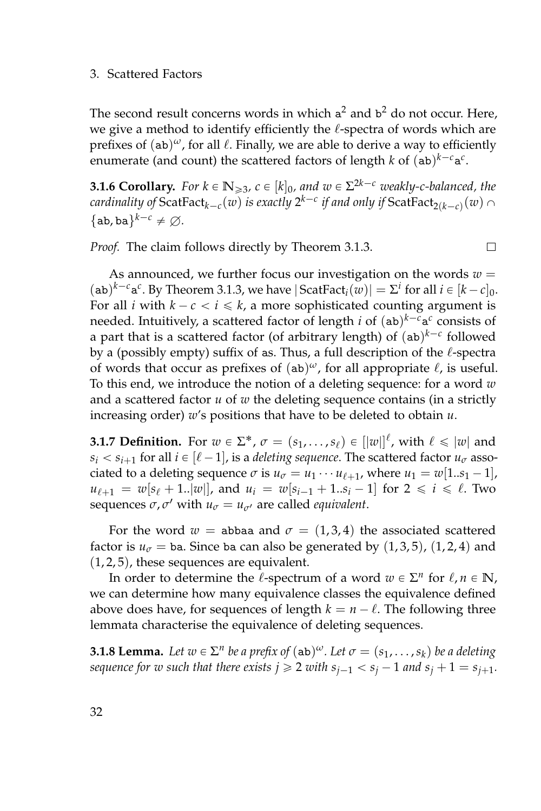The second result concerns words in which  $a^2$  and  $b^2$  do not occur. Here, we give a method to identify efficiently the  $\ell$ -spectra of words which are prefixes of (ab)<sup>ω</sup>, for all  $\ell$ . Finally, we are able to derive a way to efficiently enumerate (and count) the scattered factors of length *k* of  $(ab)^{k-c}a^c$ .

**3.1.6 Corollary.** For  $k \in \mathbb{N}_{\geqslant 3}$ ,  $c \in [k]_0$ , and  $w \in \Sigma^{2k-c}$  weakly-c-balanced, the  $c$  *cardinality of*  $\text{ScatFact}_{k-c}(w)$  *is exactly*  $2^{k-c}$  *if and only if*  $\text{ScatFact}_{2(k-c)}(w) \cap C$  ${ab, ba}^{k-c} \neq \emptyset.$ 

 $\Box$ 

*Proof.* The claim follows directly by Theorem [3.1.3.](#page-47-0)

As announced, we further focus our investigation on the words  $w =$  $(\text{ab})^{k-c} \text{a}^c$ . By Theorem [3.1.3,](#page-47-0) we have  $|\text{ScatFact}_i(w)| = \sum^i \text{ for all } i \in [k-c]_0$ . For all *i* with  $k - c < i \leq k$ , a more sophisticated counting argument is needed. Intuitively, a scattered factor of length *i* of  $(a b)^{k-c} a^c$  consists of a part that is a scattered factor (of arbitrary length) of  $($ ab $)^{k-c}$  followed by a (possibly empty) suffix of as. Thus, a full description of the  $\ell$ -spectra of words that occur as prefixes of  $(ab)^{\omega}$ , for all appropriate  $\ell$ , is useful. To this end, we introduce the notion of a deleting sequence: for a word *w* and a scattered factor *u* of *w* the deleting sequence contains (in a strictly increasing order) *w*'s positions that have to be deleted to obtain *u*.

<span id="page-49-1"></span>**3.1.7 Definition.** For  $w \in \Sigma^*$ ,  $\sigma = (s_1, \ldots, s_\ell) \in [|w|]^\ell$ , with  $\ell \leq |w|$  and  $s_i < s_{i+1}$  for all  $i \in [\ell - 1]$ , is a *deleting sequence*. The scattered factor  $u_\sigma$  associated to a deleting sequence  $\sigma$  is  $u_{\sigma} = u_1 \cdots u_{\ell+1}$ , where  $u_1 = w[1..s_1 - 1]$ ,  $u_{\ell+1} = w[s_{\ell} + 1..|w|]$ , and  $u_i = w[s_{i-1} + 1..s_i - 1]$  for  $2 \le i \le \ell$ . Two sequences  $\sigma$ ,  $\sigma'$  with  $u_{\sigma} = u_{\sigma'}$  are called *equivalent*.

For the word  $w =$  abbaa and  $\sigma = (1,3,4)$  the associated scattered factor is  $u_{\sigma}$  = ba. Since ba can also be generated by  $(1,3,5)$ ,  $(1,2,4)$  and  $(1, 2, 5)$ , these sequences are equivalent.

In order to determine the  $\ell$ -spectrum of a word  $w \in \Sigma^n$  for  $\ell, n \in \mathbb{N}$ , we can determine how many equivalence classes the equivalence defined above does have, for sequences of length  $k = n - \ell$ . The following three lemmata characterise the equivalence of deleting sequences.

<span id="page-49-0"></span>**3.1.8 Lemma.** Let  $w \in \Sigma^n$  be a prefix of  $(ab)^{\omega}$ . Let  $\sigma = (s_1, \ldots, s_k)$  be a deleting  $s$ *sequence for w such that there exists*  $j \geqslant 2$  *with*  $s_{j-1} < s_j - 1$  *and*  $s_j + 1 = s_{j+1}$ *.*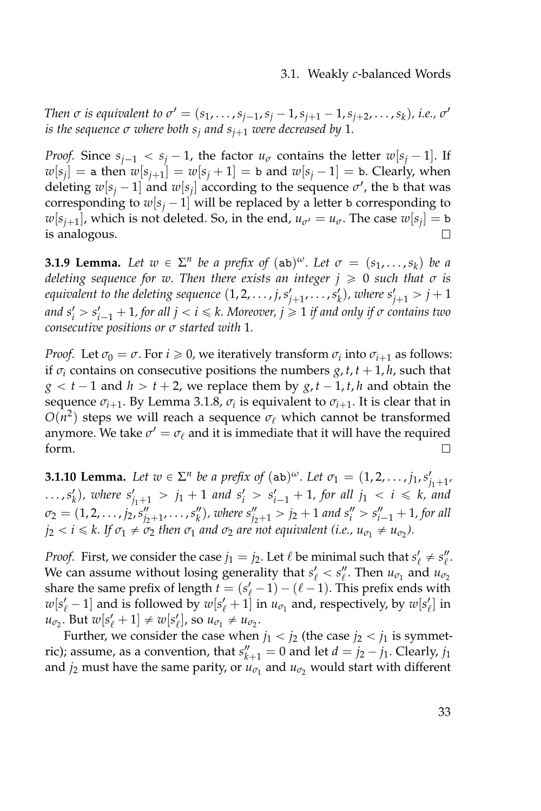#### 3.1. Weakly *c*-balanced Words

*Then*  $\sigma$  is equivalent to  $\sigma' = (s_1, \ldots, s_{j-1}, s_j - 1, s_{j+1} - 1, s_{j+2}, \ldots, s_k)$ , i.e.,  $\sigma'$ *is the sequence*  $\sigma$  *where both*  $s_i$  *and*  $s_{i+1}$  *were decreased by* 1*.* 

*Proof.* Since  $s_{i-1} < s_i - 1$ , the factor  $u_{\sigma}$  contains the letter  $w[s_i - 1]$ . If  $w[s_j] =$  a then  $w[s_{j+1}] = w[s_j + 1] =$  b and  $w[s_j - 1] =$  b. Clearly, when deleting  $w[s_j - 1]$  and  $w[s_j]$  according to the sequence  $\sigma'$ , the b that was corresponding to  $w[s_j - 1]$  will be replaced by a letter b corresponding to  $w[s_{j+1}]$ , which is not deleted. So, in the end,  $u_{\sigma'} = u_{\sigma}$ . The case  $w[s_j] = b$ is analogous.  $\Box$ 

<span id="page-50-0"></span>**3.1.9 Lemma.** Let  $w \in \Sigma^n$  be a prefix of  $(ab)^{\omega}$ . Let  $\sigma = (s_1, \ldots, s_k)$  be a *deleting sequence for w. Then there exists an integer*  $j \ge 0$  *such that*  $\sigma$  *is* equivalent to the deleting sequence  $(1, 2, \ldots, j, s'_{j+1}, \ldots, s'_{k})$ , where  $s'_{j+1} > j+1$  $i$  *and*  $s'_i > s'_{i-1} + 1$ , for all  $j < i \leq k$ . Moreover,  $j \geqslant 1$  if and only if  $\sigma$  contains two *consecutive positions or σ started with* 1*.*

*Proof.* Let  $\sigma_0 = \sigma$ . For  $i \geq 0$ , we iteratively transform  $\sigma_i$  into  $\sigma_{i+1}$  as follows: if  $\sigma$ *i* contains on consecutive positions the numbers *g*, *t*, *t* + 1, *h*, such that  $g < t - 1$  and  $h > t + 2$ , we replace them by  $g, t - 1, t, h$  and obtain the sequence  $\sigma_{i+1}$ . By Lemma [3.1.8,](#page-49-0)  $\sigma_i$  is equivalent to  $\sigma_{i+1}$ . It is clear that in  $O(n^2)$  steps we will reach a sequence  $\sigma_\ell$  which cannot be transformed anymore. We take  $\sigma' = \sigma_\ell$  and it is immediate that it will have the required form.  $\Box$ 

<span id="page-50-1"></span>**3.1.10 Lemma.** Let  $w \in \Sigma^n$  be a prefix of  $(ab)^{\omega}$ . Let  $\sigma_1 = (1, 2, ..., j_1, s'_{j_1+1},$  $\ldots$ ,  $s'_k$ ), where  $s'_{j_1+1} > j_1 + 1$  and  $s'_i > s'_{i-1} + 1$ , for all  $j_1 < i \leq k$ , and  $\sigma_2 = (1, 2, \ldots, j_2, s''_{j_2+1}, \ldots, s''_k)$ , where  $s''_{j_2+1} > j_2 + 1$  and  $s''_i > s''_{i-1} + 1$ , for all  $j_2 < i \leq k$ . If  $\sigma_1 \neq \sigma_2$  then  $\sigma_1$  and  $\sigma_2$  are not equivalent (i.e.,  $u_{\sigma_1} \neq u_{\sigma_2}$ ).

*Proof.* First, we consider the case  $j_1 = j_2$ . Let  $\ell$  be minimal such that  $s'_\ell \neq s''_\ell$ . We can assume without losing generality that  $s'_\ell < s''_\ell$ . Then  $u_{\sigma_1}$  and  $u_{\sigma_2}$ share the same prefix of length  $t = (s'_\ell - 1) - (\ell - 1)$ . This prefix ends with  $w[s'_\ell-1]$  and is followed by  $w[s'_\ell+1]$  in  $u_{\sigma_1}$  and, respectively, by  $w[s'_\ell]$  in  $u_{\sigma_2}$ . But  $w[s'_{\ell} + 1] \neq w[s'_{\ell}],$  so  $u_{\sigma_1} \neq u_{\sigma_2}$ .

Further, we consider the case when  $j_1 < j_2$  (the case  $j_2 < j_1$  is symmetric); assume, as a convention, that  $s''_{k+1} = 0$  and let  $d = j_2 - j_1$ . Clearly,  $j_1$ and  $j_2$  must have the same parity, or  $u_{\sigma_1}$  and  $u_{\sigma_2}$  would start with different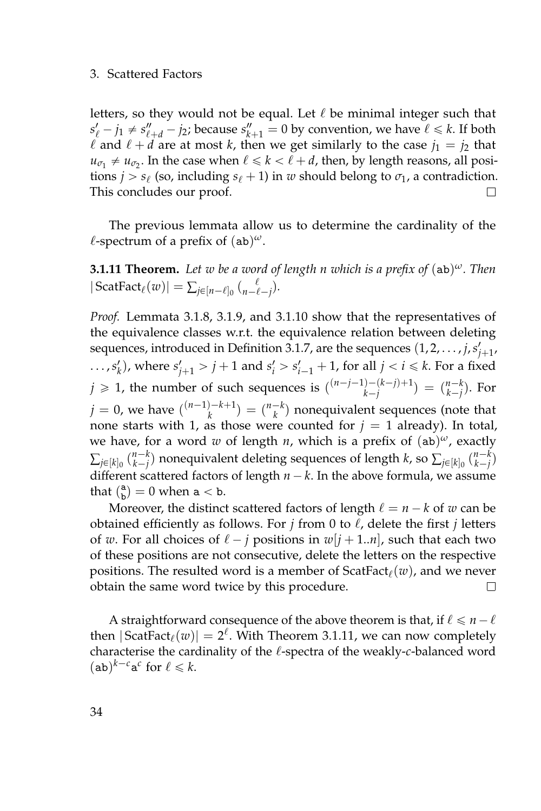letters, so they would not be equal. Let  $\ell$  be minimal integer such that  $s'_{\ell} - j_1 \neq s''_{\ell+d} - j_2$ ; because  $s''_{k+1} = 0$  by convention, we have  $\ell \leq k$ . If both  $\ell$  and  $\ell + d$  are at most *k*, then we get similarly to the case  $j_1 = j_2$  that  $u_{\sigma_1} \neq u_{\sigma_2}$ . In the case when  $\ell \leq k < \ell + d$ , then, by length reasons, all positions *j* > *s*<sub> $\ell$ </sub> (so, including *s*<sub> $\ell$ </sub> + 1) in *w* should belong to  $\sigma$ <sub>1</sub>, a contradiction. This concludes our proof. П

The previous lemmata allow us to determine the cardinality of the  $\ell$ -spectrum of a prefix of  $(a b)^{\omega}$ .

<span id="page-51-0"></span>**3.1.11 Theorem.** *Let w be a word of length n which is a prefix of* (ab) *<sup>ω</sup>. Then*  $|\operatorname{ScatFact}_{\ell}(w)| = \sum_{j \in [n-\ell]_0} { \ell \choose n-\ell-j}.$ 

*Proof.* Lemmata [3.1.8,](#page-49-0) [3.1.9,](#page-50-0) and [3.1.10](#page-50-1) show that the representatives of the equivalence classes w.r.t. the equivalence relation between deleting sequences, introduced in Definition [3.1.7,](#page-49-1) are the sequences  $(1, 2, \ldots, j, s'_{j+1},$  $\ldots$ ,  $s_k'$ ), where  $s_{j+1}' > j+1$  and  $s_i' > s_{i-1}' + 1$ , for all  $j < i \leq k$ . For a fixed  $j \geq 1$ , the number of such sequences is  $\binom{(n-j-1)-(k-j)+1}{k-j}$  $\binom{n-k}{k-j}$  =  $\binom{n-k}{k-j}$ . For  $j = 0$ , we have  $\binom{(n-1)-k+1}{k}$  $\binom{n-k}{k}$  =  $\binom{n-k}{k}$  nonequivalent sequences (note that none starts with 1, as those were counted for  $j = 1$  already). In total, we have, for a word *w* of length *n*, which is a prefix of (ab) *<sup>ω</sup>*, exactly  $\sum_{j\in [k]_0} \binom{n-k}{k-j}$  nonequivalent deleting sequences of length  $k$ , so  $\sum_{j\in [k]_0} \binom{n-k}{k-j}$ different scattered factors of length  $n - k$ . In the above formula, we assume that  $\binom{a}{b} = 0$  when  $a < b$ .

Moreover, the distinct scattered factors of length  $\ell = n - k$  of *w* can be obtained efficiently as follows. For  $j$  from 0 to  $\ell$ , delete the first  $j$  letters of *w*. For all choices of  $\ell - j$  positions in  $w[j + 1..n]$ , such that each two of these positions are not consecutive, delete the letters on the respective positions. The resulted word is a member of  $\text{ScatFact}_{\ell}(w)$ , and we never obtain the same word twice by this procedure.  $\Box$ 

A straightforward consequence of the above theorem is that, if  $\ell \leq n - \ell$ then  $|\text{ScatFact}_{\ell}(w)| = 2^{\ell}$ . With Theorem [3.1.11,](#page-51-0) we can now completely characterise the cardinality of the  $\ell$ -spectra of the weakly-*c*-balanced word  $(\mathsf{ab})^{k-c} \mathsf{a}^c$  for  $\ell \leq k$ .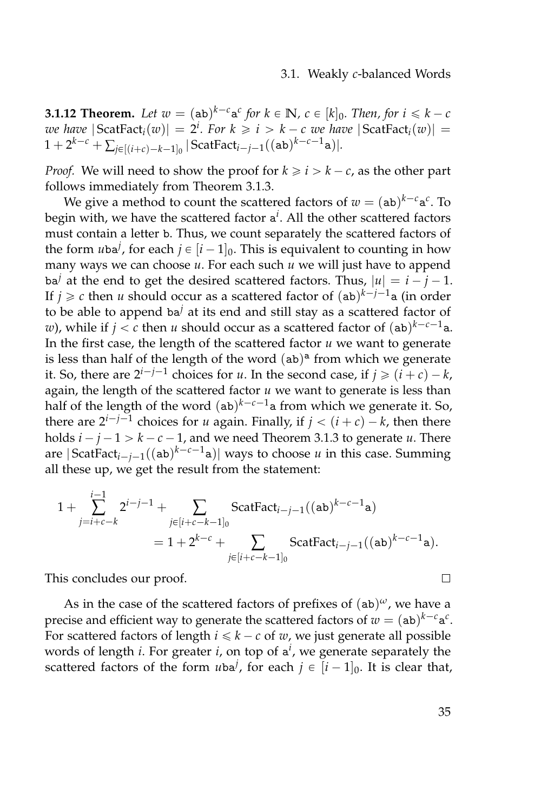<span id="page-52-0"></span>**3.1.12 Theorem.** Let  $w = (ab)^{k-c}a^c$  for  $k \in \mathbb{N}$ ,  $c \in [k]_0$ . Then, for  $i \leq k-c$ *we have*  $|\text{ScatFact}_i(w)| = 2^i$ . For  $k \geq i > k - c$  *we have*  $|\text{ScatFact}_i(w)| =$  $1 + 2^{k-c} + \sum_{j \in [(i+c)-k-1]_0} |\text{ScatFact}_{i-j-1}((\texttt{ab})^{k-c-1}\texttt{a})|.$ 

*Proof.* We will need to show the proof for  $k \ge i > k - c$ , as the other part follows immediately from Theorem [3.1.3.](#page-47-0)

We give a method to count the scattered factors of  $w = (ab)^{k-c}a^c$ . To begin with, we have the scattered factor a *i* . All the other scattered factors must contain a letter b. Thus, we count separately the scattered factors of the form  $u$ ba<sup>*j*</sup>, for each  $j \in [i - 1]_0$ . This is equivalent to counting in how many ways we can choose *u*. For each such *u* we will just have to append ba<sup>*j*</sup> at the end to get the desired scattered factors. Thus,  $|u| = i - j - 1$ . If  $j \geqslant c$  then  $u$  should occur as a scattered factor of  $({\tt ab})^{k-j-1}{\tt a}$  (in order to be able to append ba*<sup>j</sup>* at its end and still stay as a scattered factor of *w*), while if  $j < c$  then *u* should occur as a scattered factor of  $(\mathtt{ab})^{k-c-1}$ a. In the first case, the length of the scattered factor *u* we want to generate is less than half of the length of the word  $(ab)^a$  from which we generate it. So, there are  $2^{i-j-1}$  choices for *u*. In the second case, if  $j \geqslant (i+c) - k$ , again, the length of the scattered factor *u* we want to generate is less than half of the length of the word  $($ ab $)$ <sup> $k$ - $c$ -1<sub>a</sub> from which we generate it. So,</sup> there are  $2^{i-j-1}$  choices for *u* again. Finally, if  $j < (i+c) - k$ , then there holds  $i - j - 1 > k - c - 1$ , and we need Theorem [3.1.3](#page-47-0) to generate *u*. There are  $|\text{ScatFact}_{i-j-1}((\texttt{ab})^{k-c-1}\texttt{a})|$  ways to choose *u* in this case. Summing all these up, we get the result from the statement:

$$
1 + \sum_{j=i+c-k}^{i-1} 2^{i-j-1} + \sum_{j \in [i+c-k-1]_0} \text{ScatFact}_{i-j-1}((\text{ab})^{k-c-1}\text{a})
$$
  
= 1 + 2^{k-c} + \sum\_{j \in [i+c-k-1]\_0} \text{ScatFact}\_{i-j-1}((\text{ab})^{k-c-1}\text{a}).

This concludes our proof.

As in the case of the scattered factors of prefixes of (ab) *<sup>ω</sup>*, we have a precise and efficient way to generate the scattered factors of  $w = (ab)^{k-c}a^c$ . For scattered factors of length  $i \leq k - c$  of *w*, we just generate all possible words of length *i*. For greater *i*, on top of a *i* , we generate separately the scattered factors of the form  $u$ ba<sup>*j*</sup>, for each  $j \in [i - 1]_0$ . It is clear that,

 $\Box$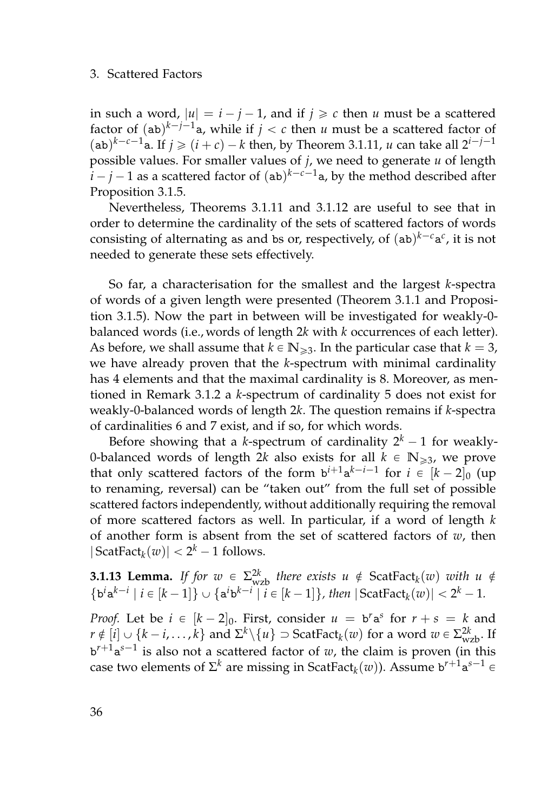in such a word,  $|u| = i - j - 1$ , and if  $j \ge c$  then *u* must be a scattered factor of  $(ab)^{k-j-1}$ a, while if  $j < c$  then  $u$  must be a scattered factor of  $(\text{ab})^{k-c-1}$ a. If  $j \geqslant (i+c) - k$  then, by Theorem [3.1.11,](#page-51-0) *u* can take all  $2^{i-j-1}$ possible values. For smaller values of *j*, we need to generate *u* of length  $i - j - 1$  as a scattered factor of  $({\tt ab})^{k-c-1}$ a, by the method described after Proposition [3.1.5.](#page-48-0)

Nevertheless, Theorems [3.1.11](#page-51-0) and [3.1.12](#page-52-0) are useful to see that in order to determine the cardinality of the sets of scattered factors of words consisting of alternating as and bs or, respectively, of  $(ab)^{k-c}a^c$ , it is not needed to generate these sets effectively.

So far, a characterisation for the smallest and the largest *k*-spectra of words of a given length were presented (Theorem [3.1.1](#page-43-0) and Proposition [3.1.5\)](#page-48-0). Now the part in between will be investigated for weakly-0 balanced words (i.e., words of length 2*k* with *k* occurrences of each letter). As before, we shall assume that  $k \in \mathbb{N}_{\geq 3}$ . In the particular case that  $k = 3$ , we have already proven that the *k*-spectrum with minimal cardinality has 4 elements and that the maximal cardinality is 8. Moreover, as mentioned in Remark [3.1.2](#page-46-0) a *k*-spectrum of cardinality 5 does not exist for weakly-0-balanced words of length 2*k*. The question remains if *k*-spectra of cardinalities 6 and 7 exist, and if so, for which words.

Before showing that a *k*-spectrum of cardinality  $2^k - 1$  for weakly-0-balanced words of length 2*k* also exists for all  $k \in \mathbb{N}_{\geq 3}$ , we prove that only scattered factors of the form  $b^{i+1}a^{k-i-1}$  for  $i \in [k-2]_0$  (up to renaming, reversal) can be "taken out" from the full set of possible scattered factors independently, without additionally requiring the removal of more scattered factors as well. In particular, if a word of length *k* of another form is absent from the set of scattered factors of *w*, then  $|\operatorname{ScatFact}_{k}(w)| < 2^{k} - 1$  follows.

**3.1.13 Lemma.** *If for*  $w \in \Sigma_{wzb}^{2k}$  *there exists*  $u \notin \text{ScatFact}_k(w)$  *with*  $u \notin$  $\{b^i a^{k-i} \mid i \in [k-1]\} \cup \{a^i b^{k-i} \mid i \in [k-1]\}, \text{ then } |\text{ScatFact}_k(w)| < 2^k - 1.$ 

*Proof.* Let be  $i \in [k-2]_0$ . First, consider  $u = b^r a^s$  for  $r + s = k$  and  $r \notin [i] \cup \{k-i,\ldots,k\}$  and  $\Sigma^k \setminus \{u\} \supset \text{ScatFact}_{k}(w)$  for a word  $w \in \Sigma^{2k}_{wzb}$ . If  $b^{r+1}a^{s-1}$  is also not a scattered factor of *w*, the claim is proven (in this case two elements of  $\Sigma^k$  are missing in ScatFact $_k(w)$ ). Assume b $^{r+1} \mathsf{a}^{s-1}$   $\in$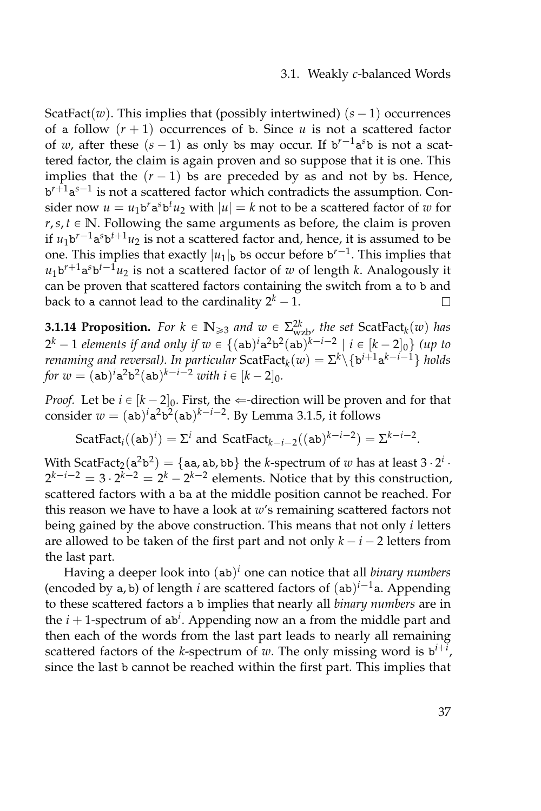#### 3.1. Weakly *c*-balanced Words

ScatFact(*w*). This implies that (possibly intertwined)  $(s - 1)$  occurrences of a follow  $(r + 1)$  occurrences of b. Since *u* is not a scattered factor of *w*, after these  $(s - 1)$  as only bs may occur. If  $b^{r-1}a^{s}b$  is not a scattered factor, the claim is again proven and so suppose that it is one. This implies that the  $(r - 1)$  bs are preceded by as and not by bs. Hence, b<sup>r+1</sup>a<sup>s-1</sup> is not a scattered factor which contradicts the assumption. Consider now  $u = u_1 b^r a^s b^t u_2$  with  $|u| = k$  not to be a scattered factor of  $w$  for  $r, s, t \in \mathbb{N}$ . Following the same arguments as before, the claim is proven if  $u_1$ <sup>b'-1</sup>a<sup>s</sup>b<sup>t+1</sup> $u_2$  is not a scattered factor and, hence, it is assumed to be one. This implies that exactly  $|u_1|_{\mathbf{b}}$  bs occur before  $\mathbf{b}^{r-1}$ . This implies that  $u_1$ b<sup>r+1</sup>a<sup>s</sup>b<sup>t-1</sup>u<sub>2</sub> is not a scattered factor of *w* of length *k*. Analogously it can be proven that scattered factors containing the switch from a to b and back to a cannot lead to the cardinality  $2^k - 1$ .  $\Box$ 

<span id="page-54-0"></span>**3.1.14 Proposition.** For  $k \in \mathbb{N}_{\geq 3}$  and  $w \in \Sigma_{wzb}^{2k}$ , the set ScatFact<sub>k</sub>(*w*) has  $2^k - 1$  *elements if and only if*  $w \in \{(\texttt{ab})^i\texttt{a}^2\texttt{b}^2(\texttt{ab})^{k-i-2} \mid i \in [k-2]_0\}$  *(up to renaming and reversal). In particular*  $\text{ScatFact}_{k}(w) = \Sigma^{k} \setminus \{ \mathtt{b}^{i+1} \mathtt{a}^{k-i-1} \}$  *holds for*  $w = (ab)^i a^2 b^2 (ab)^{k-i-2}$  *with*  $i \in [k-2]_0$ *.* 

*Proof.* Let be  $i \in [k - 2]_0$ . First, the  $\Leftarrow$ -direction will be proven and for that consider  $w = (ab)^i a^2 b^2 (ab)^{k-i-2}$ . By Lemma [3.1.5,](#page-48-0) it follows

 $ScatFact<sub>i</sub>((ab)<sup>i</sup>) = \Sigma<sup>i</sup>$  and  $ScatFact<sub>k-i-2</sub>((ab)<sup>k-i-2</sup>) = \Sigma<sup>k-i-2</sup>$ .

With ScatFact<sub>2</sub>( $a^2b^2$ ) = {aa, ab, bb} the *k*-spectrum of *w* has at least 3  $\cdot 2^i$  ·  $2^{k-i-2} = 3 \cdot 2^{k-2} = 2^k - 2^{k-2}$  elements. Notice that by this construction, scattered factors with a ba at the middle position cannot be reached. For this reason we have to have a look at *w*'s remaining scattered factors not being gained by the above construction. This means that not only *i* letters are allowed to be taken of the first part and not only  $k - i - 2$  letters from the last part.

Having a deeper look into (ab) *<sup>i</sup>* one can notice that all *binary numbers* (encoded by a, b) of length *i* are scattered factors of  $(ab)^{i-1}$ a. Appending to these scattered factors a b implies that nearly all *binary numbers* are in the  $i + 1$ -spectrum of ab<sup>i</sup>. Appending now an a from the middle part and then each of the words from the last part leads to nearly all remaining scattered factors of the *k*-spectrum of *w*. The only missing word is b *i*+*i* , since the last b cannot be reached within the first part. This implies that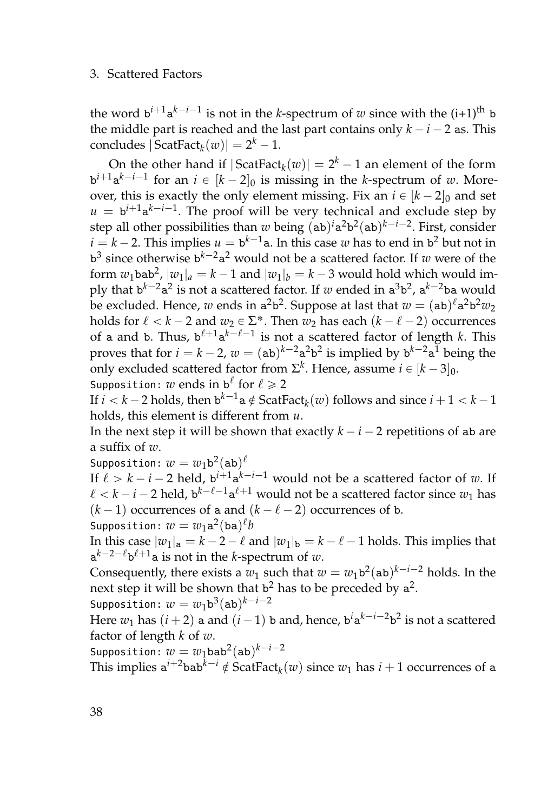the word  $b^{i+1}a^{k-i-1}$  is not in the *k*-spectrum of *w* since with the (i+1)<sup>th</sup> b the middle part is reached and the last part contains only  $k - i - 2$  as. This  $\text{concludes } |\text{ScatFact}_{k}(w)| = 2^{k} - 1.$ 

On the other hand if  $|ScatFact_k(w)| = 2^k - 1$  an element of the form  $b^{i+1}a^{k-i-1}$  for an  $i \in [k-2]_0$  is missing in the *k*-spectrum of *w*. Moreover, this is exactly the only element missing. Fix an  $i \in [k - 2]_0$  and set  $u = b^{i+1}a^{k-i-1}$ . The proof will be very technical and exclude step by step all other possibilities than *w* being  $($ ab $)$ <sup>*i*</sup> $a^2b^2$ (ab)<sup>*k*-*i*-2. First, consider</sup>  $i = k - 2$ . This implies  $u = b^{k-1}$ a. In this case  $w$  has to end in  $b^2$  but not in  $b^3$  since otherwise  $b^{k-2}a^2$  would not be a scattered factor. If *w* were of the form  $w_1$ bab<sup>2</sup>,  $|w_1|_a = k - 1$  and  $|w_1|_b = k - 3$  would hold which would imply that b<sup>k-2</sup>a<sup>2</sup> is not a scattered factor. If *w* ended in a<sup>3</sup>b<sup>2</sup>, a<sup>k-2</sup>ba would be excluded. Hence,  $w$  ends in a<sup>2</sup>b<sup>2</sup>. Suppose at last that  $w = (\texttt{ab})^{\ell} \texttt{a}^2 \texttt{b}^2 w_2$ holds for  $\ell < k - 2$  and  $w_2 \in \Sigma^*$ . Then  $w_2$  has each  $(k - \ell - 2)$  occurrences of a and b. Thus,  $b^{\ell+1}a^{k-\ell-1}$  is not a scattered factor of length *k*. This proves that for  $i = k - 2$ ,  $w = (ab)^{k-2}a^2b^2$  is implied by  $b^{k-2}a^1$  being the only excluded scattered factor from  $\Sigma^k$ . Hence, assume  $i \in [k-3]_0$ . Supposition:  $w$  ends in  $\mathbf{b}^{\ell}$  for  $\ell \geqslant 2$ 

If  $i < k - 2$  holds, then  $b^{k-1}$ a $\notin$  ScatFact $_k(w)$  follows and since  $i + 1 < k - 1$ holds, this element is different from *u*.

In the next step it will be shown that exactly  $k - i - 2$  repetitions of ab are a suffix of *w*.

Supposition:  $w=w_1\mathtt{b}^2(\mathtt{ab})^\ell$ 

If  $\ell > k - i - 2$  held,  $b^{i+1}a^{k-i-1}$  would not be a scattered factor of *w*. If  $\ell < k - i - 2$  held,  $b^{k-\ell-1}a^{\ell+1}$  would not be a scattered factor since  $w_1$  has  $(k-1)$  occurrences of a and  $(k - \ell - 2)$  occurrences of b.

Supposition:  $w=w_1{\tt a}^2({\tt ba})^\ell b$ 

In this case  $|w_1|_a = k - 2 - \ell$  and  $|w_1|_b = k - \ell - 1$  holds. This implies that  $a^{k-2-\ell}b^{\ell+1}$ a is not in the *k*-spectrum of *w*.

Consequently, there exists a  $w_1$  such that  $w = w_1 b^2 (ab)^{k-i-2}$  holds. In the next step it will be shown that  $b^2$  has to be preceded by  $a^2$ . Supposition:  $w = w_1 \texttt{b}^3(\texttt{ab})^{k-i-2}$ 

Here  $w_1$  has  $(i+2)$  a and  $(i-1)$  b and, hence,  $b^i a^{k-i-2} b^2$  is not a scattered factor of length *k* of *w*.

 $\mathsf{Supposition}\colon w=w_1\mathsf{bab}^2(\mathsf{ab})^{k-i-2}$ 

This implies  $a^{i+2}$ bab<sup>k $-i \notin$ </sup> ScatFact $_k(w)$  since  $w_1$  has  $i+1$  occurrences of a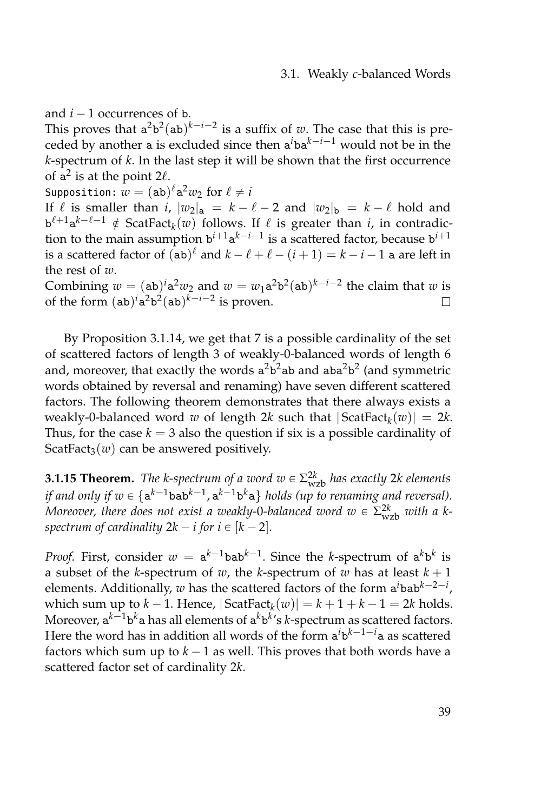and  $i - 1$  occurrences of b.

This proves that  $a^2b^2(ab)^{k-i-2}$  is a suffix of *w*. The case that this is preceded by another a is excluded since then  $a^i$ ba $^{k-i-1}$  would not be in the *k*-spectrum of *k*. In the last step it will be shown that the first occurrence of  $a^2$  is at the point 2 $\ell$ .

Supposition:  $\overline{w} = (\texttt{ab})^{\ell} \texttt{a}^2 w_2 \text{ for } \ell \neq i$ 

If  $\ell$  is smaller than *i*,  $|w_2|_a = k - \ell - 2$  and  $|w_2|_b = k - \ell$  hold and  $\mathbf{b}^{\ell+1} \mathbf{a}^{k-\ell-1} \notin \mathsf{ScatFact}_k(w)$  follows. If  $\ell$  is greater than *i*, in contradiction to the main assumption  $b^{i+1}a^{k-i-1}$  is a scattered factor, because  $b^{i+1}$ is a scattered factor of  $(\mathtt{ab})^{\ell}$  and  $k - \ell + \ell - (i + 1) = k - i - 1$  a are left in the rest of *w*.

Combining  $w = (ab)^i a^2 w_2$  and  $w = w_1 a^2 b^2 (ab)^{k-i-2}$  the claim that  $w$  is of the form  $(ab)^i a^2 b^2 (ab)^{k-i-2}$  is proven.  $\Box$ 

By Proposition [3.1.14,](#page-54-0) we get that 7 is a possible cardinality of the set of scattered factors of length 3 of weakly-0-balanced words of length 6 and, moreover, that exactly the words  $a^2b^2$ ab and aba $^2b^2$  (and symmetric words obtained by reversal and renaming) have seven different scattered factors. The following theorem demonstrates that there always exists a weakly-0-balanced word *w* of length 2*k* such that | ScatFact*<sup>k</sup>* (*w*)| = 2*k*. Thus, for the case  $k = 3$  also the question if six is a possible cardinality of ScatFact<sub>3</sub> $(w)$  can be answered positively.

<span id="page-56-0"></span>**3.1.15 Theorem.** *The k-spectrum of a word*  $w \in \Sigma_{wzb}^{2k}$  *has exactly* 2*k elements* if and only if  $w \in \{a^{k-1}$ bab<sup>k $-1$ </sup>,  $a^{k-1}$ b<sup>k</sup>a} holds (up to renaming and reversal). *Moreover, there does not exist a weakly-0-balanced word*  $w \in \Sigma_{\rm wzb}^{2k}$  *with a kspectrum of cardinality*  $2k - i$  *for*  $i \in [k - 2]$ *.* 

*Proof.* First, consider  $w = a^{k-1}$ bab $^{k-1}$ . Since the *k*-spectrum of  $a^k b^k$  is a subset of the *k*-spectrum of *w*, the *k*-spectrum of *w* has at least  $k + 1$ elements. Additionally,  $w$  has the scattered factors of the form  $a^i$ bab<sup>k-2-i</sup>, which sum up to  $k - 1$ . Hence,  $|\text{ScatFact}_{k}(w)| = k + 1 + k - 1 = 2k$  holds. Moreover, a<sup>k–1</sup>b<sup>k</sup>a has all elements of a<sup>k</sup>b<sup>k</sup>'s *k-*spectrum as scattered factors. Here the word has in addition all words of the form a<sup>*i*</sup>b<sup>k-1-*i*</sup>a as scattered factors which sum up to  $k - 1$  as well. This proves that both words have a scattered factor set of cardinality 2*k*.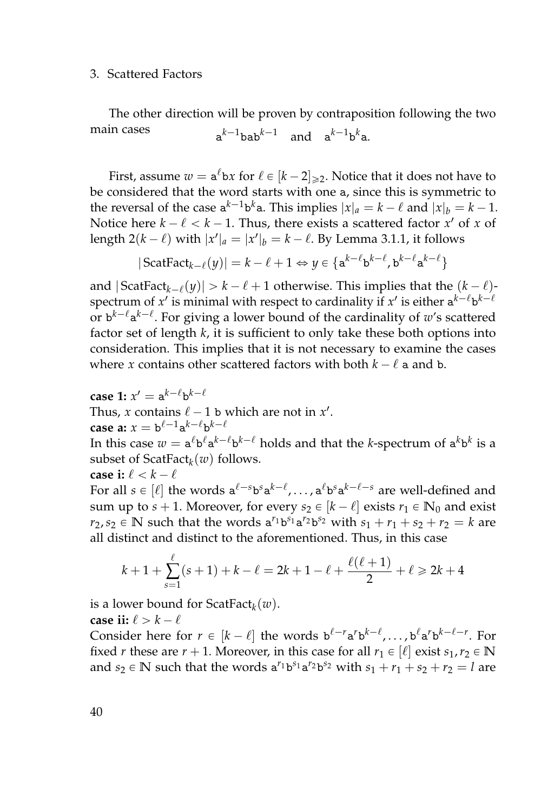The other direction will be proven by contraposition following the two main cases  $a^{k-1}$ bab $^{k-1}$  and  $a^{k-1}$ b $^k$ a.

First, assume  $w = \mathbf{a}^{\ell} \mathbf{b} x$  for  $\ell \in [k-2]_{\geq 2}$ . Notice that it does not have to be considered that the word starts with one a, since this is symmetric to the reversal of the case  $a^{k-1}b^k a$ . This implies  $|x|_a = k - \ell$  and  $|x|_b = k - 1$ . Notice here  $k - \ell < k - 1$ . Thus, there exists a scattered factor  $x'$  of  $x$  of length  $2(k - \ell)$  with  $|x'|_a = |x'|_b = k - \ell$ . By Lemma [3.1.1,](#page-43-0) it follows

$$
|\operatorname{ScatFact}_{k-\ell}(y)| = k-\ell+1 \Leftrightarrow y \in \{a^{k-\ell}b^{k-\ell}, b^{k-\ell}a^{k-\ell}\}\
$$

and  $|\mathsf{ScatFact}_{k-\ell}(y)| > k-\ell+1$  otherwise. This implies that the  $(k-\ell)$ spectrum of  $x'$  is minimal with respect to cardinality if  $x'$  is either  $a^{k-\ell}b^{k-\ell}$ or b<sup>k- $\ell$ </sup>a<sup>k- $\ell$ </sup>. For giving a lower bound of the cardinality of *w's* scattered factor set of length *k*, it is sufficient to only take these both options into consideration. This implies that it is not necessary to examine the cases where *x* contains other scattered factors with both  $k - \ell$  a and b.

 $\mathsf{case}\ 1\!\!:\ x'=\mathsf{a}^{k-\ell}\mathsf{b}^{k-\ell}$ Thus, *x* contains  $\ell - 1$  b which are not in *x'*. **case a:**  $x = b^{\ell-1}a^{k-\ell}b^{k-\ell}$ 

In this case  $w = \mathtt{a}^\ell \mathtt{b}^\ell \mathtt{a}^{k-\ell} \mathtt{b}^{k-\ell}$  holds and that the *k*-spectrum of  $\mathtt{a}^k \mathtt{b}^k$  is a subset of ScatFact*<sup>k</sup>* (*w*) follows.

**case i:**  $\ell < k - \ell$ 

For all  $s \in [\ell]$  the words  $a^{\ell-s}b^s a^{k-\ell}$ ,...,  $a^{\ell}b^s a^{k-\ell-s}$  are well-defined and sum up to  $s + 1$ . Moreover, for every  $s_2 \in [k - \ell]$  exists  $r_1 \in \mathbb{N}_0$  and exist *r*<sub>2</sub>, *s*<sub>2</sub>  $\in$  **N** such that the words  $a^{r_1}b^{s_1}a^{r_2}b^{s_2}$  with  $s_1 + r_1 + s_2 + r_2 = k$  are all distinct and distinct to the aforementioned. Thus, in this case

$$
k+1+\sum_{s=1}^{\ell}(s+1)+k-\ell=2k+1-\ell+\frac{\ell(\ell+1)}{2}+\ell\geq 2k+4
$$

is a lower bound for ScatFact*<sup>k</sup>* (*w*).

**case ii:**  $\ell > k - \ell$ 

Consider here for  $r \in [k - \ell]$  the words  $\mathbf{b}^{\ell-r} \mathbf{a}^r \mathbf{b}^{k-\ell}, \ldots, \mathbf{b}^{\ell} \mathbf{a}^r \mathbf{b}^{k-\ell-r}$ . For fixed *r* these are  $r + 1$ . Moreover, in this case for all  $r_1 \in [\ell]$  exist  $s_1, r_2 \in \mathbb{N}$ and  $s_2 \in \mathbb{N}$  such that the words  $a^{r_1}b^{s_1}a^{r_2}b^{s_2}$  with  $s_1 + r_1 + s_2 + r_2 = l$  are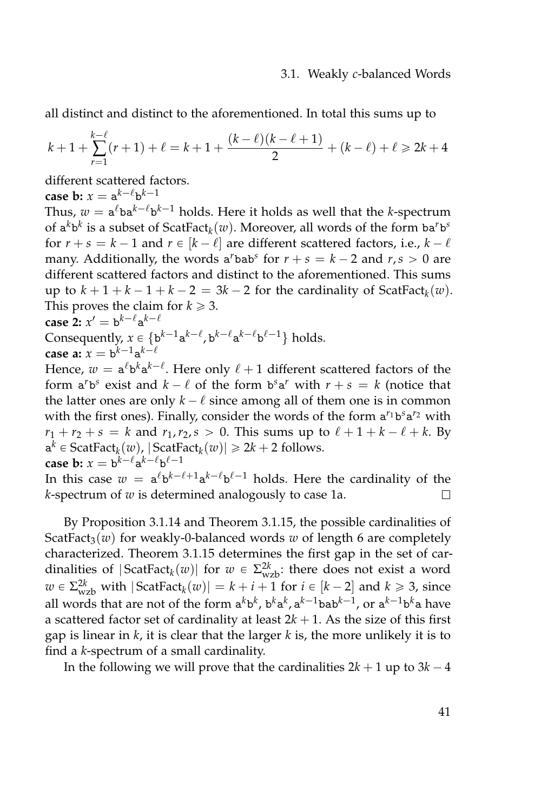all distinct and distinct to the aforementioned. In total this sums up to

$$
k+1+\sum_{r=1}^{k-\ell}(r+1)+\ell=k+1+\frac{(k-\ell)(k-\ell+1)}{2}+(k-\ell)+\ell\geq 2k+4
$$

different scattered factors.

**case b:**  $x = a^{k-\ell}b^{k-1}$ 

Thus,  $w = \mathsf{a}^\ell \mathsf{b} \mathsf{a}^{k-\ell} \mathsf{b}^{k-1}$  holds. Here it holds as well that the *k*-spectrum of  $a^k b^k$  is a subset of ScatFact $_k(w)$ . Moreover, all words of the form  $ba^r b^s$ for  $r + s = k - 1$  and  $r \in [k - \ell]$  are different scattered factors, i.e.,  $k - \ell$ many. Additionally, the words a<sup>*r*</sup>bab<sup>*s*</sup> for  $r + s = k - 2$  and  $r, s > 0$  are different scattered factors and distinct to the aforementioned. This sums up to  $k + 1 + k - 1 + k - 2 = 3k - 2$  for the cardinality of ScatFact<sub>*k*</sub>(*w*). This proves the claim for  $k \geq 3$ .

**case 2:** 
$$
x' = b^{k-\ell}a^{k-\ell}
$$
  
Consequently,  $x \in \{b^{k-1}a^{k-\ell}, b^{k-\ell}a^{k-\ell}b^{\ell-1}\}$  holds.

case a: 
$$
x = b^{k-1}a^k
$$

Hence,  $w = \mathsf{a}^\ell \mathsf{b}^k \mathsf{a}^{k-\ell}.$  Here only  $\ell+1$  different scattered factors of the form  $a^r b^s$  exist and  $k - \ell$  of the form  $b^s a^r$  with  $r + s = k$  (notice that the latter ones are only  $k - \ell$  since among all of them one is in common with the first ones). Finally, consider the words of the form  $a^{r_1}b^s a^{r_2}$  with  $r_1 + r_2 + s = k$  and  $r_1, r_2, s > 0$ . This sums up to  $\ell + 1 + k - \ell + k$ . By  $a^k \in$  ScatFact<sub>*k*</sub>(*w*), | ScatFact<sub>*k*</sub>(*w*)|  $\ge 2k + 2$  follows. case  $\mathbf{b}: x = \mathbf{b}^{k-\ell} \mathbf{a}^{k-\ell} \mathbf{b}^{\ell-1}$ 

In this case  $w = \mathsf{a}^\ell \mathsf{b}^{k-\ell+1} \mathsf{a}^{k-\ell} \mathsf{b}^{\ell-1}$  holds. Here the cardinality of the *k*-spectrum of *w* is determined analogously to case 1a.  $\Box$ 

By Proposition [3.1.14](#page-54-0) and Theorem [3.1.15,](#page-56-0) the possible cardinalities of ScatFact<sub>3</sub>(*w*) for weakly-0-balanced words *w* of length 6 are completely characterized. Theorem [3.1.15](#page-56-0) determines the first gap in the set of cardinalities of  $|\text{ScatFact}_{k}(w)|$  for  $w \in \Sigma^{2k}_{wzb}$ : there does not exist a word *w* ∈ Σ<sup>2*k*</sup><sub>*wzb*</sub> with  $|$  ScatFact<sub>*k</sub>*(*w*) $| = k + i + 1$  for *i* ∈  $[k - 2]$  and  $k ≥ 3$ , since</sub> all words that are not of the form  $a^k b^k$ ,  $b^k a^k$ ,  $a^{k-1}$ bab $^{k-1}$ , or  $a^{k-1} b^k$ a have a scattered factor set of cardinality at least  $2k + 1$ . As the size of this first gap is linear in *k*, it is clear that the larger *k* is, the more unlikely it is to find a *k*-spectrum of a small cardinality.

In the following we will prove that the cardinalities  $2k + 1$  up to  $3k - 4$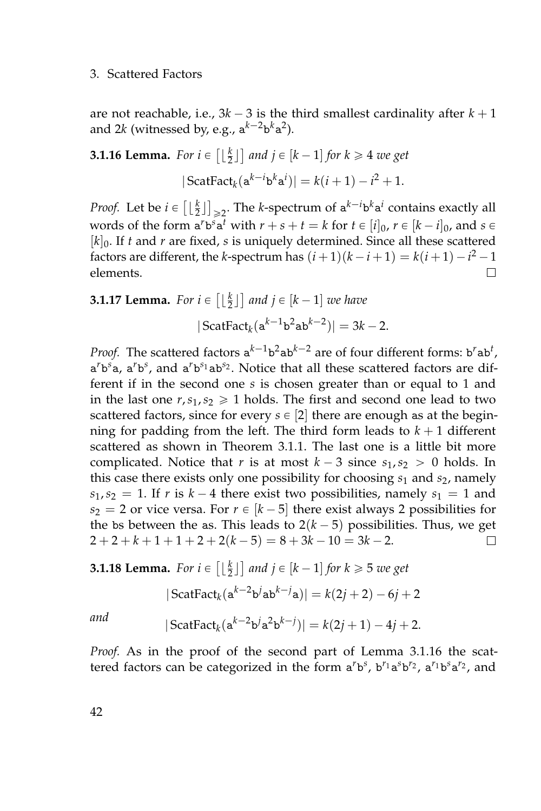are not reachable, i.e.,  $3k - 3$  is the third smallest cardinality after  $k + 1$ and 2 $k$  (witnessed by, e.g.,  $\mathtt{a}^{k-2}\mathtt{b}^k\mathtt{a}^2$ ).

<span id="page-59-0"></span>**3.1.16 Lemma.** For  $i \in \left[\lfloor \frac{k}{2} \rfloor\right]$  and  $j \in [k-1]$  for  $k \geq 4$  we get  $|\operatorname{ScatFact}_{k}(\mathbf{a}^{k-i} \mathbf{b}^{k} \mathbf{a}^{i})| = k(i+1) - i^2 + 1.$ 

*Proof.* Let be  $i \in \left[\lfloor \frac{k}{2} \rfloor \right]_{\geqslant 2}$ . The *k*-spectrum of  $a^{k-i}b^k a^i$  contains exactly all words of the form  $a^r b^s a^t$  with  $r + s + t = k$  for  $t \in [i]_0$ ,  $r \in [k - i]_0$ , and  $s \in$  $[k]_0$ . If *t* and *r* are fixed, *s* is uniquely determined. Since all these scattered factors are different, the *k*-spectrum has  $(i+1)(k-i+1) = k(i+1) - i^2 - 1$ elements.  $\Box$ 

**3.1.17 Lemma.** For 
$$
i \in \left[\lfloor \frac{k}{2} \rfloor\right]
$$
 and  $j \in [k-1]$  we have  

$$
|\operatorname{ScatFact}_{k}(\mathbf{a}^{k-1} \mathbf{b}^2 \mathbf{a} \mathbf{b}^{k-2})| = 3k - 2.
$$

*Proof.* The scattered factors  $a^{k-1}b^2ab^{k-2}$  are of four different forms:  $b^rab^t$ , a<sup>*r*</sup>b<sup>*s*</sup><sub>2</sub>, a<sup>*r*</sup>b<sup>*s*</sup>, and a<sup>*r*</sup>b<sup>*s*<sub>1</sub></sup>ab<sup>*s*<sub>2</sub>. Notice that all these scattered factors are dif-</sup> ferent if in the second one *s* is chosen greater than or equal to 1 and in the last one  $r, s_1, s_2 \geq 1$  holds. The first and second one lead to two scattered factors, since for every  $s \in [2]$  there are enough as at the beginning for padding from the left. The third form leads to  $k + 1$  different scattered as shown in Theorem [3.1.1.](#page-43-0) The last one is a little bit more complicated. Notice that *r* is at most  $k - 3$  since  $s_1, s_2 > 0$  holds. In this case there exists only one possibility for choosing *s*<sup>1</sup> and *s*2, namely  $s_1, s_2 = 1$ . If *r* is  $k - 4$  there exist two possibilities, namely  $s_1 = 1$  and  $s_2 = 2$  or vice versa. For  $r \in [k-5]$  there exist always 2 possibilities for the bs between the as. This leads to  $2(k - 5)$  possibilities. Thus, we get  $2 + 2 + k + 1 + 1 + 2 + 2(k - 5) = 8 + 3k - 10 = 3k - 2.$  $\Box$ 

**3.1.18 Lemma.** For  $i \in \left[\lfloor \frac{k}{2} \rfloor\right]$  and  $j \in [k-1]$  for  $k \geq 5$  we get

$$
|\text{ScatFact}_{k}(\mathbf{a}^{k-2}\mathbf{b}^{j}\mathbf{a}\mathbf{b}^{k-j}\mathbf{a})| = k(2j+2) - 6j + 2
$$

*and*  $|$  ScatFact<sub>k</sub> $(a^{k-2}b^j a^2 b^{k-j})|$  =  $k(2j + 1) - 4j + 2$ .

*Proof.* As in the proof of the second part of Lemma [3.1.16](#page-59-0) the scattered factors can be categorized in the form  $a^rb^s$ ,  $b^{r_1}a^sb^{r_2}$ ,  $a^{r_1}b^sa^{r_2}$ , and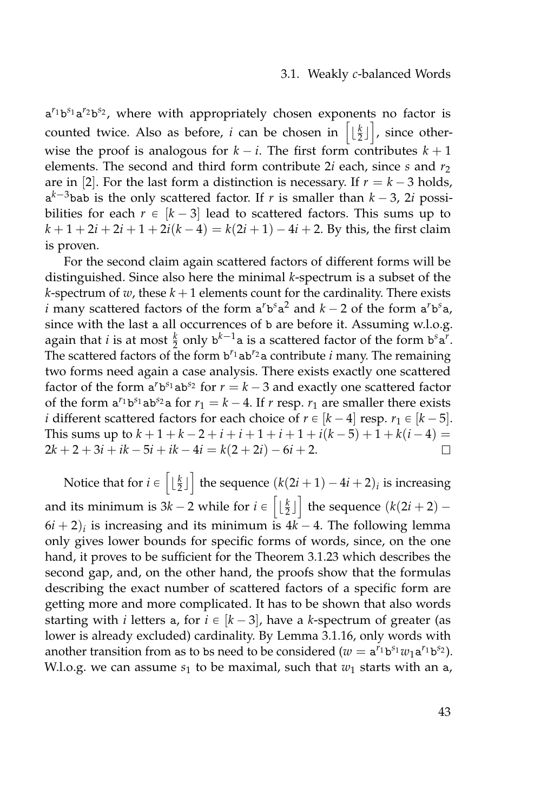#### 3.1. Weakly *c*-balanced Words

a<sup>r<sub>1b</sub>s<sub>1</sub>a<sup>r</sup>2b<sup>s2</sup>, where with appropriately chosen exponents no factor is</sup> counted twice. Also as before, *i* can be chosen in  $\left[\lfloor \frac{k}{2} \rfloor\right]$ , since otherwise the proof is analogous for  $k - i$ . The first form contributes  $k + 1$ elements. The second and third form contribute 2*i* each, since *s* and *r*<sup>2</sup> are in [2]. For the last form a distinction is necessary. If  $r = k - 3$  holds,  $a^{k-3}$ bab is the only scattered factor. If *r* is smaller than  $k-3$ , 2*i* possibilities for each  $r \in [k - 3]$  lead to scattered factors. This sums up to  $k + 1 + 2i + 2i + 1 + 2i(k-4) = k(2i + 1) - 4i + 2$ . By this, the first claim is proven.

For the second claim again scattered factors of different forms will be distinguished. Since also here the minimal *k*-spectrum is a subset of the *k*-spectrum of *w*, these  $k + 1$  elements count for the cardinality. There exists *i* many scattered factors of the form  $a^r b^s a^2$  and  $k - 2$  of the form  $a^r b^s a$ , since with the last a all occurrences of b are before it. Assuming w.l.o.g. again that *i* is at most  $\frac{k}{2}$  only  $b^{k-1}a$  is a scattered factor of the form  $b^s a^r$ . The scattered factors of the form b *<sup>r</sup>*1ab*r*2a contribute *i* many. The remaining two forms need again a case analysis. There exists exactly one scattered factor of the form  $a^r b^{s_1} ab^{s_2}$  for  $r = k - 3$  and exactly one scattered factor of the form  $a^{r_1}b^{s_1}ab^{s_2}a$  for  $r_1 = k - 4$ . If  $r$  resp.  $r_1$  are smaller there exists *i* different scattered factors for each choice of  $r \in [k-4]$  resp.  $r_1 \in [k-5]$ . This sums up to  $k + 1 + k - 2 + i + i + 1 + i + 1 + i(k - 5) + 1 + k(i - 4) =$  $2k + 2 + 3i + ik - 5i + ik - 4i = k(2 + 2i) - 6i + 2.$  $\Box$ 

Notice that for  $i \in \left[\lfloor \frac{k}{2} \rfloor\right]$  the sequence  $(k(2i + 1) - 4i + 2)_i$  is increasing and its minimum is  $3k - 2$  while for  $i \in \left[ \lfloor \frac{k}{2} \rfloor \right]$  the sequence  $(k(2i + 2) - 1)$  $6i + 2)_i$  is increasing and its minimum is  $4k - 4$ . The following lemma only gives lower bounds for specific forms of words, since, on the one hand, it proves to be sufficient for the Theorem [3.1.23](#page-63-0) which describes the second gap, and, on the other hand, the proofs show that the formulas describing the exact number of scattered factors of a specific form are getting more and more complicated. It has to be shown that also words starting with *i* letters a, for  $i \in [k - 3]$ , have a *k*-spectrum of greater (as lower is already excluded) cardinality. By Lemma [3.1.16,](#page-59-0) only words with another transition from as to bs need to be considered ( $w = a^{r_1}b^{s_1}w_1a^{r_1}b^{s_2}$ ). W.l.o.g. we can assume  $s_1$  to be maximal, such that  $w_1$  starts with an  $a_i$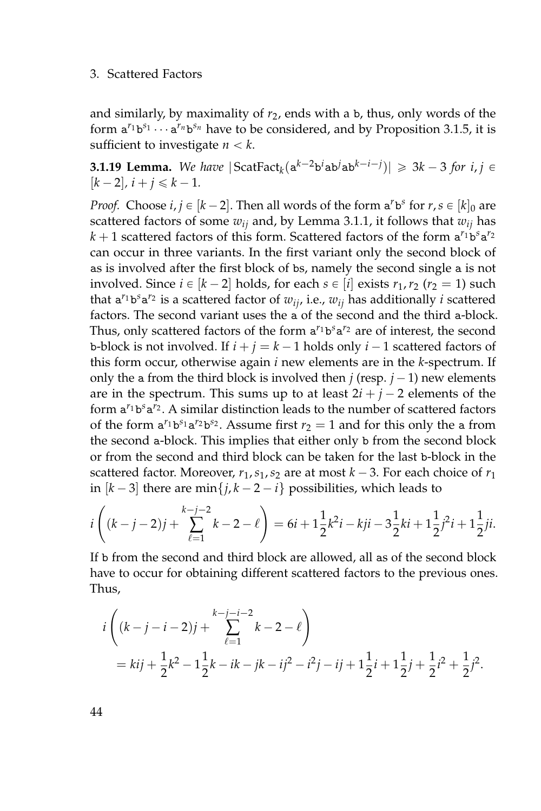and similarly, by maximality of  $r<sub>2</sub>$ , ends with a b, thus, only words of the form  $a^{r_1}b^{s_1}\cdots a^{r_n}b^{s_n}$  have to be considered, and by Proposition [3.1.5,](#page-48-0) it is sufficient to investigate  $n < k$ .

<span id="page-61-0"></span>**3.1.19 Lemma.** We have  $|\text{ScatFact}_{k}(\mathbf{a}^{k-2}\mathbf{b}^{i} \mathbf{a} \mathbf{b}^{j} \mathbf{a} \mathbf{b}^{k-i-j})| \geqslant 3k-3$  for  $i, j \in \mathbb{N}$  $[k - 2]$ ,  $i + j \leq k - 1$ .

*Proof.* Choose  $i, j \in [k-2]$ . Then all words of the form  $a^r b^s$  for  $r, s \in [k]_0$  are scattered factors of some  $w_{ij}$  and, by Lemma [3.1.1,](#page-43-0) it follows that  $w_{ij}$  has *k* + 1 scattered factors of this form. Scattered factors of the form  $a^{r_1}b^s a^{r_2}$ can occur in three variants. In the first variant only the second block of as is involved after the first block of bs, namely the second single a is not involved. Since  $i \in [k - 2]$  holds, for each  $s \in [i]$  exists  $r_1, r_2$  ( $r_2 = 1$ ) such that  $a^{r_1}b^s a^{r_2}$  is a scattered factor of  $w_{ij}$ , i.e.,  $w_{ij}$  has additionally *i* scattered factors. The second variant uses the a of the second and the third a-block. Thus, only scattered factors of the form  $a^{r_1}b^s a^{r_2}$  are of interest, the second b-block is not involved. If  $i + j = k - 1$  holds only  $i - 1$  scattered factors of this form occur, otherwise again *i* new elements are in the *k*-spectrum. If only the a from the third block is involved then  $j$  (resp.  $j - 1$ ) new elements are in the spectrum. This sums up to at least  $2i + j - 2$  elements of the form  $a^{r_1}b^s a^{r_2}$ . A similar distinction leads to the number of scattered factors of the form  $a^{r_1}b^{s_1}a^{r_2}b^{s_2}$ . Assume first  $r_2 = 1$  and for this only the a from the second a-block. This implies that either only b from the second block or from the second and third block can be taken for the last b-block in the scattered factor. Moreover,  $r_1$ ,  $s_1$ ,  $s_2$  are at most  $k - 3$ . For each choice of  $r_1$ in  $[k - 3]$  there are min $\{j, k - 2 - i\}$  possibilities, which leads to

$$
i\left((k-j-2)j+\sum_{\ell=1}^{k-j-2}k-2-\ell\right)=6i+1\frac{1}{2}k^2i-kji-3\frac{1}{2}ki+1\frac{1}{2}j^2i+1\frac{1}{2}ji.
$$

If b from the second and third block are allowed, all as of the second block have to occur for obtaining different scattered factors to the previous ones. Thus,

$$
i\left((k-j-i-2)j+\sum_{\ell=1}^{k-j-i-2}k-2-\ell\right)
$$
  
=  $kij+\frac{1}{2}k^2-1\frac{1}{2}k-ik-jk-ij^2-i^2j-ij+1\frac{1}{2}i+1\frac{1}{2}j+\frac{1}{2}i^2+\frac{1}{2}j^2.$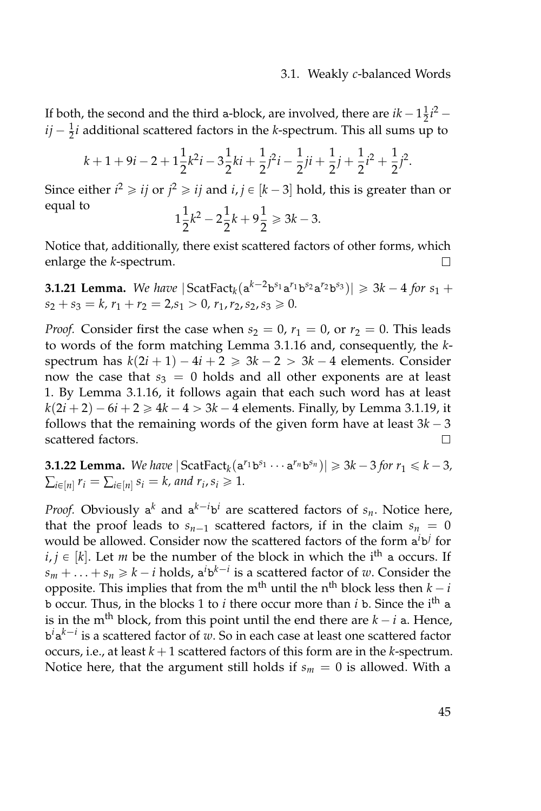If both, the second and the third a-block, are involved, there are  $ik - 1\frac{1}{2}i^2$  –  $ij - \frac{1}{2}i$  additional scattered factors in the *k*-spectrum. This all sums up to

$$
k+1+9i-2+1\frac{1}{2}k^2i-3\frac{1}{2}ki+\frac{1}{2}j^2i-\frac{1}{2}ji+\frac{1}{2}j+\frac{1}{2}i^2+\frac{1}{2}j^2.
$$

Since either  $i^2 \geqslant ij$  or  $j^2 \geqslant ij$  and  $i, j \in [k-3]$  hold, this is greater than or equal to 1 1 1

$$
1\frac{1}{2}k^2 - 2\frac{1}{2}k + 9\frac{1}{2} \ge 3k - 3.
$$

Notice that, additionally, there exist scattered factors of other forms, which enlarge the *k*-spectrum.  $\Box$ 

**3.1.21 Lemma.** We have  $|\text{ScatFact}_{k}(\mathbf{a}^{k-2}\mathbf{b}^{s_1}\mathbf{a}^{r_1}\mathbf{b}^{s_2}\mathbf{a}^{r_2}\mathbf{b}^{s_3})| \geq 3k - 4$  for  $s_1 +$  $s_2 + s_3 = k$ ,  $r_1 + r_2 = 2$ ,  $s_1 > 0$ ,  $r_1$ ,  $r_2$ ,  $s_2$ ,  $s_3 \ge 0$ .

*Proof.* Consider first the case when  $s_2 = 0$ ,  $r_1 = 0$ , or  $r_2 = 0$ . This leads to words of the form matching Lemma [3.1.16](#page-59-0) and, consequently, the *k*spectrum has  $k(2i + 1) - 4i + 2 \ge 3k - 2 > 3k - 4$  elements. Consider now the case that  $s_3 = 0$  holds and all other exponents are at least 1. By Lemma [3.1.16,](#page-59-0) it follows again that each such word has at least  $k(2i + 2) - 6i + 2 \ge 4k - 4 > 3k - 4$  elements. Finally, by Lemma [3.1.19,](#page-61-0) it follows that the remaining words of the given form have at least  $3k - 3$ scattered factors.  $\Box$ 

**3.1.22 Lemma.** We have  $|\text{ScatFact}_{k}(\mathbf{a}^{r_1} \mathbf{b}^{s_1} \cdots \mathbf{a}^{r_n} \mathbf{b}^{s_n})| \geq 3k - 3$  for  $r_1 \leq k - 3$ ,  $\sum_{i \in [n]} r_i = \sum_{i \in [n]} s_i = k$ , and  $r_i$ ,  $s_i \geq 1$ .

*Proof.* Obviously  $a^k$  and  $a^{k-i}b^i$  are scattered factors of  $s_n$ . Notice here, that the proof leads to  $s_{n-1}$  scattered factors, if in the claim  $s_n = 0$ would be allowed. Consider now the scattered factors of the form  $a^i b^j$  for  $i, j \in [k]$ . Let *m* be the number of the block in which the i<sup>th</sup> a occurs. If  $s_m + \ldots + s_n \geq k - i$  holds,  $a^i b^{k-i}$  is a scattered factor of *w*. Consider the opposite. This implies that from the m<sup>th</sup> until the n<sup>th</sup> block less then  $k - i$ b occur. Thus, in the blocks 1 to *i* there occur more than *i* b. Since the ith a is in the m<sup>th</sup> block, from this point until the end there are  $k - i$  a. Hence, b *i*a *k*´*i* is a scattered factor of *w*. So in each case at least one scattered factor occurs, i.e., at least  $k + 1$  scattered factors of this form are in the  $k$ -spectrum. Notice here, that the argument still holds if  $s_m = 0$  is allowed. With a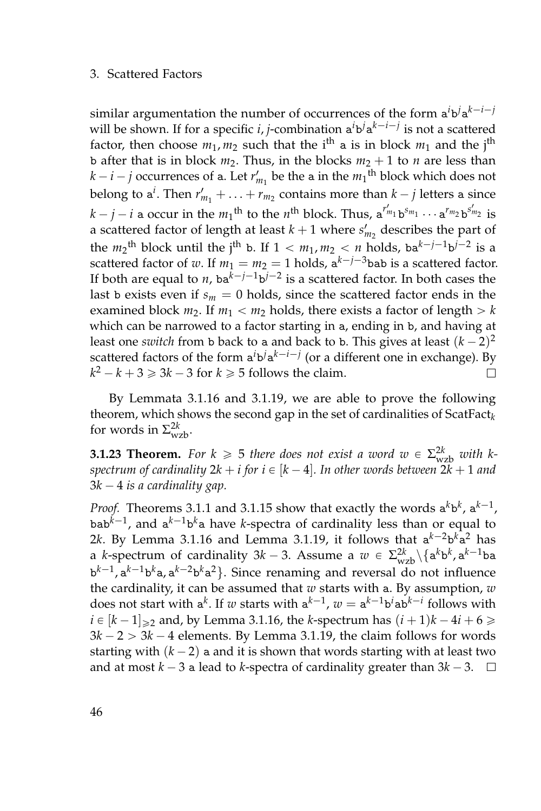similar argumentation the number of occurrences of the form  $a^i b^j a^{k-i-j}$ will be shown. If for a specific *i*, *j*-combination  $a^i b^j a^{k-i-j}$  is not a scattered factor, then choose  $m_1$ ,  $m_2$  such that the i<sup>th</sup> a is in block  $m_1$  and the j<sup>th</sup> b after that is in block  $m_2$ . Thus, in the blocks  $m_2 + 1$  to *n* are less than  $k - i - j$  occurrences of a. Let  $r'_{m_1}$  be the a in the  $m_1$ <sup>th</sup> block which does not belong to  $a^i$ . Then  $r'_{m_1} + \ldots + r_{m_2}$  contains more than  $k - j$  letters a since  $k - j - i$  a occur in the  $m_1$ <sup>th</sup> to the  $n$ <sup>th</sup> block. Thus, a<sup>*r'm*</sup>1 b<sup>*sm*</sup>1 · · · a<sup>*r*</sup>*m*<sub>2</sub> b<sup>*s'm*</sup><sub>2</sub> is a scattered factor of length at least  $k + 1$  where  $s'_{m_2}$  describes the part of the  $m_2$ <sup>th</sup> block until the j<sup>th</sup> b. If  $1 < m_1, m_2 < n$  holds, ba<sup>k-j-1</sup>b<sup>j-2</sup> is a scattered factor of *w*. If  $m_1 = m_2 = 1$  holds,  $a^{k-j-3}$ bab is a scattered factor. If both are equal to  $n$ , ba $^{k-j-1}$ b $^{j-2}$  is a scattered factor. In both cases the last b exists even if  $s_m = 0$  holds, since the scattered factor ends in the examined block  $m_2$ . If  $m_1 < m_2$  holds, there exists a factor of length  $> k$ which can be narrowed to a factor starting in a, ending in b, and having at least one *switch* from b back to a and back to b. This gives at least  $(k-2)^2$ scattered factors of the form  $a^i b^j a^{k-i-j}$  (or a different one in exchange). By  $k^2 - k + 3 \ge 3k - 3$  for  $k \ge 5$  follows the claim.  $\Box$ 

By Lemmata [3.1.16](#page-59-0) and [3.1.19,](#page-61-0) we are able to prove the following theorem, which shows the second gap in the set of cardinalities of ScatFact*<sup>k</sup>* for words in  $\Sigma^{2k}_{\rm wzb}$ .

<span id="page-63-0"></span>**3.1.23 Theorem.** For  $k \ge 5$  there does not exist a word  $w \in \Sigma_{\text{wzb}}^{2k}$  with k*spectrum of cardinality*  $2k + i$  *for*  $i \in [k - 4]$ *. In other words between*  $2k + 1$  *and*  $3k - 4$  *is a cardinality gap.* 

*Proof.* Theorems [3.1.1](#page-43-0) and [3.1.15](#page-56-0) show that exactly the words  $a^k b^k$ ,  $a^{k-1}$ , bab<sup>k–1</sup>, and a<sup>k–1</sup>b<sup>k</sup>a have *k-*spectra of cardinality less than or equal to 2 $k$ . By Lemma [3.1.16](#page-59-0) and Lemma [3.1.19,](#page-61-0) it follows that  $a^{k-2}b^ka^2$  has a *k*-spectrum of cardinality  $3k - 3$ . Assume a  $w \in \Sigma_{wzb}^{2k} \setminus \{a^k b^k, a^{k-1}ba\}$ b<sup>k-1</sup>, a<sup>k-1</sup>b<sup>k</sup>a, a<sup>k-2</sup>b<sup>k</sup>a<sup>2</sup>}. Since renaming and reversal do not influence the cardinality, it can be assumed that *w* starts with a. By assumption, *w* does not start with  $a^k$ . If *w* starts with  $a^{k-1}$ ,  $w = a^{k-1}b^i$  ab $^{k-i}$  follows with  $i \in [k-1]_{\geq 2}$  and, by Lemma [3.1.16,](#page-59-0) the *k*-spectrum has  $(i+1)k - 4i + 6 \geq 4$  $3k - 2 > 3k - 4$  elements. By Lemma [3.1.19,](#page-61-0) the claim follows for words starting with  $(k - 2)$  a and it is shown that words starting with at least two and at most  $k - 3$  a lead to *k*-spectra of cardinality greater than  $3k - 3$ .  $\Box$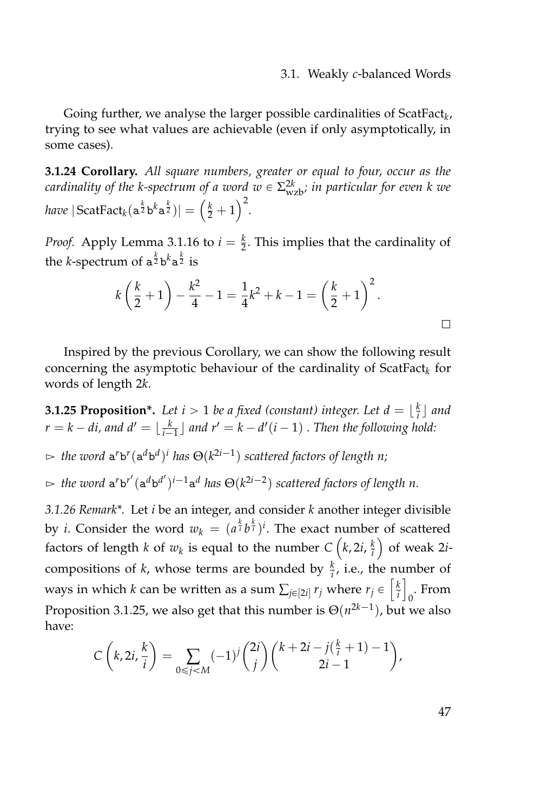Going further, we analyse the larger possible cardinalities of ScatFact*<sup>k</sup>* , trying to see what values are achievable (even if only asymptotically, in some cases).

<span id="page-64-1"></span>**3.1.24 Corollary.** *All square numbers, greater or equal to four, occur as the cardinality of the k-spectrum of a word*  $w \in \Sigma_{\mathrm{wzb}}^{2k}$ *; in particular for even k we have*  $|\operatorname{ScatFact}_k(\mathbf{a}^{\frac{k}{2}} \mathbf{b}^k \mathbf{a}^{\frac{k}{2}})| = \left(\frac{k}{2} + 1\right)^2$ .

*Proof.* Apply Lemma [3.1.16](#page-59-0) to  $i = \frac{k}{2}$ . This implies that the cardinality of the *k*-spectrum of  $a^{\frac{k}{2}}b^k a^{\frac{k}{2}}$  is

$$
k\left(\frac{k}{2}+1\right) - \frac{k^2}{4} - 1 = \frac{1}{4}k^2 + k - 1 = \left(\frac{k}{2}+1\right)^2.
$$

Inspired by the previous Corollary, we can show the following result concerning the asymptotic behaviour of the cardinality of  $\mathsf{ScatFact}_{k}$  for words of length 2*k*.

<span id="page-64-0"></span>**3.1.25 Proposition\*.** Let  $i > 1$  be a fixed (constant) integer. Let  $d = \lfloor \frac{k}{i} \rfloor$  and  $r = k - di$ , and  $d' = \lfloor \frac{k}{i-1} \rfloor$  and  $r' = k - d'(i-1)$  . Then the following hold:

 $\Rightarrow$  the word  $\mathsf{a}^r\mathsf{b}^r(\mathsf{a}^d\mathsf{b}^d)^i$  has  $\Theta(k^{2i-1})$  scattered factors of length n;  $\Rightarrow$  the word  $a^r b^{r'} (a^d b^{d'})^{i-1} a^d$  has  $\Theta(k^{2i-2})$  scattered factors of length n.

*3.1.26 Remark\*.* Let *i* be an integer, and consider *k* another integer divisible by *i*. Consider the word  $w_k = (a^{\frac{k}{i}}b^{\frac{k}{i}})^i$ . The exact number of scattered factors of length *k* of  $w_k$  is equal to the number  $C\left(k, 2i, \frac{k}{i}\right)$  of weak 2*i*compositions of *k*, whose terms are bounded by  $\frac{k}{i}$ , i.e., the number of ways in which *k* can be written as a sum  $\sum_{j\in[2i]} r_j$  where  $r_j \in \left[\frac{k}{i}\right]$ 0 . From Proposition [3.1.25,](#page-64-0) we also get that this number is  $\Theta(n^{2k-1})$ , but we also have:

$$
C\left(k, 2i, \frac{k}{i}\right) = \sum_{0 \le j < M} (-1)^j \binom{2i}{j} \binom{k + 2i - j\left(\frac{k}{i} + 1\right) - 1}{2i - 1},
$$

47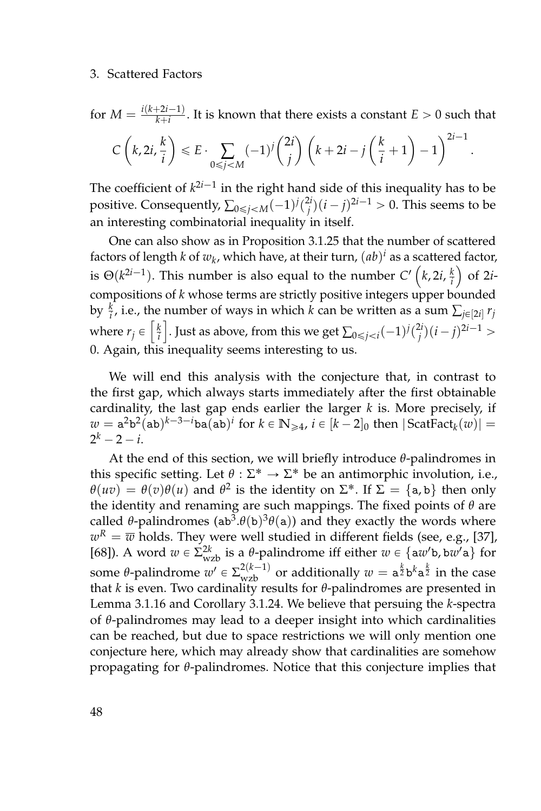for  $M = \frac{i(k+2i-1)}{k+i}$  $\frac{f^{2i-1}}{k+i}$ . It is known that there exists a constant  $E > 0$  such that  $C\left(k, 2i, \frac{k}{i}\right)$ *i*  $\left(\begin{array}{c}\nE \cdot \sum_{0 \leq j < M\n\end{array}\right)$  $(-1)^{j} \binom{2i}{j}$  $\binom{2i}{j}$   $\left(k+2i-j\right)\left(\frac{k}{i}\right)$  $\left(\frac{k}{i}+1\right)-1\right)^{2i-1}.$ 

The coefficient of  $k^{2i-1}$  in the right hand side of this inequality has to be positive. Consequently,  $\sum_{0 \leq j < M} (-1)^j \binom{2i}{j} (i-j)^{2i-1} > 0$ . This seems to be an interesting combinatorial inequality in itself.

One can also show as in Proposition [3.1.25](#page-64-0) that the number of scattered factors of length  $k$  of  $w_k$ , which have, at their turn,  $(ab)^i$  as a scattered factor, is  $\Theta(k^{2i-1})$ . This number is also equal to the number  $C'\left(k, 2i, \frac{k}{i}\right)$  of 2*i*compositions of *k* whose terms are strictly positive integers upper bounded by  $\frac{k}{i}$ , i.e., the number of ways in which *k* can be written as a sum  $\sum_{j \in [2i]} r_j$ where  $r_j \in \left[\frac{k}{i}\right]$ . Just as above, from this we get  $\sum_{0 \leq j < i} (-1)^j \binom{2i}{j} (i-j)^{2i-1} > 0$ 0. Again, this inequality seems interesting to us.

We will end this analysis with the conjecture that, in contrast to the first gap, which always starts immediately after the first obtainable cardinality, the last gap ends earlier the larger *k* is. More precisely, if  $w = \mathtt{a}^2\mathtt{b}^2(\mathtt{ab})^{k-3-i}\mathtt{ba}(\mathtt{ab})^i$  for  $k \in \mathbb{N}_{\geqslant 4}$ ,  $i \in [k-2]_0$  then  $|\operatorname{ScatFact}_k(w)| =$  $2^k - 2 - i$ .

At the end of this section, we will briefly introduce *θ*-palindromes in this specific setting. Let  $\theta : \Sigma^* \to \Sigma^*$  be an antimorphic involution, i.e., *θ*(*uv*) = *θ*(*v*)*θ*(*u*) and *θ*<sup>2</sup> is the identity on  $\Sigma^*$ . If  $\Sigma = \{a, b\}$  then only the identity and renaming are such mappings. The fixed points of *θ* are called  $\theta$ -palindromes (ab<sup>3</sup>. $\theta$ (b)<sup>3</sup> $\theta$ (a)) and they exactly the words where  $w^R = \overline{w}$  holds. They were well studied in different fields (see, e.g., [\[37\]](#page-161-1), [\[68\]](#page-164-0)). A word  $w \in \Sigma^{2k}_{wzb}$  is a *θ*-palindrome iff either  $w \in \{aw'b, bw'a\}$  for some *θ*-palindrome  $w' \in \sum_{wzb}^{2(k-1)}$  or additionally  $w = a^{\frac{k}{2}}b^k a^{\frac{k}{2}}$  in the case that *k* is even. Two cardinality results for *θ*-palindromes are presented in Lemma [3.1.16](#page-59-0) and Corollary [3.1.24.](#page-64-1) We believe that persuing the *k*-spectra of *θ*-palindromes may lead to a deeper insight into which cardinalities can be reached, but due to space restrictions we will only mention one conjecture here, which may already show that cardinalities are somehow propagating for *θ*-palindromes. Notice that this conjecture implies that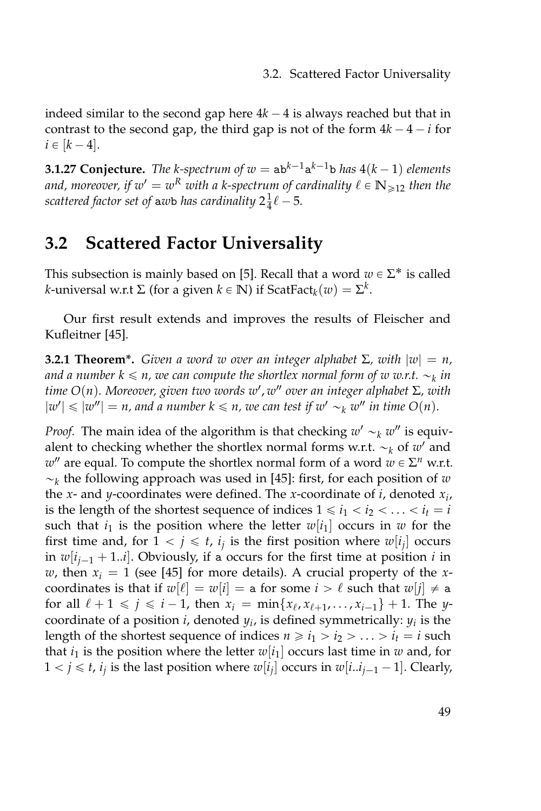indeed similar to the second gap here  $4k - 4$  is always reached but that in contrast to the second gap, the third gap is not of the form  $4k - 4 - i$  for  $i \in [k - 4]$ .

**3.1.27 Conjecture.** The k-spectrum of  $w = ab^{k-1}a^{k-1}b$  has  $4(k-1)$  elements and, moreover, if  $w' = w^R$  with a k-spectrum of cardinality  $\ell \in \mathbb{N}_{\geqslant 12}$  then the scattered factor set of  $\overline{\text{a}}$ *w*b has cardinality  $2\frac{1}{4}\ell - 5$ .

# <span id="page-66-0"></span>**3.2 Scattered Factor Universality**

This subsection is mainly based on [\[5\]](#page-158-0). Recall that a word  $w \in \Sigma^*$  is called *k*-universal w.r.t Σ (for a given  $k \in \mathbb{N}$ ) if ScatFact $_k(w) = \Sigma^k$ .

Our first result extends and improves the results of Fleischer and Kufleitner [\[45\]](#page-162-1).

<span id="page-66-1"></span>**3.2.1 Theorem<sup>\*</sup>.** *Given a word w over an integer alphabet*  $\Sigma$ *, with*  $|w| = n$ *,* and a number  $k \leqslant n$ , we can compute the shortlex normal form of  $w$   $w.r.t. \sim_k in$ *time O*(*n*)*. Moreover, given two words w* 1 , *w* 2 *over an integer alphabet* Σ*, with*  $|w'| \leq |w''| = n$ , and a number  $k \leq n$ , we can test if  $w' \sim_k w''$  in time  $O(n)$ .

*Proof.* The main idea of the algorithm is that checking  $w' \sim_k w''$  is equivalent to checking whether the shortlex normal forms w.r.t.  $\sim_k$  of  $w'$  and  $w''$  are equal. To compute the shortlex normal form of a word  $w \in \Sigma^n$  w.r.t.  $\sim_k$  the following approach was used in [\[45\]](#page-162-1): first, for each position of *w* the *x*- and *y*-coordinates were defined. The *x*-coordinate of *i*, denoted *x<sup>i</sup>* , is the length of the shortest sequence of indices  $1 \le i_1 < i_2 < \ldots < i_t = i$ such that  $i_1$  is the position where the letter  $w[i_1]$  occurs in  $w$  for the first time and, for  $1 < j \leq t$ ,  $i_j$  is the first position where  $w[i_j]$  occurs in  $w[i_{i-1} + 1..i]$ . Obviously, if a occurs for the first time at position *i* in *w*, then  $x_i = 1$  (see [\[45\]](#page-162-1) for more details). A crucial property of the *x*coordinates is that if  $w[\ell] = w[i] = a$  for some  $i > \ell$  such that  $w[j] \neq a$ for all  $\ell + 1 \leq j \leq i - 1$ , then  $x_i = \min\{x_\ell, x_{\ell+1}, \ldots, x_{i-1}\} + 1$ . The *y*coordinate of a position *i*, denoted *y<sup>i</sup>* , is defined symmetrically: *y<sup>i</sup>* is the length of the shortest sequence of indices  $n \ge i_1 > i_2 > \ldots > i_t = i$  such that  $i_1$  is the position where the letter  $w[i_1]$  occurs last time in  $w$  and, for  $1 < j \leq t$ ,  $i_j$  is the last position where  $w[i_j]$  occurs in  $w[i..i_{j-1}-1]$ . Clearly,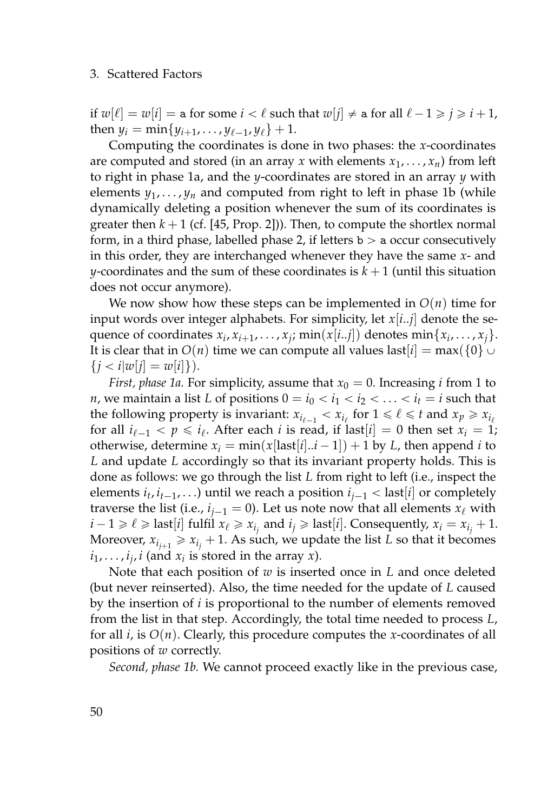if  $w[\ell] = w[i] =$  a for some  $i < \ell$  such that  $w[j] \neq$  a for all  $\ell - 1 \geq j \geq i + 1$ , then  $y_i = \min\{y_{i+1}, \ldots, y_{\ell-1}, y_{\ell}\} + 1.$ 

Computing the coordinates is done in two phases: the *x*-coordinates are computed and stored (in an array *x* with elements  $x_1, \ldots, x_n$ ) from left to right in phase 1a, and the *y*-coordinates are stored in an array *y* with elements  $y_1, \ldots, y_n$  and computed from right to left in phase 1b (while dynamically deleting a position whenever the sum of its coordinates is greater then  $k + 1$  (cf. [\[45,](#page-162-1) Prop. 2])). Then, to compute the shortlex normal form, in a third phase, labelled phase 2, if letters  $b > a$  occur consecutively in this order, they are interchanged whenever they have the same *x*- and *y*-coordinates and the sum of these coordinates is  $k + 1$  (until this situation does not occur anymore).

We now show how these steps can be implemented in  $O(n)$  time for input words over integer alphabets. For simplicity, let *x*[*i*..*j*] denote the sequence of coordinates  $x_i, x_{i+1}, \ldots, x_j$ ;  $\min(x[i..j])$  denotes  $\min\{x_i, \ldots, x_j\}$ . It is clear that in  $O(n)$  time we can compute all values last  $[i] = \max({0} \cup \{0\})$  $\{j < i |w[j] = w[i]\}.$ 

*First, phase 1a.* For simplicity, assume that  $x_0 = 0$ . Increasing *i* from 1 to *n*, we maintain a list *L* of positions  $0 = i_0 < i_1 < i_2 < \ldots < i_t = i$  such that the following property is invariant:  $x_{i_{\ell-1}} < x_{i_{\ell}}$  for  $1 \leq \ell \leq t$  and  $x_p \geq x_{i_{\ell}}$ for all  $i_{\ell-1} < p \leq i_{\ell}$ . After each *i* is read, if last $[i] = 0$  then set  $x_i = 1$ ; otherwise, determine  $x_i = \min(x[\text{last}[i..i-1]) + 1 \text{ by } L$ , then append *i* to *L* and update *L* accordingly so that its invariant property holds. This is done as follows: we go through the list *L* from right to left (i.e., inspect the elements  $i_t$ ,  $i_{t-1}$ , . . .) until we reach a position  $i_{j-1}$  < last[*i*] or completely traverse the list (i.e.,  $i_{j-1} = 0$ ). Let us note now that all elements  $x_\ell$  with  $i - 1 \ge \ell \ge \text{last}[i]$  fulfil  $x_{\ell} \ge x_{i_j}$  and  $i_j \ge \text{last}[i]$ . Consequently,  $x_i = x_{i_j} + 1$ . Moreover,  $x_{i_{j+1}} \geq x_{i_j} + 1$ . As such, we update the list *L* so that it becomes  $i_1, \ldots, i_j$ , *i* (and  $x_i$  is stored in the array *x*).

Note that each position of *w* is inserted once in *L* and once deleted (but never reinserted). Also, the time needed for the update of *L* caused by the insertion of *i* is proportional to the number of elements removed from the list in that step. Accordingly, the total time needed to process *L*, for all *i*, is *O*(*n*). Clearly, this procedure computes the *x*-coordinates of all positions of *w* correctly.

*Second, phase 1b.* We cannot proceed exactly like in the previous case,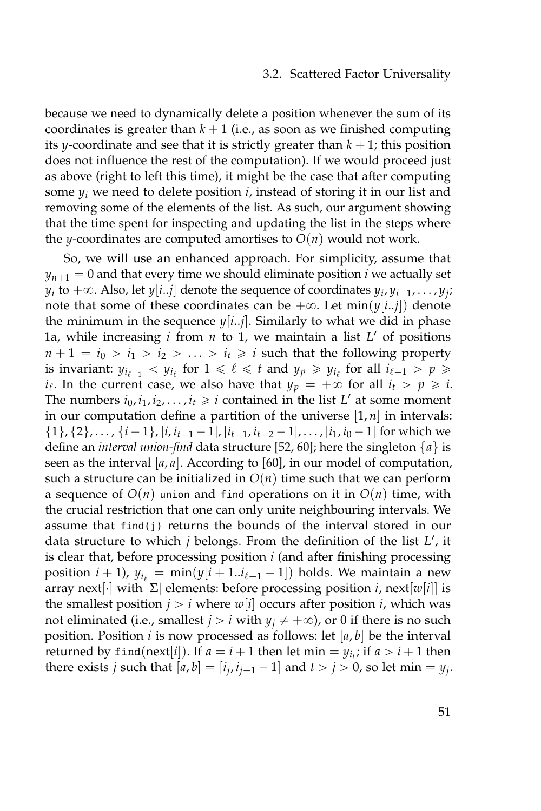#### 3.2. Scattered Factor Universality

because we need to dynamically delete a position whenever the sum of its coordinates is greater than  $k + 1$  (i.e., as soon as we finished computing its *y*-coordinate and see that it is strictly greater than  $k + 1$ ; this position does not influence the rest of the computation). If we would proceed just as above (right to left this time), it might be the case that after computing some  $y_i$  we need to delete position  $i$ , instead of storing it in our list and removing some of the elements of the list. As such, our argument showing that the time spent for inspecting and updating the list in the steps where the *y*-coordinates are computed amortises to  $O(n)$  would not work.

So, we will use an enhanced approach. For simplicity, assume that  $y_{n+1} = 0$  and that every time we should eliminate position *i* we actually set  $y_i$  to  $+\infty$ . Also, let  $y[i..j]$  denote the sequence of coordinates  $y_i, y_{i+1}, \ldots, y_j;$ note that some of these coordinates can be  $+\infty$ . Let min( $y[i..j]$ ) denote the minimum in the sequence  $y[i..j]$ . Similarly to what we did in phase 1a, while increasing *i* from *n* to 1, we maintain a list *L* <sup>1</sup> of positions  $n + 1 = i_0 > i_1 > i_2 > \ldots > i_t \ge i$  such that the following property is invariant:  $y_{i_{\ell-1}} < y_{i_{\ell}}$  for  $1 \leq \ell \leq t$  and  $y_p \geq y_{i_{\ell}}$  for all  $i_{\ell-1} > p \geq t$  $i_{\ell}$ . In the current case, we also have that  $y_p = +\infty$  for all  $i_t > p \geq i$ . The numbers  $i_0$ ,  $i_1$ ,  $i_2$ , . . . ,  $i_t \geq i$  contained in the list  $L'$  at some moment in our computation define a partition of the universe  $[1, n]$  in intervals:  $\{1\}$ ,  $\{2\}$ , ...,  $\{i-1\}$ ,  $[i, i_{t-1}-1]$ ,  $[i_{t-1}, i_{t-2}-1]$ , ...,  $[i_1, i_0-1]$  for which we define an *interval union-find* data structure [\[52,](#page-162-2) [60\]](#page-163-0); here the singleton {*a*} is seen as the interval  $[a, a]$ . According to [\[60\]](#page-163-0), in our model of computation, such a structure can be initialized in  $O(n)$  time such that we can perform a sequence of  $O(n)$  union and find operations on it in  $O(n)$  time, with the crucial restriction that one can only unite neighbouring intervals. We assume that find(j) returns the bounds of the interval stored in our data structure to which *j* belongs. From the definition of the list *L'*, it is clear that, before processing position *i* (and after finishing processing position  $i + 1$ ),  $y_{i} = \min(y[i + 1..i_{\ell-1} - 1])$  holds. We maintain a new array next[¨] with |Σ| elements: before processing position *i*, next[*w*[*i*]] is the smallest position  $j > i$  where  $w[i]$  occurs after position *i*, which was not eliminated (i.e., smallest  $j > i$  with  $y_j \neq +\infty$ ), or 0 if there is no such position. Position *i* is now processed as follows: let [*a*, *b*] be the interval returned by  $\text{find}(\text{next}[i])$ . If  $a = i + 1$  then let  $\min = y_{i_t}$ ; if  $a > i + 1$  then there exists *j* such that  $[a, b] = [i_j, i_{j-1} - 1]$  and  $t > j > 0$ , so let min =  $y_j$ .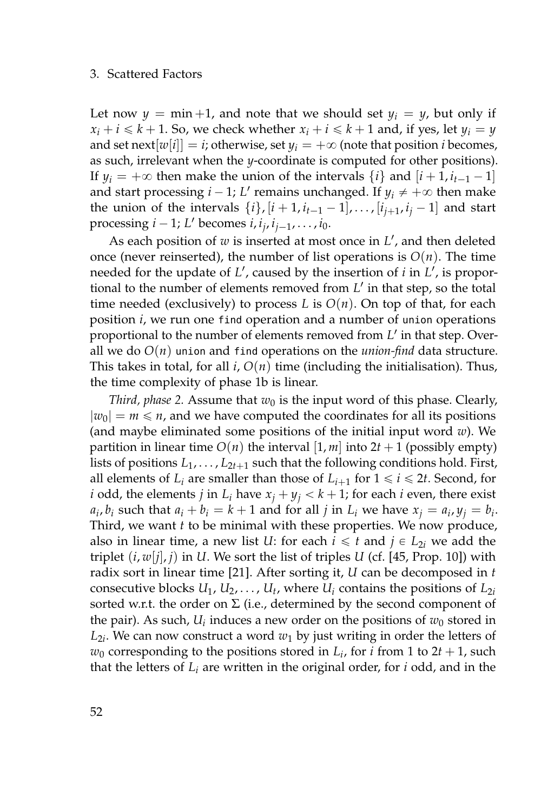Let now  $y = min +1$ , and note that we should set  $y_i = y$ , but only if  $x_i + i \leq k + 1$ . So, we check whether  $x_i + i \leq k + 1$  and, if yes, let  $y_i = y$ and set next $[w[i]] = i$ ; otherwise, set  $y_i = +\infty$  (note that position *i* becomes, as such, irrelevant when the *y*-coordinate is computed for other positions). If  $y_i = +\infty$  then make the union of the intervals  $\{i\}$  and  $[i+1, i_{t-1}-1]$ and start processing  $i - 1$ ;  $L'$  remains unchanged. If  $y_i \neq +\infty$  then make the union of the intervals  $\{i\}$ ,  $[i + 1, i_{t-1} - 1]$ , ...,  $[i_{j+1}, i_j - 1]$  and start processing  $i - 1$ ; *L'* becomes  $i, i_j, i_{j-1}, \ldots, i_0$ .

As each position of *w* is inserted at most once in *L* 1 , and then deleted once (never reinserted), the number of list operations is  $O(n)$ . The time needed for the update of L', caused by the insertion of *i* in L', is proportional to the number of elements removed from L' in that step, so the total time needed (exclusively) to process  $L$  is  $O(n)$ . On top of that, for each position *i*, we run one find operation and a number of union operations proportional to the number of elements removed from L' in that step. Overall we do  $O(n)$  union and find operations on the *union-find* data structure. This takes in total, for all  $i$ ,  $O(n)$  time (including the initialisation). Thus, the time complexity of phase 1b is linear.

*Third, phase 2.* Assume that  $w_0$  is the input word of this phase. Clearly,  $|w_0| = m \le n$ , and we have computed the coordinates for all its positions (and maybe eliminated some positions of the initial input word *w*). We partition in linear time  $O(n)$  the interval  $[1, m]$  into  $2t + 1$  (possibly empty) lists of positions  $L_1, \ldots, L_{2t+1}$  such that the following conditions hold. First, all elements of  $L_i$  are smaller than those of  $L_{i+1}$  for  $1 \leq i \leq 2t$ . Second, for *i* odd, the elements *j* in  $L_i$  have  $x_j + y_j < k + 1$ ; for each *i* even, there exist  $a_i$ ,  $b_i$  such that  $a_i + b_i = k + 1$  and for all *j* in  $L_i$  we have  $x_j = a_i$ ,  $y_j = b_i$ . Third, we want *t* to be minimal with these properties. We now produce, also in linear time, a new list *U*: for each  $i \leq t$  and  $j \in L_{2i}$  we add the triplet  $(i, w[j], j)$  in *U*. We sort the list of triples *U* (cf. [\[45,](#page-162-1) Prop. 10]) with radix sort in linear time [\[21\]](#page-160-1). After sorting it, *U* can be decomposed in *t* consecutive blocks  $U_1, U_2, \ldots, U_t$ , where  $U_i$  contains the positions of  $L_{2i}$ sorted w.r.t. the order on  $\Sigma$  (i.e., determined by the second component of the pair). As such,  $U_i$  induces a new order on the positions of  $w_0$  stored in  $L_{2i}.$  We can now construct a word  $w_1$  by just writing in order the letters of  $w_0$  corresponding to the positions stored in  $L_i$ , for *i* from 1 to 2*t* + 1, such that the letters of *L<sup>i</sup>* are written in the original order, for *i* odd, and in the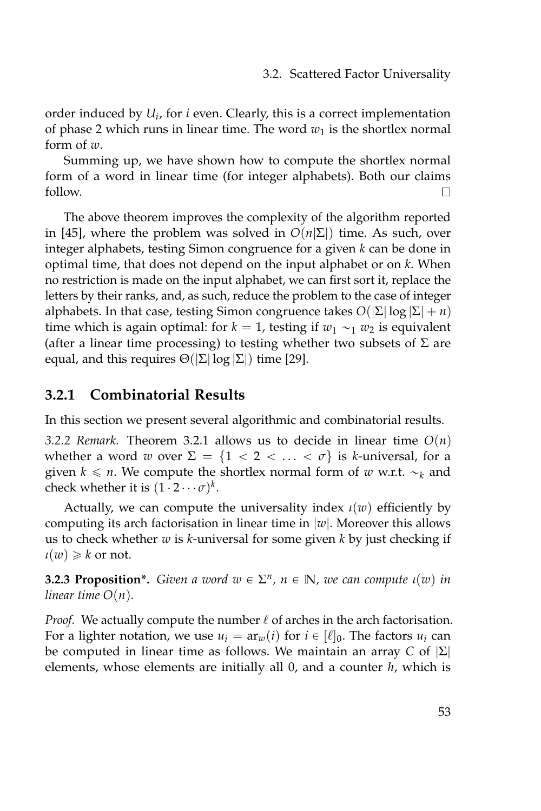order induced by *U<sup>i</sup>* , for *i* even. Clearly, this is a correct implementation of phase 2 which runs in linear time. The word  $w_1$  is the shortlex normal form of *w*.

Summing up, we have shown how to compute the shortlex normal form of a word in linear time (for integer alphabets). Both our claims  $\Box$ follow.

The above theorem improves the complexity of the algorithm reported in [\[45\]](#page-162-1), where the problem was solved in  $O(n|\Sigma|)$  time. As such, over integer alphabets, testing Simon congruence for a given *k* can be done in optimal time, that does not depend on the input alphabet or on *k*. When no restriction is made on the input alphabet, we can first sort it, replace the letters by their ranks, and, as such, reduce the problem to the case of integer alphabets. In that case, testing Simon congruence takes  $O(|\Sigma| \log |\Sigma| + n)$ time which is again optimal: for  $k = 1$ , testing if  $w_1 \sim_1 w_2$  is equivalent (after a linear time processing) to testing whether two subsets of  $\Sigma$  are equal, and this requires  $\Theta(|\Sigma| \log |\Sigma|)$  time [\[29\]](#page-160-2).

# **3.2.1 Combinatorial Results**

In this section we present several algorithmic and combinatorial results.

*3.2.2 Remark.* Theorem [3.2.1](#page-66-1) allows us to decide in linear time *O*(*n*) whether a word *w* over  $\Sigma = \{1 < 2 < \ldots < \sigma\}$  is *k*-universal, for a given  $k \leq n$ . We compute the shortlex normal form of *w* w.r.t.  $\sim_k$  and check whether it is  $(1 \cdot 2 \cdots \sigma)^k$ .

Actually, we can compute the universality index *ι*(*w*) efficiently by computing its arch factorisation in linear time in |*w*|. Moreover this allows us to check whether *w* is *k*-universal for some given *k* by just checking if  $\iota(w) \geq k$  or not.

**3.2.3 Proposition\*.** *Given a word*  $w \in \Sigma^n$ ,  $n \in \mathbb{N}$ , we can compute  $\iota(w)$  in *linear time O*(*n*)*.*

*Proof.* We actually compute the number  $\ell$  of arches in the arch factorisation. For a lighter notation, we use  $u_i = ar_w(i)$  for  $i \in [\ell]_0$ . The factors  $u_i$  can be computed in linear time as follows. We maintain an array *C* of |Σ| elements, whose elements are initially all 0, and a counter *h*, which is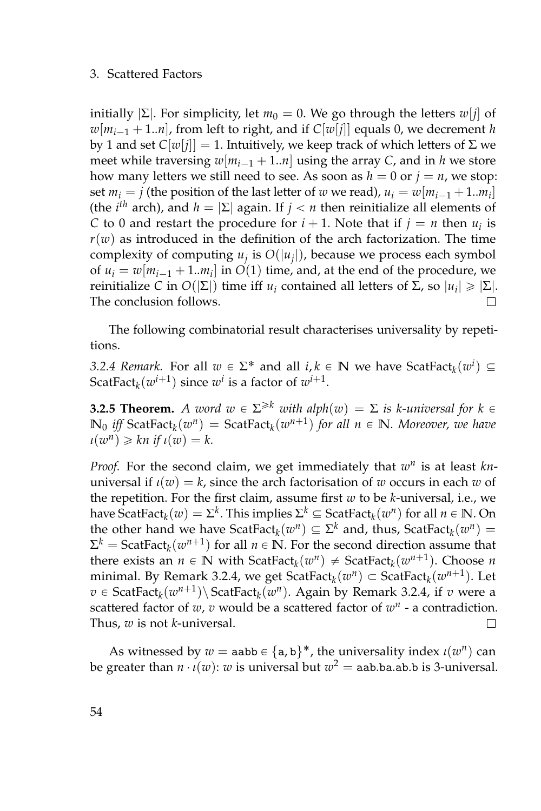initially  $|\Sigma|$ . For simplicity, let  $m_0 = 0$ . We go through the letters  $w[j]$  of  $w[m_{i-1} + 1..n]$ , from left to right, and if  $C[w[j]]$  equals 0, we decrement *h* by 1 and set  $C[w[j]] = 1$ . Intuitively, we keep track of which letters of Σ we meet while traversing  $w[m_{i-1} + 1..n]$  using the array *C*, and in *h* we store how many letters we still need to see. As soon as  $h = 0$  or  $j = n$ , we stop: set  $m_i = j$  (the position of the last letter of *w* we read),  $u_i = w[m_{i-1} + 1..m_i]$ (the *i<sup>th</sup>* arch), and  $h = |\Sigma|$  again. If  $j < n$  then reinitialize all elements of *C* to 0 and restart the procedure for  $i + 1$ . Note that if  $j = n$  then  $u_i$  is  $r(w)$  as introduced in the definition of the arch factorization. The time complexity of computing  $u_j$  is  $O(|u_j|)$ , because we process each symbol of  $u_i = w[m_{i-1} + 1..m_i]$  in  $O(1)$  time, and, at the end of the procedure, we  $r$ einitialize *C* in *O*( $|Σ|$ ) time iff *u<sub>i</sub>* contained all letters of Σ, so  $|u_i| ≥ |Σ|$ . The conclusion follows.  $\Box$ 

The following combinatorial result characterises universality by repetitions.

<span id="page-71-0"></span>*3.2.4 Remark.* For all  $w \in \Sigma^*$  and all  $i, k \in \mathbb{N}$  we have  $\text{ScatFact}_k(w^i) \subseteq$ ScatFact<sub>k</sub> $(w^{i+1})$  since  $w^i$  is a factor of  $w^{i+1}$ .

**3.2.5 Theorem.** *A word*  $w \in \Sigma^{\geq k}$  *with alph*( $w$ ) =  $\Sigma$  *is k-universal for*  $k \in$  $\mathbb{N}_0$  *iff* ScatFact<sub>*k*</sub>( $w^n$ ) = ScatFact<sub>*k*</sub>( $w^{n+1}$ ) *for all*  $n \in \mathbb{N}$ *. Moreover, we have*  $u(w^n) \geq k n$  if  $u(w) = k$ .

*Proof.* For the second claim, we get immediately that  $w^n$  is at least knuniversal if  $\iota(w) = k$ , since the arch factorisation of *w* occurs in each *w* of the repetition. For the first claim, assume first *w* to be *k*-universal, i.e., we have  $\text{ScatFact}_k(w) = \Sigma^k$ . This implies  $\Sigma^k \subseteq \text{ScatFact}_k(w^n)$  for all  $n \in \mathbb{N}$ . On the other hand we have  $\text{ScatFact}_{k}(w^{n}) \subseteq \Sigma^{k}$  and, thus,  $\text{ScatFact}_{k}(w^{n}) =$  $\Sigma^k = \text{ScatFact}_k(w^{n+1})$  for all  $n \in \mathbb{N}$ . For the second direction assume that there exists an  $n \in \mathbb{N}$  with ScatFact<sub>*k*</sub>( $w^n$ )  $\neq$  ScatFact<sub>*k*</sub>( $w^{n+1}$ ). Choose *n*  $m$ inimal. By Remark [3.2.4,](#page-71-0) we get  $\text{ScatFact}_{k}(w^{n}) \subset \text{ScatFact}_{k}(w^{n+1})$ . Let  $v \in \text{ScatFact}_k(w^{n+1}) \setminus \text{ScatFact}_k(w^n)$ . Again by Remark [3.2.4,](#page-71-0) if *v* were a scattered factor of  $w$ ,  $v$  would be a scattered factor of  $w<sup>n</sup>$  - a contradiction. Thus, *w* is not *k*-universal.  $\Box$ 

As witnessed by  $w =$  aabb  $\in \{a, b\}^*$ , the universality index  $\iota(w^n)$  can be greater than  $n \cdot \iota(w)$ :  $w$  is universal but  $w^2 =$  aab.ba.ab.b is 3-universal.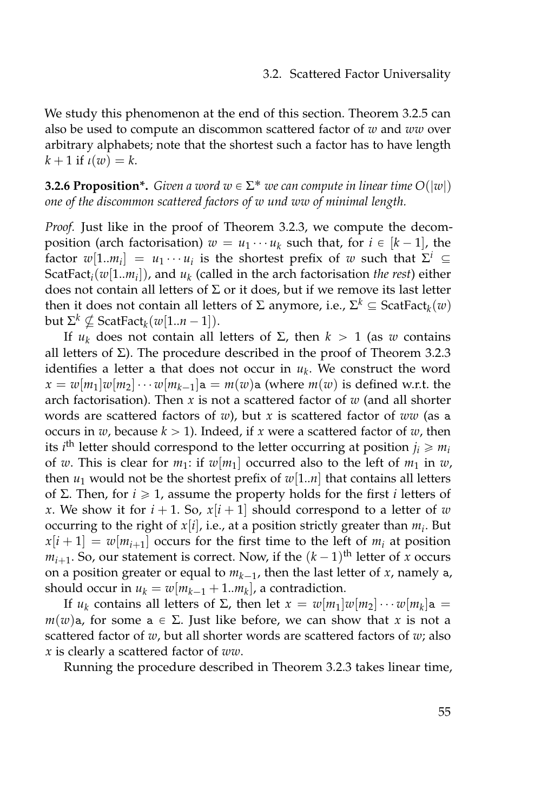We study this phenomenon at the end of this section. Theorem [3.2.5](#page-71-0) can also be used to compute an discommon scattered factor of *w* and *ww* over arbitrary alphabets; note that the shortest such a factor has to have length  $k + 1$  if  $\iota(w) = k$ .

<span id="page-72-0"></span>**3.2.6 Proposition\*.** *Given a word*  $w \in \Sigma^*$  *we can compute in linear time*  $O(|w|)$ *one of the discommon scattered factors of w und ww of minimal length.*

*Proof.* Just like in the proof of Theorem [3.2.3,](#page-70-0) we compute the decomposition (arch factorisation)  $w = u_1 \cdots u_k$  such that, for  $i \in [k-1]$ , the factor  $w[1..m_i] = u_1 \cdots u_i$  is the shortest prefix of  $w$  such that  $\Sigma^i \subseteq$ ScatFact*i*(*w*[1..*m<sup>i</sup>* ]), and *u<sup>k</sup>* (called in the arch factorisation *the rest*) either does not contain all letters of  $\Sigma$  or it does, but if we remove its last letter then it does not contain all letters of Σ anymore, i.e.,  $\Sigma^k \subseteq \text{ScatFact}_{k}(w)$ but  $\Sigma^k \nsubseteq \text{ScatFact}_k(w[1..n-1]).$ 

If *u<sub>k</sub>* does not contain all letters of Σ, then  $k > 1$  (as *w* contains all letters of Σ). The procedure described in the proof of Theorem [3.2.3](#page-70-0) identifies a letter a that does not occur in *u<sup>k</sup>* . We construct the word  $x = w[m_1]w[m_2] \cdots w[m_{k-1}]$ a =  $m(w)$ a (where  $m(w)$  is defined w.r.t. the arch factorisation). Then *x* is not a scattered factor of *w* (and all shorter words are scattered factors of *w*), but *x* is scattered factor of *ww* (as a occurs in  $w$ , because  $k > 1$ ). Indeed, if  $x$  were a scattered factor of  $w$ , then its *i*<sup>th</sup> letter should correspond to the letter occurring at position  $j_i \geqslant m_i$ of *w*. This is clear for  $m_1$ : if  $w[m_1]$  occurred also to the left of  $m_1$  in  $w$ , then  $u_1$  would not be the shortest prefix of  $w[1..n]$  that contains all letters of Σ. Then, for *i* ě 1, assume the property holds for the first *i* letters of *x*. We show it for  $i + 1$ . So,  $x[i + 1]$  should correspond to a letter of *w* occurring to the right of *x*[*i*], i.e., at a position strictly greater than *m<sup>i</sup>* . But  $x[i+1] = w[m_{i+1}]$  occurs for the first time to the left of  $m_i$  at position  $m_{i+1}$ . So, our statement is correct. Now, if the  $(k-1)$ <sup>th</sup> letter of *x* occurs on a position greater or equal to  $m_{k-1}$ , then the last letter of  $x$ , namely a, should occur in  $u_k = w[m_{k-1} + 1..m_k]$ , a contradiction.

If *u*<sub>*k*</sub> contains all letters of Σ, then let  $x = w[m_1]w[m_2] \cdots w[m_k]$ a =  $m(w)$ a, for some a  $\in \Sigma$ . Just like before, we can show that *x* is not a scattered factor of *w*, but all shorter words are scattered factors of *w*; also *x* is clearly a scattered factor of *ww*.

Running the procedure described in Theorem [3.2.3](#page-70-0) takes linear time,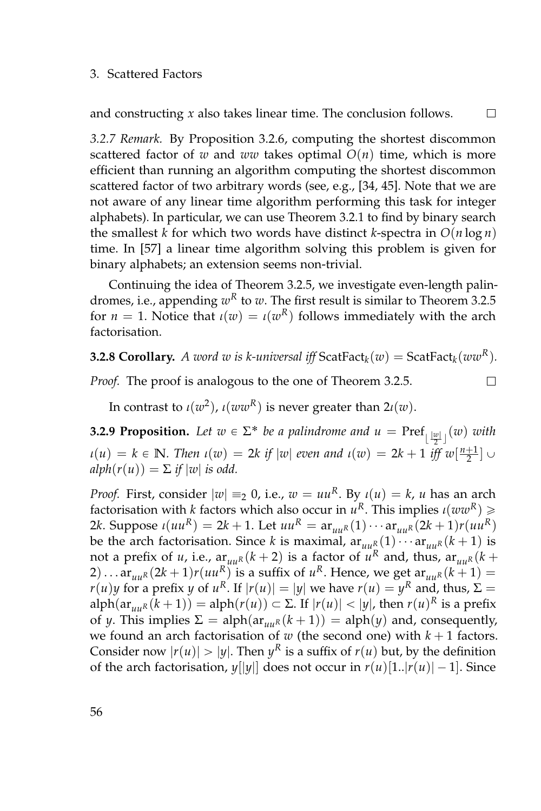and constructing *x* also takes linear time. The conclusion follows.

 $\Box$ 

 $\Box$ 

*3.2.7 Remark.* By Proposition [3.2.6,](#page-72-0) computing the shortest discommon scattered factor of *w* and *ww* takes optimal  $O(n)$  time, which is more efficient than running an algorithm computing the shortest discommon scattered factor of two arbitrary words (see, e.g., [\[34,](#page-161-0) [45\]](#page-162-0). Note that we are not aware of any linear time algorithm performing this task for integer alphabets). In particular, we can use Theorem [3.2.1](#page-66-0) to find by binary search the smallest *k* for which two words have distinct *k*-spectra in  $O(n \log n)$ time. In [\[57\]](#page-163-0) a linear time algorithm solving this problem is given for binary alphabets; an extension seems non-trivial.

Continuing the idea of Theorem [3.2.5,](#page-71-0) we investigate even-length palindromes*,* i.e., appending  $w^R$  to  $w$ . The first result is similar to Theorem [3.2.5](#page-71-0) for  $n = 1$ . Notice that  $\iota(w) = \iota(w^R)$  follows immediately with the arch factorisation.

# **3.2.8 Corollary.** A word  $w$  is k-universal iff  $\text{ScatFact}_{k}(w) = \text{ScatFact}_{k}(ww^R)$ .

*Proof.* The proof is analogous to the one of Theorem [3.2.5.](#page-71-0)

In contrast to  $\iota(w^2)$ ,  $\iota(ww^R)$  is never greater than  $2\iota(w)$ .

<span id="page-73-0"></span>**3.2.9 Proposition.** Let  $w \in \Sigma^*$  be a palindrome and  $u = \text{Pref}_{\lfloor \frac{|w|}{2} \rfloor}(w)$  with  $u(u) = k \in \mathbb{N}$ *. Then*  $u(w) = 2k$  *if*  $|w|$  *even and*  $u(w) = 2k + 1$  *iff*  $w\left[\frac{n+1}{2}\right] \cup$  $alpha(r(u)) = \sum$  *if*  $|w|$  *is odd.* 

*Proof.* First, consider  $|w| \equiv_2 0$ , i.e.,  $w = uu^R$ . By  $\iota(u) = k$ ,  $u$  has an arch factorisation with *k* factors which also occur in *u <sup>R</sup>*. This implies *ι*(*wwR*) ě 2*k*. Suppose *ι*(*uu*<sup>*R*</sup>) = 2*k* + 1. Let *uu*<sup>*R*</sup> =  $ar_{uu}$ <sup>*R*</sup>(1) · · ·  $ar_{uu}$ <sup>*R*</sup>(2*k* + 1)*r*(*uu*<sup>*R*</sup>) be the arch factorisation. Since *k* is maximal,  $ar_{uu}R(1)\cdots ar_{uu}R(k+1)$  is not a prefix of *u*, i.e.,  $\lim_{n \to \infty} (k+2)$  is a factor of  $u^R$  and, thus,  $\lim_{n \to \infty} (k+2)$  $(2) \dots a r_{uu} (2k+1) r(uu^R)$  is a suffix of  $u^R$ . Hence, we get  $a r_{uu} (k+1) =$ *r*(*u*)*y* for a prefix *y* of *u*<sup>R</sup>. If  $|r(u)| = |y|$  we have  $r(u) = y^R$  and, thus,  $\Sigma =$ alph $(\arctan{u_k(k+1)}) = \text{alpha}(r(u)) \subset \Sigma$ . If  $|r(u)| < |y|$ , then  $r(u)^R$  is a prefix of *y*. This implies  $\Sigma = \text{alpha}(ar_{uu}R(k+1)) = \text{alpha}(y)$  and, consequently, we found an arch factorisation of  $w$  (the second one) with  $k + 1$  factors. Consider now  $|r(u)| > |y|$ . Then  $y^R$  is a suffix of  $r(u)$  but, by the definition of the arch factorisation,  $y[|y|]$  does not occur in  $r(u)[1..|r(u)| - 1]$ . Since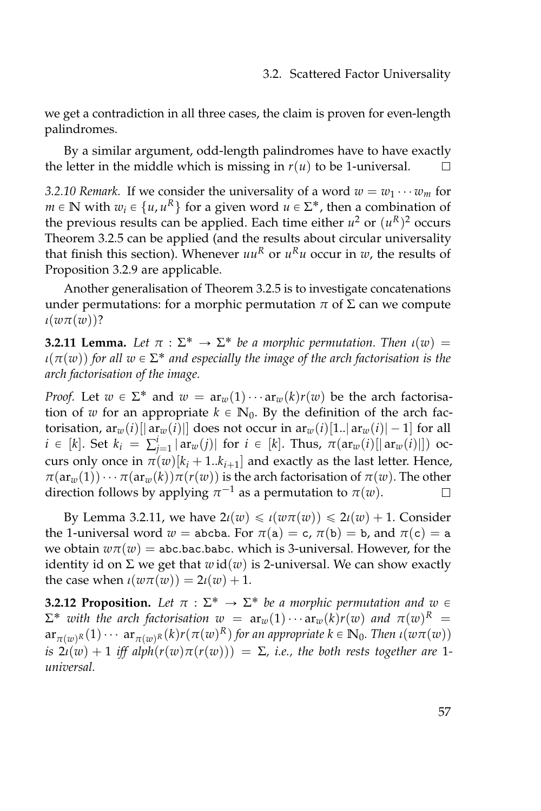we get a contradiction in all three cases, the claim is proven for even-length palindromes.

By a similar argument, odd-length palindromes have to have exactly the letter in the middle which is missing in  $r(u)$  to be 1-universal.

*3.2.10 Remark.* If we consider the universality of a word  $w = w_1 \cdots w_m$  for  $m \in \mathbb{N}$  with  $w_i \in \{u, u^R\}$  for a given word  $u \in \Sigma^*$ , then a combination of the previous results can be applied. Each time either  $u^2$  or  $(u^R)^2$  occurs Theorem [3.2.5](#page-71-0) can be applied (and the results about circular universality that finish this section). Whenever  $uu^R$  or  $u^Ru$  occur in  $w$ , the results of Proposition [3.2.9](#page-73-0) are applicable.

Another generalisation of Theorem [3.2.5](#page-71-0) is to investigate concatenations under permutations: for a morphic permutation  $\pi$  of  $\Sigma$  can we compute *ι*(*wπ*(*w*))?

<span id="page-74-0"></span>**3.2.11 Lemma.** Let  $\pi : \Sigma^* \to \Sigma^*$  be a morphic permutation. Then  $\iota(w) =$  $\iota(\pi(w))$  for all  $w \in \Sigma^*$  and especially the image of the arch factorisation is the *arch factorisation of the image.*

*Proof.* Let  $w \in \Sigma^*$  and  $w = ar_w(1) \cdots ar_w(k)r(w)$  be the arch factorisation of *w* for an appropriate  $k \in \mathbb{N}_0$ . By the definition of the arch factorisation,  $ar_w(i)$ [|  $ar_w(i)$ ] does not occur in  $ar_w(i)$ [1..]  $ar_w(i)$ [-1] for all  $i \in [k]$ . Set  $k_i = \sum_{j=1}^i |\operatorname{ar}_w(j)|$  for  $i \in [k]$ . Thus,  $\pi(\operatorname{ar}_w(i)[|\operatorname{ar}_w(i)|])$  occurs only once in  $\pi(w)[k_i+1..k_{i+1}]$  and exactly as the last letter. Hence,  $\pi(\text{ar}_{w}(1))\cdots\pi(\text{ar}_{w}(k))\pi(r(w))$  is the arch factorisation of  $\pi(w)$ . The other direction follows by applying  $\pi^{-1}$  as a permutation to  $\pi(w)$ .  $\Box$ 

By Lemma [3.2.11,](#page-74-0) we have  $2\iota(w) \leq \iota(w\pi(w)) \leq 2\iota(w) + 1$ . Consider the 1-universal word  $w =$  abcba. For  $\pi(a) = c$ ,  $\pi(b) = b$ , and  $\pi(c) = a$ we obtain  $w\pi(w)$  = abc.bac.babc. which is 3-universal. However, for the identity id on  $\Sigma$  we get that  $w$  id $(w)$  is 2-universal. We can show exactly the case when  $\iota(w\pi(w)) = 2\iota(w) + 1$ .

<span id="page-74-1"></span>**3.2.12 Proposition.** Let  $\pi : \Sigma^* \to \Sigma^*$  be a morphic permutation and  $w \in \Sigma^*$  $\Sigma^*$  *with the arch factorisation*  $w = ar_w(1) \cdots ar_w(k)r(w)$  and  $\pi(w)^R =$  $\ar_{\pi(w)}\mathbf{R}(1)\cdots\ar_{\pi(w)}\mathbf{R}(k)r(\pi(w)^R)$  for an appropriate  $k \in \mathbb{N}_0$ . Then  $\iota(w\pi(w))$ *is*  $2i(w) + 1$  *iff*  $alph(r(w)\pi(r(w))) = \Sigma$ , *i.e.*, the both rests together are 1*universal.*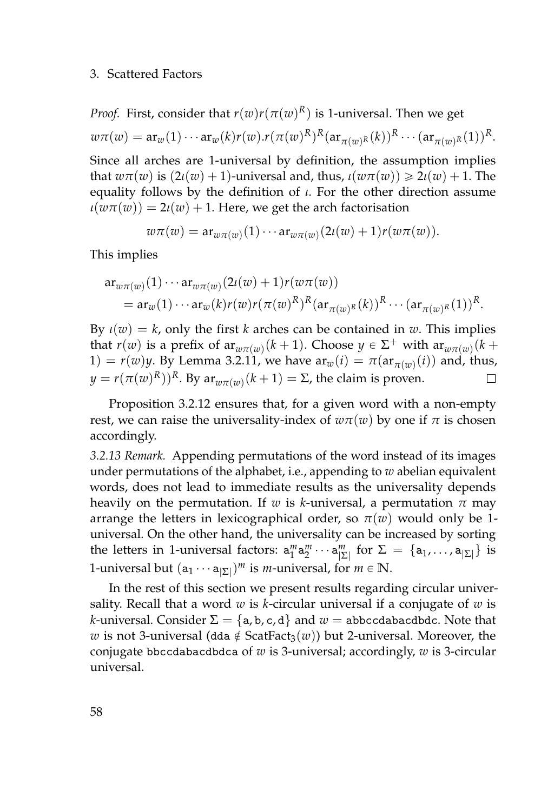*Proof.* First, consider that  $r(w)r(\pi(w)^R)$  is 1-universal. Then we get  $w\pi(w) = \mathop{\mathrm{ar}}\nolimits_w(1) \cdots \mathop{\mathrm{ar}}\nolimits_w(k) r(w).r(\pi(w)^R)^R (\mathop{\mathrm{ar}}\nolimits_{\pi(w)^R}(k))^R \cdots (\mathop{\mathrm{ar}}\nolimits_{\pi(w)^R}(1))^R.$ 

Since all arches are 1-universal by definition, the assumption implies that  $w\pi(w)$  is  $(2\iota(w) + 1)$ -universal and, thus,  $\iota(w\pi(w)) \geq 2\iota(w) + 1$ . The equality follows by the definition of *ι*. For the other direction assume  $\iota(w\pi(w)) = 2\iota(w) + 1$ . Here, we get the arch factorisation

$$
w\pi(w) = \operatorname{ar}_{w\pi(w)}(1)\cdots \operatorname{ar}_{w\pi(w)}(2\iota(w)+1)r(w\pi(w)).
$$

This implies

$$
\begin{split} \mathsf{ar}_{w\pi(w)}(1) \cdots \mathsf{ar}_{w\pi(w)}(2\iota(w) + 1) r(w\pi(w)) \\ &= \mathsf{ar}_{w}(1) \cdots \mathsf{ar}_{w}(k) r(w) r(\pi(w)^R)^R (\mathsf{ar}_{\pi(w)^R}(k))^R \cdots (\mathsf{ar}_{\pi(w)^R}(1))^R. \end{split}
$$

By  $\iota(w) = k$ , only the first *k* arches can be contained in *w*. This implies that  $r(w)$  is a prefix of  $ar_{w\pi(w)}(k+1)$ . Choose  $y \in \Sigma^+$  with  $ar_{w\pi(w)}(k+1)$  $1) = r(w)y$ . By Lemma [3.2.11,](#page-74-0) we have  $ar_w(i) = \pi(ar_{\pi(w)}(i))$  and, thus, *y* = *r*(*π*(*w*)<sup>*R*</sup>))<sup>*R*. By ar<sub>*wπ*(*w*)</sub>(*k* + 1) = Σ, the claim is proven.</sup> П

Proposition [3.2.12](#page-74-1) ensures that, for a given word with a non-empty rest, we can raise the universality-index of  $w\pi(w)$  by one if  $\pi$  is chosen accordingly.

*3.2.13 Remark.* Appending permutations of the word instead of its images under permutations of the alphabet, i.e., appending to *w* abelian equivalent words, does not lead to immediate results as the universality depends heavily on the permutation. If *w* is *k*-universal, a permutation  $\pi$  may arrange the letters in lexicographical order, so  $\pi(w)$  would only be 1universal. On the other hand, the universality can be increased by sorting the letters in 1-universal factors:  $a_1^m a_2^m \cdots a_{|\Sigma|}^m$  for  $\Sigma = \{a_1, \ldots, a_{|\Sigma|}\}$  is 1-universal but  $(a_1 \cdots a_{|\Sigma|})^m$  is *m*-universal, for  $m \in \mathbb{N}$ .

In the rest of this section we present results regarding circular universality. Recall that a word *w* is *k*-circular universal if a conjugate of *w* is *k*-universal. Consider  $\Sigma = \{a, b, c, d\}$  and  $w =$  abbccdabacdbdc. Note that *w* is not 3-universal (dda  $\notin$  ScatFact<sub>3</sub>(*w*)) but 2-universal. Moreover, the conjugate bbccdabacdbdca of *w* is 3-universal; accordingly, *w* is 3-circular universal.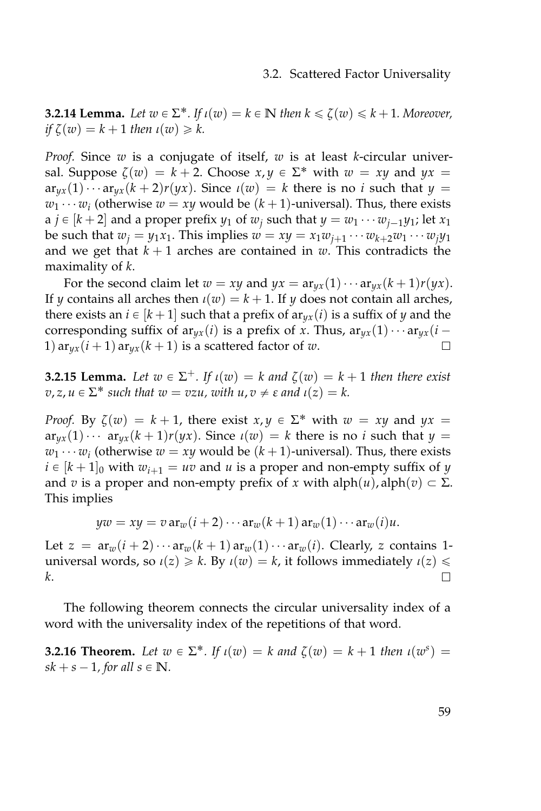<span id="page-76-2"></span>**3.2.14 Lemma.** Let  $w \in \Sigma^*$ . If  $\iota(w) = k \in \mathbb{N}$  then  $k \leq \zeta(w) \leq k+1$ . Moreover,  $if \zeta(w) = k + 1$  *then*  $\iota(w) \geq k$ .

*Proof.* Since *w* is a conjugate of itself, *w* is at least *k*-circular universal. Suppose  $\zeta(w) = k + 2$ . Choose  $x, y \in \Sigma^*$  with  $w = xy$  and  $yx =$  $ar_{ux}(1) \cdots ar_{ux}(k+2)r(yx)$ . Since  $\iota(w) = k$  there is no *i* such that  $\iota(y) =$  $w_1 \cdots w_i$  (otherwise  $w = xy$  would be  $(k+1)$ -universal). Thus, there exists  $a$   $j \in [k + 2]$  and a proper prefix  $y_1$  of  $w_j$  such that  $y = w_1 \cdots w_{j-1} y_1$ ; let  $x_1$ be such that  $w_j = y_1 x_1$ . This implies  $w = xy = x_1 w_{j+1} \cdots w_{k+2} w_1 \cdots w_j y_1$ and we get that  $k + 1$  arches are contained in  $w$ . This contradicts the maximality of *k*.

For the second claim let  $w = xy$  and  $yx = ar_{yx}(1) \cdots ar_{yx}(k+1)r(yx)$ . If *y* contains all arches then  $\iota(w) = k + 1$ . If *y* does not contain all arches, there exists an  $i \in [k + 1]$  such that a prefix of  $\arg(x_i(i))$  is a suffix of *y* and the corresponding suffix of  $ar_{yx}(i)$  is a prefix of *x*. Thus,  $ar_{yx}(1) \cdots ar_{yx}(i -$ 1)  $ar_{ux}(i+1)$   $ar_{ux}(k+1)$  is a scattered factor of *w*. П

<span id="page-76-0"></span>**3.2.15 Lemma.** Let  $w \in \Sigma^{+}$ . If  $\iota(w) = k$  and  $\zeta(w) = k + 1$  then there exist  $v, z, u \in \Sigma^*$  *such that*  $w = vzu$ *, with*  $u, v \neq \varepsilon$  *and*  $u(z) = k$ .

*Proof.* By  $\zeta(w) = k + 1$ , there exist  $x, y \in \Sigma^*$  with  $w = xy$  and  $yx =$  $ar_{yx}(1) \cdots ar_{yx}(k+1)r(yx)$ . Since  $\iota(w) = k$  there is no *i* such that  $y =$  $w_1 \cdots w_i$  (otherwise  $w = xy$  would be  $(k+1)$ -universal). Thus, there exists  $i \in [k + 1]_0$  with  $w_{i+1} = uv$  and *u* is a proper and non-empty suffix of *y* and *v* is a proper and non-empty prefix of *x* with alph $(u)$ , alph $(v) \subset \Sigma$ . This implies

$$
yw = xy = v \operatorname{ar}_{w}(i+2) \cdots \operatorname{ar}_{w}(k+1) \operatorname{ar}_{w}(1) \cdots \operatorname{ar}_{w}(i)u.
$$

Let  $z = ar_w(i+2)\cdots ar_w(k+1)ar_w(1)\cdots ar_w(i)$ . Clearly, *z* contains 1universal words, so  $\iota(z) \ge k$ . By  $\iota(w) = k$ , it follows immediately  $\iota(z) \le k$ *k*.  $\Box$ 

The following theorem connects the circular universality index of a word with the universality index of the repetitions of that word.

<span id="page-76-1"></span>**3.2.16 Theorem.** Let  $w \in \Sigma^*$ . If  $\iota(w) = k$  and  $\zeta(w) = k + 1$  then  $\iota(w^s) =$  $sk + s - 1$ *, for all*  $s \in \mathbb{N}$ *.*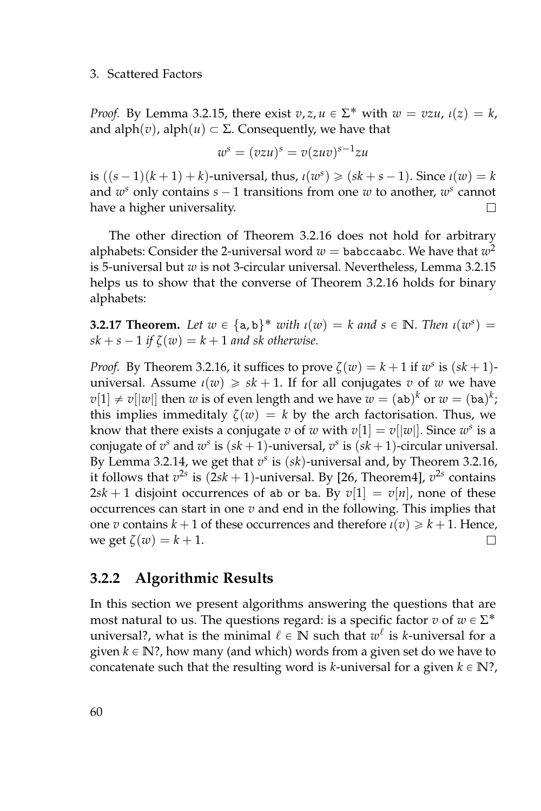*Proof.* By Lemma [3.2.15,](#page-76-0) there exist  $v, z, u \in \Sigma^*$  with  $w = vzu$ ,  $\iota(z) = k$ , and  $\text{alph}(v)$ ,  $\text{alph}(u) \subset \Sigma$ . Consequently, we have that

$$
w^s = (vzu)^s = v(zuv)^{s-1}zu
$$

is  $((s - 1)(k + 1) + k)$ -universal, thus,  $\iota(w^s) \geq (sk + s - 1)$ . Since  $\iota(w) = k$ and  $w^s$  only contains  $s - 1$  transitions from one  $w$  to another,  $w^s$  cannot have a higher universality.  $\Box$ 

The other direction of Theorem [3.2.16](#page-76-1) does not hold for arbitrary alphabets: Consider the 2-universal word  $w=$  babccaabc. We have that  $w^2$ is 5-universal but *w* is not 3-circular universal. Nevertheless, Lemma [3.2.15](#page-76-0) helps us to show that the converse of Theorem [3.2.16](#page-76-1) holds for binary alphabets:

**3.2.17 Theorem.** Let  $w \in \{a, b\}^*$  with  $\iota(w) = k$  and  $s \in \mathbb{N}$ *. Then*  $\iota(w^s) =$  $sk + s - 1$  *if*  $\zeta(w) = k + 1$  *and sk otherwise.* 

*Proof.* By Theorem [3.2.16,](#page-76-1) it suffices to prove  $\zeta(w) = k + 1$  if  $w^s$  is  $(sk + 1)$ universal. Assume  $\iota(w) \geqslant sk + 1$ . If for all conjugates *v* of *w* we have  $v[1] \neq v[|w|]$  then  $w$  is of even length and we have  $w = (ab)^k$  or  $w = (ba)^k$ ; this implies immeditaly  $\zeta(w) = k$  by the arch factorisation. Thus, we know that there exists a conjugate  $v$  of  $w$  with  $v[1] = v[|w|]$ . Since  $w^s$  is a conjugate of  $v^s$  and  $w^s$  is  $(sk + 1)$ -universal,  $v^s$  is  $(sk + 1)$ -circular universal. By Lemma [3.2.14,](#page-76-2) we get that  $v^s$  is  $(sk)$ -universal and, by Theorem [3.2.16,](#page-76-1) it follows that  $v^{2s}$  is  $(2sk + 1)$ -universal. By [\[26,](#page-160-0) Theorem4],  $v^{2s}$  contains  $2sk + 1$  disjoint occurrences of ab or ba. By  $v[1] = v[n]$ , none of these occurrences can start in one *v* and end in the following. This implies that one *v* contains  $k + 1$  of these occurrences and therefore  $\iota(v) \geq k + 1$ . Hence, we get  $\zeta(w) = k + 1$ .  $\Box$ 

# **3.2.2 Algorithmic Results**

In this section we present algorithms answering the questions that are most natural to us. The questions regard: is a specific factor  $v$  of  $w \in \Sigma^*$ universal?, what is the minimal  $\ell \in \mathbb{N}$  such that  $w^{\ell}$  is *k*-universal for a given  $k \in \mathbb{N}$ ?, how many (and which) words from a given set do we have to concatenate such that the resulting word is *k*-universal for a given  $k \in \mathbb{N}$ ?,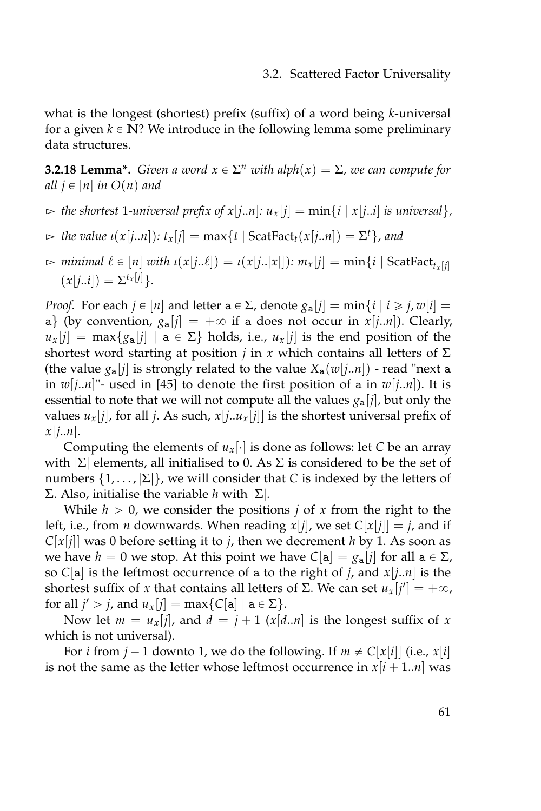what is the longest (shortest) prefix (suffix) of a word being *k*-universal for a given  $k \in \mathbb{N}$ ? We introduce in the following lemma some preliminary data structures.

<span id="page-78-0"></span>**3.2.18 Lemma\*.** *Given a word*  $x \in \Sigma^n$  *with alph*( $x$ ) =  $\Sigma$ *, we can compute for all*  $j \in [n]$  *in*  $O(n)$  *and* 

- $\Rightarrow$  the shortest 1-universal prefix of  $x[j..n]: u_x[j] = \min\{i \mid x[j..i] \text{ is universal}\},$
- $\Rightarrow$  *the value*  $\iota(x[j..n])$ :  $t_x[j] = \max\{t \mid \text{ScatFact}_{t}(x[j..n]) = \Sigma^t\}$ , and
- $\triangleright$  *minimal*  $\ell \in [n]$  *with*  $\iota(x[j..l]) = \iota(x[j..|x|])$ *:*  $m_x[j] = \min\{i \mid \text{ScatFact}_{t_x[j]}$  $(x[j..i]) = \sum_{i}^{t} [j]$ .

*Proof.* For each  $j \in [n]$  and letter  $a \in \Sigma$ , denote  $g_a[j] = \min\{i \mid i \geq j, w[i] = j\}$ a} (by convention,  $g_a[j] = +\infty$  if a does not occur in  $x[j..n]$ ). Clearly,  $u_x[i] = \max\{g_a[i] \mid a \in \Sigma\}$  holds, i.e.,  $u_x[i]$  is the end position of the shortest word starting at position *j* in *x* which contains all letters of  $\Sigma$ (the value  $g_a[j]$  is strongly related to the value  $X_a(w[j..n])$  - read "next a in  $w[i..n]$ "- used in [\[45\]](#page-162-0) to denote the first position of a in  $w[i..n]$ ). It is essential to note that we will not compute all the values  $g_a[i]$ , but only the values  $u_x[j]$ , for all *j*. As such,  $x[j..u_x[j]]$  is the shortest universal prefix of *x*[*j*..*n*].

Computing the elements of  $u_x[\cdot]$  is done as follows: let *C* be an array with  $|\Sigma|$  elements, all initialised to 0. As Σ is considered to be the set of numbers  $\{1,\ldots,\Sigma\}$ , we will consider that *C* is indexed by the letters of Σ. Also, initialise the variable *h* with |Σ|.

While  $h > 0$ , we consider the positions *j* of *x* from the right to the left, i.e., from *n* downwards. When reading  $x[j]$ , we set  $C[x[j]] = j$ , and if  $C[x[j]]$  was 0 before setting it to *j*, then we decrement *h* by 1. As soon as we have  $h = 0$  we stop. At this point we have  $C[a] = g_a[j]$  for all  $a \in \Sigma$ , so *C*[a] is the leftmost occurrence of a to the right of *j*, and *x*[*j*..*n*] is the shortest suffix of *x* that contains all letters of Σ. We can set  $u_x[j'] = +\infty$ , for all  $j' > j$ , and  $u_x[j] = \max\{C[a] \mid a \in \Sigma\}.$ 

Now let  $m = u_x[j]$ , and  $d = j + 1$  ( $x[d..n]$  is the longest suffix of  $x$ which is not universal).

For *i* from  $j - 1$  downto 1, we do the following. If  $m \neq C[x[i]]$  (i.e.,  $x[i]$ is not the same as the letter whose leftmost occurrence in  $x[i+1..n]$  was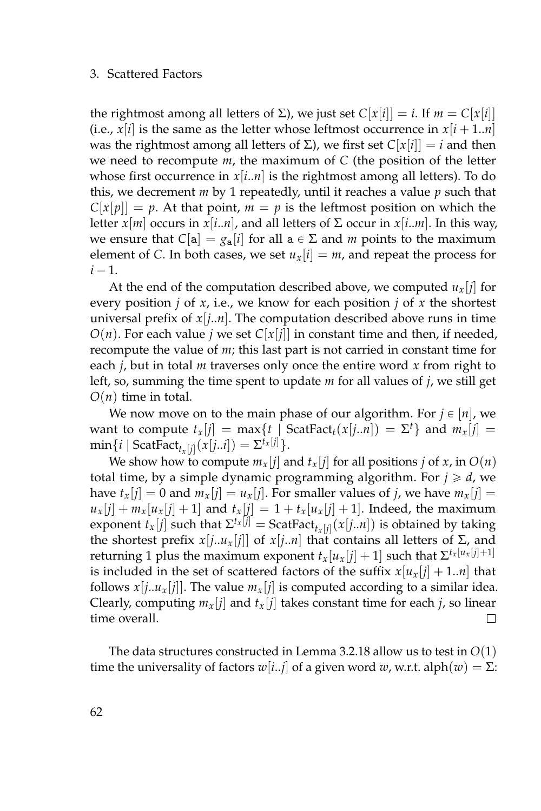the rightmost among all letters of Σ), we just set  $C[x[i]] = i$ . If  $m = C[x[i]]$ (i.e.,  $x[i]$  is the same as the letter whose leftmost occurrence in  $x[i+1..n]$ was the rightmost among all letters of Σ), we first set  $C[x[i]] = i$  and then we need to recompute *m*, the maximum of *C* (the position of the letter whose first occurrence in *x*[*i*..*n*] is the rightmost among all letters). To do this, we decrement *m* by 1 repeatedly, until it reaches a value *p* such that  $C[x[p]] = p$ . At that point,  $m = p$  is the leftmost position on which the letter  $x[m]$  occurs in  $x[i..n]$ , and all letters of  $\Sigma$  occur in  $x[i..m]$ . In this way, we ensure that  $C[\mathbf{a}] = g_{\mathbf{a}}[i]$  for all  $\mathbf{a} \in \Sigma$  and *m* points to the maximum element of *C*. In both cases, we set  $u_x[i] = m$ , and repeat the process for  $i - 1$ .

At the end of the computation described above, we computed  $u_x[i]$  for every position  $j$  of  $x$ , i.e., we know for each position  $j$  of  $x$  the shortest universal prefix of  $x[j..n]$ . The computation described above runs in time  $O(n)$ . For each value *j* we set  $C[x[j]]$  in constant time and then, if needed, recompute the value of *m*; this last part is not carried in constant time for each *j*, but in total *m* traverses only once the entire word *x* from right to left, so, summing the time spent to update *m* for all values of *j*, we still get  $O(n)$  time in total.

We now move on to the main phase of our algorithm. For  $j \in [n]$ , we want to compute  $t_x[j] = \max\{t \mid \text{ScatFact}_t(x[j..n]) = \Sigma^t\}$  and  $m_x[j] =$  $\text{min}\{i \mid \text{ScatFact}_{t_x[j]}(x[j..i]) = \Sigma^{t_x[j]}\}.$ 

We show how to compute  $m_x[i]$  and  $t_x[i]$  for all positions *j* of *x*, in  $O(n)$ total time, by a simple dynamic programming algorithm. For  $j \ge d$ , we have  $t_x[j] = 0$  and  $m_x[j] = u_x[j]$ . For smaller values of *j*, we have  $m_x[j] =$  $u_x[i] + m_x[u_x[i] + 1]$  and  $t_x[j] = 1 + t_x[u_x[j] + 1]$ . Indeed, the maximum exponent  $t_x[j]$  such that  $\Sigma^{t_x[j]}$  = ScatFact<sub> $t_x[j]}(x[j..n])$  is obtained by taking</sub> the shortest prefix  $x[j..u_x[j]]$  of  $x[j..n]$  that contains all letters of Σ, and returning 1 plus the maximum exponent  $t_x[u_x[j]+1]$  such that  $\Sigma^{t_x[u_x[j]+1]}$ is included in the set of scattered factors of the suffix  $x[u_x(j] + 1..n]$  that follows  $x[j..u_x[j]]$ . The value  $m_x[j]$  is computed according to a similar idea. Clearly, computing  $m_x[j]$  and  $t_x[j]$  takes constant time for each *j*, so linear time overall.  $\Box$ 

The data structures constructed in Lemma [3.2.18](#page-78-0) allow us to test in *O*(1) time the universality of factors  $w[i..j]$  of a given word  $w$ , w.r.t. alph $(w) = \Sigma$ :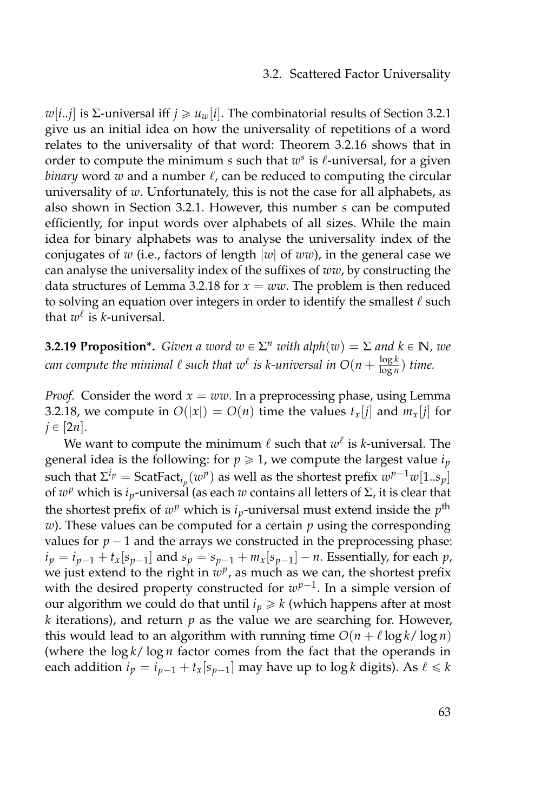*w*[*i*..*j*] is Σ-universal iff *j* ≥ *u*<sup>*w*</sup>[*i*]. The combinatorial results of Section [3.2.1](#page-70-1) give us an initial idea on how the universality of repetitions of a word relates to the universality of that word: Theorem [3.2.16](#page-76-1) shows that in order to compute the minimum  $s$  such that  $w^s$  is  $\ell$ -universal, for a given *binary* word  $w$  and a number  $\ell$ , can be reduced to computing the circular universality of *w*. Unfortunately, this is not the case for all alphabets, as also shown in Section [3.2.1.](#page-70-1) However, this number *s* can be computed efficiently, for input words over alphabets of all sizes. While the main idea for binary alphabets was to analyse the universality index of the conjugates of *w* (i.e., factors of length |*w*| of *ww*), in the general case we can analyse the universality index of the suffixes of *ww*, by constructing the data structures of Lemma [3.2.18](#page-78-0) for  $x = ww$ . The problem is then reduced to solving an equation over integers in order to identify the smallest  $\ell$  such that  $w^{\ell}$  is *k*-universal.

**3.2.19 Proposition\*.** *Given a word*  $w \in \Sigma^n$  *with alph*( $w$ ) =  $\Sigma$  *and*  $k \in \mathbb{N}$ *, we* can compute the minimal  $\ell$  such that  $w^\ell$  is k-universal in  $O(n + \frac{\log k}{\log n})$  $\frac{\log \kappa}{\log n}$ ) time.

*Proof.* Consider the word  $x = ww$ . In a preprocessing phase, using Lemma [3.2.18,](#page-78-0) we compute in  $O(|x|) = O(n)$  time the values  $t_x[j]$  and  $m_x[j]$  for  $j \in [2n]$ .

We want to compute the minimum  $\ell$  such that  $w^\ell$  is *k*-universal. The general idea is the following: for  $p \ge 1$ , we compute the largest value  $i_p$ such that  $\Sigma^{i_p} = \text{ScatFact}_{i_p}(w^p)$  as well as the shortest prefix  $w^{p-1}w[1..s_p]$ of  $w^p$  which is *i<sub>p</sub>*-universal (as each *w* contains all letters of Σ, it is clear that the shortest prefix of  $w^p$  which is  $i_p$ -universal must extend inside the  $p^{\text{th}}$ *w*). These values can be computed for a certain *p* using the corresponding values for  $p - 1$  and the arrays we constructed in the preprocessing phase:  $i_p = i_{p-1} + t_x[s_{p-1}]$  and  $s_p = s_{p-1} + m_x[s_{p-1}] - n$ . Essentially, for each *p*, we just extend to the right in  $w^p$ , as much as we can, the shortest prefix with the desired property constructed for  $w^{p-1}$ . In a simple version of our algorithm we could do that until  $i_p \geq k$  (which happens after at most *k* iterations), and return *p* as the value we are searching for. However, this would lead to an algorithm with running time  $O(n + \ell \log k / \log n)$ (where the log *k*/ log *n* factor comes from the fact that the operands in each addition  $i_p = i_{p-1} + t_x[s_{p-1}]$  may have up to log *k* digits). As  $\ell \le k$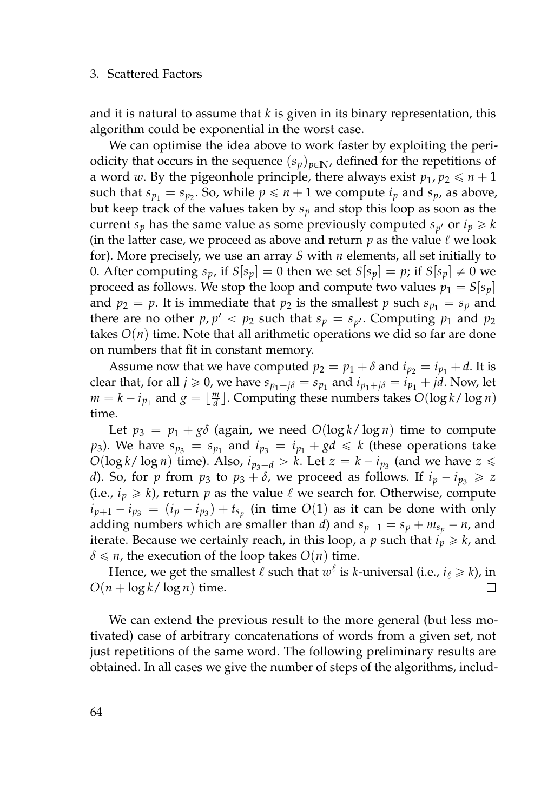and it is natural to assume that *k* is given in its binary representation, this algorithm could be exponential in the worst case.

We can optimise the idea above to work faster by exploiting the periodicity that occurs in the sequence  $(s_p)_{p \in \mathbb{N}}$ , defined for the repetitions of a word *w*. By the pigeonhole principle, there always exist  $p_1, p_2 \le n+1$ such that  $s_{p_1} = s_{p_2}$ . So, while  $p \leq n+1$  we compute  $i_p$  and  $s_p$ , as above, but keep track of the values taken by *s<sup>p</sup>* and stop this loop as soon as the current  $s_p$  has the same value as some previously computed  $s_{p'}$  or  $i_p \geq k$ (in the latter case, we proceed as above and return  $p$  as the value  $\ell$  we look for). More precisely, we use an array *S* with *n* elements, all set initially to 0. After computing  $s_p$ , if  $S[s_p] = 0$  then we set  $S[s_p] = p$ ; if  $S[s_p] \neq 0$  we proceed as follows. We stop the loop and compute two values  $p_1 = S[s_p]$ and  $p_2 = p$ . It is immediate that  $p_2$  is the smallest p such  $s_{p_1} = s_p$  and there are no other  $p, p' < p_2$  such that  $s_p = s_{p'}$ . Computing  $p_1$  and  $p_2$ takes  $O(n)$  time. Note that all arithmetic operations we did so far are done on numbers that fit in constant memory.

Assume now that we have computed  $p_2 = p_1 + \delta$  and  $i_{p_2} = i_{p_1} + d$ . It is clear that, for all  $j \ge 0$ , we have  $s_{p_1+j\delta} = s_{p_1}$  and  $i_{p_1+j\delta} = i_{p_1} + jd$ . Now, let  $m = k - i_{p_1}$  and  $g = \lfloor \frac{m}{d} \rfloor$ . Computing these numbers takes  $O(\log k / \log n)$ time.

Let  $p_3 = p_1 + g\delta$  (again, we need  $O(\log k / \log n)$  time to compute *p*<sub>3</sub>). We have  $s_{p_3} = s_{p_1}$  and  $i_{p_3} = i_{p_1} + gd \leq k$  (these operations take  $O(\log k / \log n)$  time). Also,  $i_{p_3+d} > k$ . Let  $z = k - i_{p_3}$  (and we have  $z \leq$ *d*). So, for *p* from  $p_3$  to  $p_3 + \delta$ , we proceed as follows. If  $i_p - i_{p_3} \geq z$ (i.e.,  $i_p \ge k$ ), return *p* as the value  $\ell$  we search for. Otherwise, compute  $i_{p+1} - i_{p_3} = (i_p - i_{p_3}) + t_{s_p}$  (in time *O*(1) as it can be done with only adding numbers which are smaller than *d*) and  $s_{p+1} = s_p + m_{s_p} - n$ , and iterate. Because we certainly reach, in this loop, a  $p$  such that  $i_p \ge k$ , and  $\delta \le n$ , the execution of the loop takes  $O(n)$  time.

Hence, we get the smallest  $\ell$  such that  $w^\ell$  is *k*-universal (i.e.,  $i_\ell \geqslant k$ ), in  $O(n + \log k / \log n)$  time. П

We can extend the previous result to the more general (but less motivated) case of arbitrary concatenations of words from a given set, not just repetitions of the same word. The following preliminary results are obtained. In all cases we give the number of steps of the algorithms, includ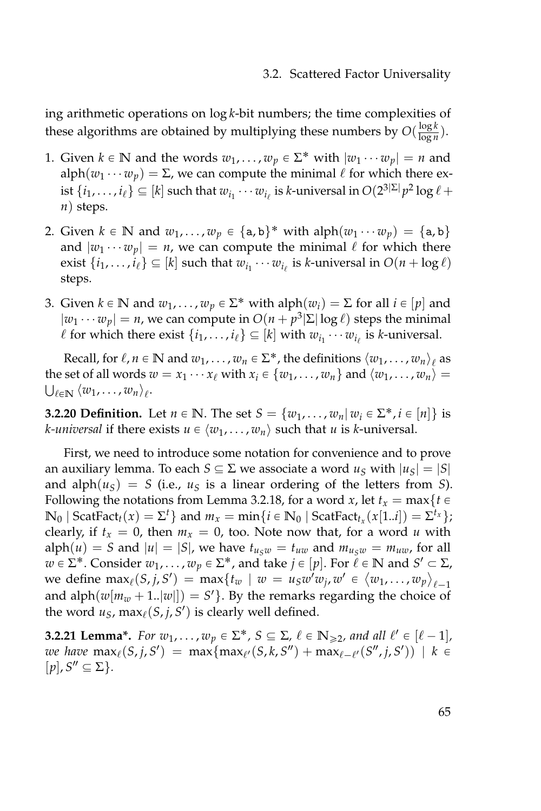ing arithmetic operations on log *k*-bit numbers; the time complexities of these algorithms are obtained by multiplying these numbers by  $O(\frac{\log k}{\log n})$  $\frac{\log \kappa}{\log n}$ ).

- 1. Given  $k \in \mathbb{N}$  and the words  $w_1, \ldots, w_p \in \Sigma^*$  with  $|w_1 \cdots w_p| = n$  and  $\text{alph}(w_1 \cdots w_p) = \Sigma$ , we can compute the minimal  $\ell$  for which there exist  $\{i_1, \ldots, i_\ell\} \subseteq [k]$  such that  $w_{i_1} \cdots w_{i_\ell}$  is *k*-universal in  $O(2^{3|\Sigma|}p^2 \log \ell +$ *n*) steps.
- 2. Given  $k \in \mathbb{N}$  and  $w_1, \ldots, w_p \in \{a, b\}^*$  with  $\text{alph}(w_1 \cdots w_p) = \{a, b\}$ and  $|w_1 \cdots w_p| = n$ , we can compute the minimal  $\ell$  for which there exist  $\{i_1, \ldots, i_\ell\} \subseteq [k]$  such that  $w_{i_1} \cdots w_{i_\ell}$  is *k*-universal in  $O(n + \log \ell)$ steps.
- 3. Given  $k \in \mathbb{N}$  and  $w_1, \ldots, w_p \in \Sigma^*$  with  $\text{alph}(w_i) = \Sigma$  for all  $i \in [p]$  and  $|w_1 \cdots w_p| = n$ , we can compute in  $O(n + p^3 |\Sigma| \log \ell)$  steps the minimal  $\ell$  for which there exist  $\{i_1, \ldots, i_\ell\} \subseteq [k]$  with  $w_{i_1} \cdots w_{i_\ell}$  is *k*-universal.

Recall, for  $\ell, n \in \mathbb{N}$  and  $w_1, \ldots, w_n \in \Sigma^*$ , the definitions  $\langle w_1, \ldots, w_n \rangle_\ell$  as the set of all words  $w = x_1 \cdots x_\ell$  with  $x_i \in \{w_1, \ldots, w_n\}$  and  $\langle w_1, \ldots, w_n \rangle =$  $\bigcup_{\ell \in \mathbb{N}} \langle w_1, \ldots, w_n \rangle_{\ell}$ .

**3.2.20 Definition.** Let  $n \in \mathbb{N}$ . The set  $S = \{w_1, \ldots, w_n | w_i \in \Sigma^*, i \in [n]\}$  is *k*-*universal* if there exists  $u \in \langle w_1, \ldots, w_n \rangle$  such that *u* is *k*-universal.

First, we need to introduce some notation for convenience and to prove an auxiliary lemma. To each  $S \subseteq \Sigma$  we associate a word  $u_S$  with  $|u_S| = |S|$ and alph $(u<sub>S</sub>) = S$  (i.e.,  $u<sub>S</sub>$  is a linear ordering of the letters from *S*). Following the notations from Lemma [3.2.18,](#page-78-0) for a word *x*, let  $t_x = \max\{t \in \mathbb{R}^d\}$  $\mathbb{N}_0$  | ScatFact<sub>*t*</sub></sub> $(x) = \Sigma^t$ } and  $m_x = \min\{i \in \mathbb{N}_0 \mid \text{ScatFact}_{t_x}(x[1..i]) = \Sigma^{t_x}\}$ ; clearly, if  $t_x = 0$ , then  $m_x = 0$ , too. Note now that, for a word *u* with  $\text{alph}(u) = S$  and  $|u| = |S|$ , we have  $t_{u,w} = t_{uw}$  and  $m_{u,w} = m_{uw}$ , for all  $w \in \Sigma^*$ . Consider  $w_1, \ldots, w_p \in \Sigma^*$ , and take  $j \in [p]$ . For  $\ell \in \mathbb{N}$  and  $S' \subset \Sigma$ , we define  $\max_{\ell}(S, j, S') = \max\{t_w \mid w = u_Sw'w_j, w' \in \langle w_1, \ldots, w_p \rangle_{\ell-1}$ and alph $(w[m_w + 1..|w]]) = S'$ . By the remarks regarding the choice of the word  $u_S$ ,  $\max_{\ell} (S, j, S')$  is clearly well defined.

<span id="page-82-0"></span>**3.2.21 Lemma\*.** *For*  $w_1, \ldots, w_p \in \Sigma^*$ ,  $S \subseteq \Sigma$ ,  $\ell \in \mathbb{N}_{\geq 2}$ , and all  $\ell' \in [\ell - 1]$ ,  $\omega e$  have  $\max_{\ell}(S, j, S') = \max\{\max_{\ell'}(S, k, S'') + \max_{\ell-\ell'}(S'', j, S')\} \mid k \in$  $[p], S'' \subseteq \Sigma$  $}.$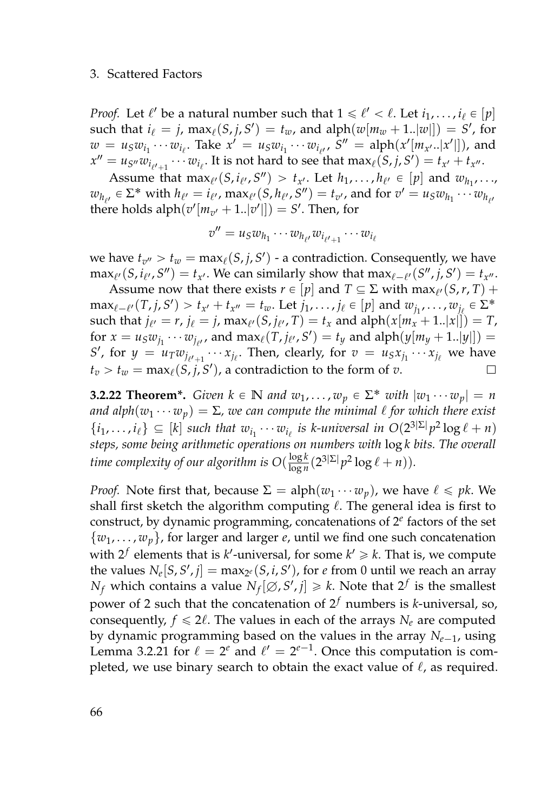*Proof.* Let  $\ell'$  be a natural number such that  $1 \leq \ell' < \ell$ . Let  $i_1, \ldots, i_\ell \in [p]$  $\text{such that } i_{\ell} = j$ ,  $\max_{\ell}(S, j, S') = t_w$ , and  $\text{alph}(w[m_w + 1..|w]]) = S'$ , for  $w = u_S w_{i_1} \cdots w_{i_\ell}$ . Take  $x' = u_S w_{i_1} \cdots w_{i_{\ell'}}$ ,  $S'' = \text{alph}(x'[m_{x'}..|x']])$ , and  $x'' = u_{S''}w_{i_{\ell'+1}} \cdots w_{i_{\ell}}$ . It is not hard to see that  $\max_{\ell}(S, j, S') = t_{x'} + t_{x''}.$ 

Assume that  $\max_{\ell'}(S, i_{\ell'}, S'') > t_{x'}$ . Let  $h_1, \ldots, h_{\ell'} \in [p]$  and  $w_{h_1}, \ldots, h_{h_{\ell'}}$  $w_{h_{\ell'}} \in \Sigma^*$  with  $h_{\ell'} = i_{\ell'}$ ,  $\max_{\ell'}(S, h_{\ell'}, S'') = t_{v'}$ , and for  $v' = u_S w_{h_1} \cdots w_{h_{\ell'}}$ there holds  $\text{alph}(v'[m_{v'}+1..|v']]) = S'.$  Then, for

$$
v'' = u_S w_{h_1} \cdots w_{h_{\ell'}} w_{i_{\ell'+1}} \cdots w_{i_\ell}
$$

we have  $t_{v''} > t_w = \max_{\ell}(S, j, S')$  - a contradiction. Consequently, we have  $\max_{\ell'}(S, i_{\ell'}, S'') = t_{x'}$ . We can similarly show that  $\max_{\ell \in \ell'}(S'', j, S') = t_{x''}.$ 

Assume now that there exists  $r \in [p]$  and  $T \subseteq \Sigma$  with max $_{\ell'}(S,r,T)$  +  $\max_{\ell \in \ell'} (T, j, S') > t_{x'} + t_{x''} = t_w$ . Let  $j_1, \ldots, j_\ell \in [p]$  and  $w_{j_1}, \ldots, w_{j_\ell} \in \Sigma^*$  $\text{such that } j_{\ell'} = r, j_{\ell} = j, \max_{\ell'} (S, j_{\ell'}, T) = t_x \text{ and } \text{alph}(x[m_x + 1..|x]]) = T,$ for  $x = u_S w_{j_1} \cdots w_{j_{\ell'}}$ , and  $\max_{\ell} (T, j_{\ell'}, S') = t_y$  and  $\text{alph}(y[m_y + 1..|y]]) =$ *S*<sup>*l*</sup>, for  $y = u_T w_{j_{\ell'+1}} \cdots x_{j_{\ell}}$ . Then, clearly, for  $v = u_S x_{j_1} \cdots x_{j_{\ell}}$  we have  $t_v > t_w = \max_{\ell}(S, j, S')$ , a contradiction to the form of *v*.  $\Box$ 

<span id="page-83-0"></span>**3.2.22 Theorem\*.** *Given*  $k \in \mathbb{N}$  *and*  $w_1, \ldots, w_p \in \Sigma^*$  *with*  $|w_1 \cdots w_p| = n$ *and alph* $(w_1 \cdots w_p) = \Sigma$ , we can compute the minimal  $\ell$  for which there exist  $\{i_1, \ldots, i_\ell\} \subseteq [k]$  *such that*  $w_{i_1} \cdots w_{i_\ell}$  *is k-universal in*  $O(2^{3|\Sigma|} p^2 \log \ell + n)$ *steps, some being arithmetic operations on numbers with* log *k bits. The overall time complexity of our algorithm is*  $O(\frac{\log k}{\log n})$  $\frac{\log k}{\log n} (2^{3|\Sigma|} p^2 \log \ell + n)).$ 

*Proof.* Note first that, because  $\Sigma = \text{alph}(w_1 \cdots w_p)$ , we have  $\ell \leq p k$ . We shall first sketch the algorithm computing  $\ell$ . The general idea is first to construct, by dynamic programming, concatenations of 2 *e* factors of the set {*w*1, . . . , *wp*}, for larger and larger *e*, until we find one such concatenation with  $2^f$  elements that is  $k'$ -universal, for some  $k' \geq k$ . That is, we compute the values  $N_e[S, S', j] = \max_{2^e} (S, i, S')$ , for *e* from 0 until we reach an array *N<sub>f</sub>* which contains a value  $N_f[\emptyset, S', j] \geq k$ . Note that  $2^f$  is the smallest power of 2 such that the concatenation of 2 *<sup>f</sup>* numbers is *k*-universal, so, consequently,  $f \le 2\ell$ . The values in each of the arrays  $N_e$  are computed by dynamic programming based on the values in the array  $N_{e-1}$ , using Lemma [3.2.21](#page-82-0) for  $\ell = 2^e$  and  $\ell' = 2^{e-1}$ . Once this computation is completed, we use binary search to obtain the exact value of  $\ell$ , as required.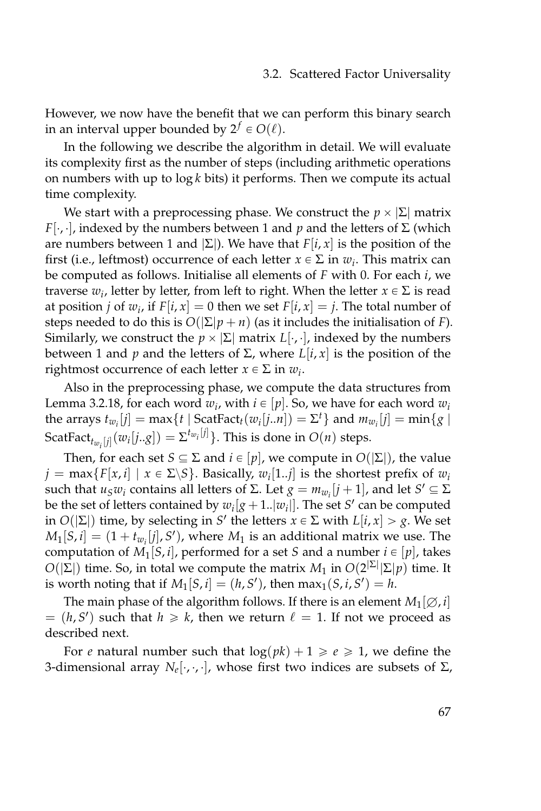However, we now have the benefit that we can perform this binary search in an interval upper bounded by  $2^f \in O(\ell)$ .

In the following we describe the algorithm in detail. We will evaluate its complexity first as the number of steps (including arithmetic operations on numbers with up to log *k* bits) it performs. Then we compute its actual time complexity.

We start with a preprocessing phase. We construct the  $p \times |\Sigma|$  matrix *F*[ $\cdot$ , $\cdot$ ], indexed by the numbers between 1 and *p* and the letters of  $\Sigma$  (which are numbers between 1 and  $|\Sigma|$ ). We have that  $F[i, x]$  is the position of the first (i.e., leftmost) occurrence of each letter  $x \in \Sigma$  in  $w_i$ . This matrix can be computed as follows. Initialise all elements of *F* with 0. For each *i*, we traverse  $w_i$ , letter by letter, from left to right. When the letter  $x \in \Sigma$  is read at position *j* of  $w_i$ , if  $F[i, x] = 0$  then we set  $F[i, x] = j$ . The total number of steps needed to do this is  $O(|\Sigma|p+n)$  (as it includes the initialisation of *F*). Similarly, we construct the  $p \times |\Sigma|$  matrix  $L[\cdot, \cdot]$ , indexed by the numbers between 1 and *p* and the letters of Σ, where *L*[*i*, *x*] is the position of the rightmost occurrence of each letter  $x \in \Sigma$  in  $w_i$ .

Also in the preprocessing phase, we compute the data structures from Lemma [3.2.18,](#page-78-0) for each word  $w_i$ , with  $i \in [p].$  So, we have for each word  $w_i$ the arrays  $t_{w_i}[j] = \max\{t \mid \text{ScatFact}_{t}(w_i[j..n]) = \Sigma^t\}$  and  $m_{w_i}[j] = \min\{g \mid$  $\text{ScatFact}_{t_{w_i}[j]}(w_i[j..g]) = \Sigma^{t_{w_i}[j]}\}.$  This is done in  $O(n)$  steps.

Then, for each set *S*  $\subseteq$   $\Sigma$  and *i*  $\in$  [*p*], we compute in *O*( $|\Sigma|$ ), the value  $j = \max\{F[x,i] \mid x \in \Sigma \backslash S\}$ . Basically,  $w_i[1..j]$  is the shortest prefix of  $w_i$ such that  $u_Sw_i$  contains all letters of Σ. Let  $g = m_{w_i}[j + 1]$ , and let  $S' \subseteq \Sigma$ be the set of letters contained by  $w_i[g + 1..\vert w_i\vert]$ . The set *S*<sup> $\prime$ </sup> can be computed  $\text{Im } O(|\Sigma|)$  time, by selecting in *S'* the letters  $x \in \Sigma$  with  $L[i, x] > g$ . We set  $M_1[S, i] = (1 + t_{w_i}[j], S')$ , where  $M_1$  is an additional matrix we use. The computation of  $M_1[S, i]$ , performed for a set *S* and a number  $i \in [p]$ , takes  $O(|\Sigma|)$  time. So, in total we compute the matrix  $M_1$  in  $O(2^{|\Sigma|}|\Sigma|p)$  time. It is worth noting that if  $M_1[S, i] = (h, S')$ , then  $\max_1(S, i, S') = h$ .

The main phase of the algorithm follows. If there is an element  $M_1[\emptyset, i]$  $= (h, S')$  such that  $h \ge k$ , then we return  $\ell = 1$ . If not we proceed as described next.

For *e* natural number such that  $log(pk) + 1 \ge e \ge 1$ , we define the 3-dimensional array  $N_e[\cdot,\cdot,\cdot]$ , whose first two indices are subsets of  $\Sigma$ ,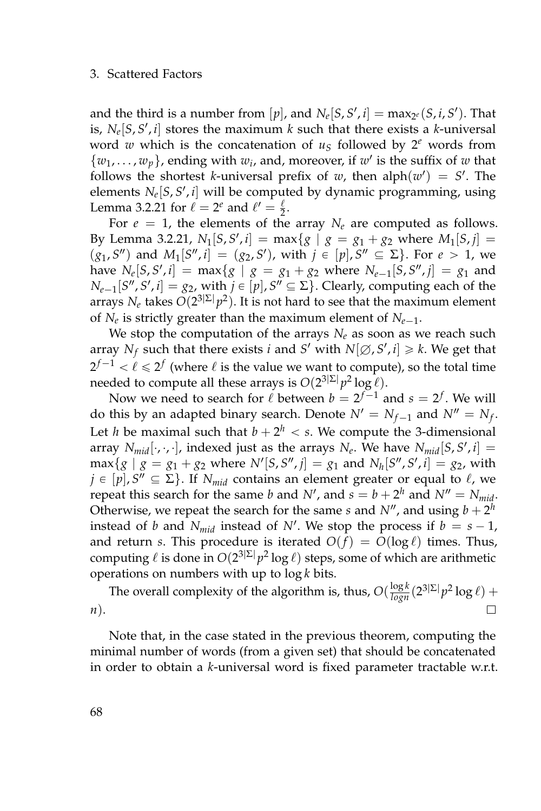and the third is a number from  $[p]$ , and  $N_e[S, S', i] = \max_{2^e} (S, i, S')$ . That is,  $N_e[S, S', i]$  stores the maximum *k* such that there exists a *k*-universal word *w* which is the concatenation of  $u<sub>S</sub>$  followed by  $2<sup>e</sup>$  words from  $\{w_1, \ldots, w_p\}$ , ending with  $w_i$ , and, moreover, if  $w'$  is the suffix of  $w$  that follows the shortest *k*-universal prefix of *w*, then  $\text{alph}(w') = S'$ . The elements  $N_e[S, S', i]$  will be computed by dynamic programming, using Lemma [3.2.21](#page-82-0) for  $\ell = 2^e$  and  $\ell' = \frac{\ell}{2}$ .

For  $e = 1$ , the elements of the array  $N_e$  are computed as follows. By Lemma [3.2.21,](#page-82-0)  $N_1[S, S', i] = \max\{g \mid g = g_1 + g_2 \text{ where } M_1[S, j] =$  $(g_1, S'')$  and  $M_1[S'', i] = (g_2, S')$ , with  $j \in [p], S'' \subseteq \Sigma$ . For  $e > 1$ , we have  $N_e[S, S', i] = \max\{g \mid g = g_1 + g_2 \text{ where } N_{e-1}[S, S'', j] = g_1 \text{ and }$  $N_{e-1}[S'', S', i] = g_2$ , with  $j \in [p]$ ,  $S'' \subseteq \Sigma$ . Clearly, computing each of the arrays  $N_e$  takes  $O(2^{3|\Sigma|}p^2)$ . It is not hard to see that the maximum element of  $N_e$  is strictly greater than the maximum element of  $N_{e-1}$ .

We stop the computation of the arrays  $N_e$  as soon as we reach such array  $N_f$  such that there exists *i* and *S'* with  $N[\emptyset, S', i] \geq k$ . We get that  $2^{f-1} < \ell \leqslant 2^f$  (where  $\ell$  is the value we want to compute), so the total time needed to compute all these arrays is  $O(2^{3|\Sigma|}p^2 \log \ell)$ .

Now we need to search for  $\ell$  between  $b = 2^{f-1}$  and  $s = 2^f$ . We will do this by an adapted binary search. Denote  $N' = N_{f-1}$  and  $N'' = N_f$ . Let *h* be maximal such that  $b + 2^h < s$ . We compute the 3-dimensional array  $N_{mid}[\cdot,\cdot,\cdot]$ , indexed just as the arrays  $N_e$ . We have  $N_{mid}[S,S',i] =$  $max{g | g = g_1 + g_2}$  where  $N'[S, S'', j] = g_1$  and  $N_h[S'', S', i] = g_2$ , with  $j \in [p]$ ,  $S'' \subseteq \Sigma$ . If  $N_{mid}$  contains an element greater or equal to  $\ell$ , we repeat this search for the same *b* and *N'*, and  $s = b + 2<sup>h</sup>$  and  $N'' = N_{mid}$ . Otherwise, we repeat the search for the same *s* and  $N''$ , and using  $b + 2^h$ instead of *b* and  $N_{mid}$  instead of  $N'$ . We stop the process if  $b = s - 1$ , and return *s*. This procedure is iterated  $O(f) = O(\log \ell)$  times. Thus, computing  $\ell$  is done in  $O(2^{3|\Sigma|}p^2\log \ell)$  steps, some of which are arithmetic operations on numbers with up to log *k* bits.

The overall complexity of the algorithm is, thus,  $O(\frac{\log k}{\log n}(2^{3|\Sigma|}p^2 \log \ell) +$ *n*).  $\Box$ 

Note that, in the case stated in the previous theorem, computing the minimal number of words (from a given set) that should be concatenated in order to obtain a *k*-universal word is fixed parameter tractable w.r.t.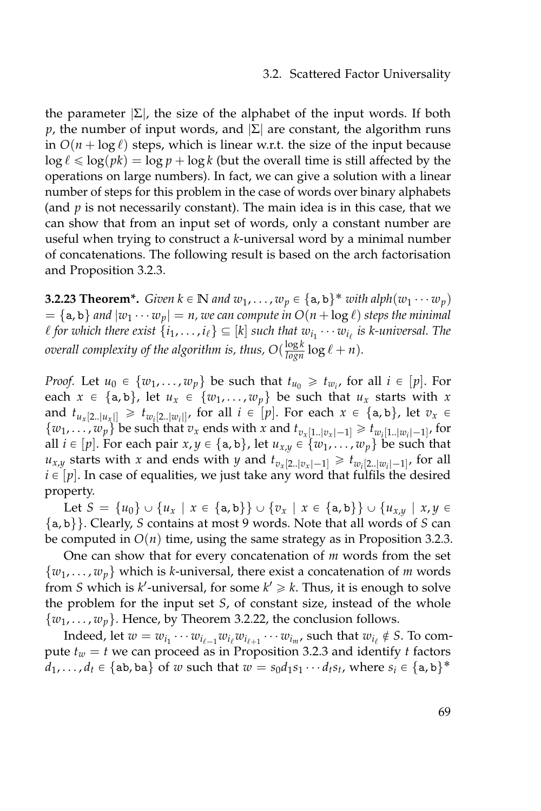the parameter  $|\Sigma|$ , the size of the alphabet of the input words. If both *p*, the number of input words, and  $|\Sigma|$  are constant, the algorithm runs in  $O(n + \log \ell)$  steps, which is linear w.r.t. the size of the input because  $\log \ell \leq \log(\rho k) = \log p + \log k$  (but the overall time is still affected by the operations on large numbers). In fact, we can give a solution with a linear number of steps for this problem in the case of words over binary alphabets (and *p* is not necessarily constant). The main idea is in this case, that we can show that from an input set of words, only a constant number are useful when trying to construct a *k*-universal word by a minimal number of concatenations. The following result is based on the arch factorisation and Proposition [3.2.3.](#page-70-0)

**3.2.23 Theorem\*.** *Given*  $k \in \mathbb{N}$  and  $w_1, \ldots, w_p \in \{a, b\}^*$  *with*  $alpha p h(w_1 \cdots w_p)$  $= \{a, b\}$  and  $|w_1 \cdots w_p| = n$ , we can compute in  $O(n + \log \ell)$  steps the minimal  $\ell$  for which there exist  $\{i_1, \ldots, i_\ell\} \subseteq [k]$  such that  $w_{i_1} \cdots w_{i_\ell}$  is k-universal. The *overall complexity of the algorithm is, thus,*  $O(\frac{\log k}{\log n} \log \ell + n)$ *.* 

*Proof.* Let  $u_0 \in \{w_1, \ldots, w_p\}$  be such that  $t_{u_0} \geq t_{w_i}$ , for all  $i \in [p]$ . For each  $x \in {\a,b}$ , let  $u_x \in \{w_1, \ldots, w_p\}$  be such that  $u_x$  starts with  $x$ and  $t_{u_x[2..|u_x|]} \geq t_{w_i[2..|w_i|]}$ , for all  $i \in [p]$ . For each  $x \in \{a, b\}$ , let  $v_x \in$  $\{w_1, \ldots, w_p\}$  be such that  $v_x$  ends with  $x$  and  $t_{v_x[1..|v_x|-1]} \ge t_{w_i[1..|w_i|-1]}$ , for all  $i \in [p]$ . For each pair  $x, y \in \{a, b\}$ , let  $u_{x,y} \in \{w_1, \ldots, w_p\}$  be such that  $u_{x,y}$  starts with *x* and ends with *y* and  $t_{v_x[2..|v_x|-1]} \geq t_{w_i[2..|w_i|-1]}$ , for all  $i \in [p]$ . In case of equalities, we just take any word that fulfils the desired property.

Let  $S = \{u_0\} \cup \{u_x \mid x \in \{a, b\}\} \cup \{v_x \mid x \in \{a, b\}\} \cup \{u_{x,y} \mid x,y \in$ {a, b}}. Clearly, *S* contains at most 9 words. Note that all words of *S* can be computed in  $O(n)$  time, using the same strategy as in Proposition [3.2.3.](#page-70-0)

One can show that for every concatenation of *m* words from the set  $\{w_1, \ldots, w_n\}$  which is *k*-universal, there exist a concatenation of *m* words from *S* which is  $k'$ -universal, for some  $k' \geq k$ . Thus, it is enough to solve the problem for the input set *S*, of constant size, instead of the whole  $\{w_1, \ldots, w_p\}$ . Hence, by Theorem [3.2.22,](#page-83-0) the conclusion follows.

Indeed, let  $w = w_{i_1} \cdots w_{i_{\ell-1}} w_{i_\ell} w_{i_{\ell+1}} \cdots w_{i_m}$ , such that  $w_{i_\ell} \notin S$ . To compute  $t_w = t$  we can proceed as in Proposition [3.2.3](#page-70-0) and identify *t* factors  $d_1, \ldots, d_t \in \{ab, ba\}$  of *w* such that  $w = s_0d_1s_1 \cdots d_ts_t$ , where  $s_i \in \{a, b\}^*$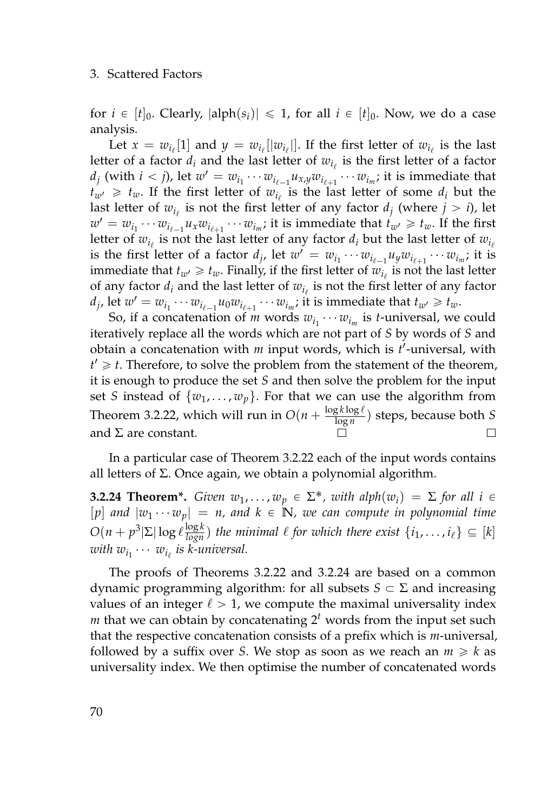for  $i \in [t]_0$ . Clearly,  $|\text{alph}(s_i)| \leq 1$ , for all  $i \in [t]_0$ . Now, we do a case analysis.

Let  $x = w_{i_\ell}[1]$  and  $y = w_{i_\ell}[|w_{i_\ell}|]$ . If the first letter of  $w_{i_\ell}$  is the last letter of a factor  $d_i$  and the last letter of  $w_{i_\ell}$  is the first letter of a factor  $d_j$  (with  $i < j$ ), let  $w' = w_{i_1} \cdots w_{i_{\ell-1}} u_{x,y} w_{i_{\ell+1}} \cdots w_{i_m}$ ; it is immediate that  $t_{w'} \geq t_w$ . If the first letter of  $w_{i_\ell}$  is the last letter of some  $d_i$  but the last letter of  $w_{i_\ell}$  is not the first letter of any factor  $d_j$  (where  $j>i$ ), let  $w' = w_{i_1} \cdots w_{i_{\ell-1}} u_x w_{i_{\ell+1}} \cdots w_{i_m}$ ; it is immediate that  $t_{w'} \geq t_w$ . If the first letter of  $w_{i_\ell}$  is not the last letter of any factor  $d_i$  but the last letter of  $w_{i_\ell}$ is the first letter of a factor  $d_j$ , let  $w' = w_{i_1} \cdots w_{i_{\ell-1}} u_y w_{i_{\ell+1}} \cdots w_{i_m}$ ; it is immediate that  $t_{w'} \geqslant t_w$ . Finally, if the first letter of  $w_{i_\ell}$  is not the last letter of any factor  $d_i$  and the last letter of  $w_{i_\ell}$  is not the first letter of any factor  $d_j$ , let  $w' = w_{i_1} \cdots w_{i_{\ell-1}} u_0 w_{i_{\ell+1}} \cdots w_{i_m}$ ; it is immediate that  $t_{w'} \geq t_w$ .

So, if a concatenation of *m* words  $w_{i_1} \cdots w_{i_m}$  is *t*-universal, we could iteratively replace all the words which are not part of *S* by words of *S* and obtain a concatenation with *m* input words, which is *t* 1 -universal, with  $t' \geq t$ . Therefore, to solve the problem from the statement of the theorem, it is enough to produce the set *S* and then solve the problem for the input set *S* instead of  $\{w_1, \ldots, w_p\}$ . For that we can use the algorithm from Theorem [3.2.22,](#page-83-0) which will run in  $O(n + \frac{\log k \log \ell}{\log n})$  $\frac{g \kappa \log e}{\log n}$ ) steps, because both *S* and  $\Sigma$  are constant.  $\Box$ 

In a particular case of Theorem [3.2.22](#page-83-0) each of the input words contains all letters of Σ. Once again, we obtain a polynomial algorithm.

<span id="page-87-0"></span>**3.2.24 Theorem\*.** *Given*  $w_1, \ldots, w_p \in \Sigma^*$ , *with*  $alpha(w_i) = \Sigma$  *for all*  $i \in$  $[p]$  *and*  $|w_1 \cdots w_p| = n$ , and  $k \in \mathbb{N}$ , we can compute in polynomial time  $O(n + p^3 |\Sigma| \log \ell \frac{\log k}{\log n})$  the minimal  $\ell$  for which there exist  $\{i_1, \ldots, i_\ell\} \subseteq [k]$ with  $w_{i_1}\cdots w_{i_\ell}$  is k-universal.

The proofs of Theorems [3.2.22](#page-83-0) and [3.2.24](#page-87-0) are based on a common dynamic programming algorithm: for all subsets  $S \subset \Sigma$  and increasing values of an integer  $\ell > 1$ , we compute the maximal universality index  $m$  that we can obtain by concatenating  $2<sup>t</sup>$  words from the input set such that the respective concatenation consists of a prefix which is *m*-universal, followed by a suffix over *S*. We stop as soon as we reach an  $m \geq k$  as universality index. We then optimise the number of concatenated words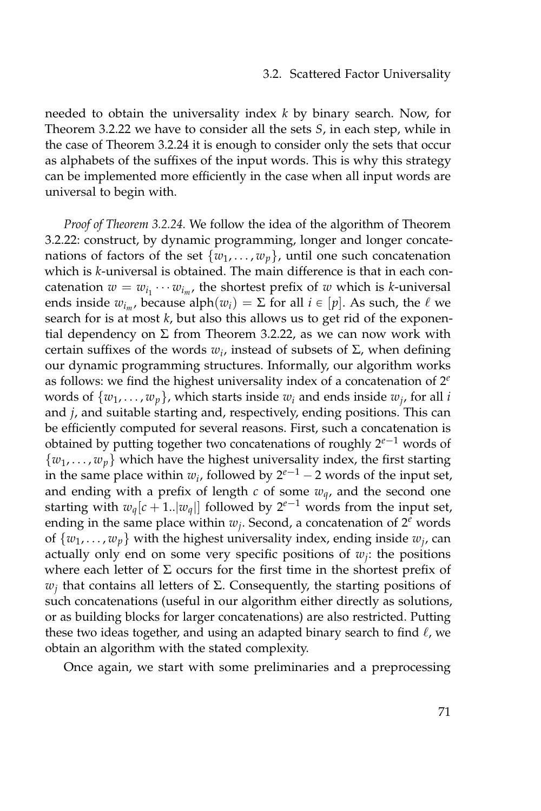needed to obtain the universality index *k* by binary search. Now, for Theorem [3.2.22](#page-83-0) we have to consider all the sets *S*, in each step, while in the case of Theorem [3.2.24](#page-87-0) it is enough to consider only the sets that occur as alphabets of the suffixes of the input words. This is why this strategy can be implemented more efficiently in the case when all input words are universal to begin with.

*Proof of Theorem [3.2.24.](#page-87-0)* We follow the idea of the algorithm of Theorem [3.2.22:](#page-83-0) construct, by dynamic programming, longer and longer concatenations of factors of the set  $\{w_1, \ldots, w_p\}$ , until one such concatenation which is *k*-universal is obtained. The main difference is that in each concatenation  $w = w_{i_1} \cdots w_{i_m}$ , the shortest prefix of  $w$  which is *k*-universal ends inside  $w_{i_m}$ , because alph $(w_i) = \Sigma$  for all  $i \in [p]$ . As such, the  $\ell$  we search for is at most *k*, but also this allows us to get rid of the exponential dependency on  $\Sigma$  from Theorem [3.2.22,](#page-83-0) as we can now work with certain suffixes of the words *w<sup>i</sup>* , instead of subsets of Σ, when defining our dynamic programming structures. Informally, our algorithm works as follows: we find the highest universality index of a concatenation of 2 *e* words of  $\{w_1, \ldots, w_p\}$ , which starts inside  $w_i$  and ends inside  $w_j$ , for all *i* and *j*, and suitable starting and, respectively, ending positions. This can be efficiently computed for several reasons. First, such a concatenation is obtained by putting together two concatenations of roughly  $2^{e-1}$  words of  $\{w_1, \ldots, w_p\}$  which have the highest universality index, the first starting in the same place within  $w_i$ , followed by  $2^{e-1} - 2$  words of the input set, and ending with a prefix of length  $c$  of some  $w_q$ , and the second one starting with  $w_q[c + 1..|w_q|]$  followed by  $2^{e-1}$  words from the input set, ending in the same place within  $w_j$ . Second, a concatenation of  $2^e$  words of  $\{w_1, \ldots, w_p\}$  with the highest universality index, ending inside  $w_j$ , can actually only end on some very specific positions of *w<sup>j</sup>* : the positions where each letter of  $\Sigma$  occurs for the first time in the shortest prefix of *wj* that contains all letters of Σ. Consequently, the starting positions of such concatenations (useful in our algorithm either directly as solutions, or as building blocks for larger concatenations) are also restricted. Putting these two ideas together, and using an adapted binary search to find  $\ell$ , we obtain an algorithm with the stated complexity.

Once again, we start with some preliminaries and a preprocessing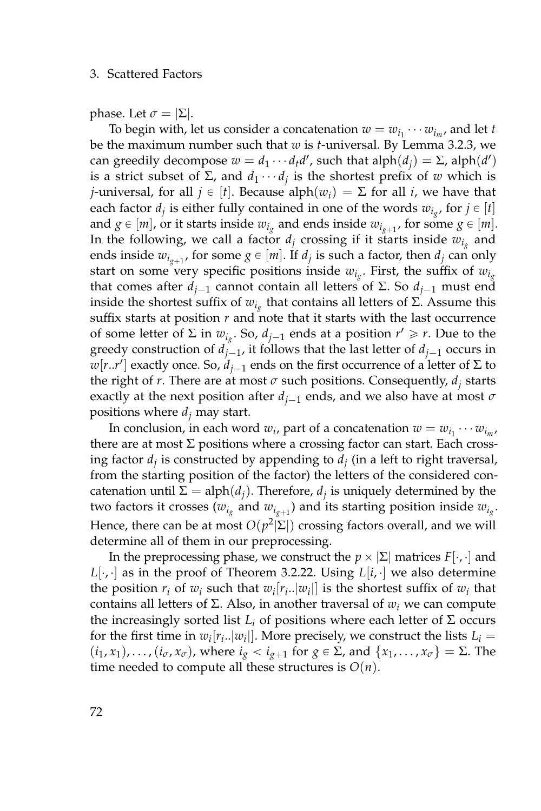phase. Let  $\sigma = |\Sigma|$ .

To begin with, let us consider a concatenation  $w = w_{i_1} \cdots w_{i_m}$ , and let *t* be the maximum number such that *w* is *t*-universal. By Lemma [3.2.3,](#page-70-0) we can greedily decompose  $w = d_1 \cdots d_t d'$ , such that  $\text{alph}(d_j) = \Sigma$ ,  $\text{alph}(d')$ is a strict subset of  $\Sigma$ , and  $d_1 \cdots d_j$  is the shortest prefix of *w* which is *j*-universal, for all  $j \in [t]$ . Because alph $(w_i) = \Sigma$  for all *i*, we have that each factor  $d_j$  is either fully contained in one of the words  $w_{i_g}$ , for  $j \in [t]$ and  $g \in [m]$ , or it starts inside  $w_{i_g}$  and ends inside  $w_{i_{g+1}}$ , for some  $g \in [m]$ . In the following, we call a factor  $d_j$  crossing if it starts inside  $w_{i_g}$  and ends inside  $w_{i_{g+1}}$ , for some  $g \in [m]$ . If  $d_j$  is such a factor, then  $d_j$  can only start on some very specific positions inside  $w_{i_g}$ . First, the suffix of  $w_{i_g}$ that comes after  $d_{i-1}$  cannot contain all letters of Σ. So  $d_{i-1}$  must end inside the shortest suffix of  $w_{i_g}$  that contains all letters of Σ. Assume this suffix starts at position *r* and note that it starts with the last occurrence of some letter of  $\Sigma$  in  $w_{i_g}$ . So,  $d_{j-1}$  ends at a position  $r' \geq r$ . Due to the greedy construction of  $d_{j-1}$ , it follows that the last letter of  $d_{j-1}$  occurs in *w*[*r*..*r'*] exactly once. So,  $d_{j-1}$  ends on the first occurrence of a letter of Σ to the right of *r*. There are at most  $\sigma$  such positions. Consequently,  $d_i$  starts exactly at the next position after  $d_{i-1}$  ends, and we also have at most  $\sigma$ positions where *d<sup>j</sup>* may start.

In conclusion, in each word  $w_i$ , part of a concatenation  $w = w_{i_1} \cdots w_{i_m}$ , there are at most  $\Sigma$  positions where a crossing factor can start. Each crossing factor  $d_j$  is constructed by appending to  $d_j$  (in a left to right traversal, from the starting position of the factor) the letters of the considered concatenation until  $\Sigma = \text{alph}(d_j)$ . Therefore,  $d_j$  is uniquely determined by the two factors it crosses  $(w_{i_g}$  and  $w_{i_{g+1}})$  and its starting position inside  $w_{i_g}.$ Hence, there can be at most  $O(p^2|\Sigma|)$  crossing factors overall, and we will determine all of them in our preprocessing.

In the preprocessing phase, we construct the  $p \times |\Sigma|$  matrices  $F[\cdot, \cdot]$  and  $L[\cdot, \cdot]$  as in the proof of Theorem [3.2.22.](#page-83-0) Using  $L[i, \cdot]$  we also determine the position  $r_i$  of  $w_i$  such that  $w_i[r_i..|w_i]]$  is the shortest suffix of  $w_i$  that contains all letters of Σ. Also, in another traversal of  $w_i$  we can compute the increasingly sorted list  $L$ <sup>*i*</sup> of positions where each letter of Σ occurs for the first time in  $w_i[r_i..|w_i]$ . More precisely, we construct the lists  $L_i =$  $(i_1, x_1), \ldots, (i_{\sigma}, x_{\sigma})$ , where  $i_g < i_{g+1}$  for  $g \in \Sigma$ , and  $\{x_1, \ldots, x_{\sigma}\} = \Sigma$ . The time needed to compute all these structures is  $O(n)$ .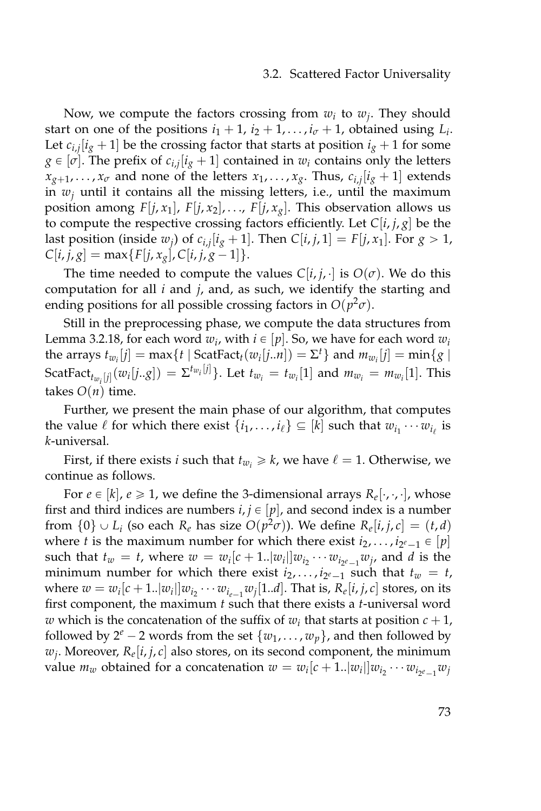#### 3.2. Scattered Factor Universality

Now, we compute the factors crossing from  $w_i$  to  $w_j$ . They should start on one of the positions  $i_1 + 1$ ,  $i_2 + 1$ , ...,  $i_{\sigma} + 1$ , obtained using  $L_i$ . Let  $c_{i,j}[i_g+1]$  be the crossing factor that starts at position  $i_g+1$  for some  $g \in [\sigma]$ . The prefix of  $c_{i,j}[i_g+1]$  contained in  $w_i$  contains only the letters  $x_{g+1}, \ldots, x_{\sigma}$  and none of the letters  $x_1, \ldots, x_g$ . Thus,  $c_{i,j}[i_g+1]$  extends in  $w_j$  until it contains all the missing letters, i.e., until the maximum position among  $F[j, x_1]$ ,  $F[j, x_2]$ , ...,  $F[j, x_g]$ . This observation allows us to compute the respective crossing factors efficiently. Let  $C[i, j, g]$  be the last position (inside  $w_j$ ) of  $c_{i,j}[i_g+1]$ . Then  $C[i,j,1] = F[j,x_1]$ . For  $g > 1$ ,  $C[i, j, g] = \max\{F[j, x_g], C[i, j, g-1]\}.$ 

The time needed to compute the values  $C[i, j]$ . is  $O(\sigma)$ . We do this computation for all *i* and *j*, and, as such, we identify the starting and ending positions for all possible crossing factors in  $O(p^2\sigma)$ .

Still in the preprocessing phase, we compute the data structures from Lemma [3.2.18,](#page-78-0) for each word  $w_i$ , with  $i \in [p].$  So, we have for each word  $w_i$ the arrays  $t_{w_i}[j] = \max\{t \mid \text{ScatFact}_{t}(w_i[j..n]) = \Sigma^t\}$  and  $m_{w_i}[j] = \min\{g \mid$ ScatFact $t_{w_i}[j](w_i[j..g]) = \Sigma^{t_{w_i}[j]}$ . Let  $t_{w_i} = t_{w_i}[1]$  and  $m_{w_i} = m_{w_i}[1]$ . This takes  $O(n)$  time.

Further, we present the main phase of our algorithm, that computes the value  $\ell$  for which there exist  $\{i_1, \ldots, i_\ell\} \subseteq [k]$  such that  $w_{i_1} \cdots w_{i_\ell}$  is *k*-universal.

First, if there exists *i* such that  $t_{w_i} \geq k$ , we have  $\ell = 1$ . Otherwise, we continue as follows.

For  $e \in [k]$ ,  $e \ge 1$ , we define the 3-dimensional arrays  $R_e[\cdot, \cdot, \cdot]$ , whose first and third indices are numbers  $i, j \in [p]$ , and second index is a number from  $\{0\} \cup L_i$  (so each  $R_e$  has size  $O(p^2\sigma)$ ). We define  $R_e[i, j, c] = (t, d)$ where *t* is the maximum number for which there exist  $i_2, \ldots, i_{2^e-1} \in [p]$ such that  $t_w = t$ , where  $w = w_i[c + 1..|w_i|]w_{i_2} \cdots w_{i_{2^e-1}}w_j$ , and *d* is the minimum number for which there exist  $i_2, \ldots, i_{2^e-1}$  such that  $t_w = t$ , where  $w = w_i[c + 1..|w_i|]w_{i_2} \cdots w_{i_{e-1}}w_j[1..d]$ . That is,  $R_e[i, j, c]$  stores, on its first component, the maximum *t* such that there exists a *t*-universal word *w* which is the concatenation of the suffix of  $w_i$  that starts at position  $c + 1$ , followed by  $2^e - 2$  words from the set  $\{w_1, \ldots, w_p\}$ , and then followed by  $w_j$ . Moreover,  $R_e[i, j, c]$  also stores, on its second component, the minimum value  $m_w$  obtained for a concatenation  $w = w_i[c + 1..|w_i|]w_{i_2} \cdots w_{i_{2^e-1}}w_j$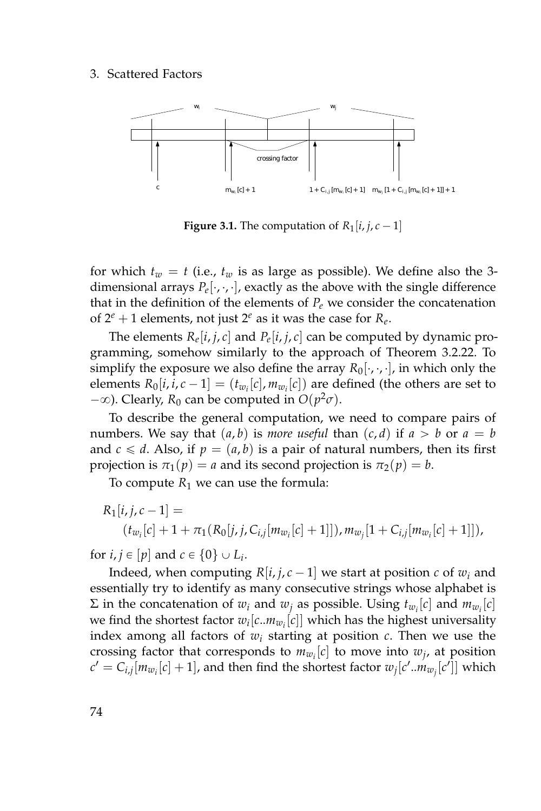

**Figure 3.1.** The computation of  $R_1[i, j, c-1]$ 

for which  $t_w = t$  (i.e.,  $t_w$  is as large as possible). We define also the 3dimensional arrays  $P_e[\cdot,\cdot,\cdot]$ , exactly as the above with the single difference that in the definition of the elements of  $P_e$  we consider the concatenation of  $2^e + 1$  elements, not just  $2^e$  as it was the case for  $R_e$ .

The elements  $R_e[i, j, c]$  and  $P_e[i, j, c]$  can be computed by dynamic programming, somehow similarly to the approach of Theorem [3.2.22.](#page-83-0) To simplify the exposure we also define the array  $R_0[\cdot, \cdot, \cdot]$ , in which only the elements  $R_0[i, i, c - 1] = (t_{w_i}[c], m_{w_i}[c])$  are defined (the others are set to  $(-\infty)$ . Clearly,  $R_0$  can be computed in  $O(p^2\sigma)$ .

To describe the general computation, we need to compare pairs of numbers. We say that  $(a, b)$  is *more useful* than  $(c, d)$  if  $a > b$  or  $a = b$ and  $c \le d$ . Also, if  $p = (a, b)$  is a pair of natural numbers, then its first projection is  $\pi_1(p) = a$  and its second projection is  $\pi_2(p) = b$ .

To compute  $R_1$  we can use the formula:

$$
R_1[i, j, c - 1] =
$$
  

$$
(t_{w_i}[c] + 1 + \pi_1(R_0[j, j, C_{i,j}[m_{w_i}[c] + 1]]), m_{w_j}[1 + C_{i,j}[m_{w_i}[c] + 1]]),
$$

for  $i, j \in [p]$  and  $c \in \{0\} \cup L_i$ .

Indeed, when computing  $R[i, j, c - 1]$  we start at position *c* of  $w_i$  and essentially try to identify as many consecutive strings whose alphabet is  $\Sigma$  in the concatenation of  $w_i$  and  $w_j$  as possible. Using  $t_{w_i}[c]$  and  $m_{w_i}[c]$ we find the shortest factor  $w_i[c..m_{w_i}[c]]$  which has the highest universality index among all factors of *w<sup>i</sup>* starting at position *c*. Then we use the crossing factor that corresponds to  $m_{w_i}[c]$  to move into  $w_j$ , at position  $c' = C_{i,j}[m_{w_i}[c]+1]$ , and then find the shortest factor  $w_j[c'..m_{w_j}[c']$  which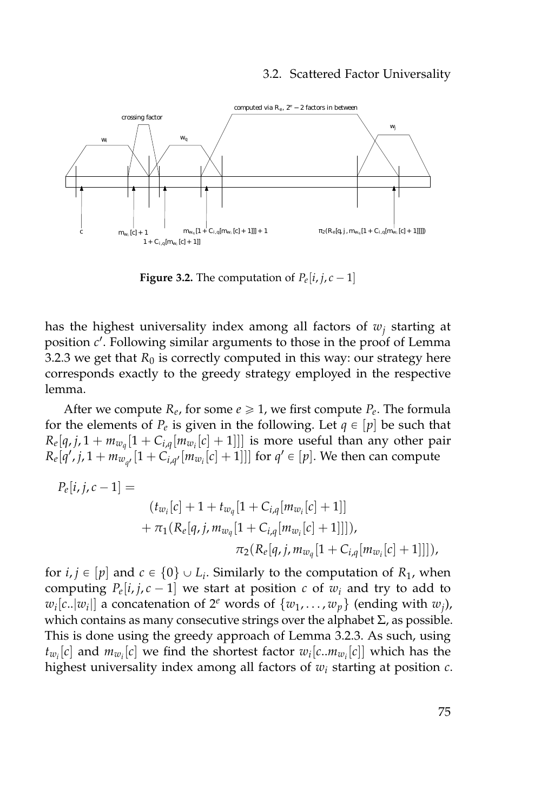#### 3.2. Scattered Factor Universality



**Figure 3.2.** The computation of  $P_e[i, j, c-1]$ 

has the highest universality index among all factors of *w<sup>j</sup>* starting at position c'. Following similar arguments to those in the proof of Lemma [3.2.3](#page-70-0) we get that  $R_0$  is correctly computed in this way: our strategy here corresponds exactly to the greedy strategy employed in the respective lemma.

After we compute  $R_e$ , for some  $e \geq 1$ , we first compute  $P_e$ . The formula for the elements of  $P_e$  is given in the following. Let  $q \in [p]$  be such that  $R_e[q, j, 1 + m_{w_q}[1 + C_{i,q}[m_{w_i}[c] + 1]]]$  is more useful than any other pair  $R_e[q', j, 1 + m_{w_{q'}}[1 + C_{i,q'}[m_{w_i}[c] + 1]]]$  for  $q' \in [p]$ . We then can compute

$$
P_e[i,j,c-1] =
$$
  
\n
$$
(t_{w_i}[c] + 1 + t_{w_q}[1 + C_{i,q}[m_{w_i}[c] + 1]]
$$
\n
$$
+ \pi_1(R_e[q,j,m_{w_q}[1 + C_{i,q}[m_{w_i}[c] + 1]]]),
$$
\n
$$
\pi_2(R_e[q,j,m_{w_q}[1 + C_{i,q}[m_{w_i}[c] + 1]]]),
$$

for  $i, j \in [p]$  and  $c \in \{0\} \cup L_i$ . Similarly to the computation of  $R_1$ , when computing  $P_e[i, j, c - 1]$  we start at position  $c$  of  $w_i$  and try to add to  $w_i[c..|w_i|]$  a concatenation of  $2^e$  words of  $\{w_1, \ldots, w_p\}$  (ending with  $w_j$ ), which contains as many consecutive strings over the alphabet  $\Sigma$ , as possible. This is done using the greedy approach of Lemma [3.2.3.](#page-70-0) As such, using  $t_{w_i}[c]$  and  $m_{w_i}[c]$  we find the shortest factor  $w_i[c..m_{w_i}[c]]$  which has the highest universality index among all factors of *w<sup>i</sup>* starting at position *c*.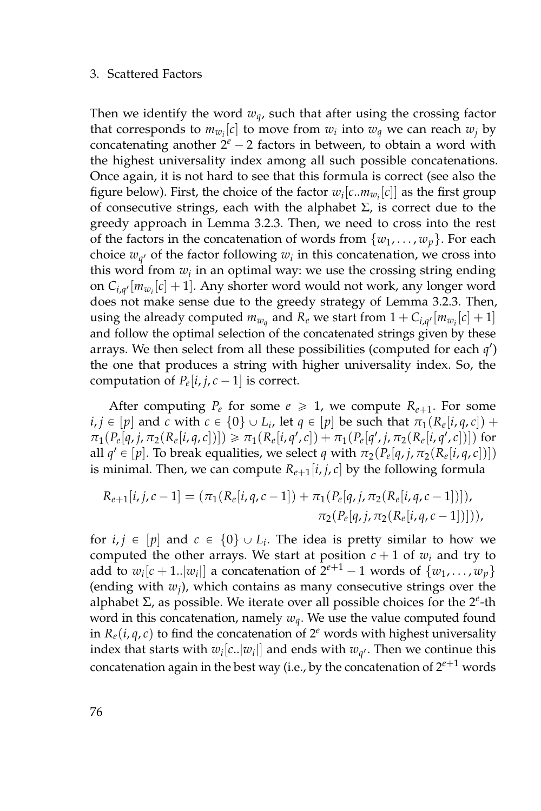Then we identify the word *wq*, such that after using the crossing factor that corresponds to  $m_{w_i}[c]$  to move from  $w_i$  into  $w_q$  we can reach  $w_j$  by concatenating another  $2^e - 2$  factors in between, to obtain a word with the highest universality index among all such possible concatenations. Once again, it is not hard to see that this formula is correct (see also the figure below). First, the choice of the factor  $w_i[c..m_{w_i}[c]]$  as the first group of consecutive strings, each with the alphabet  $\Sigma$ , is correct due to the greedy approach in Lemma [3.2.3.](#page-70-0) Then, we need to cross into the rest of the factors in the concatenation of words from  $\{w_1, \ldots, w_p\}$ . For each choice  $w_{q'}$  of the factor following  $w_i$  in this concatenation, we cross into this word from  $w_i$  in an optimal way: we use the crossing string ending on  $C_{i,q'}[m_{w_i}[c]+1]$ . Any shorter word would not work, any longer word does not make sense due to the greedy strategy of Lemma [3.2.3.](#page-70-0) Then, using the already computed  $m_{w_q}$  and  $R_e$  we start from  $1 + C_{i,q'}[m_{w_i}[c] + 1]$ and follow the optimal selection of the concatenated strings given by these arrays. We then select from all these possibilities (computed for each *q* 1 ) the one that produces a string with higher universality index. So, the computation of  $P_e[i, j, c - 1]$  is correct.

After computing  $P_e$  for some  $e \ge 1$ , we compute  $R_{e+1}$ . For some  $i, j \in [p]$  and  $c$  with  $c \in \{0\} \cup L_i$ , let  $q \in [p]$  be such that  $\pi_1(R_e[i, q, c]) +$  $\pi_1(P_e[q,j,\pi_2(R_e[i,q,c])]) \geq \pi_1(R_e[i,q',c]) + \pi_1(P_e[q',j,\pi_2(R_e[i,q',c])])$  for all  $q' \in [p]$ . To break equalities, we select *q* with  $\pi_2(P_e[q, j, \pi_2(R_e[i, q, c])])$ is minimal. Then, we can compute  $R_{e+1}[i, j, c]$  by the following formula

$$
R_{e+1}[i,j,c-1] = (\pi_1(R_e[i,q,c-1]) + \pi_1(P_e[q,j,\pi_2(R_e[i,q,c-1])]),
$$
  

$$
\pi_2(P_e[q,j,\pi_2(R_e[i,q,c-1])]),
$$

for  $i, j \in [p]$  and  $c \in \{0\} \cup L_i$ . The idea is pretty similar to how we computed the other arrays. We start at position  $c + 1$  of  $w_i$  and try to add to  $w_i[c + 1..|w_i]]$  a concatenation of  $2^{e+1} - 1$  words of  $\{w_1, \ldots, w_p\}$ (ending with *w<sup>j</sup>* ), which contains as many consecutive strings over the alphabet Σ, as possible. We iterate over all possible choices for the 2 *e* -th word in this concatenation, namely *wq*. We use the value computed found in  $R_e(i, q, c)$  to find the concatenation of  $2^e$  words with highest universality index that starts with  $w_i[c..|w_i|]$  and ends with  $w_{q'}$ . Then we continue this concatenation again in the best way (i.e., by the concatenation of  $2^{e+1}$  words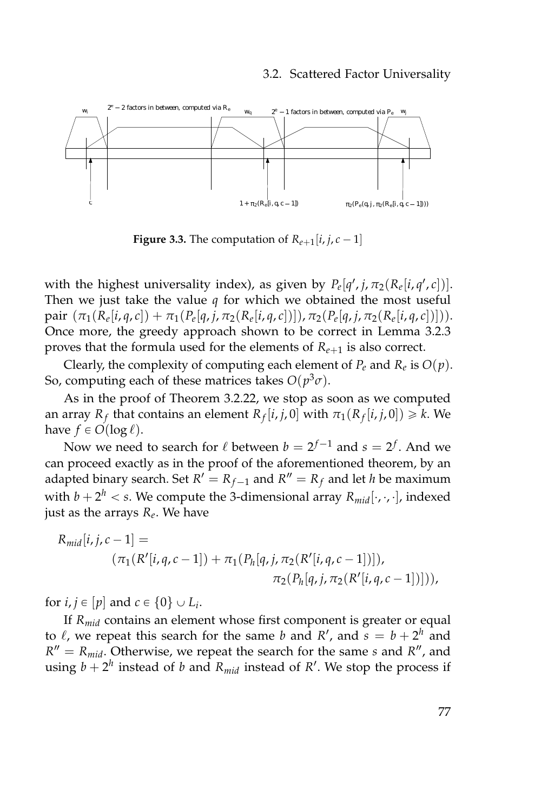#### 3.2. Scattered Factor Universality



**Figure 3.3.** The computation of  $R_{e+1}[i, j, c-1]$ 

with the highest universality index), as given by  $P_e[q', j, \pi_2(R_e[i, q', c])]$ . Then we just take the value  $q$  for which we obtained the most useful pair  $(\pi_1(R_e[i,q,c]) + \pi_1(P_e[q,j,\pi_2(R_e[i,q,c])])$ ,  $\pi_2(P_e[q,j,\pi_2(R_e[i,q,c])]))$ . Once more, the greedy approach shown to be correct in Lemma [3.2.3](#page-70-0) proves that the formula used for the elements of  $R_{e+1}$  is also correct.

Clearly, the complexity of computing each element of  $P_e$  and  $R_e$  is  $O(p)$ . So, computing each of these matrices takes  $O(p^3 \sigma)$ .

As in the proof of Theorem [3.2.22,](#page-83-0) we stop as soon as we computed an array  $R_f$  that contains an element  $R_f[i, j, 0]$  with  $\pi_1(R_f[i, j, 0]) \geq k$ . We have  $f \in O(\log \ell)$ .

Now we need to search for  $\ell$  between  $b = 2^{f-1}$  and  $s = 2^f$ . And we can proceed exactly as in the proof of the aforementioned theorem, by an adapted binary search. Set  $R' = R_{f-1}$  and  $R'' = R_f$  and let *h* be maximum with  $b + 2^h < s$ . We compute the 3-dimensional array  $R_{mid}[\cdot, \cdot, \cdot]$ , indexed just as the arrays *R<sup>e</sup>* . We have

$$
R_{mid}[i, j, c - 1] =
$$
  
\n
$$
(\pi_1(R'[i, q, c - 1]) + \pi_1(P_h[q, j, \pi_2(R'[i, q, c - 1])]),
$$
  
\n
$$
\pi_2(P_h[q, j, \pi_2(R'[i, q, c - 1])]),
$$

for  $i, j \in [p]$  and  $c \in \{0\} \cup L_i$ .

If *Rmid* contains an element whose first component is greater or equal to  $\ell$ , we repeat this search for the same *b* and *R'*, and  $s = b + 2<sup>h</sup>$  and  $R'' = R_{mid}$ . Otherwise, we repeat the search for the same *s* and  $R''$ , and using  $b + 2^h$  instead of *b* and  $R_{mid}$  instead of  $R'$ . We stop the process if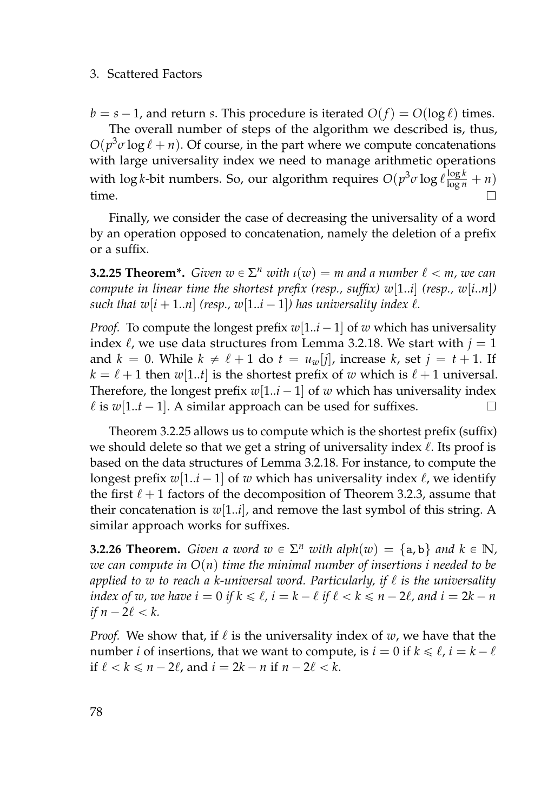$b = s - 1$ , and return *s*. This procedure is iterated  $O(f) = O(\log \ell)$  times.

The overall number of steps of the algorithm we described is, thus,  $O(p^3 \sigma \log \ell + n)$ . Of course, in the part where we compute concatenations with large universality index we need to manage arithmetic operations with  $\log k$ -bit numbers. So, our algorithm requires  $O(p^3 \sigma \log \ell \frac{\log k}{\log n} + n)$ time. П

Finally, we consider the case of decreasing the universality of a word by an operation opposed to concatenation, namely the deletion of a prefix or a suffix.

<span id="page-95-0"></span>**3.2.25 Theorem\*.** *Given*  $w \in \Sigma^n$  *with*  $\iota(w) = m$  *and a number*  $\ell < m$ *, we can compute in linear time the shortest prefix (resp., suffix)*  $w[1..i]$  (resp.,  $w[i..n]$ ) *such that w*[ $i + 1..n$ ] (resp., w[ $1..i - 1$ ]) has universality index  $\ell$ .

*Proof.* To compute the longest prefix  $w[1..i - 1]$  of w which has universality index  $\ell$ , we use data structures from Lemma [3.2.18.](#page-78-0) We start with  $j = 1$ and  $k = 0$ . While  $k \neq \ell + 1$  do  $t = u_w[j]$ , increase  $k$ , set  $j = t + 1$ . If  $k = \ell + 1$  then  $w[1..t]$  is the shortest prefix of *w* which is  $\ell + 1$  universal. Therefore, the longest prefix  $w[1..i - 1]$  of w which has universality index  $\ell$  is  $w[1..t - 1]$ . A similar approach can be used for suffixes.  $\Box$ 

Theorem [3.2.25](#page-95-0) allows us to compute which is the shortest prefix (suffix) we should delete so that we get a string of universality index  $\ell$ . Its proof is based on the data structures of Lemma [3.2.18.](#page-78-0) For instance, to compute the longest prefix  $w[1..i - 1]$  of *w* which has universality index  $\ell$ , we identify the first  $\ell + 1$  factors of the decomposition of Theorem [3.2.3,](#page-70-0) assume that their concatenation is  $w[1..i]$ , and remove the last symbol of this string. A similar approach works for suffixes.

**3.2.26 Theorem.** *Given a word*  $w \in \Sigma^n$  *with alph*( $w$ ) = {a, b} *and*  $k \in \mathbb{N}$ *, we can compute in O*(*n*) *time the minimal number of insertions i needed to be* applied to *w* to reach a *k*-universal word. Particularly, if  $\ell$  is the universality *index of w, we have*  $i = 0$  *if*  $k \le l$ ,  $i = k - l$  *if*  $l < k \le n - 2l$ , and  $i = 2k - n$ *if*  $n - 2\ell < k$ .

*Proof.* We show that, if  $\ell$  is the universality index of  $w$ , we have that the number *i* of insertions, that we want to compute, is  $i = 0$  if  $k \leq \ell$ ,  $i = k - \ell$ if  $\ell < k \leq n - 2\ell$ , and  $i = 2k - n$  if  $n - 2\ell < k$ .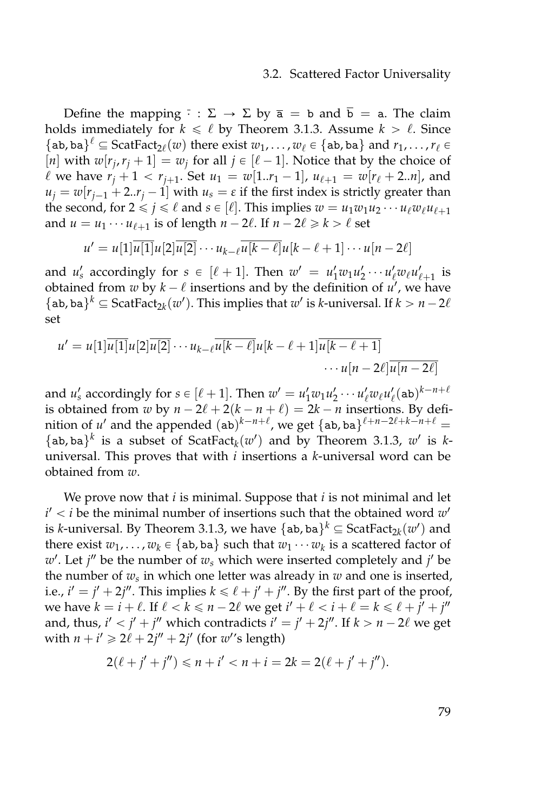#### 3.2. Scattered Factor Universality

Define the mapping  $\overline{\cdot}$  :  $\Sigma \rightarrow \Sigma$  by  $\overline{a} = b$  and  $\overline{b} = a$ . The claim holds immediately for  $k \leq \ell$  by Theorem [3.1.3.](#page-47-0) Assume  $k > \ell$ . Since {ab, ba}<sup> $\ell$ </sup>  $\subseteq$  ScatFact<sub>2 $\ell$ </sub>(*w*) there exist  $w_1, \ldots, w_{\ell}$   $\in$  {ab, ba} and  $r_1, \ldots, r_{\ell}$   $\in$ [*n*] with  $w[r_j, r_j + 1] = w_j$  for all  $j \in [\ell - 1]$ . Notice that by the choice of  $\ell$  we have  $r_j + 1 < r_{j+1}$ . Set  $u_1 = w[1..r_1 - 1]$ ,  $u_{\ell+1} = w[r_{\ell} + 2..n]$ , and  $u_j = w[r_{j-1} + 2..r_j - 1]$  with  $u_s = \varepsilon$  if the first index is strictly greater than the second, for  $2 \leq j \leq \ell$  and  $s \in [\ell]$ . This implies  $w = u_1w_1u_2 \cdots u_\ell w_\ell u_{\ell+1}$ and  $u = u_1 \cdots u_{\ell+1}$  is of length  $n - 2\ell$ . If  $n - 2\ell \geq k > \ell$  set

$$
u' = u[1]\overline{u[1]}u[2]\overline{u[2]} \cdots u_{k-\ell}\overline{u[k-\ell]}u[k-\ell+1] \cdots u[n-2\ell]
$$

and *u*<sub>s</sub> accordingly for  $s \in [\ell + 1]$ . Then  $w' = u'_1 w_1 u'_2 \cdots u'_\ell w_\ell u'_{\ell+1}$  is obtained from  $w$  by  $k - \ell$  insertions and by the definition of  $u'$ , we have {ab, ba}<sup>*k*</sup>  $\subseteq$  ScatFact<sub>2*k*</sub>(*w*'). This implies that *w*' is *k*-universal. If *k* > *n* - 2*l* set

$$
u' = u[1]\overline{u[1]}u[2]\overline{u[2]} \cdots u_{k-\ell}\overline{u[k-\ell]}u[k-\ell+1]\overline{u[k-\ell+1]}\cdots u[n-2\ell]\overline{u[n-2\ell]}
$$

and  $u'_s$  accordingly for  $s \in [\ell + 1]$ . Then  $w' = u'_1 w_1 u'_2 \cdots u'_\ell w_\ell u'_\ell(\mathtt{ab})^{k - n + \ell}$ is obtained from *w* by  $n - 2\ell + 2(k - n + \ell) = 2k - n$  insertions. By definition of u' and the appended  $(ab)^{k-n+\ell}$ , we get  $\{ab, ba\}^{\ell+n-2\ell+k-n+\ell} =$ {ab, ba}<sup>*k*</sup> is a subset of ScatFact<sub>*k*</sub>( $w'$ ) and by Theorem [3.1.3,](#page-47-0)  $w'$  is *k*universal. This proves that with *i* insertions a *k*-universal word can be obtained from *w*.

We prove now that *i* is minimal. Suppose that *i* is not minimal and let  $i' < i$  be the minimal number of insertions such that the obtained word  $w'$ is *k*-universal. By Theorem [3.1.3,](#page-47-0) we have  $\{ab, ba\}^k \subseteq ScatFact_{2k}(w')$  and there exist  $w_1, \ldots, w_k \in \{ab, ba\}$  such that  $w_1 \cdots w_k$  is a scattered factor of  $w'$ . Let *j*<sup> $\prime$ </sup> be the number of  $w_s$  which were inserted completely and *j*<sup> $\prime$ </sup> be the number of *w<sup>s</sup>* in which one letter was already in *w* and one is inserted, i.e.,  $i' = j' + 2j''$ . This implies  $k \le \ell + j' + j''$ . By the first part of the proof, we have  $k = i + \ell$ . If  $\ell < k \leq n - 2\ell$  we get  $i' + \ell < i + \ell = k \leq \ell + j' + j''$ and, thus,  $i' < j' + j''$  which contradicts  $i' = j' + 2j''$ . If  $k > n - 2\ell$  we get with  $n + i' \geq 2\ell + 2j'' + 2j'$  (for  $w''$ s length)

$$
2(\ell + j' + j'') \le n + i' < n + i = 2k = 2(\ell + j' + j'').
$$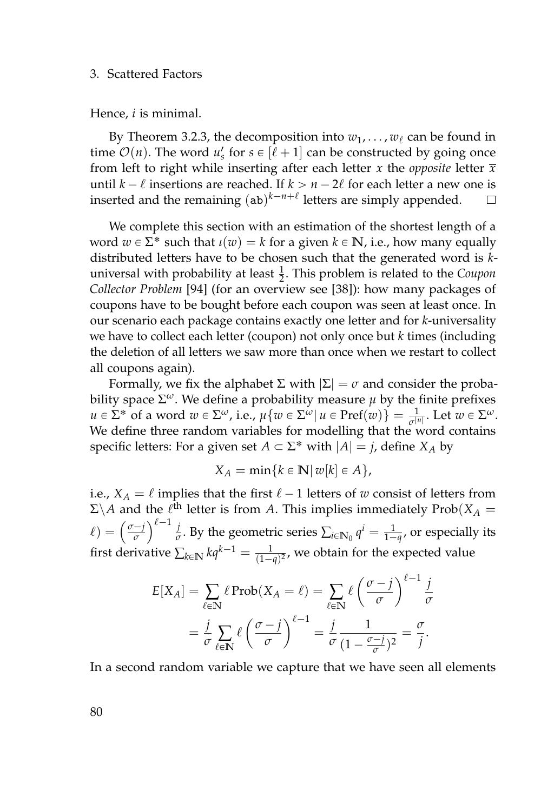Hence, *i* is minimal.

By Theorem [3.2.3,](#page-70-0) the decomposition into  $w_1, \ldots, w_\ell$  can be found in time  $\mathcal{O}(n)$ . The word  $u'_s$  for  $s \in [\ell + 1]$  can be constructed by going once from left to right while inserting after each letter *x* the *opposite* letter  $\bar{x}$ until  $k - \ell$  insertions are reached. If  $k > n - 2\ell$  for each letter a new one is inserted and the remaining  $(ab)^{k-n+\ell}$  letters are simply appended.  $\Box$ 

We complete this section with an estimation of the shortest length of a word  $w \in \Sigma^*$  such that  $\iota(w) = k$  for a given  $k \in \mathbb{N}$ , i.e., how many equally distributed letters have to be chosen such that the generated word is *k*universal with probability at least  $\frac{1}{2}$ . This problem is related to the *Coupon Collector Problem* [\[94\]](#page-166-0) (for an overview see [\[38\]](#page-161-1)): how many packages of coupons have to be bought before each coupon was seen at least once. In our scenario each package contains exactly one letter and for *k*-universality we have to collect each letter (coupon) not only once but *k* times (including the deletion of all letters we saw more than once when we restart to collect all coupons again).

Formally, we fix the alphabet Σ with  $|\Sigma| = \sigma$  and consider the probability space  $\Sigma^{\omega}$ . We define a probability measure  $\mu$  by the finite prefixes  $u \in \Sigma^*$  of a word  $w \in \Sigma^\omega$ , i.e.,  $\mu\{w \in \Sigma^\omega | u \in \text{Pref}(w)\} = \frac{1}{\sigma^{|u|}}$ . Let  $w \in \Sigma^\omega$ . We define three random variables for modelling that the word contains specific letters: For a given set  $A \subset \Sigma^*$  with  $|A| = j$ , define  $X_A$  by

$$
X_A = \min\{k \in \mathbb{N} \mid w[k] \in A\},\
$$

i.e.,  $X_A = \ell$  implies that the first  $\ell - 1$  letters of *w* consist of letters from  $\Sigma \backslash A$  and the  $\ell^{\text{th}}$  letter is from *A*. This implies immediately Prob $(X_A = \ell_A)$  $\ell$ ) =  $\left(\frac{\sigma-j}{\sigma}\right)$  $\left(\frac{-j}{\sigma}\right)^{\ell-1}$   $\frac{j}{\sigma}$  $\frac{1}{\sigma}$ . By the geometric series  $\sum_{i\in\mathbb{N}_0} q^i = \frac{1}{1-q}$ , or especially its first derivative  $\sum_{k\in\mathbb{N}} kq^{k-1} = \frac{1}{(1-q)^2}$ , we obtain for the expected value

$$
E[X_A] = \sum_{\ell \in \mathbb{N}} \ell \operatorname{Prob}(X_A = \ell) = \sum_{\ell \in \mathbb{N}} \ell \left( \frac{\sigma - j}{\sigma} \right)^{\ell - 1} \frac{j}{\sigma}
$$

$$
= \frac{j}{\sigma} \sum_{\ell \in \mathbb{N}} \ell \left( \frac{\sigma - j}{\sigma} \right)^{\ell - 1} = \frac{j}{\sigma} \frac{1}{(1 - \frac{\sigma - j}{\sigma})^2} = \frac{\sigma}{j}.
$$

In a second random variable we capture that we have seen all elements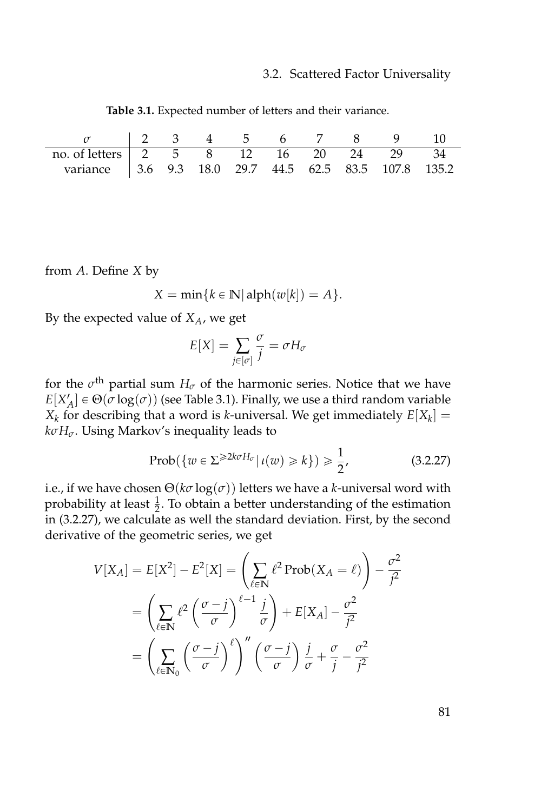<span id="page-98-0"></span>

| $\sigma$   2 3 4 5 6 7 8 9 10                           |  |  |  |  |  |
|---------------------------------------------------------|--|--|--|--|--|
| no. of letters 2 5 8 12 16 20 24 29 34                  |  |  |  |  |  |
| variance   3.6 9.3 18.0 29.7 44.5 62.5 83.5 107.8 135.2 |  |  |  |  |  |

**Table 3.1.** Expected number of letters and their variance.

from *A*. Define *X* by

$$
X = \min\{k \in \mathbb{N} | \text{alph}(w[k]) = A\}.
$$

By the expected value of *XA*, we get

$$
E[X] = \sum_{j \in [\sigma]} \frac{\sigma}{j} = \sigma H_{\sigma}
$$

for the  $\sigma^{\text{th}}$  partial sum  $H_{\sigma}$  of the harmonic series. Notice that we have  $E[X'_A] \in \Theta(\sigma \log(\sigma))$  (see Table [3.1\)](#page-98-0). Finally, we use a third random variable  $X_k$  for describing that a word is *k*-universal. We get immediately  $E[X_k] =$ *kσHσ*. Using Markov's inequality leads to

<span id="page-98-1"></span>
$$
\text{Prob}(\{w \in \Sigma^{\geqslant 2k\sigma H_{\sigma}} | \iota(w) \geqslant k\}) \geqslant \frac{1}{2},\tag{3.2.27}
$$

i.e., if we have chosen  $\Theta(k\sigma \log(\sigma))$  letters we have a *k*-universal word with probability at least  $\frac{1}{2}$ . To obtain a better understanding of the estimation in [\(3.2.27\)](#page-98-1), we calculate as well the standard deviation. First, by the second derivative of the geometric series, we get

$$
V[X_A] = E[X^2] - E^2[X] = \left(\sum_{\ell \in \mathbb{N}} \ell^2 \operatorname{Prob}(X_A = \ell)\right) - \frac{\sigma^2}{j^2}
$$

$$
= \left(\sum_{\ell \in \mathbb{N}} \ell^2 \left(\frac{\sigma - j}{\sigma}\right)^{\ell - 1} \frac{j}{\sigma}\right) + E[X_A] - \frac{\sigma^2}{j^2}
$$

$$
= \left(\sum_{\ell \in \mathbb{N}_0} \left(\frac{\sigma - j}{\sigma}\right)^{\ell} \right)'' \left(\frac{\sigma - j}{\sigma}\right) \frac{j}{\sigma} + \frac{\sigma}{j} - \frac{\sigma^2}{j^2}
$$

81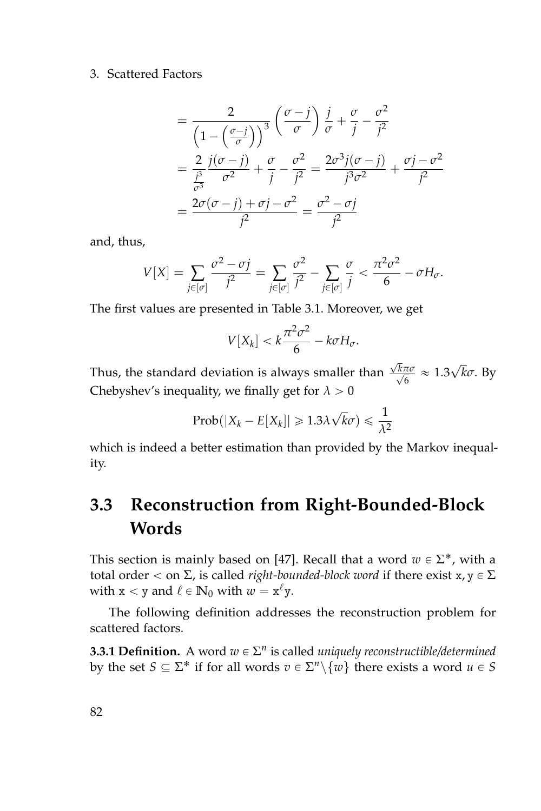$$
= \frac{2}{\left(1 - \left(\frac{\sigma - j}{\sigma}\right)\right)^3} \left(\frac{\sigma - j}{\sigma}\right) \frac{j}{\sigma} + \frac{\sigma}{j} - \frac{\sigma^2}{j^2}
$$

$$
= \frac{2}{\frac{j^3}{\sigma^3}} \frac{j(\sigma - j)}{\sigma^2} + \frac{\sigma}{j} - \frac{\sigma^2}{j^2} = \frac{2\sigma^3 j(\sigma - j)}{j^3 \sigma^2} + \frac{\sigma j - \sigma^2}{j^2}
$$

$$
= \frac{2\sigma(\sigma - j) + \sigma j - \sigma^2}{j^2} = \frac{\sigma^2 - \sigma j}{j^2}
$$

and, thus,

$$
V[X] = \sum_{j \in [\sigma]} \frac{\sigma^2 - \sigma j}{j^2} = \sum_{j \in [\sigma]} \frac{\sigma^2}{j^2} - \sum_{j \in [\sigma]} \frac{\sigma}{j} < \frac{\pi^2 \sigma^2}{6} - \sigma H_{\sigma}.
$$

The first values are presented in Table [3.1.](#page-98-0) Moreover, we get

$$
V[X_k] < k\frac{\pi^2\sigma^2}{6} - k\sigma H_\sigma.
$$

Thus, the standard deviation is always smaller than √ √ *kπσ*  $\frac{\pi \sigma}{6}$  ≈ 1.3√ $\overline{k}$ *σ*. By Chebyshev's inequality, we finally get for  $\lambda > 0$ 

$$
Prob(|X_k - E[X_k]| \ge 1.3\lambda\sqrt{k}\sigma) \le \frac{1}{\lambda^2}
$$

which is indeed a better estimation than provided by the Markov inequality.

# **3.3 Reconstruction from Right-Bounded-Block Words**

This section is mainly based on [\[47\]](#page-162-1). Recall that a word  $w \in \Sigma^*$ , with a total order  $<$  on  $\Sigma$ , is called *right-bounded-block word* if there exist x,  $y \in \Sigma$ with  $x < y$  and  $\ell \in \mathbb{N}_0$  with  $w = x^{\ell}y$ .

The following definition addresses the reconstruction problem for scattered factors.

**3.3.1 Definition.** A word  $w \in \Sigma^n$  is called *uniquely reconstructible/determined* by the set  $S \subseteq \Sigma^*$  if for all words  $v \in \Sigma^n \setminus \{w\}$  there exists a word  $u \in S$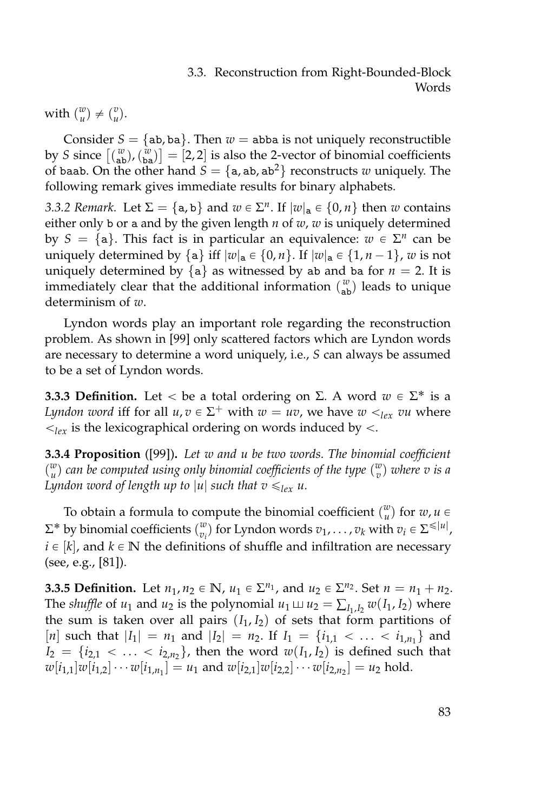## 3.3. Reconstruction from Right-Bounded-Block Words

with  $\binom{w}{u} \neq \binom{v}{u}$ .

Consider  $S = \{ab, ba\}$ . Then  $w = abba$  is not uniquely reconstructible by *S* since  $\begin{bmatrix} {w \choose \textbf{ab}} \end{bmatrix} = [2, 2]$  is also the 2-vector of binomial coefficients of baab. On the other hand  $S = \{a, ab, ab^2\}$  reconstructs *w* uniquely. The following remark gives immediate results for binary alphabets.

*3.3.2 Remark.* Let  $\Sigma = \{a, b\}$  and  $w \in \Sigma^n$ . If  $|w|_a \in \{0, n\}$  then *w* contains either only b or a and by the given length *n* of *w*, *w* is uniquely determined by  $S = \{a\}$ . This fact is in particular an equivalence:  $w \in \Sigma^n$  can be uniquely determined by  $\{a\}$  iff  $|w|_a \in \{0, n\}$ . If  $|w|_a \in \{1, n-1\}$ , *w* is not uniquely determined by  ${a}$  as witnessed by ab and ba for  $n = 2$ . It is immediately clear that the additional information  $\binom{w}{ab}$  leads to unique determinism of *w*.

Lyndon words play an important role regarding the reconstruction problem. As shown in [\[99\]](#page-166-1) only scattered factors which are Lyndon words are necessary to determine a word uniquely, i.e., *S* can always be assumed to be a set of Lyndon words.

**3.3.3 Definition.** Let  $\lt$  be a total ordering on  $\Sigma$ . A word  $w \in \Sigma^*$  is a *Lyndon word* iff for all  $u, v \in \Sigma^+$  with  $w = uv$ , we have  $w <_{lex} vu$  where  $\langle \xi \rangle_{lex}$  is the lexicographical ordering on words induced by  $\langle \xi \rangle$ .

**3.3.4 Proposition** ([\[99\]](#page-166-1))**.** *Let w and u be two words. The binomial coefficient*  $\binom{w}{u}$  *can be computed using only binomial coefficients of the type*  $\binom{w}{v}$  *where v is a Lyndon word of length up to*  $|u|$  *such that v*  $\leqslant_{lex}$  *u*.

To obtain a formula to compute the binomial coefficient  $\binom{w}{u}$  for  $w, u \in \mathbb{R}$  $\Sigma^*$  by binomial coefficients  $\binom{w}{v_i}$  for Lyndon words  $v_1, \ldots, v_k$  with  $v_i \in \Sigma^{\leq |u|}$ ,  $i \in [k]$ , and  $k \in \mathbb{N}$  the definitions of shuffle and infiltration are necessary (see, e.g., [\[81\]](#page-165-0)).

<span id="page-100-0"></span>**3.3.5 Definition.** Let  $n_1, n_2 \in \mathbb{N}$ ,  $u_1 \in \Sigma^{n_1}$ , and  $u_2 \in \Sigma^{n_2}$ . Set  $n = n_1 + n_2$ . The *shuffle* of  $u_1$  and  $u_2$  is the polynomial  $u_1 \sqcup u_2 = \sum_{I_1, I_2} w(I_1, I_2)$  where the sum is taken over all pairs  $(I_1, I_2)$  of sets that form partitions of [*n*] such that  $|I_1| = n_1$  and  $|I_2| = n_2$ . If  $I_1 = \{i_{1,1} < \dots < i_{1,n_1}\}\$  and  $I_2 = \{i_{2,1} < \ldots < i_{2,n_2}\}\text{, then the word } w(I_1, I_2) \text{ is defined such that }$  $w[i_{1,1}]w[i_{1,2}] \cdots w[i_{1,n_1}] = u_1$  and  $w[i_{2,1}]w[i_{2,2}] \cdots w[i_{2,n_2}] = u_2$  hold.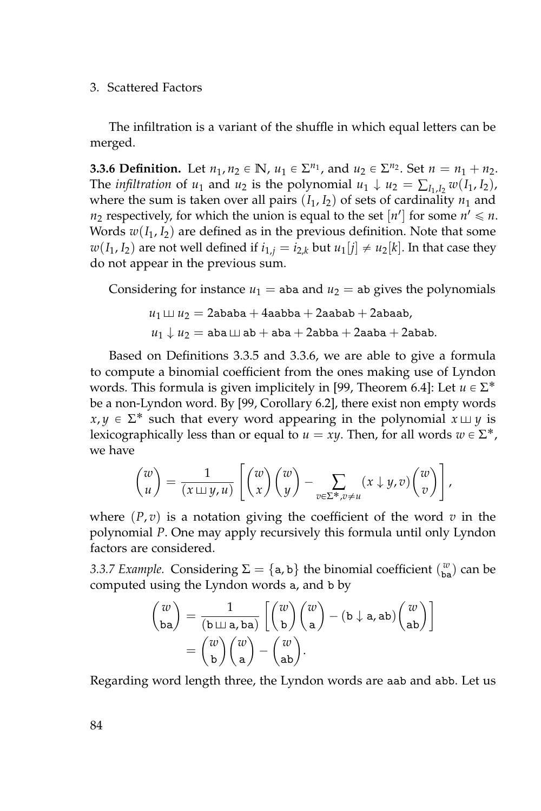The infiltration is a variant of the shuffle in which equal letters can be merged.

<span id="page-101-0"></span>**3.3.6 Definition.** Let  $n_1, n_2 \in \mathbb{N}$ ,  $u_1 \in \Sigma^{n_1}$ , and  $u_2 \in \Sigma^{n_2}$ . Set  $n = n_1 + n_2$ . The *infiltration* of *u*<sub>1</sub> and *u*<sub>2</sub> is the polynomial *u*<sub>1</sub>  $\downarrow$  *u*<sub>2</sub> =  $\sum_{I_1, I_2} w(I_1, I_2)$ , where the sum is taken over all pairs  $(I_1, I_2)$  of sets of cardinality  $n_1$  and  $n_2$  respectively, for which the union is equal to the set  $[n']$  for some  $n' \leq n$ . Words  $w(I_1, I_2)$  are defined as in the previous definition. Note that some  $w(I_1, I_2)$  are not well defined if  $i_{1,j} = i_{2,k}$  but  $u_1[j] \neq u_2[k]$ . In that case they do not appear in the previous sum.

Considering for instance  $u_1$  = aba and  $u_2$  = ab gives the polynomials

$$
u_1 \sqcup u_2 = 2ababa + 4aabba + 2aabab + 2abaab,
$$
  

$$
u_1 \downarrow u_2 = aba \sqcup ab + aba + 2abba + 2abab + 2abab.
$$

Based on Definitions [3.3.5](#page-100-0) and [3.3.6,](#page-101-0) we are able to give a formula to compute a binomial coefficient from the ones making use of Lyndon words. This formula is given implicitely in [\[99,](#page-166-1) Theorem 6.4]: Let  $u \in \Sigma^*$ be a non-Lyndon word. By [\[99,](#page-166-1) Corollary 6.2], there exist non empty words  $x, y \in \Sigma^*$  such that every word appearing in the polynomial  $x \sqcup y$  is lexicographically less than or equal to  $u = xy$ . Then, for all words  $w \in \Sigma^*$ , we have

$$
\begin{pmatrix} w \\ u \end{pmatrix} = \frac{1}{(x \sqcup y, u)} \left[ \begin{pmatrix} w \\ x \end{pmatrix} \begin{pmatrix} w \\ y \end{pmatrix} - \sum_{v \in \Sigma^*, v \neq u} (x \downarrow y, v) \begin{pmatrix} w \\ v \end{pmatrix} \right],
$$

where  $(P, v)$  is a notation giving the coefficient of the word  $v$  in the polynomial *P*. One may apply recursively this formula until only Lyndon factors are considered.

*3.3.7 Example.* Considering  $\Sigma = \{a, b\}$  the binomial coefficient  $\binom{w}{ba}$  can be computed using the Lyndon words a, and b by

$$
\begin{pmatrix} w \\ ba \end{pmatrix} = \frac{1}{(b \sqcup a, ba)} \left[ \begin{pmatrix} w \\ b \end{pmatrix} \begin{pmatrix} w \\ a \end{pmatrix} - (b \downarrow a, ab) \begin{pmatrix} w \\ ab \end{pmatrix} \right]
$$

$$
= \begin{pmatrix} w \\ b \end{pmatrix} \begin{pmatrix} w \\ a \end{pmatrix} - \begin{pmatrix} w \\ ab \end{pmatrix}.
$$

Regarding word length three, the Lyndon words are aab and abb. Let us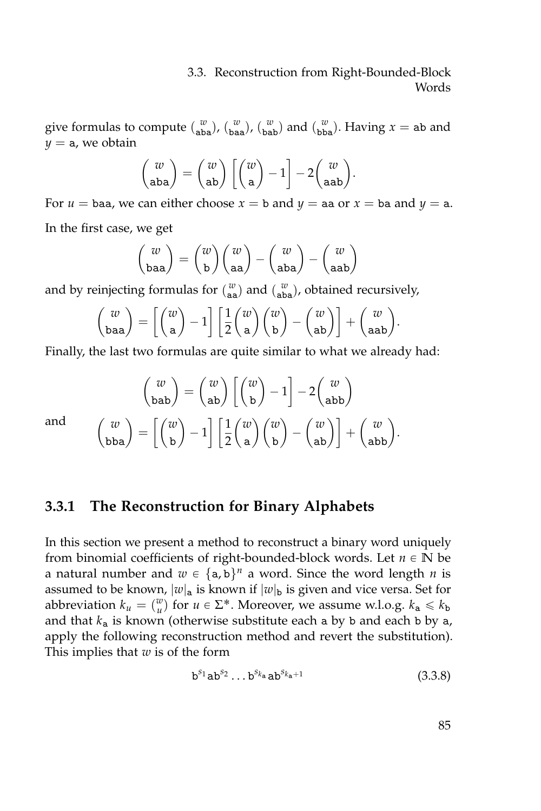## 3.3. Reconstruction from Right-Bounded-Block Words

give formulas to compute  $\binom{w}{aba}$ ,  $\binom{w}{bab}$ ,  $\binom{w}{bab}$  and  $\binom{w}{bba}$ . Having  $x = ab$  and  $y = a$ , we obtain

$$
\begin{pmatrix} w \\ aba \end{pmatrix} = \begin{pmatrix} w \\ ab \end{pmatrix} \begin{bmatrix} w \\ a \end{bmatrix} - 1 \begin{bmatrix} w \\ -2 \begin{bmatrix} w \\ aab \end{bmatrix}.
$$

For  $u =$  baa, we can either choose  $x =$  b and  $y =$  aa or  $x =$  ba and  $y =$  a. In the first case, we get

$$
\begin{pmatrix} w \\ baa \end{pmatrix} = \begin{pmatrix} w \\ b \end{pmatrix} \begin{pmatrix} w \\ aa \end{pmatrix} - \begin{pmatrix} w \\ aba \end{pmatrix} - \begin{pmatrix} w \\ aab \end{pmatrix}
$$

and by reinjecting formulas for  $\binom{w}{aa}$  and  $\binom{w}{aba}$ , obtained recursively,

$$
\begin{pmatrix} w \\ baa \end{pmatrix} = \begin{bmatrix} w \\ a \end{bmatrix} - 1 \begin{bmatrix} 1 \\ 2 \end{bmatrix} \begin{pmatrix} w \\ a \end{pmatrix} \begin{pmatrix} w \\ b \end{pmatrix} - \begin{pmatrix} w \\ ab \end{pmatrix} + \begin{pmatrix} w \\ aab \end{pmatrix}.
$$

Finally, the last two formulas are quite similar to what we already had:

$$
\begin{pmatrix} w \\ \text{bab} \end{pmatrix} = \begin{pmatrix} w \\ \text{ab} \end{pmatrix} \begin{bmatrix} w \\ \text{b} \end{bmatrix} - 1 \begin{bmatrix} w \\ \text{abb} \end{bmatrix}
$$

$$
\begin{pmatrix} w \\ \text{bba} \end{pmatrix} = \begin{bmatrix} w \\ \text{b} \end{bmatrix} - 1 \begin{bmatrix} 1 \\ 2 \end{bmatrix} \begin{pmatrix} w \\ \text{a} \end{pmatrix} \begin{pmatrix} w \\ \text{b} \end{pmatrix} - \begin{pmatrix} w \\ \text{ab} \end{pmatrix} \begin{bmatrix} w \\ \text{abb} \end{pmatrix}.
$$

and

# **3.3.1 The Reconstruction for Binary Alphabets**

In this section we present a method to reconstruct a binary word uniquely from binomial coefficients of right-bounded-block words. Let  $n \in \mathbb{N}$  be a natural number and  $w \in {\{a, b\}}^n$  a word. Since the word length *n* is assumed to be known,  $|w|_a$  is known if  $|w|_b$  is given and vice versa. Set for abbreviation  $k_u = \binom{w}{u}$  for  $u \in \Sigma^*$ . Moreover, we assume w.l.o.g.  $k_a \le k_b$ and that  $k_a$  is known (otherwise substitute each a by b and each b by  $a$ , apply the following reconstruction method and revert the substitution). This implies that *w* is of the form

$$
b^{s_1}ab^{s_2}\dots b^{s_{k_a}}ab^{s_{k_a+1}}\tag{3.3.8}
$$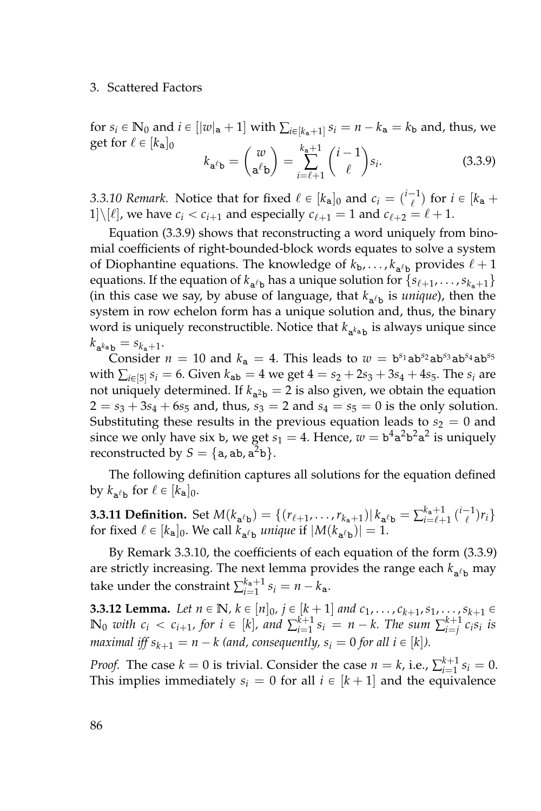for  $s_i \in \mathbb{N}_0$  and  $i \in [|w|_a + 1]$  with  $\sum_{i \in [k_a+1]} s_i = n - k_a = k_b$  and, thus, we get for  $\ell \in [k_{\mathbf{a}}]_0$ 

<span id="page-103-0"></span>
$$
k_{\mathbf{a}^{\ell}\mathbf{b}} = \begin{pmatrix} w \\ \mathbf{a}^{\ell}\mathbf{b} \end{pmatrix} = \sum_{i=\ell+1}^{k_{\mathbf{a}}+1} \binom{i-1}{\ell} s_i.
$$
 (3.3.9)

<span id="page-103-1"></span>*3.3.10 Remark.* Notice that for fixed  $\ell \in [k_{a}]_{0}$  and  $c_{i} = \binom{i-1}{\ell}$  for  $i \in [k_{a} + \ell_{a}]$ 1]\[ $\ell$ ], we have  $c_i < c_{i+1}$  and especially  $c_{\ell+1} = 1$  and  $c_{\ell+2} = \ell + 1$ .

Equation [\(3.3.9\)](#page-103-0) shows that reconstructing a word uniquely from binomial coefficients of right-bounded-block words equates to solve a system of Diophantine equations. The knowledge of  $k_{\rm b}, \ldots, k_{\rm a/\rm b}$  provides  $\ell + 1$ equations. If the equation of  $k_{a^{\ell}b}$  has a unique solution for  $\{s_{\ell+1}, \ldots, s_{k_a+1}\}$ (in this case we say, by abuse of language, that  $k_{a^{\ell}b}$  is *unique*), then the system in row echelon form has a unique solution and, thus, the binary word is uniquely reconstructible. Notice that  $k_{\mathtt{a}^{k}\mathtt{a} \mathtt{b}}$  is always unique since  $k_{\mathbf{a}^{k_{\mathbf{a}}}\mathbf{b}} = s_{k_{\mathbf{a}}+1}$ .

Consider  $n = 10$  and  $k_a = 4$ . This leads to  $w = b^{s_1}ab^{s_2}ab^{s_3}ab^{s_4}ab^{s_5}$ with  $\sum_{i \in [5]} s_i = 6$ . Given  $k_{ab} = 4$  we get  $4 = s_2 + 2s_3 + 3s_4 + 4s_5$ . The  $s_i$  are not uniquely determined. If  $k_{a^2b} = 2$  is also given, we obtain the equation  $2 = s_3 + 3s_4 + 6s_5$  and, thus,  $s_3 = 2$  and  $s_4 = s_5 = 0$  is the only solution. Substituting these results in the previous equation leads to  $s_2 = 0$  and since we only have six b, we get  $s_1 = 4$ . Hence,  $w = b^4 a^2 b^2 a^2$  is uniquely reconstructed by  $S = \{a, ab, a^2b\}.$ 

The following definition captures all solutions for the equation defined by  $k_{a\ell b}$  for  $\ell \in [k_a]_0$ .

**3.3.11 Definition.** Set  $M(k_{a'b}) = \{(r_{l+1}, \ldots, r_{k_a+1}) | k_{a'b} = \sum_{i=\ell+1}^{k_a+1} {i-1 \choose \ell} r_i\}$ for fixed  $\ell \in [k_{\mathbf{a}}]_0$ . We call  $k_{\mathbf{a}^{\ell} \mathbf{b}}$  *unique* if  $|M(k_{\mathbf{a}^{\ell} \mathbf{b}})| = 1$ .

By Remark [3.3.10,](#page-103-1) the coefficients of each equation of the form [\(3.3.9\)](#page-103-0) are strictly increasing. The next lemma provides the range each  $k_{a\ell b}$  may take under the constraint  $\sum_{i=1}^{k_{\rm a}+1} s_i = n - k_{\rm a}$ .

<span id="page-103-2"></span>**3.3.12 Lemma.** Let  $n \in \mathbb{N}$ ,  $k \in [n]_0$ ,  $j \in [k+1]$  and  $c_1, \ldots, c_{k+1}, s_1, \ldots, s_{k+1} \in$  $\mathbb{N}_0$  with  $c_i < c_{i+1}$ , for  $i \in [k]$ , and  $\sum_{i=1}^{k+1} s_i = n-k$ . The sum  $\sum_{i=j}^{k+1} c_i s_i$  is *maximal iff*  $s_{k+1} = n - k$  (and, consequently,  $s_i = 0$  for all  $i \in [k]$ ).

*Proof.* The case  $k = 0$  is trivial. Consider the case  $n = k$ , i.e.,  $\sum_{i=1}^{k+1} s_i = 0$ . This implies immediately  $s_i = 0$  for all  $i \in [k + 1]$  and the equivalence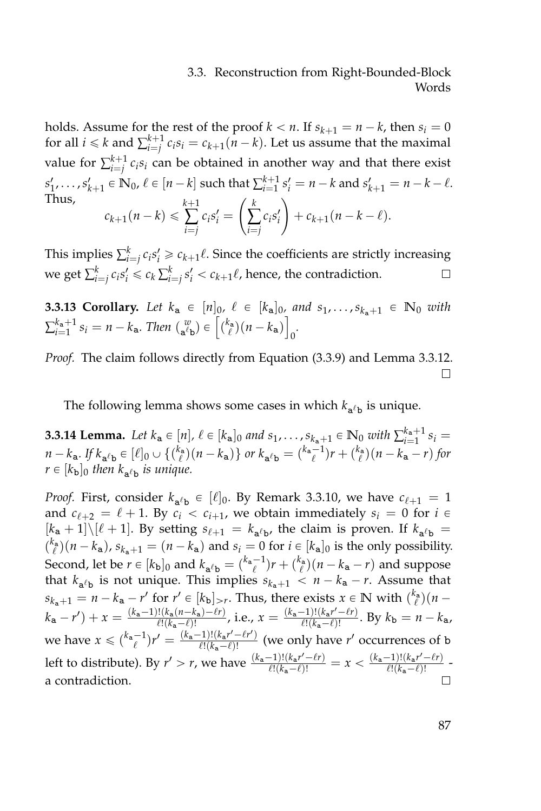## 3.3. Reconstruction from Right-Bounded-Block Words

holds. Assume for the rest of the proof  $k < n$ . If  $s_{k+1} = n - k$ , then  $s_i = 0$ for all  $i \leq k$  and  $\sum_{i=j}^{k+1} c_i s_i = c_{k+1} (n-k)$ . Let us assume that the maximal value for  $\sum_{i=j}^{k+1} c_i s_i$  can be obtained in another way and that there exist  $s'_1, \ldots, s'_{k+1} \in \mathbb{N}_0$ ,  $\ell \in [n-k]$  such that  $\sum_{i=1}^{k+1} s'_i = n-k$  and  $s'_{k+1} = n-k-\ell$ . Thus,  $c_{k+1}(n-k) \leqslant$ *k*+1 ∑ *i*=*j*  $c_i s'_i =$  $\left(\sum_{i=j}^k\right)$  $c_i s'_i$  $\setminus$  $+ c_{k+1}(n-k-\ell).$ 

This implies  $\sum_{i=j}^{k} c_i s'_i \geqslant c_{k+1}\ell$ . Since the coefficients are strictly increasing we get  $\sum_{i=j}^{k} c_i s'_i \leq c_k \sum_{i=j}^{k} s'_i < c_{k+1} \ell$ , hence, the contradiction. □

**3.3.13 Corollary.** Let  $k_a \in [n]_0$ ,  $\ell \in [k_a]_0$ , and  $s_1, \ldots, s_{k_a+1} \in \mathbb{N}_0$  with  $\sum_{i=1}^{k_{\mathbf{a}}+1} s_i = n - k_{\mathbf{a}}$ . Then  $\binom{w}{\mathbf{a}^{\ell} \mathbf{b}} \in \left[ \binom{k_{\mathbf{a}}}{\ell} (n - k_{\mathbf{a}}) \right]$ 0 *.*

*Proof.* The claim follows directly from Equation [\(3.3.9\)](#page-103-0) and Lemma [3.3.12.](#page-103-2)  $\Box$ 

The following lemma shows some cases in which  $k_{a\ell b}$  is unique.

**3.3.14 Lemma.** Let  $k_a \in [n]$ ,  $\ell \in [k_a]_0$  and  $s_1, \ldots, s_{k_a+1} \in \mathbb{N}_0$  with  $\sum_{i=1}^{k_a+1} s_i =$  $n - k_a$ . If  $k_{a'b} \in [\ell]_0 \cup \{(\binom{k_a}{\ell})(n - k_a)\}$  or  $k_{a'b} = (\binom{k_a - 1}{\ell})r + (\binom{k_a}{\ell})(n - k_a - r)$  for  $r \in [k_{\mathbf{b}}]_0$  then  $k_{\mathbf{a}^{\ell} \mathbf{b}}$  is unique.

*Proof.* First, consider  $k_{a'b} \in [\ell]_0$ . By Remark [3.3.10,](#page-103-1) we have  $c_{\ell+1} = 1$ and  $c_{\ell+2} = \ell + 1$ . By  $c_i < c_{i+1}$ , we obtain immediately  $s_i = 0$  for  $i \in$  $[k_a + 1] \setminus [\ell + 1]$ . By setting  $s_{\ell+1} = k_{a^{\ell}b}$ , the claim is proven. If  $k_{a^{\ell}b} =$  $\binom{k_a}{\ell}(n-k_a)$ ,  $s_{k_a+1} = (n-k_a)$  and  $s_i = 0$  for  $i \in [k_a]_0$  is the only possibility. Second, let be  $r \in [k_b]_0$  and  $k_{a^{\ell}b} = \binom{k_a-1}{\ell}r + \binom{k_a}{\ell}(n-k_a-r)$  and suppose that  $k_{a^{i}b}$  is not unique. This implies  $s_{k_{a}+1} < n - k_{a} - r$ . Assume that  $s_{k_a+1} = n - k_a - r'$  for  $r' \in [k_b]_{>r}$ . Thus, there exists  $x \in \mathbb{N}$  with  $\binom{k_a}{\ell}(n - r')$  $\frac{d!((k_{\mathbf{a}}(n-k_{\mathbf{a}})-\ell r)}{\ell!(k_{\mathbf{a}}-\ell)!}$ , i.e.,  $x = \frac{(k_{\mathbf{a}}-1)!(k_{\mathbf{a}}r'-\ell r)}{\ell!(k_{\mathbf{a}}-\ell)!}$  $k_{\mathbf{a}} - r'$  +  $x = \frac{(k_{\mathbf{a}}-1)!(k_{\mathbf{a}}(n-k_{\mathbf{a}})-\ell r)}{\ell!(k_{\mathbf{a}}-r)!}$  $\frac{(k_1 - 1)! (k_a - \ell)!}{\ell!(k_a - \ell)!}$ . By  $k_b = n - k_a$ , we have  $x \leq {k_a - 1 \choose \ell} r' = \frac{(k_a - 1)!(k_a r' - \ell r')}{\ell!(k_a - \ell)!}$  $\frac{(k_1)!}{(k_1-k_1)!}$  (we only have *r'* occurrences of b left to distribute). By  $r' > r$ , we have  $\frac{(k_a-1)!(k_a r' - \ell r)}{\ell!(k_a-\ell)!} = x < \frac{(k_a-1)!(k_a r' - \ell r)}{\ell!(k_a-\ell)!}$  $\frac{e^{-(k_a-\ell)!\ell}}{\ell!(k_a-\ell)!}$ a contradiction.  $\Box$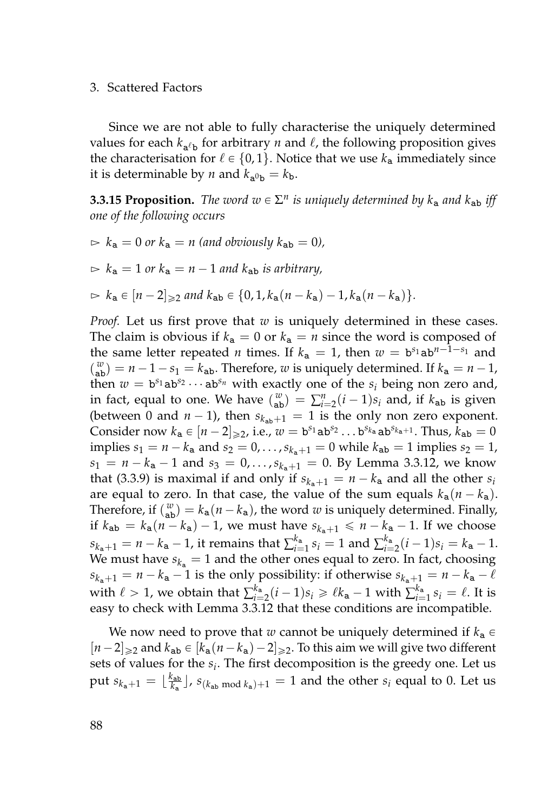Since we are not able to fully characterise the uniquely determined values for each  $k_{a\ell b}$  for arbitrary *n* and  $\ell$ , the following proposition gives the characterisation for  $\ell \in \{0, 1\}$ . Notice that we use  $k_a$  immediately since it is determinable by *n* and  $k_{a^0b} = k_b$ .

<span id="page-105-0"></span>**3.3.15 Proposition.** The word  $w \in \Sigma^n$  is uniquely determined by  $k_a$  and  $k_{ab}$  iff *one of the following occurs*

 $\triangleright k_a = 0$  or  $k_a = n$  (and obviously  $k_{ab} = 0$ ),  $\triangleright k_a = 1$  *or*  $k_a = n - 1$  *and*  $k_{ab}$  *is arbitrary,*  $\triangleright k_a \in [n - 2]_{\geqslant 2}$  and  $k_{ab} \in \{0, 1, k_a(n - k_a) - 1, k_a(n - k_a)\}.$ 

*Proof.* Let us first prove that *w* is uniquely determined in these cases. The claim is obvious if  $k_a = 0$  or  $k_a = n$  since the word is composed of the same letter repeated *n* times. If  $k_a = 1$ , then  $w = b^{s_1}ab^{n-1-s_1}$  and  $\binom{w}{ab} = n - 1 - s_1 = k_{ab}$ . Therefore, *w* is uniquely determined. If  $k_a = n - 1$ , then  $w = b^{s_1}ab^{s_2}\cdots ab^{s_n}$  with exactly one of the  $s_i$  being non zero and, in fact, equal to one. We have  $\binom{w}{ab} = \sum_{i=2}^{n} (i-1)s_i$  and, if  $k_{ab}$  is given (between 0 and  $n - 1$ ), then  $s_{k_{ab}+1} = 1$  is the only non zero exponent. Consider now  $k_a \in [n-2]_{\geq 2}$ , i.e.,  $w = b^{s_1}ab^{s_2} \dots b^{s_k}ab^{s_k+1}$ . Thus,  $k_{ab} = 0$ implies  $s_1 = n - k_a$  and  $s_2 = 0, ..., s_{k_a+1} = 0$  while  $k_{ab} = 1$  implies  $s_2 = 1$ ,  $s_1 = n - k_a - 1$  and  $s_3 = 0, \ldots, s_{k_a+1} = 0$ . By Lemma [3.3.12,](#page-103-2) we know that [\(3.3.9\)](#page-103-0) is maximal if and only if  $s_{k_n+1} = n - k_a$  and all the other  $s_i$ are equal to zero. In that case, the value of the sum equals  $k_a(n - k_a)$ . Therefore, if  $\binom{w}{ab} = k_a(n - k_a)$ , the word *w* is uniquely determined. Finally, if  $k_{ab} = k_a(n - k_a) - 1$ , we must have  $s_{k_a+1} \leq n - k_a - 1$ . If we choose  $s_{k_{\bf a}+1} = n - k_{\bf a} - 1$ , it remains that  $\sum_{i=1}^{k_{\bf a}} s_i = 1$  and  $\sum_{i=2}^{k_{\bf a}} (i-1)s_i = k_{\bf a} - 1$ . We must have  $s_{k_a} = 1$  and the other ones equal to zero. In fact, choosing  $s_{k_{a}+1} = n - k_{a} - 1$  is the only possibility: if otherwise  $s_{k_{a}+1} = n - k_{a} - \ell$ with  $\ell > 1$ , we obtain that  $\sum_{i=2}^{k_a} (i-1)s_i \ge \ell k_a - 1$  with  $\sum_{i=1}^{k_a} s_i = \ell$ . It is easy to check with Lemma [3.3.12](#page-103-2) that these conditions are incompatible.

We now need to prove that *w* cannot be uniquely determined if  $k_a \in$  $[n-2]_{\geqslant 2}$  and  $k_{ab} \in [k_a(n-k_a)-2]_{\geqslant 2}$ . To this aim we will give two different sets of values for the *s<sup>i</sup>* . The first decomposition is the greedy one. Let us put  $s_{k_a+1} = \lfloor \frac{k_{ab}}{k_a} \rfloor$ ,  $s_{(k_{ab} \text{ mod } k_a)+1} = 1$  and the other  $s_i$  equal to 0. Let us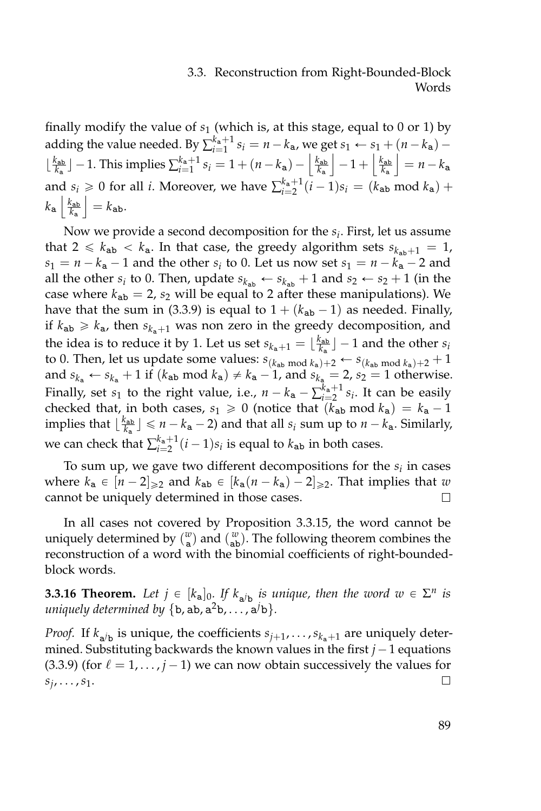# 3.3. Reconstruction from Right-Bounded-Block Words

finally modify the value of  $s_1$  (which is, at this stage, equal to 0 or 1) by adding the value needed. By  $\sum_{i=1}^{k_{\bf a}+1} s_i = n - k_{\bf a}$ , we get  $s_1 \leftarrow s_1 + (n - k_{\bf a}) \lfloor \frac{k_{ab}}{k_a} \rfloor$  − 1. This implies  $\sum_{i=1}^{k_a+1} s_i = 1 + (n - k_a) - \left\lfloor \frac{k_{ab}}{k_a} \right\rfloor$  $-1 + \left\lfloor \frac{k_{\sf ab}}{k_{\sf a}} \right\rfloor$  $\vert = n - k_a$ and  $s_i \geq 0$  for all *i*. Moreover, we have  $\sum_{i=2}^{k_a+1} (i-1)s_i = (k_{ab} \mod k_a) +$  $k$ a  $\frac{k_{\text{ab}}}{k_{\text{a}}}$  $|= k_{ab}.$ 

Now we provide a second decomposition for the *s<sup>i</sup>* . First, let us assume that  $2 \leq k_{ab} < k_a$ . In that case, the greedy algorithm sets  $s_{k_{ab}+1} = 1$ ,  $s_1 = n - k_a - 1$  and the other  $s_i$  to 0. Let us now set  $s_1 = n - k_a - 2$  and all the other  $s_i$  to 0. Then, update  $s_{k_{ab}} \leftarrow s_{k_{ab}} + 1$  and  $s_2 \leftarrow s_2 + 1$  (in the case where  $k_{ab} = 2$ ,  $s_2$  will be equal to 2 after these manipulations). We have that the sum in [\(3.3.9\)](#page-103-0) is equal to  $1 + (k_{ab} - 1)$  as needed. Finally, if  $k_{ab} \geq k_a$ , then  $s_{k_a+1}$  was non zero in the greedy decomposition, and the idea is to reduce it by 1. Let us set  $s_{k_a+1} = \lfloor \frac{k_{ab}}{k_a} \rfloor - 1$  and the other  $s_i$ to 0. Then, let us update some values:  $s_{(k_{ab} \mod k_a)+2} \leftarrow s_{(k_{ab} \mod k_a)+2} + 1$ and  $s_{k_a} \leftarrow s_{k_a} + 1$  if  $(k_{ab} \mod k_a) \neq k_a - 1$ , and  $s_{k_a} = 2$ ,  $s_2 = 1$  otherwise. Finally, set *s*<sub>1</sub> to the right value, i.e.,  $n - k_a - \sum_{i=2}^{k_a+1} s_i$ . It can be easily checked that, in both cases,  $s_1 \geq 0$  (notice that  $(k_{ab} \mod k_a) = k_a - 1$ implies that  $\lfloor \frac{k_{ab}}{k_a} \rfloor \le n - k_a - 2$ ) and that all  $s_i$  sum up to  $n - k_a$ . Similarly, we can check that  $\sum_{i=2}^{k_{\mathbf{a}}+1} (i-1)s_i$  is equal to  $k_{\mathbf{ab}}$  in both cases.

To sum up, we gave two different decompositions for the *s<sup>i</sup>* in cases where  $k_a \in [n - 2]_{\geq 2}$  and  $k_{ab} \in [k_a(n - k_a) - 2]_{\geq 2}$ . That implies that *w* cannot be uniquely determined in those cases.  $\Box$ 

In all cases not covered by Proposition [3.3.15,](#page-105-0) the word cannot be uniquely determined by  $\binom{w}{a}$  and  $\binom{w}{ab}$ . The following theorem combines the reconstruction of a word with the binomial coefficients of right-boundedblock words.

<span id="page-106-0"></span>**3.3.16 Theorem.** Let  $j \in [k_{a}]_{0}$ , If  $k_{a/b}$  is unique, then the word  $w \in \Sigma^{n}$  is  $uniquely determined by \{b, ab, a^2b, \ldots, a^jb\}.$ 

*Proof.* If  $k_{a/b}$  is unique, the coefficients  $s_{j+1}, \ldots, s_{k_a+1}$  are uniquely determined. Substituting backwards the known values in the first  $j - 1$  equations  $(3.3.9)$  (for  $\ell = 1, \ldots, j - 1$ ) we can now obtain successively the values for  $s_j$ , . . . ,  $s_1$ .  $\Box$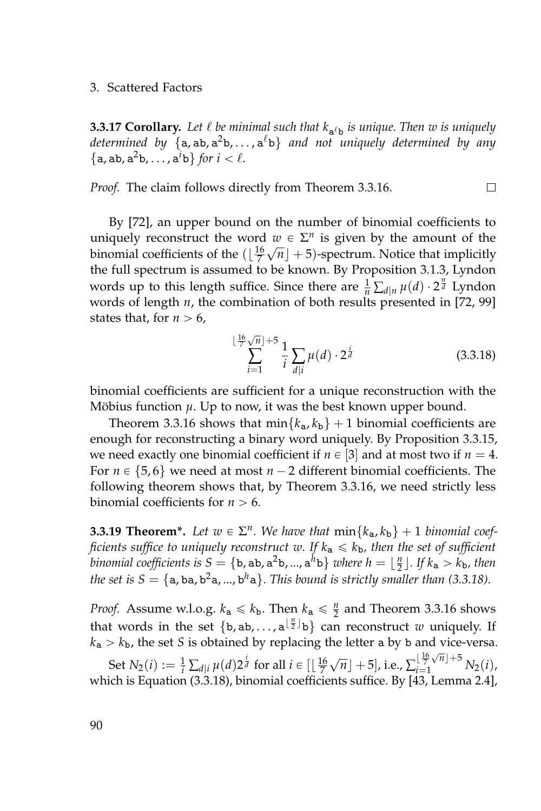**3.3.17 Corollary.** Let  $\ell$  be minimal such that  $k_{a^{\ell}b}$  is unique. Then  $w$  is uniquely *determined by* {a, ab, a <sup>2</sup>b, . . . , a `b} *and not uniquely determined by any*  $\{a, ab, a^2b, \ldots, a^ib\}$  *for*  $i < l$ *.* 

*Proof.* The claim follows directly from Theorem [3.3.16.](#page-106-0) П

By [\[72\]](#page-164-0), an upper bound on the number of binomial coefficients to uniquely reconstruct the word  $w \in \Sigma^n$  is given by the amount of the binomial coefficients of the  $(\lfloor \frac{16}{7}\sqrt{n} \rfloor + 5)$ -spectrum. Notice that implicitly the full spectrum is assumed to be known. By Proposition [3.1.3,](#page-47-0) Lyndon words up to this length suffice. Since there are  $\frac{1}{n} \sum_{d|n} \mu(d) \cdot 2^{\frac{n}{d}}$  Lyndon words of length *n*, the combination of both results presented in [\[72,](#page-164-0) [99\]](#page-166-1) states that, for  $n > 6$ ,

<span id="page-107-0"></span>
$$
\sum_{i=1}^{\lfloor \frac{16}{7}\sqrt{n} \rfloor + 5} \frac{1}{i} \sum_{d|i} \mu(d) \cdot 2^{\frac{i}{d}}
$$
 (3.3.18)

binomial coefficients are sufficient for a unique reconstruction with the Möbius function  $\mu$ . Up to now, it was the best known upper bound.

Theorem [3.3.16](#page-106-0) shows that  $\min\{k_a, k_b\} + 1$  binomial coefficients are enough for reconstructing a binary word uniquely. By Proposition [3.3.15,](#page-105-0) we need exactly one binomial coefficient if  $n \in [3]$  and at most two if  $n = 4$ . For  $n \in \{5, 6\}$  we need at most  $n - 2$  different binomial coefficients. The following theorem shows that, by Theorem [3.3.16,](#page-106-0) we need strictly less binomial coefficients for  $n > 6$ .

**3.3.19 Theorem\*.** Let  $w \in \Sigma^n$ . We have that  $\min\{k_a, k_b\} + 1$  binomial coef*ficients suffice to uniquely reconstruct w.* If  $k_a \leq k_b$ *, then the set of sufficient binomial coefficients is*  $S = \{b, ab, a^2b, ..., a^h b\}$  *where*  $h = \lfloor \frac{n}{2} \rfloor$ . If  $k_a > k_b$ , then the set is  $S = \{a, ba, b^2a, ..., b^h a\}$ . This bound is strictly smaller than [\(3.3.18\)](#page-107-0).

*Proof.* Assume w.l.o.g.  $k_a \leq k_b$ . Then  $k_a \leq \frac{n}{2}$  and Theorem [3.3.16](#page-106-0) shows that words in the set  $\{b, ab, ..., a^{\lfloor \frac{n}{2} \rfloor}b\}$  can reconstruct *w* uniquely. If  $k_a > k_b$ , the set *S* is obtained by replacing the letter a by b and vice-versa.

Set  $N_2(i) := \frac{1}{i} \sum_{d \mid i} \mu(d) 2^{\frac{i}{d}}$  for all  $i \in [\lfloor \frac{16}{7} \rfloor]$  $\sqrt{n}$  + 5], i.e.,  $\sum_{i=1}^{\lfloor \frac{16}{7} \rfloor}$  $\frac{16}{7}\sqrt{n}$  + 5  $N_2(i)$ , which is Equation [\(3.3.18\)](#page-107-0), binomial coefficients suffice. By [\[43,](#page-161-2) Lemma 2.4],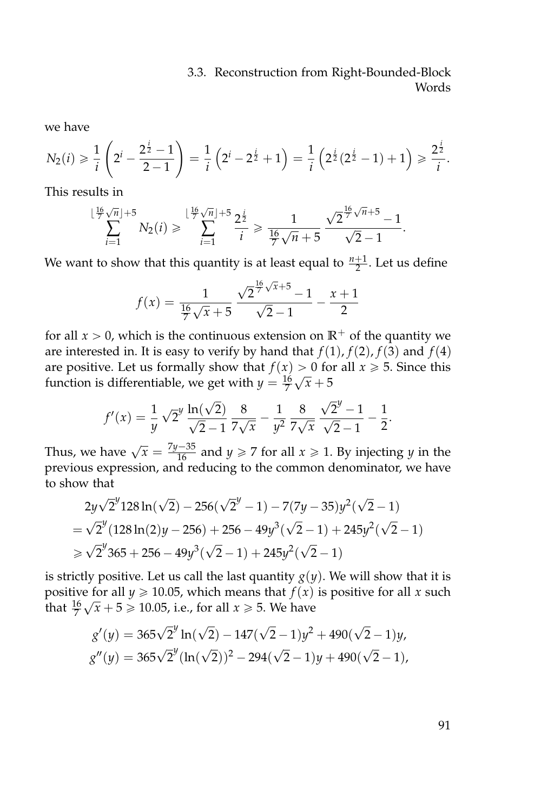we have

$$
N_2(i) \ge \frac{1}{i} \left( 2^i - \frac{2^{\frac{i}{2}} - 1}{2 - 1} \right) = \frac{1}{i} \left( 2^i - 2^{\frac{i}{2}} + 1 \right) = \frac{1}{i} \left( 2^{\frac{i}{2}} (2^{\frac{i}{2}} - 1) + 1 \right) \ge \frac{2^{\frac{i}{2}}}{i}.
$$

This results in

$$
\sum_{i=1}^{\lfloor \frac{16}{7}\sqrt{n} \rfloor + 5} N_2(i) \geqslant \sum_{i=1}^{\lfloor \frac{16}{7}\sqrt{n} \rfloor + 5} \frac{2^{\frac{i}{2}}}{i} \geqslant \frac{1}{\frac{16}{7}\sqrt{n} + 5} \frac{\sqrt{2^{\frac{16}{7}\sqrt{n} + 5}} - 1}{\sqrt{2} - 1}.
$$

We want to show that this quantity is at least equal to  $\frac{n+1}{2}$ . Let us define

$$
f(x) = \frac{1}{\frac{16}{7}\sqrt{x} + 5} \frac{\sqrt{2}^{\frac{16}{7}\sqrt{x} + 5} - 1}{\sqrt{2} - 1} - \frac{x + 1}{2}
$$

for all  $x > 0$ , which is the continuous extension on  $\mathbb{R}^+$  of the quantity we are interested in. It is easy to verify by hand that  $f(1)$ ,  $f(2)$ ,  $f(3)$  and  $f(4)$ are positive. Let us formally show that  $f(x) > 0$  for all  $x \ge 5$ . Since this function is differentiable, we get with  $y = \frac{16}{7}\sqrt{x} + 5$ 

$$
f'(x) = \frac{1}{y} \sqrt{2}^y \frac{\ln(\sqrt{2})}{\sqrt{2}-1} \frac{8}{7\sqrt{x}} - \frac{1}{y^2} \frac{8}{7\sqrt{x}} \frac{\sqrt{2}^y - 1}{\sqrt{2} - 1} - \frac{1}{2}.
$$

Thus, we have  $\sqrt{x} = \frac{7y-35}{16}$  and  $y \ge 7$  for all  $x \ge 1$ . By injecting *y* in the previous expression, and reducing to the common denominator, we have to show that

$$
2y\sqrt{2}^{y}128\ln(\sqrt{2}) - 256(\sqrt{2}^{y} - 1) - 7(7y - 35)y^{2}(\sqrt{2} - 1)
$$
  
=  $\sqrt{2}^{y}(128\ln(2)y - 256) + 256 - 49y^{3}(\sqrt{2} - 1) + 245y^{2}(\sqrt{2} - 1)$   
\ge  $\sqrt{2}^{y}365 + 256 - 49y^{3}(\sqrt{2} - 1) + 245y^{2}(\sqrt{2} - 1)$ 

is strictly positive. Let us call the last quantity  $g(y)$ . We will show that it is positive for all *y*  $\geq$  10.05, which means that *f*(*x*) is positive for all *x* such that  $\frac{16}{7}\sqrt{x} + 5 \geq 10.05$ , i.e., for all  $x \geq 5$ . We have

$$
g'(y) = 365\sqrt{2}^y \ln(\sqrt{2}) - 147(\sqrt{2} - 1)y^2 + 490(\sqrt{2} - 1)y,
$$
  

$$
g''(y) = 365\sqrt{2}^y (\ln(\sqrt{2}))^2 - 294(\sqrt{2} - 1)y + 490(\sqrt{2} - 1),
$$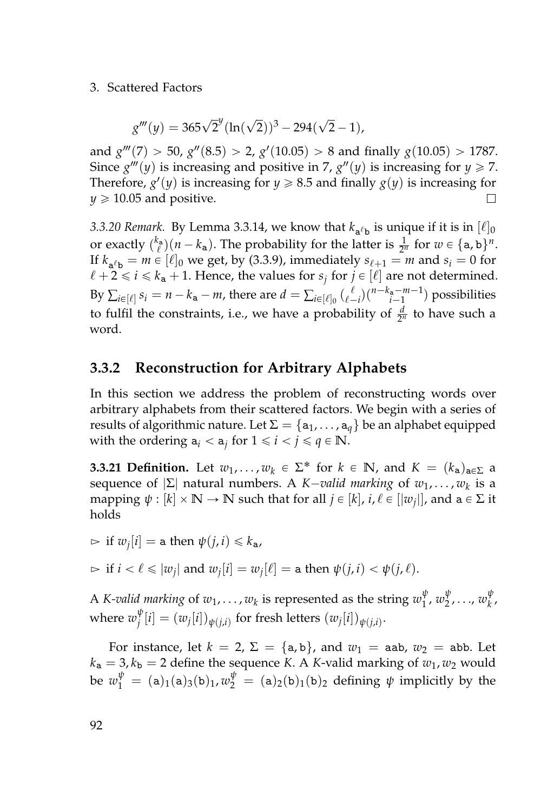#### 3. Scattered Factors

$$
g'''(y) = 365\sqrt{2}^y(\ln(\sqrt{2}))^3 - 294(\sqrt{2}-1),
$$

and  $g'''(7) > 50$ ,  $g''(8.5) > 2$ ,  $g'(10.05) > 8$  and finally  $g(10.05) > 1787$ . Since  $g'''(y)$  is increasing and positive in 7,  $g''(y)$  is increasing for  $y \ge 7$ . Therefore,  $g'(y)$  is increasing for  $y \ge 8.5$  and finally  $g(y)$  is increasing for  $v \ge 10.05$  and positive.  $\Box$ 

*3.3.20 Remark.* By Lemma [3.3.14,](#page-104-0) we know that  $k_{a^{\ell}b}$  is unique if it is in  $[\ell]_0$ or exactly  $\binom{k_a}{\ell}(n-k_a)$ . The probability for the latter is  $\frac{1}{2^n}$  for  $w \in \{a, b\}^n$ . If  $k_{a^{\ell}b} = m \in [\ell]_0$  we get, by [\(3.3.9\)](#page-103-0), immediately  $s_{\ell+1} = m$  and  $s_i = 0$  for  $\ell + 2 \leq i \leq k_{a} + 1$ . Hence, the values for  $s_j$  for  $j \in [\ell]$  are not determined. By  $\sum_{i \in [\ell]} s_i = n - k_a - m$ , there are  $d = \sum_{i \in [\ell]_0} {\ell \choose {\ell-i}} {n-k_a-m-1 \choose i-1}$  possibilities to fulfil the constraints, i.e., we have a probability of  $\frac{d}{2^n}$  to have such a word.

#### **3.3.2 Reconstruction for Arbitrary Alphabets**

In this section we address the problem of reconstructing words over arbitrary alphabets from their scattered factors. We begin with a series of results of algorithmic nature. Let  $\Sigma = \{a_1, \ldots, a_q\}$  be an alphabet equipped with the ordering  $a_i < a_j$  for  $1 \leq i < j \leq q \in \mathbb{N}$ .

**3.3.21 Definition.** Let  $w_1, \ldots, w_k \in \Sigma^*$  for  $k \in \mathbb{N}$ , and  $K = (k_a)_{a \in \Sigma}$  a sequence of  $|\Sigma|$  natural numbers. A *K–valid marking* of  $w_1, \ldots, w_k$  is a  $\text{mapping } \psi : [k] \times \mathbb{N} \rightarrow \mathbb{N} \text{ such that for all } j \in [k] \text{, } i, \ell \in [\lvert w_j \rvert] \text{, and a} \in \Sigma \text{ it}$ holds

 $\triangleright$  if  $w_j[i] =$  a then  $\psi(j, i) \leq k_a$ ,

$$
\Rightarrow \text{ if } i < \ell \leq |w_j| \text{ and } w_j[i] = w_j[\ell] = \text{a then } \psi(j, i) < \psi(j, \ell).
$$

A *K-valid marking* of  $w_1, \ldots, w_k$  is represented as the string  $w_1^{\psi}$ 1 , *w ψ* 2 , . . ., *w ψ k* , where  $w_i^{\psi}$  $\int_{j}^{\varphi}[i] = (w_{j}[i])_{\psi(j,i)}$  for fresh letters  $(w_{j}[i])_{\psi(j,i)}.$ 

For instance, let  $k = 2$ ,  $\Sigma = \{a, b\}$ , and  $w_1 =$  aab,  $w_2 =$  abb. Let  $k_a = 3, k_b = 2$  define the sequence *K*. A *K*-valid marking of  $w_1, w_2$  would be  $w_1^{\psi} = (a)_1(a)_3(b)_1, w_2^{\psi} = (a)_2(b)_1(b)_2$  defining  $\psi$  implicitly by the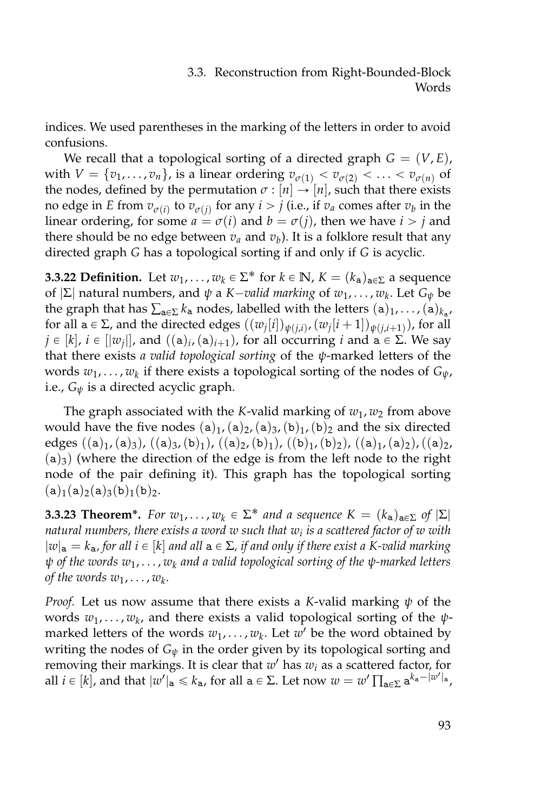indices. We used parentheses in the marking of the letters in order to avoid confusions.

We recall that a topological sorting of a directed graph  $G = (V, E)$ , with  $V = \{v_1, \ldots, v_n\}$ , is a linear ordering  $v_{\sigma(1)} < v_{\sigma(2)} < \ldots < v_{\sigma(n)}$  of the nodes, defined by the permutation  $\sigma$  :  $[n] \rightarrow [n]$ , such that there exists no edge in *E* from  $v_{\sigma(i)}$  to  $v_{\sigma(j)}$  for any  $i > j$  (i.e., if  $v_a$  comes after  $v_b$  in the linear ordering, for some  $a = \sigma(i)$  and  $b = \sigma(j)$ , then we have  $i > j$  and there should be no edge between *v<sup>a</sup>* and *v<sup>b</sup>* ). It is a folklore result that any directed graph *G* has a topological sorting if and only if *G* is acyclic.

**3.3.22 Definition.** Let  $w_1, \ldots, w_k \in \Sigma^*$  for  $k \in \mathbb{N}$ ,  $K = (k_a)_{a \in \Sigma}$  a sequence of |Σ| natural numbers, and *ψ* a *K*´*valid marking* of *w*1, . . . , *w<sup>k</sup>* . Let *G<sup>ψ</sup>* be the graph that has  $\sum_{\mathtt{a} \in \Sigma} k_{\mathtt{a}}$  nodes, labelled with the letters  $(\mathtt{a})_1, \ldots$  ,  $(\mathtt{a})_{k_{\mathtt{a}}},$ for all  $a \in \Sigma$ , and the directed edges  $((w_j[i])_{\psi(j,i)}, (w_j[i+1])_{\psi(j,i+1)} )$ , for all  $j \in [k]$ ,  $i \in [|w_j|]$ , and  $((a)_{i}$ ,  $(a)_{i+1})$ , for all occurring  $i$  and  $a \in \Sigma$ . We say that there exists *a valid topological sorting* of the *ψ*-marked letters of the words *w*1, . . . , *w<sup>k</sup>* if there exists a topological sorting of the nodes of *Gψ*, i.e., *G<sup>ψ</sup>* is a directed acyclic graph.

The graph associated with the *K*-valid marking of  $w_1$ ,  $w_2$  from above would have the five nodes  $(a)_1$ ,  $(a)_2$ ,  $(a)_3$ ,  $(b)_1$ ,  $(b)_2$  and the six directed edges  $((a)_1,(a)_3)$ ,  $((a)_3,(b)_1)$ ,  $((a)_2,(b)_1)$ ,  $((b)_1,(b)_2)$ ,  $((a)_1,(a)_2)$ ,  $((a)_2,$  $(a)<sub>3</sub>$ ) (where the direction of the edge is from the left node to the right node of the pair defining it). This graph has the topological sorting  $(a)$ <sub>1</sub>(a)<sub>2</sub>(a)<sub>3</sub>(b)<sub>1</sub>(b)<sub>2</sub>.

<span id="page-110-0"></span>**3.3.23 Theorem<sup>\*</sup>.** *For*  $w_1, \ldots, w_k \in \Sigma^*$  *and a sequence*  $K = (k_a)_{a \in \Sigma}$  *of*  $|\Sigma|$ *natural numbers, there exists a word w such that w<sup>i</sup> is a scattered factor of w with*  $|w|_a = k_a$ , for all  $i \in [k]$  and all  $a \in \Sigma$ , if and only if there exist a K-valid marking *ψ of the words w*1, . . . , *w<sup>k</sup> and a valid topological sorting of the ψ-marked letters of the words*  $w_1, \ldots, w_k$ .

*Proof.* Let us now assume that there exists a *K*-valid marking *ψ* of the words *w*1, . . . , *w<sup>k</sup>* , and there exists a valid topological sorting of the *ψ*marked letters of the words  $w_1, \ldots, w_k$ . Let  $w'$  be the word obtained by writing the nodes of  $G_{\psi}$  in the order given by its topological sorting and removing their markings. It is clear that *w* <sup>1</sup> has *w<sup>i</sup>* as a scattered factor, for all  $i \in [k]$ , and that  $|w'|_a \le k_a$ , for all  $a \in \Sigma$ . Let now  $w = w' \prod_{a \in \Sigma} a^{k_a - |w'|_a}$ ,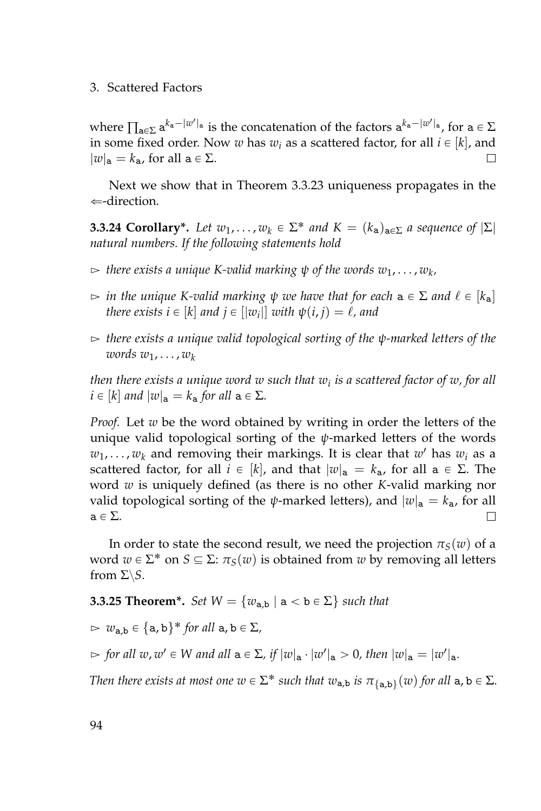#### 3. Scattered Factors

where  $\prod_{a\in\Sigma}a^{k_a-|w'|_a}$  is the concatenation of the factors  $a^{k_a-|w'|_a}$ , for  $a\in\Sigma$ in some fixed order. Now *w* has  $w_i$  as a scattered factor, for all  $i \in [k]$ , and  $|w|_a = k_a$ , for all  $a \in \Sigma$ .  $\Box$ 

Next we show that in Theorem [3.3.23](#page-110-0) uniqueness propagates in the  $\Leftarrow$ -direction.

<span id="page-111-0"></span>**3.3.24 Corollary\*.** Let  $w_1, \ldots, w_k \in \Sigma^*$  and  $K = (k_a)_{a \in \Sigma}$  a sequence of  $|\Sigma|$ *natural numbers. If the following statements hold*

- $\epsilon > 0$  there exists a unique K-valid marking  $\psi$  of the words  $w_1, \ldots, w_k,$
- $\triangleright$  *in the unique K-valid marking*  $\psi$  *we have that for each*  $a \in \Sigma$  *and*  $\ell \in [k_a]$ *there exists i*  $\in$  [ $k$ ] *and j*  $\in$  [ $|w_i|$ ] *with*  $\psi(i, j) = \ell$ , *and*
- $\triangleright$  *there exists a unique valid topological sorting of the ψ-marked letters of the words w*1, . . . , *w<sup>k</sup>*

*then there exists a unique word w such that w<sup>i</sup> is a scattered factor of w, for all*  $i \in [k]$  *and*  $|w|_a = k_a$  *for all*  $a \in \Sigma$ *.* 

*Proof.* Let *w* be the word obtained by writing in order the letters of the unique valid topological sorting of the *ψ*-marked letters of the words  $w_1, \ldots, w_k$  and removing their markings. It is clear that  $w'$  has  $w_i$  as a scattered factor, for all  $i \in [k]$ , and that  $|w|_a = k_a$ , for all  $a \in \Sigma$ . The word *w* is uniquely defined (as there is no other *K*-valid marking nor valid topological sorting of the *ψ*-marked letters), and  $|w|_a = k_a$ , for all  $a \in \Sigma$ .  $\Box$ 

In order to state the second result, we need the projection  $\pi_S(w)$  of a word  $w \in \Sigma^*$  on  $S \subseteq \Sigma$ :  $\pi_S(w)$  is obtained from  $w$  by removing all letters from  $\Sigma \backslash S$ .

<span id="page-111-1"></span>**3.3.25 Theorem\*.** *Set*  $W = \{w_{a,b} | a < b \in \Sigma\}$  *such that* 

 $\triangleright \ w_{a,b} \in \{a,b\}^*$  *for all*  $a,b \in \Sigma$ *,* 

 $\Rightarrow$  for all  $w, w' \in W$  and all  $a \in \Sigma$ , if  $|w|_a \cdot |w'|_a > 0$ , then  $|w|_a = |w'|_a$ .

*Then there exists at most one*  $w \in \Sigma^*$  *such that*  $w_{a,b}$  *is*  $\pi_{\{a,b\}}(w)$  *for all*  $a, b \in \Sigma$ *.*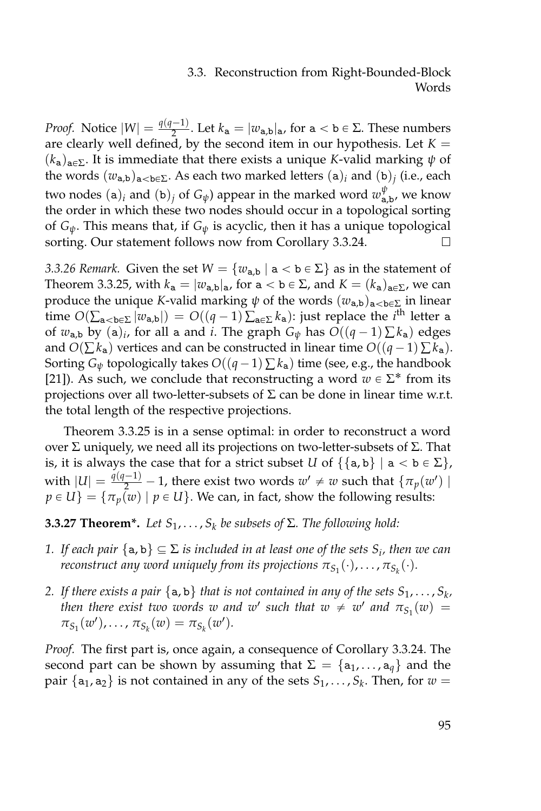*Proof.* Notice  $|W| = \frac{q(q-1)}{2}$  $\frac{(-1)^{n}}{2}$ . Let  $k_{a} = |w_{a,b}|_{a}$ , for  $a < b \in \Sigma$ . These numbers are clearly well defined, by the second item in our hypothesis. Let  $K =$  $(k_a)_{a \in \Sigma}$ . It is immediate that there exists a unique *K*-valid marking  $\psi$  of the words  $(w_{\mathbf{a},\mathbf{b}})_{\mathbf{a}<\mathbf{b}\in\Sigma}$ . As each two marked letters  $(\mathbf{a})_i$  and  $(\mathbf{b})_j$  (i.e., each two nodes  $(a)_i$  and  $(b)_j$  of  $G_\psi$ ) appear in the marked word  $w_{a,b}^\psi$ , we know the order in which these two nodes should occur in a topological sorting of *Gψ*. This means that, if *G<sup>ψ</sup>* is acyclic, then it has a unique topological sorting. Our statement follows now from Corollary [3.3.24.](#page-111-0) □

*3.3.26 Remark.* Given the set  $W = \{w_{a,b} \mid a < b \in \Sigma\}$  as in the statement of Theorem [3.3.25,](#page-111-1) with  $k_a = |w_{a,b}|_a$ , for  $a < b \in \Sigma$ , and  $K = (k_a)_{a \in \Sigma}$ , we can produce the unique *K*-valid marking  $\psi$  of the words  $(w_{a,b})_{a < b \in \Sigma}$  in linear time  $O(\sum_{\mathbf{a} < \mathbf{b} \in \Sigma} |w_{\mathbf{a},\mathbf{b}}|) = O((q-1) \sum_{\mathbf{a} \in \Sigma} k_{\mathbf{a}})$ : just replace the *i*<sup>th</sup> letter a of  $w_{a,b}$  by  $(a)_i$ , for all a and *i*. The graph  $G_\psi$  has  $O((q-1)\sum k_a)$  edges and  $O(\sum k_a)$  vertices and can be constructed in linear time  $O((q-1)\sum k_a)$ . Sorting  $G_{\psi}$  topologically takes  $O((q-1)\sum k_{a})$  time (see, e.g., the handbook [\[21\]](#page-160-0)). As such, we conclude that reconstructing a word  $w \in \Sigma^*$  from its projections over all two-letter-subsets of  $\Sigma$  can be done in linear time w.r.t. the total length of the respective projections.

Theorem [3.3.25](#page-111-1) is in a sense optimal: in order to reconstruct a word over Σ uniquely, we need all its projections on two-letter-subsets of Σ. That is, it is always the case that for a strict subset *U* of  $\{\{a, b\} \mid a < b \in \Sigma\}$ , with  $|U| = \frac{q(q-1)}{2} - 1$ , there exist two words  $w' \neq w$  such that  $\{\pi_p(w')\}$  $p \in U$ } = { $\tau_p(w) | p \in U$ }. We can, in fact, show the following results:

<span id="page-112-0"></span>**3.3.27 Theorem\*.** *Let*  $S_1, \ldots, S_k$  *be subsets of*  $\Sigma$ *. The following hold:* 

- *1. If each pair*  $\{a, b\} \subseteq \Sigma$  *is included in at least one of the sets*  $S_i$ *, then we can*  $\tau$ econstruct any word uniquely from its projections  $\pi_{S_1}(\cdot),\ldots,\pi_{S_k}(\cdot).$
- 2. If there exists a pair  $\{a, b\}$  that is not contained in any of the sets  $S_1, \ldots, S_k$ , *then there exist two words w and w*<sup>*s*</sup> such that  $w \neq w'$  *and*  $\pi_{S_1}(w) =$  $\pi_{S_1}(w'), \ldots, \pi_{S_k}(w) = \pi_{S_k}(w').$

*Proof.* The first part is, once again, a consequence of Corollary [3.3.24.](#page-111-0) The second part can be shown by assuming that  $\Sigma = \{a_1, \ldots, a_q\}$  and the pair  $\{a_1, a_2\}$  is not contained in any of the sets  $S_1, \ldots, S_k$ . Then, for  $w =$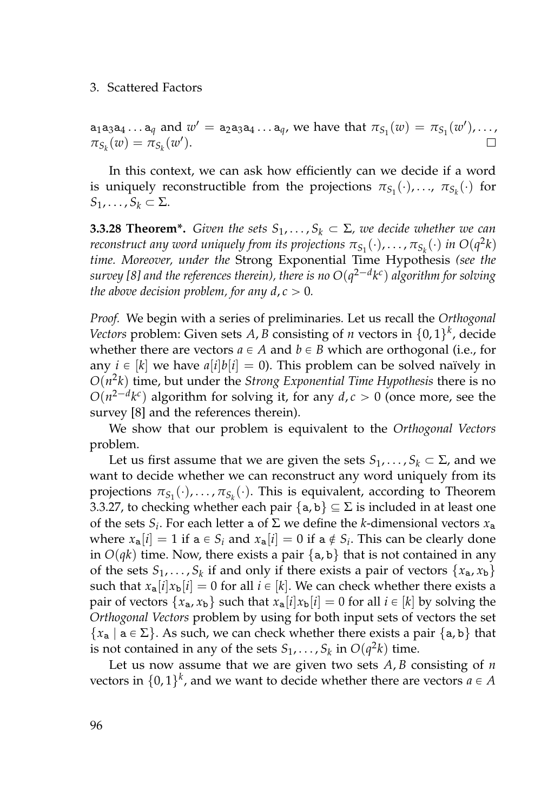#### 3. Scattered Factors

 $a_1a_3a_4\ldots a_q$  and  $w' = a_2a_3a_4\ldots a_q$ , we have that  $\pi_{S_1}(w) = \pi_{S_1}(w')$ ,...,  $\pi_{S_k}(w) = \pi_{S_k}(w')$ .

In this context, we can ask how efficiently can we decide if a word is uniquely reconstructible from the projections  $\pi_{S_1}(\cdot),...$ ,  $\pi_{S_k}(\cdot)$  for  $S_1, \ldots, S_k \subset \Sigma$ .

**3.3.28 Theorem\*.** *Given the sets*  $S_1, \ldots, S_k \subset \Sigma$ *, we decide whether we can reconstruct any word uniquely from its projections*  $\pi_{S_1}(\cdot), \ldots, \pi_{S_k}(\cdot)$  *<i>in*  $O(q^2k)$ *time. Moreover, under the* Strong Exponential Time Hypothesis *(see the survey [\[8\]](#page-158-0) and the references therein), there is no*  $O(q^{2-d}k^c)$  *algorithm for solving the above decision problem, for any d,*  $c > 0$ *.* 

*Proof.* We begin with a series of preliminaries. Let us recall the *Orthogonal Vectors* problem: Given sets *A*, *B* consisting of *n* vectors in  $\{0,1\}^k$ , decide whether there are vectors  $a \in A$  and  $b \in B$  which are orthogonal (i.e., for any  $i \in [k]$  we have  $a[i]b[i] = 0$ ). This problem can be solved naïvely in *O*(*n* 2 *k*) time, but under the *Strong Exponential Time Hypothesis* there is no  $O(n^{2-d}k^c)$  algorithm for solving it, for any  $d, c > 0$  (once more, see the survey [\[8\]](#page-158-0) and the references therein).

We show that our problem is equivalent to the *Orthogonal Vectors* problem.

Let us first assume that we are given the sets  $S_1, \ldots, S_k \subset \Sigma$ , and we want to decide whether we can reconstruct any word uniquely from its projections  $\pi_{S_1}(\cdot), \ldots, \pi_{S_k}(\cdot)$ . This is equivalent, according to Theorem [3.3.27,](#page-112-0) to checking whether each pair  $\{a, b\} \subseteq \Sigma$  is included in at least one of the sets  $S_i$ . For each letter a of  $\Sigma$  we define the *k*-dimensional vectors  $x_a$ where  $x_a[i] = 1$  if  $a \in S_i$  and  $x_a[i] = 0$  if  $a \notin S_i$ . This can be clearly done in  $O(qk)$  time. Now, there exists a pair  $\{a, b\}$  that is not contained in any of the sets  $S_1, \ldots, S_k$  if and only if there exists a pair of vectors  $\{x_a, x_b\}$ such that  $x_a[i]x_b[i] = 0$  for all  $i \in [k]$ . We can check whether there exists a pair of vectors  $\{x_a, x_b\}$  such that  $x_a[i]x_b[i] = 0$  for all  $i \in [k]$  by solving the *Orthogonal Vectors* problem by using for both input sets of vectors the set  ${x_{a} | a \in \Sigma}$ . As such, we can check whether there exists a pair {a, b} that is not contained in any of the sets  $S_1, \ldots, S_k$  in  $O(q^2k)$  time.

Let us now assume that we are given two sets *A*, *B* consisting of *n* vectors in  $\{0,1\}^k$ , and we want to decide whether there are vectors  $a \in A$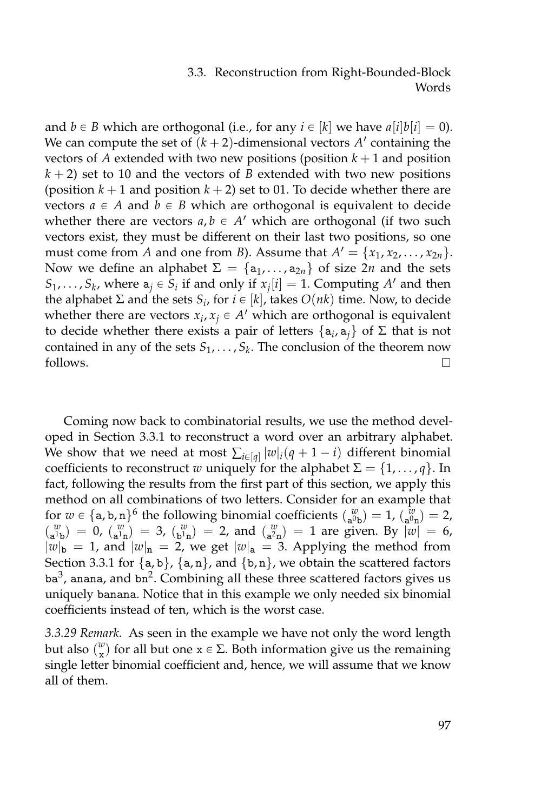and  $b \in B$  which are orthogonal (i.e., for any  $i \in [k]$  we have  $a[i]b[i] = 0$ ). We can compute the set of  $(k + 2)$ -dimensional vectors  $A'$  containing the vectors of *A* extended with two new positions (position  $k + 1$  and position  $k + 2$ ) set to 10 and the vectors of *B* extended with two new positions (position  $k + 1$  and position  $k + 2$ ) set to 01. To decide whether there are vectors  $a \in A$  and  $b \in B$  which are orthogonal is equivalent to decide whether there are vectors  $a, b \in A'$  which are orthogonal (if two such vectors exist, they must be different on their last two positions, so one must come from *A* and one from *B*). Assume that  $A' = \{x_1, x_2, \ldots, x_{2n}\}.$ Now we define an alphabet  $\Sigma = {\mathbf{a}_1, \dots, \mathbf{a}_{2n}}$  of size 2*n* and the sets  $S_1, \ldots, S_k$ , where  $a_j \in S_i$  if and only if  $x_j[i] = 1$ . Computing  $A'$  and then the alphabet  $\Sigma$  and the sets  $S_i$ , for  $i \in [k]$ , takes  $O(nk)$  time. Now, to decide whether there are vectors  $x_i, x_j \in A'$  which are orthogonal is equivalent to decide whether there exists a pair of letters {a*<sup>i</sup>* , a*j*} of Σ that is not contained in any of the sets  $S_1, \ldots, S_k$ . The conclusion of the theorem now follows.  $\Box$ 

Coming now back to combinatorial results, we use the method developed in Section [3.3.1](#page-102-0) to reconstruct a word over an arbitrary alphabet. We show that we need at most  $\sum_{i \in [q]} |w|_i (q + 1 - i)$  different binomial coefficients to reconstruct *w* uniquely for the alphabet  $\Sigma = \{1, \ldots, q\}$ . In fact, following the results from the first part of this section, we apply this method on all combinations of two letters. Consider for an example that for  $w \in \{a, b, n\}^6$  the following binomial coefficients  $\binom{w}{a^0 p} = 1$ ,  $\binom{w}{a^0 n} = 2$ ,  $\binom{w}{a^1b} = 0$ ,  $\binom{w}{a^1n} = 3$ ,  $\binom{w}{b^1n} = 2$ , and  $\binom{w}{a^2n} = 1$  are given. By  $|w| = 6$ ,  $|w|_b = 1$ , and  $|w|_n = 2$ , we get  $|w|_a = 3$ . Applying the method from Section [3.3.1](#page-102-0) for  $\{a, b\}$ ,  $\{a, n\}$ , and  $\{b, n\}$ , we obtain the scattered factors ba<sup>3</sup>, anana, and bn<sup>2</sup>. Combining all these three scattered factors gives us uniquely banana. Notice that in this example we only needed six binomial coefficients instead of ten, which is the worst case.

*3.3.29 Remark.* As seen in the example we have not only the word length but also  $\binom{w}{x}$  for all but one  $x \in \Sigma$ . Both information give us the remaining single letter binomial coefficient and, hence, we will assume that we know all of them.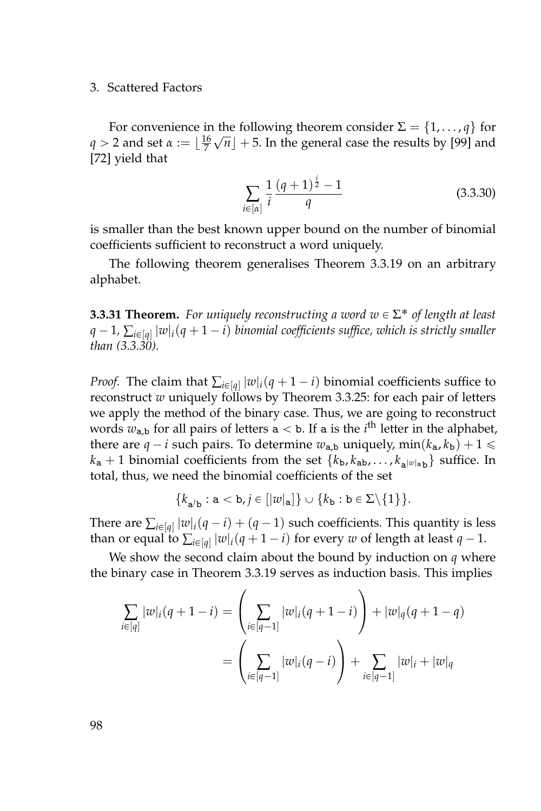#### 3. Scattered Factors

For convenience in the following theorem consider  $\Sigma = \{1, \ldots, q\}$  for *q* > 2 and set  $\alpha := \lfloor \frac{16}{7}\sqrt{n} \rfloor + 5$ . In the general case the results by [\[99\]](#page-166-0) and [\[72\]](#page-164-0) yield that

<span id="page-115-0"></span>
$$
\sum_{i \in [\alpha]} \frac{1}{i} \frac{(q+1)^{\frac{i}{2}} - 1}{q}
$$
 (3.3.30)

is smaller than the best known upper bound on the number of binomial coefficients sufficient to reconstruct a word uniquely.

The following theorem generalises Theorem [3.3.19](#page-107-0) on an arbitrary alphabet.

<span id="page-115-1"></span>**3.3.31 Theorem.** For uniquely reconstructing a word  $w \in \Sigma^*$  of length at least *q*  $-$  1,  $\sum_{i \in [q]} |w|_i (q + 1 - i)$  binomial coefficients suffice, which is strictly smaller *than [\(3.3.30\)](#page-115-0).*

*Proof.* The claim that  $\sum_{i \in [q]} |w|_i(q + 1 - i)$  binomial coefficients suffice to reconstruct *w* uniquely follows by Theorem [3.3.25:](#page-111-1) for each pair of letters we apply the method of the binary case. Thus, we are going to reconstruct words  $w_{a,b}$  for all pairs of letters  $a < b$ . If a is the *i*<sup>th</sup> letter in the alphabet, there are  $q - i$  such pairs. To determine  $w_{a,b}$  uniquely,  $min(k_a, k_b) + 1 \leq$  $k_{a}$  + 1 binomial coefficients from the set  ${k_{b}, k_{ab}, \ldots, k_{a^{|w|}a} }$  suffice. In total, thus, we need the binomial coefficients of the set

$$
\{k_{\mathbf{a}^j \mathbf{b}} : \mathbf{a} < \mathbf{b}, j \in [|\mathbf{w}|_{\mathbf{a}}]\} \cup \{k_{\mathbf{b}} : \mathbf{b} \in \Sigma \setminus \{1\}\}.
$$

There are  $\sum_{i \in [q]} |w|_i(q - i) + (q - 1)$  such coefficients. This quantity is less than or equal to  $\sum_{i \in [q]} |w|_i (q + 1 - i)$  for every  $w$  of length at least  $q - 1$ .

We show the second claim about the bound by induction on *q* where the binary case in Theorem [3.3.19](#page-107-0) serves as induction basis. This implies

$$
\sum_{i \in [q]} |w|_i (q+1-i) = \left(\sum_{i \in [q-1]} |w|_i (q+1-i)\right) + |w|_q (q+1-q)
$$
  
= 
$$
\left(\sum_{i \in [q-1]} |w|_i (q-i)\right) + \sum_{i \in [q-1]} |w|_i + |w|_q
$$

98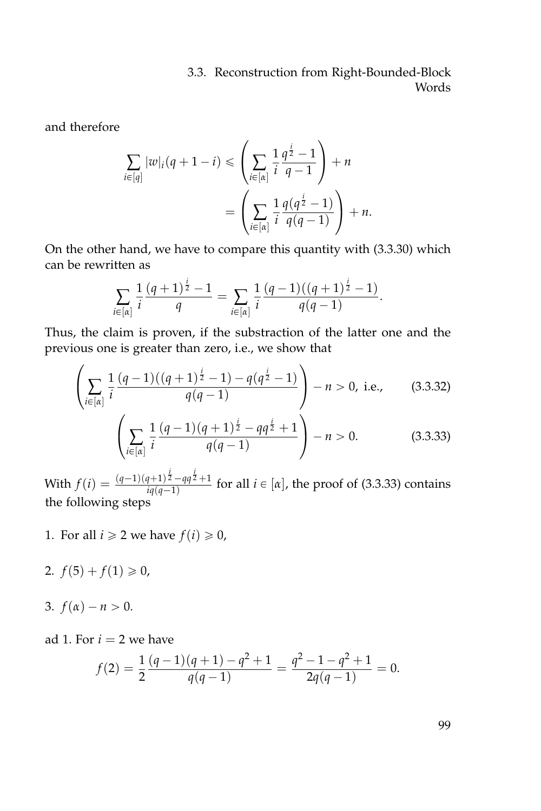and therefore

$$
\sum_{i \in [q]} |w|_i(q+1-i) \leq \left(\sum_{i \in [\alpha]} \frac{1}{i} \frac{q^{\frac{i}{2}} - 1}{q-1}\right) + n
$$

$$
= \left(\sum_{i \in [\alpha]} \frac{1}{i} \frac{q(q^{\frac{i}{2}} - 1)}{q(q-1)}\right) + n.
$$

On the other hand, we have to compare this quantity with [\(3.3.30\)](#page-115-0) which can be rewritten as

$$
\sum_{i\in[\alpha]} \frac{1}{i} \frac{(q+1)^{\frac{i}{2}}-1}{q} = \sum_{i\in[\alpha]} \frac{1}{i} \frac{(q-1)((q+1)^{\frac{i}{2}}-1)}{q(q-1)}.
$$

Thus, the claim is proven, if the substraction of the latter one and the previous one is greater than zero, i.e., we show that

$$
\left(\sum_{i\in[n]}\frac{1}{i}\frac{(q-1)((q+1)^{\frac{i}{2}}-1)-q(q^{\frac{i}{2}}-1)}{q(q-1)}\right)-n>0, \text{ i.e., } (3.3.32)
$$

$$
\left(\sum_{i\in[n]}\frac{1}{i}\frac{(q-1)(q+1)^{\frac{1}{2}}-qq^{\frac{1}{2}}+1}{q(q-1)}\right)-n>0.\tag{3.3.33}
$$

With  $f(i) = \frac{(q-1)(q+1)^{\frac{i}{2}} - qq^{\frac{i}{2}} + 1}{(q^2-1)^{2}}$  $\frac{f(4+1)^2 - 4q^2 + 1}{i q(q-1)}$  for all  $i \in [\alpha]$ , the proof of [\(3.3.33\)](#page-116-0) contains the following steps

- <span id="page-116-1"></span>1. For all  $i \geq 2$  we have  $f(i) \geq 0$ ,
- <span id="page-116-2"></span>2.  $f(5) + f(1) \ge 0$ ,
- <span id="page-116-3"></span>3.  $f(\alpha) - n > 0$ .

ad [1.](#page-116-1) For  $i = 2$  we have

$$
f(2) = \frac{1}{2} \frac{(q-1)(q+1) - q^2 + 1}{q(q-1)} = \frac{q^2 - 1 - q^2 + 1}{2q(q-1)} = 0.
$$

<span id="page-116-0"></span>99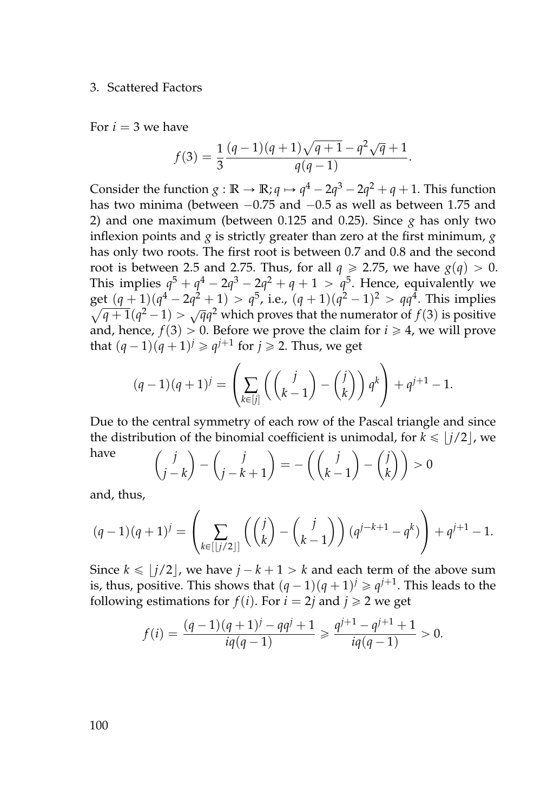#### 3. Scattered Factors

For  $i = 3$  we have

$$
f(3) = \frac{1}{3} \frac{(q-1)(q+1)\sqrt{q+1} - q^2 \sqrt{q} + 1}{q(q-1)}.
$$

Consider the function  $g : \mathbb{R} \to \mathbb{R}$ ;  $q \mapsto q^4 - 2q^3 - 2q^2 + q + 1$ . This function has two minima (between  $-0.75$  and  $-0.5$  as well as between 1.75 and 2) and one maximum (between  $0.125$  and  $0.25$ ). Since  $g$  has only two inflexion points and *g* is strictly greater than zero at the first minimum, *g* has only two roots. The first root is between 0.7 and 0.8 and the second root is between 2.5 and 2.75. Thus, for all  $q \ge 2.75$ , we have  $g(q) > 0$ . This implies  $q^5 + q^4 - 2q^3 - 2q^2 + q + 1 > q^5$ . Hence, equivalently we get  $(q + 1)(q^4 - 2q^2 + 1) > q^5$ , i.e.,  $(q + 1)(q^2 - 1)^2 > qq^4$ . This implies  $\sqrt{q+1}(q^2-1) > \sqrt{q}q^2$  which proves that the numerator of *f*(3) is positive and, hence,  $f(3) > 0$ . Before we prove the claim for  $i \ge 4$ , we will prove that  $(q-1)(q+1)^j \geqslant q^{j+1}$  for  $j \geqslant 2$ . Thus, we get

$$
(q-1)(q+1)^j = \left(\sum_{k \in [j]} \left( \binom{j}{k-1} - \binom{j}{k} \right) q^k \right) + q^{j+1} - 1.
$$

Due to the central symmetry of each row of the Pascal triangle and since the distribution of the binomial coefficient is unimodal, for  $k \leq |j/2|$ , we have *j j j j*

$$
\begin{pmatrix} j \\ j-k \end{pmatrix} - \begin{pmatrix} j \\ j-k+1 \end{pmatrix} = -\left( \begin{pmatrix} j \\ k-1 \end{pmatrix} - \begin{pmatrix} j \\ k \end{pmatrix} \right) > 0
$$

and, thus,

$$
(q-1)(q+1)^j = \left(\sum_{k \in [j/2]} \left( \binom{j}{k} - \binom{j}{k-1} \right) (q^{j-k+1} - q^k) \right) + q^{j+1} - 1.
$$

Since  $k \leq |j/2|$ , we have  $j - k + 1 > k$  and each term of the above sum is, thus, positive. This shows that  $(q-1)(q+1)^j \geqslant q^{j+1}$ . This leads to the following estimations for  $f(i)$ . For  $i = 2j$  and  $j \ge 2$  we get

$$
f(i) = \frac{(q-1)(q+1)^j - qq^j + 1}{iq(q-1)} \ge \frac{q^{j+1} - q^{j+1} + 1}{iq(q-1)} > 0.
$$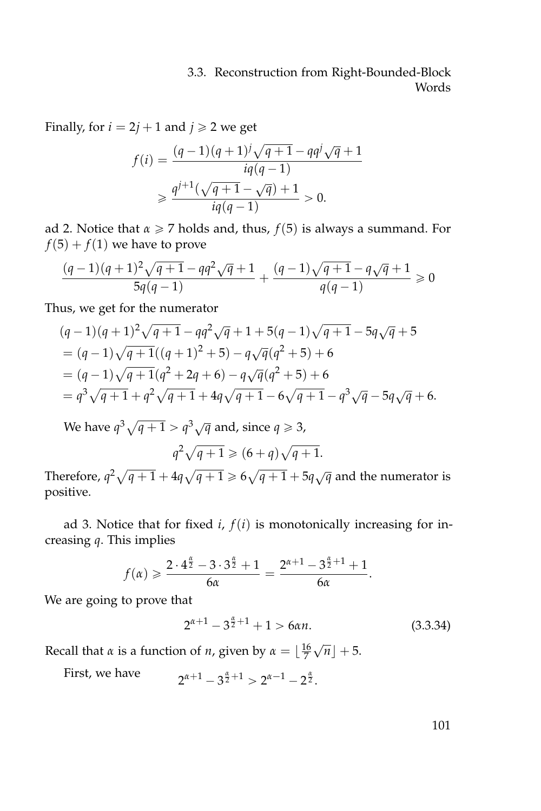Finally, for  $i = 2j + 1$  and  $j \ge 2$  we get

$$
f(i) = \frac{(q-1)(q+1)^j \sqrt{q+1} - qq^j \sqrt{q} + 1}{iq(q-1)}
$$
  
\n
$$
\geq \frac{q^{j+1}(\sqrt{q+1} - \sqrt{q}) + 1}{iq(q-1)} > 0.
$$

ad [2.](#page-116-2) Notice that  $\alpha \ge 7$  holds and, thus,  $f(5)$  is always a summand. For  $f(5) + f(1)$  we have to prove

$$
\frac{(q-1)(q+1)^2\sqrt{q+1} - q q^2\sqrt{q} + 1}{5q(q-1)} + \frac{(q-1)\sqrt{q+1} - q\sqrt{q} + 1}{q(q-1)} \ge 0
$$

Thus, we get for the numerator

$$
(q-1)(q+1)^{2}\sqrt{q+1} - qq^{2}\sqrt{q} + 1 + 5(q-1)\sqrt{q+1} - 5q\sqrt{q} + 5
$$
  
=  $(q-1)\sqrt{q+1}((q+1)^{2} + 5) - q\sqrt{q}(q^{2} + 5) + 6$   
=  $(q-1)\sqrt{q+1}(q^{2} + 2q + 6) - q\sqrt{q}(q^{2} + 5) + 6$   
=  $q^{3}\sqrt{q+1} + q^{2}\sqrt{q+1} + 4q\sqrt{q+1} - 6\sqrt{q+1} - q^{3}\sqrt{q} - 5q\sqrt{q} + 6.$ 

We have  $q^3 \sqrt{q+1} > q^3 \sqrt{q}$  and, since  $q \geqslant 3$ ,  $q^2\sqrt{q+1} \geqslant (6+q)\sqrt{q+1}.$ 

Therefore,  $q^2\sqrt{q+1} + 4q\sqrt{q+1} \geq 6\sqrt{q+1} + 5q\sqrt{q}$  and the numerator is positive.

ad [3.](#page-116-3) Notice that for fixed  $i$ ,  $f(i)$  is monotonically increasing for increasing *q*. This implies

$$
f(\alpha) \geq \frac{2 \cdot 4^{\frac{\alpha}{2}} - 3 \cdot 3^{\frac{\alpha}{2}} + 1}{6\alpha} = \frac{2^{\alpha+1} - 3^{\frac{\alpha}{2}+1} + 1}{6\alpha}.
$$

We are going to prove that

$$
2^{\alpha+1} - 3^{\frac{\alpha}{2}+1} + 1 > 6\alpha n. \tag{3.3.34}
$$

Recall that *α* is a function of *n*, given by  $\alpha = \lfloor \frac{16}{7} \rfloor$  $\sqrt{n}$  + 5.

First, we have  $a+1-3^{\frac{\alpha}{2}+1} > 2^{\alpha-1}-2^{\frac{\alpha}{2}}.$ 

<span id="page-118-0"></span>101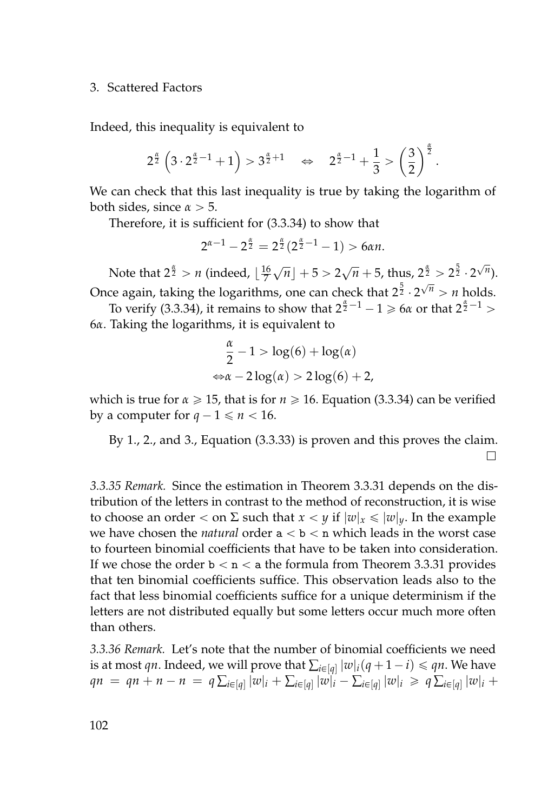#### 3. Scattered Factors

Indeed, this inequality is equivalent to

$$
2^{\frac{\alpha}{2}}\left(3\cdot 2^{\frac{\alpha}{2}-1}+1\right)>3^{\frac{\alpha}{2}+1}\quad\Leftrightarrow\quad 2^{\frac{\alpha}{2}-1}+\frac{1}{3}>\left(\frac{3}{2}\right)^{\frac{\alpha}{2}}.
$$

We can check that this last inequality is true by taking the logarithm of both sides, since  $\alpha > 5$ .

Therefore, it is sufficient for [\(3.3.34\)](#page-118-0) to show that

$$
2^{\alpha-1}-2^{\frac{\alpha}{2}}=2^{\frac{\alpha}{2}}(2^{\frac{\alpha}{2}-1}-1)>6\alpha n.
$$

Note that  $2^{\frac{\alpha}{2}} > n$  (indeed,  $\lfloor \frac{16}{7} \rfloor$  $\sqrt{n}$ ] + 5 > 2 $\sqrt{n}$  + 5, thus, 2<sup> $\frac{\alpha}{2}$ </sup> > 2<sup>5</sup>/<sub>2</sub> · 2 √ *n* ). Once again, taking the logarithms, one can check that 2 $^{\frac{5}{2}}$   $\cdot$  2  $\sqrt{n}$  > *n* holds.

To verify [\(3.3.34\)](#page-118-0), it remains to show that  $2^{\frac{\alpha}{2}-1} - 1 \ge 6\alpha$  or that  $2^{\frac{\alpha}{2}-1} >$ 6*α*. Taking the logarithms, it is equivalent to

$$
\frac{\alpha}{2} - 1 > \log(6) + \log(\alpha)
$$
  

$$
\Leftrightarrow \alpha - 2\log(\alpha) > 2\log(6) + 2,
$$

which is true for  $\alpha \geq 15$ , that is for  $n \geq 16$ . Equation [\(3.3.34\)](#page-118-0) can be verified by a computer for  $q - 1 \le n < 16$ .

By [1.](#page-116-1), [2.](#page-116-2), and [3.](#page-116-3), Equation [\(3.3.33\)](#page-116-0) is proven and this proves the claim.  $\Box$ 

*3.3.35 Remark.* Since the estimation in Theorem [3.3.31](#page-115-1) depends on the distribution of the letters in contrast to the method of reconstruction, it is wise to choose an order  $\lt$  on  $\Sigma$  such that  $x \lt y$  if  $|w|_x \le |w|_y$ . In the example we have chosen the *natural* order  $a < b < n$  which leads in the worst case to fourteen binomial coefficients that have to be taken into consideration. If we chose the order  $b < n < a$  the formula from Theorem [3.3.31](#page-115-1) provides that ten binomial coefficients suffice. This observation leads also to the fact that less binomial coefficients suffice for a unique determinism if the letters are not distributed equally but some letters occur much more often than others.

*3.3.36 Remark.* Let's note that the number of binomial coefficients we need is at most *qn*. Indeed, we will prove that  $\sum_{i \in [q]} |w|_i (q + 1 - i) \leq qn$ . We have  $qn = qn + n - n = q \sum_{i \in [q]} |w|_i + \sum_{i \in [q]} |w|_i - \sum_{i \in [q]} |w|_i \geq q \sum_{i \in [q]} |w|_i +$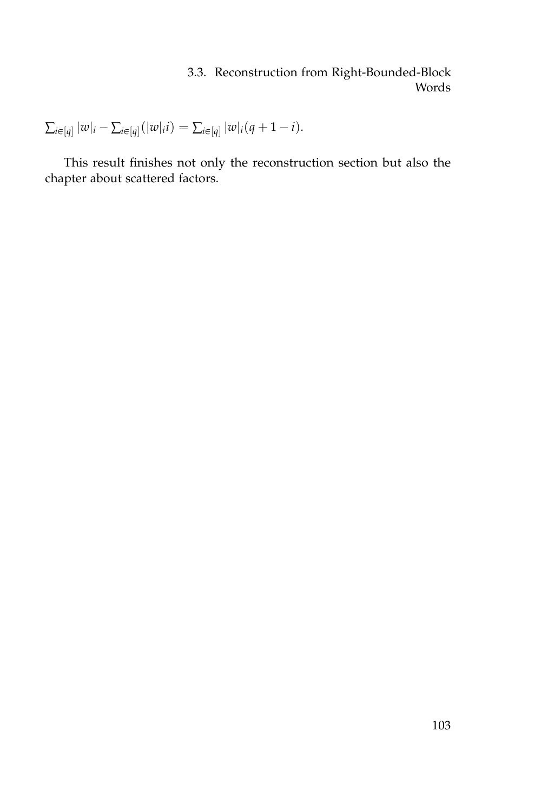$\sum_{i \in [q]} |w|_i - \sum_{i \in [q]} (|w|_i i) = \sum_{i \in [q]} |w|_i (q + 1 - i).$ 

This result finishes not only the reconstruction section but also the chapter about scattered factors.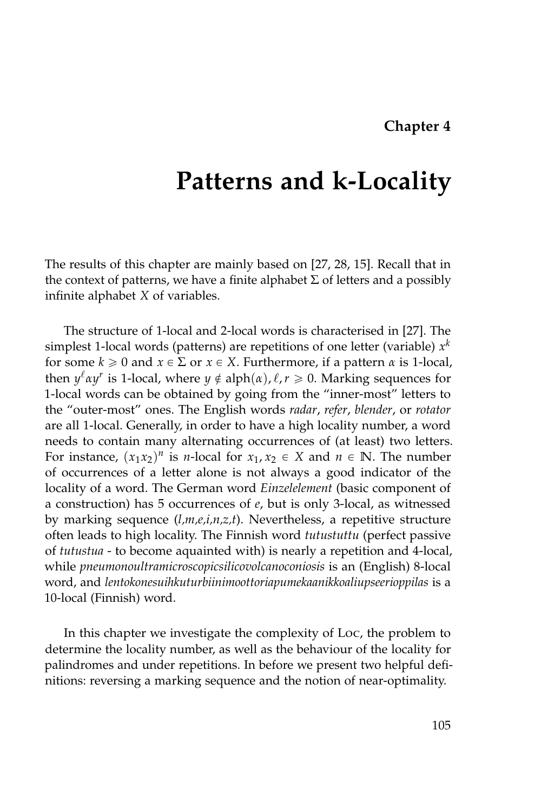### **Chapter 4**

# <span id="page-122-0"></span>**Patterns and k-Locality**

The results of this chapter are mainly based on [\[27,](#page-160-1) [28,](#page-160-2) [15\]](#page-159-0). Recall that in the context of patterns, we have a finite alphabet  $\Sigma$  of letters and a possibly infinite alphabet *X* of variables.

The structure of 1-local and 2-local words is characterised in [\[27\]](#page-160-1). The simplest 1-local words (patterns) are repetitions of one letter (variable)  $x^k$ for some  $k \ge 0$  and  $x \in \Sigma$  or  $x \in X$ . Furthermore, if a pattern  $\alpha$  is 1-local, then  $y^{\ell} a y^r$  is 1-local, where  $y \notin \text{alph}(a)$ ,  $\ell, r \geqslant 0$ . Marking sequences for 1-local words can be obtained by going from the "inner-most" letters to the "outer-most" ones. The English words *radar*, *refer*, *blender*, or *rotator* are all 1-local. Generally, in order to have a high locality number, a word needs to contain many alternating occurrences of (at least) two letters. For instance,  $(x_1x_2)^n$  is *n*-local for  $x_1, x_2 \in X$  and  $n \in \mathbb{N}$ . The number of occurrences of a letter alone is not always a good indicator of the locality of a word. The German word *Einzelelement* (basic component of a construction) has 5 occurrences of *e*, but is only 3-local, as witnessed by marking sequence (*l,m,e,i,n,z,t*). Nevertheless, a repetitive structure often leads to high locality. The Finnish word *tutustuttu* (perfect passive of *tutustua* - to become aquainted with) is nearly a repetition and 4-local, while *pneumonoultramicroscopicsilicovolcanoconiosis* is an (English) 8-local word, and *lentokonesuihkuturbiinimoottoriapumekaanikkoaliupseerioppilas* is a 10-local (Finnish) word.

In this chapter we investigate the complexity of Loc, the problem to determine the locality number, as well as the behaviour of the locality for palindromes and under repetitions. In before we present two helpful definitions: reversing a marking sequence and the notion of near-optimality.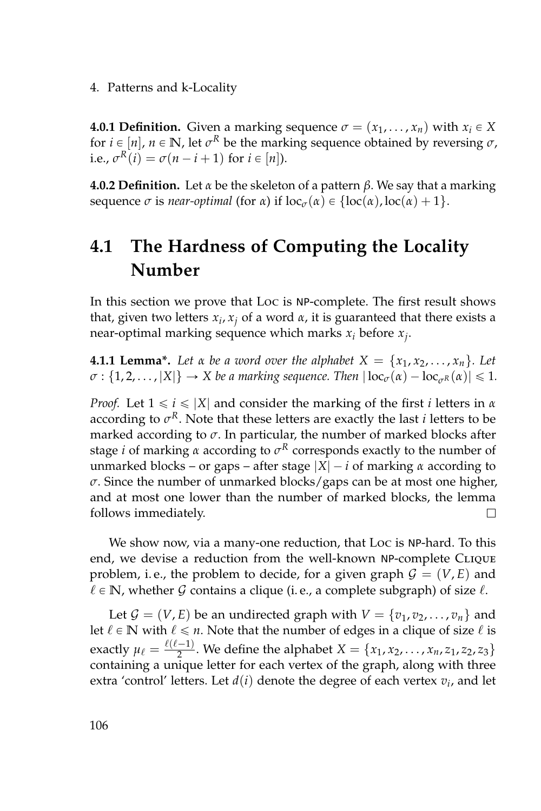4. Patterns and k-Locality

**4.0.1 Definition.** Given a marking sequence  $\sigma = (x_1, \ldots, x_n)$  with  $x_i \in X$ for  $i \in [n]$ ,  $n \in \mathbb{N}$ , let  $\sigma^R$  be the marking sequence obtained by reversing  $\sigma$ , i.e.,  $\sigma^R(i) = \sigma(n - i + 1)$  for  $i \in [n]$ ).

**4.0.2 Definition.** Let *α* be the skeleton of a pattern *β*. We say that a marking sequence  $\sigma$  is *near-optimal* (for  $\alpha$ ) if  $\text{loc}_{\sigma}(\alpha) \in \{\text{loc}(\alpha), \text{loc}(\alpha) + 1\}.$ 

# **4.1 The Hardness of Computing the Locality Number**

In this section we prove that Loc is NP-complete. The first result shows that, given two letters *x<sup>i</sup>* , *x<sup>j</sup>* of a word *α*, it is guaranteed that there exists a near-optimal marking sequence which marks *x<sup>i</sup>* before *x<sup>j</sup>* .

**4.1.1 Lemma\*.** Let  $\alpha$  be a word over the alphabet  $X = \{x_1, x_2, \ldots, x_n\}$ . Let  $\sigma : \{1, 2, \ldots, |X|\} \to X$  *be a marking sequence. Then*  $|\operatorname{loc}_{\sigma}(\alpha) - \operatorname{loc}_{\sigma^{R}}(\alpha)| \leq 1$ *.* 

*Proof.* Let  $1 \le i \le |X|$  and consider the marking of the first *i* letters in *α* according to *σ <sup>R</sup>*. Note that these letters are exactly the last *i* letters to be marked according to *σ*. In particular, the number of marked blocks after stage *i* of marking *α* according to *σ <sup>R</sup>* corresponds exactly to the number of unmarked blocks – or gaps – after stage  $|X| - i$  of marking  $\alpha$  according to *σ*. Since the number of unmarked blocks/gaps can be at most one higher, and at most one lower than the number of marked blocks, the lemma follows immediately. П

We show now, via a many-one reduction, that Loc is NP-hard. To this end, we devise a reduction from the well-known NP-complete CLIQUE problem, i.e., the problem to decide, for a given graph  $G = (V, E)$  and  $\ell \in \mathbb{N}$ , whether G contains a clique (i.e., a complete subgraph) of size  $\ell$ .

Let  $\mathcal{G} = (V, E)$  be an undirected graph with  $V = \{v_1, v_2, \dots, v_n\}$  and let  $\ell \in \mathbb{N}$  with  $\ell \leq n$ . Note that the number of edges in a clique of size  $\ell$  is exactly  $\mu_{\ell} = \frac{\ell(\ell-1)}{2}$  $\frac{(-1)}{2}$ . We define the alphabet *X* = {*x*<sub>1</sub>, *x*<sub>2</sub>, . . . , *x*<sub>*n*</sub>, *z*<sub>1</sub>, *z*<sub>2</sub>, *z*<sub>3</sub>} containing a unique letter for each vertex of the graph, along with three extra 'control' letters. Let  $d(i)$  denote the degree of each vertex  $v_i$ , and let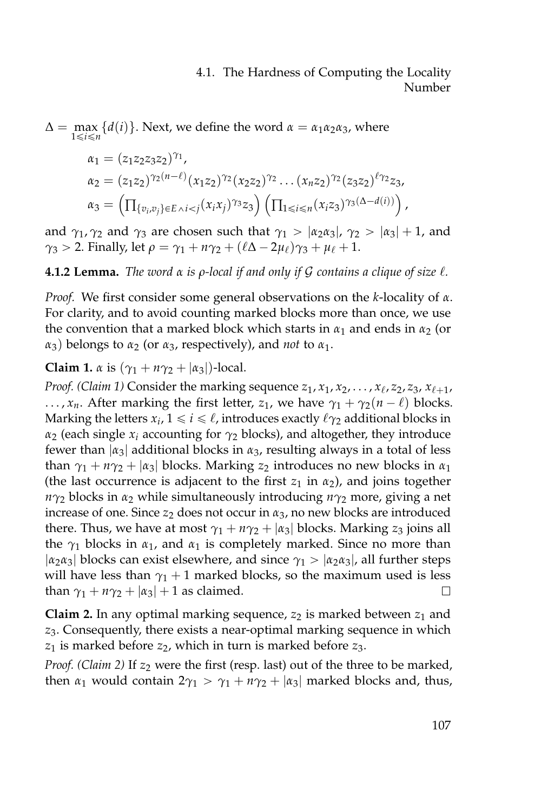$\Delta = \max_{1 \le i \le n} \{d(i)\}\.$  Next, we define the word  $\alpha = \alpha_1 \alpha_2 \alpha_3$ , where

$$
\alpha_1 = (z_1 z_2 z_3 z_2)^{\gamma_1},
$$
  
\n
$$
\alpha_2 = (z_1 z_2)^{\gamma_2 (n-\ell)} (x_1 z_2)^{\gamma_2} (x_2 z_2)^{\gamma_2} \dots (x_n z_2)^{\gamma_2} (z_3 z_2)^{\ell \gamma_2} z_3,
$$
  
\n
$$
\alpha_3 = \left( \prod_{\{v_i, v_j\} \in E \land i < j} (x_i x_j)^{\gamma_3} z_3 \right) \left( \prod_{1 \leq i \leq n} (x_i z_3)^{\gamma_3 (\Delta - d(i))} \right),
$$

and  $\gamma_1$ ,  $\gamma_2$  and  $\gamma_3$  are chosen such that  $\gamma_1 > |\alpha_2 \alpha_3|$ ,  $\gamma_2 > |\alpha_3| + 1$ , and *γ*<sub>3</sub> > 2. Finally, let  $\rho = \gamma_1 + n\gamma_2 + (\ell\Delta - 2\mu_\ell)\gamma_3 + \mu_\ell + 1$ .

**4.1.2 Lemma.** *The word*  $\alpha$  *is*  $\rho$ *-local if and only if G contains a clique of size*  $\ell$ *.* 

*Proof.* We first consider some general observations on the *k*-locality of *α*. For clarity, and to avoid counting marked blocks more than once, we use the convention that a marked block which starts in  $\alpha_1$  and ends in  $\alpha_2$  (or *α*<sub>3</sub>) belongs to *α*<sub>2</sub> (or *α*<sub>3</sub>, respectively), and *not* to *α*<sub>1</sub>.

**Claim 1.**  $\alpha$  is  $(\gamma_1 + n\gamma_2 + |\alpha_3|)$ -local.

*Proof.* (*Claim 1*) Consider the marking sequence  $z_1, x_1, x_2, \ldots, x_\ell, z_2, z_3, x_{\ell+1}$ , ...,  $x_n$ . After marking the first letter,  $z_1$ , we have  $\gamma_1 + \gamma_2(n - \ell)$  blocks. Marking the letters  $x_i$ ,  $1 \leq i \leq \ell$ , introduces exactly  $\ell \gamma_2$  additional blocks in *α*<sup>2</sup> (each single *x<sup>i</sup>* accounting for *γ*<sup>2</sup> blocks), and altogether, they introduce fewer than |*α*3| additional blocks in *α*3, resulting always in a total of less than  $\gamma_1 + n\gamma_2 + |\alpha_3|$  blocks. Marking  $z_2$  introduces no new blocks in  $\alpha_1$ (the last occurrence is adjacent to the first  $z_1$  in  $\alpha_2$ ), and joins together *nγ*<sup>2</sup> blocks in *α*<sup>2</sup> while simultaneously introducing *nγ*<sup>2</sup> more, giving a net increase of one. Since *z*<sup>2</sup> does not occur in *α*3, no new blocks are introduced there. Thus, we have at most  $\gamma_1 + n\gamma_2 + |\alpha_3|$  blocks. Marking  $z_3$  joins all the  $\gamma_1$  blocks in  $\alpha_1$ , and  $\alpha_1$  is completely marked. Since no more than  $|\alpha_2 \alpha_3|$  blocks can exist elsewhere, and since  $\gamma_1 > |\alpha_2 \alpha_3|$ , all further steps will have less than  $\gamma_1 + 1$  marked blocks, so the maximum used is less than  $\gamma_1 + n\gamma_2 + |\alpha_3| + 1$  as claimed.  $\Box$ 

**Claim 2.** In any optimal marking sequence,  $z_2$  is marked between  $z_1$  and *z*3. Consequently, there exists a near-optimal marking sequence in which  $z_1$  is marked before  $z_2$ , which in turn is marked before  $z_3$ .

*Proof.* (*Claim 2*) If  $z_2$  were the first (resp. last) out of the three to be marked, then  $\alpha_1$  would contain  $2\gamma_1 > \gamma_1 + n\gamma_2 + |\alpha_3|$  marked blocks and, thus,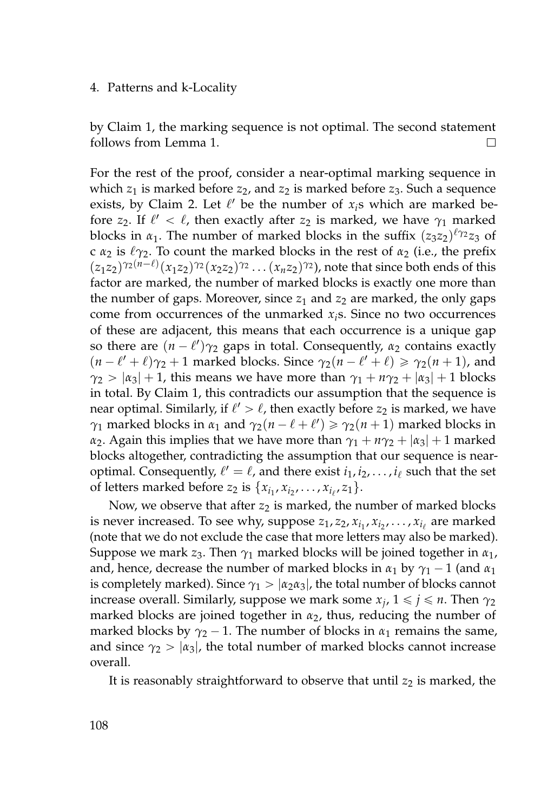#### 4. Patterns and k-Locality

by Claim 1, the marking sequence is not optimal. The second statement follows from Lemma 1.  $\Box$ 

For the rest of the proof, consider a near-optimal marking sequence in which  $z_1$  is marked before  $z_2$ , and  $z_2$  is marked before  $z_3$ . Such a sequence exists, by Claim 2. Let  $\ell'$  be the number of  $x_i$ s which are marked before *z*<sub>2</sub>. If  $\ell' < \ell$ , then exactly after *z*<sub>2</sub> is marked, we have  $\gamma_1$  marked blocks in  $\alpha_1$ . The number of marked blocks in the suffix  $(z_3 z_2)^{\ell \gamma_2} z_3$  of c  $\alpha_2$  is  $\ell_{\gamma_2}$ . To count the marked blocks in the rest of  $\alpha_2$  (i.e., the prefix  $(z_1 z_2)^{\gamma_2 (n-\ell)} (x_1 z_2)^{\gamma_2} (x_2 z_2)^{\gamma_2} \dots (x_n z_2)^{\gamma_2}$ , note that since both ends of this factor are marked, the number of marked blocks is exactly one more than the number of gaps. Moreover, since  $z_1$  and  $z_2$  are marked, the only gaps come from occurrences of the unmarked *xi*s. Since no two occurrences of these are adjacent, this means that each occurrence is a unique gap so there are  $(n - \ell')\gamma_2$  gaps in total. Consequently,  $\alpha_2$  contains exactly  $(n - \ell' + \ell)\gamma_2 + 1$  marked blocks. Since  $\gamma_2(n - \ell' + \ell) \ge \gamma_2(n + 1)$ , and *γ*<sub>2</sub> >  $|\alpha_3|$  + 1, this means we have more than  $\gamma_1 + n\gamma_2 + |\alpha_3| + 1$  blocks in total. By Claim 1, this contradicts our assumption that the sequence is near optimal. Similarly, if  $\ell' > \ell$ , then exactly before  $z_2$  is marked, we have *γ*<sub>1</sub> marked blocks in *α*<sub>1</sub> and  $γ_2(n - \ell + \ell') \geq γ_2(n + 1)$  marked blocks in *α*<sub>2</sub>. Again this implies that we have more than  $\gamma_1 + n\gamma_2 + |\alpha_3| + 1$  marked blocks altogether, contradicting the assumption that our sequence is nearoptimal. Consequently,  $\ell' = \ell$ , and there exist  $i_1, i_2, \ldots, i_\ell$  such that the set of letters marked before *z*<sub>2</sub> is  $\{x_{i_1}, x_{i_2}, \ldots, x_{i_\ell}, z_1\}$ .

Now, we observe that after  $z_2$  is marked, the number of marked blocks is never increased. To see why, suppose  $z_1, z_2, x_{i_1}, x_{i_2}, \ldots, x_{i_\ell}$  are marked (note that we do not exclude the case that more letters may also be marked). Suppose we mark *z*<sub>3</sub>. Then  $\gamma_1$  marked blocks will be joined together in  $\alpha_1$ , and, hence, decrease the number of marked blocks in  $\alpha_1$  by  $\gamma_1 - 1$  (and  $\alpha_1$ ) is completely marked). Since  $\gamma_1 > |\alpha_2 \alpha_3|$ , the total number of blocks cannot increase overall. Similarly, suppose we mark some  $x_j$ ,  $1 \leq j \leq n$ . Then  $\gamma_2$ marked blocks are joined together in *α*2, thus, reducing the number of marked blocks by  $\gamma_2 - 1$ . The number of blocks in  $\alpha_1$  remains the same, and since  $\gamma_2 > |\alpha_3|$ , the total number of marked blocks cannot increase overall.

It is reasonably straightforward to observe that until  $z_2$  is marked, the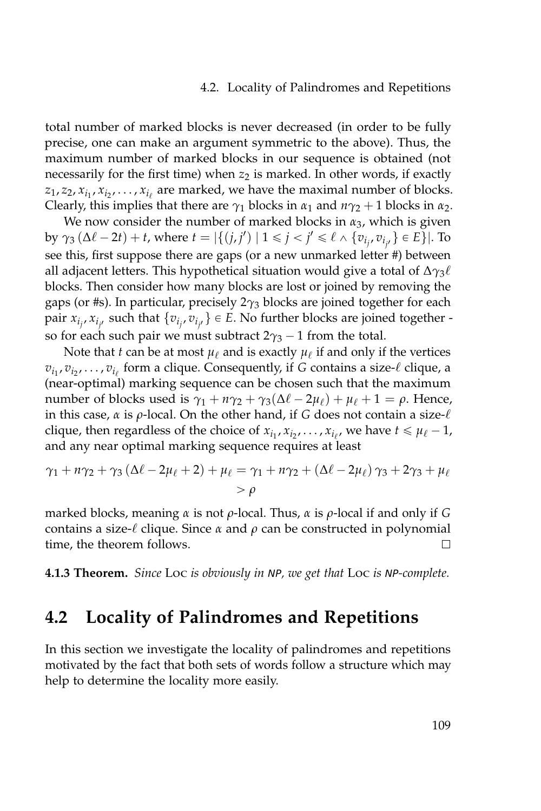#### 4.2. Locality of Palindromes and Repetitions

total number of marked blocks is never decreased (in order to be fully precise, one can make an argument symmetric to the above). Thus, the maximum number of marked blocks in our sequence is obtained (not necessarily for the first time) when  $z_2$  is marked. In other words, if exactly  $z_1, z_2, x_{i_1}, x_{i_2}, \ldots, x_{i_\ell}$  are marked, we have the maximal number of blocks. Clearly, this implies that there are  $\gamma_1$  blocks in  $\alpha_1$  and  $n\gamma_2 + 1$  blocks in  $\alpha_2$ .

We now consider the number of marked blocks in *α*3, which is given by  $\gamma_3 (\Delta \ell - 2t) + t$ , where  $t = |\{(j, j') \mid 1 \le j < j' \le \ell \wedge \{v_{i_j}, v_{i_{j'}}\} \in E\}|$ . To see this, first suppose there are gaps (or a new unmarked letter #) between all adjacent letters. This hypothetical situation would give a total of  $\Delta\gamma_3\ell$ blocks. Then consider how many blocks are lost or joined by removing the gaps (or #s). In particular, precisely 2*γ*<sup>3</sup> blocks are joined together for each pair  $x_{i_j}$ ,  $x_{i_{j'}}$  such that  $\{v_{i_j}, v_{i_{j'}}\} \in E$ . No further blocks are joined together so for each such pair we must subtract  $2\gamma_3 - 1$  from the total.

Note that *t* can be at most  $\mu_{\ell}$  and is exactly  $\mu_{\ell}$  if and only if the vertices  $v_{i_1}, v_{i_2}, \ldots, v_{i_\ell}$  form a clique. Consequently, if *G* contains a size- $\ell$  clique, a (near-optimal) marking sequence can be chosen such that the maximum number of blocks used is  $\gamma_1 + n\gamma_2 + \gamma_3(\Delta\ell - 2\mu_\ell) + \mu_\ell + 1 = \rho$ . Hence, in this case,  $\alpha$  is  $\rho$ -local. On the other hand, if *G* does not contain a size- $\ell$ clique, then regardless of the choice of  $x_{i_1}, x_{i_2}, \ldots, x_{i_{\ell'}}$ , we have  $t \le \mu_{\ell} - 1$ , and any near optimal marking sequence requires at least

$$
\gamma_1 + n\gamma_2 + \gamma_3(\Delta\ell - 2\mu_\ell + 2) + \mu_\ell = \gamma_1 + n\gamma_2 + (\Delta\ell - 2\mu_\ell)\gamma_3 + 2\gamma_3 + \mu_\ell
$$
  
>  $\rho$ 

marked blocks, meaning *α* is not *ρ*-local. Thus, *α* is *ρ*-local if and only if *G* contains a size- $\ell$  clique. Since  $\alpha$  and  $\rho$  can be constructed in polynomial time, the theorem follows. □

**4.1.3 Theorem.** *Since* Loc *is obviously in* NP*, we get that* Loc *is* NP*-complete.*

## **4.2 Locality of Palindromes and Repetitions**

In this section we investigate the locality of palindromes and repetitions motivated by the fact that both sets of words follow a structure which may help to determine the locality more easily.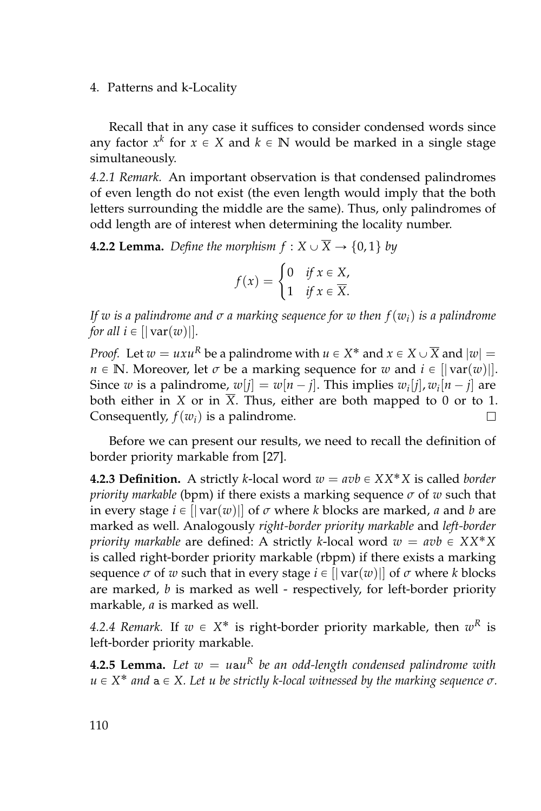4. Patterns and k-Locality

Recall that in any case it suffices to consider condensed words since any factor  $x^k$  for  $x \in X$  and  $k \in \mathbb{N}$  would be marked in a single stage simultaneously.

*4.2.1 Remark.* An important observation is that condensed palindromes of even length do not exist (the even length would imply that the both letters surrounding the middle are the same). Thus, only palindromes of odd length are of interest when determining the locality number.

**4.2.2 Lemma.** *Define the morphism*  $f: X \cup \overline{X} \rightarrow \{0, 1\}$  *by* 

$$
f(x) = \begin{cases} 0 & \text{if } x \in X, \\ 1 & \text{if } x \in \overline{X}. \end{cases}
$$

*If w is a palindrome and σ a marking sequence for w then f*(*wi*) *is a palindrome for all*  $i \in [|\nabla \text{var}(w)|]$ *.* 

*Proof.* Let  $w = uxu^R$  be a palindrome with  $u \in X^*$  and  $x \in X \cup \overline{X}$  and  $|w| =$ *n*  $\in$  **N**. Moreover, let *σ* be a marking sequence for *w* and  $i \in$  [| var(*w*)|]. Since *w* is a palindrome,  $w[j] = w[n-j]$ . This implies  $w_i[j]$ ,  $w_i[n-j]$  are both either in *X* or in  $\overline{X}$ . Thus, either are both mapped to 0 or to 1. Consequently,  $f(w_i)$  is a palindrome.  $\Box$ 

Before we can present our results, we need to recall the definition of border priority markable from [\[27\]](#page-160-1).

**4.2.3 Definition.** A strictly *k*-local word  $w = avb \in XX^*X$  is called *border priority markable* (bpm) if there exists a marking sequence *σ* of *w* such that in every stage  $i \in ||var(w)||$  of  $\sigma$  where  $k$  blocks are marked,  $a$  and  $b$  are marked as well. Analogously *right-border priority markable* and *left-border priority markable* are defined: A strictly *k*-local word  $w = avb \in XXX^*X$ is called right-border priority markable (rbpm) if there exists a marking sequence  $\sigma$  of  $w$  such that in every stage  $i \in [|\text{var}(w)|]$  of  $\sigma$  where  $k$  blocks are marked, *b* is marked as well - respectively, for left-border priority markable, *a* is marked as well.

4.2.4 *Remark*. If  $w \in X^*$  is right-border priority markable, then  $w^R$  is left-border priority markable.

**4.2.5 Lemma.** Let  $w = u$ au<sup>R</sup> be an odd-length condensed palindrome with *u* ∈ *X*<sup>\*</sup> *and* a ∈ *X. Let u be strictly k-local witnessed by the marking sequence*  $\sigma$ *.*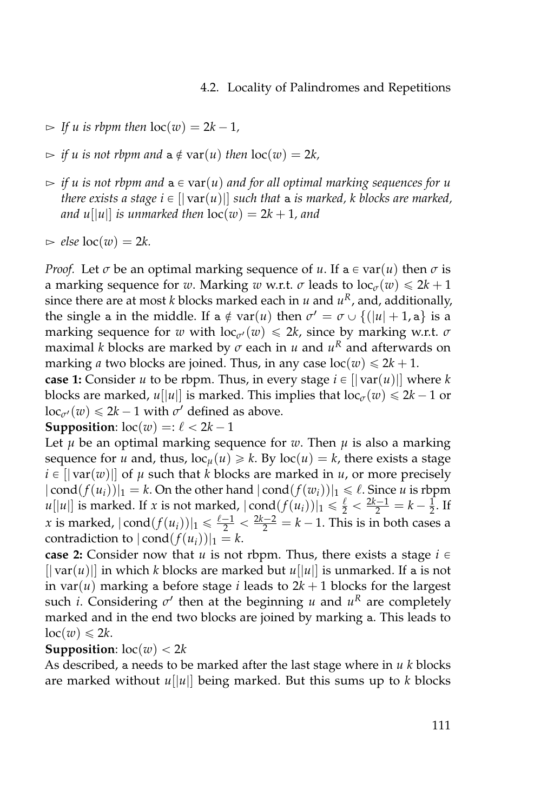- $\Rightarrow$  *If u is rbpm then*  $\text{loc}(w) = 2k 1$ *,*
- $\Rightarrow$  *if u is not rbpm and*  $a \notin \text{var}(u)$  *then*  $\text{loc}(w) = 2k$ ,
- $\Rightarrow$  *if u is not rbpm and*  $a \in \text{var}(u)$  *and for all optimal marking sequences for u there exists a stage*  $i \in [|\nabla \text{ar}(u)|]$  *such that* a *is marked, k blocks are marked, and*  $u[|u|]$  *is unmarked then*  $loc(w) = 2k + 1$ *, and*
- $\Rightarrow$  *else*  $loc(w) = 2k$ .

*Proof.* Let  $\sigma$  be an optimal marking sequence of *u*. If a  $\in$  var $(u)$  then  $\sigma$  is a marking sequence for *w*. Marking *w* w.r.t. *σ* leads to  $\log_{\sigma}(w) \le 2k + 1$ since there are at most *k* blocks marked each in *u* and  $u^R$ , and, additionally, the single a in the middle. If a  $\notin$  var $(u)$  then  $\sigma' = \sigma \cup \{(|u| + 1, a\}$  is a marking sequence for *w* with  $\text{loc}_{\sigma'}(w) \leq 2k$ , since by marking w.r.t.  $\sigma$ maximal *k* blocks are marked by  $\sigma$  each in  $u$  and  $u^R$  and afterwards on marking *a* two blocks are joined. Thus, in any case  $loc(w) \le 2k + 1$ .

**case 1:** Consider *u* to be rbpm. Thus, in every stage  $i \in [|\nabla \text{var}(u)|]$  where *k* blocks are marked,  $u[|u|]$  is marked. This implies that  $loc_{\sigma}(w) \le 2k - 1$  or  $\operatorname{loc}_{\sigma'}(w) \le 2k - 1$  with  $\sigma'$  defined as above.

**Supposition**:  $\text{loc}(w) =: \ell < 2k - 1$ 

Let  $\mu$  be an optimal marking sequence for  $w$ . Then  $\mu$  is also a marking sequence for *u* and, thus,  $\text{loc}_{\mu}(u) \geq k$ . By  $\text{loc}(u) = k$ , there exists a stage  $i \in [|\varphi(x)||]$  of  $\mu$  such that *k* blocks are marked in  $\mu$ , or more precisely  $| \text{cond}(f(u_i))|_1 = k$ . On the other hand  $| \text{cond}(f(w_i))|_1 \leq \ell$ . Since *u* is rbpm  $u[|u|]$  is marked. If *x* is not marked,  $|\text{cond}(f(u_i))|_1 \leq \frac{\ell}{2} < \frac{2k-1}{2} = k - \frac{1}{2}$ . If *x* is marked,  $|\text{cond}(f(u_i))|_1 \le \frac{\ell-1}{2} < \frac{2k-2}{2} = k-1$ . This is in both cases a contradiction to  $|{\rm cond}(f(u_i))|_1 = k$ .

**case 2:** Consider now that *u* is not rbpm. Thus, there exists a stage  $i \in$  $[|\nabla x(u)|]$  in which *k* blocks are marked but  $u[|u|]$  is unmarked. If a is not in var $(u)$  marking a before stage *i* leads to  $2k + 1$  blocks for the largest such *i*. Considering *σ'* then at the beginning *u* and *u<sup>R</sup>* are completely marked and in the end two blocks are joined by marking a. This leads to  $loc(w) \le 2k$ .

#### **Supposition**:  $\text{loc}(w) < 2k$

As described, a needs to be marked after the last stage where in *u k* blocks are marked without *u*[|*u*|] being marked. But this sums up to *k* blocks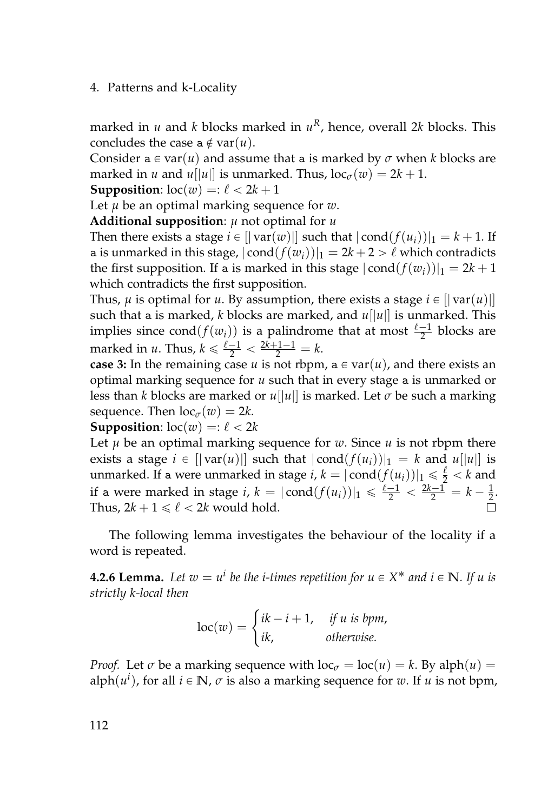#### 4. Patterns and k-Locality

marked in *u* and *k* blocks marked in *u <sup>R</sup>*, hence, overall 2*k* blocks. This concludes the case  $a \notin \text{var}(u)$ .

Consider  $a \in \text{var}(u)$  and assume that a is marked by  $\sigma$  when *k* blocks are marked in *u* and *u*[|*u*|| is unmarked. Thus,  $loc_{\sigma}(w) = 2k + 1$ .

**Supposition**:  $\text{loc}(w) =: \ell < 2k + 1$ 

Let *µ* be an optimal marking sequence for *w*.

**Additional supposition**: *µ* not optimal for *u*

Then there exists a stage  $i \in [|\text{var}(w)|]$  such that  $|\text{cond}(f(u_i))|_1 = k + 1$ . If a is unmarked in this stage,  $|{\rm cond}(f(w_i))|_1 = 2k + 2 > \ell$  which contradicts the first supposition. If a is marked in this stage  $|cond(f(w_i))|_1 = 2k + 1$ which contradicts the first supposition.

Thus,  $\mu$  is optimal for  $u$ . By assumption, there exists a stage  $i \in [|\text{var}(u)|]$ such that a is marked, *k* blocks are marked, and  $u[|u|]$  is unmarked. This implies since  $cond(f(w_i))$  is a palindrome that at most  $\frac{\ell-1}{2}$  blocks are marked in *u*. Thus,  $k \le \frac{\ell - 1}{2} < \frac{2k + 1 - 1}{2} = k$ .

**case 3:** In the remaining case *u* is not rbpm,  $a \in \text{var}(u)$ , and there exists an optimal marking sequence for *u* such that in every stage a is unmarked or less than *k* blocks are marked or  $u[|u|]$  is marked. Let  $\sigma$  be such a marking sequence. Then  $\log_{\sigma}(w) = 2k$ .

#### **Supposition**:  $\text{loc}(w) =: \ell < 2k$

Let  $\mu$  be an optimal marking sequence for  $w$ . Since  $\mu$  is not rbpm there exists a stage  $i \in [|\text{var}(u)|]$  such that  $|\text{cond}(f(u_i))|_1 = k$  and  $u[|u|]$  is unmarked. If a were unmarked in stage  $i, k = |\text{cond}(f(u_i))|_1 \leq \frac{\ell}{2} < k$  and if a were marked in stage *i*,  $k = |\text{cond}(f(u_i))|_1 \le \frac{\ell-1}{2} < \frac{2k-1}{2} = k - \frac{1}{2}$ . Thus,  $2k + 1 \leq \ell < 2k$  would hold.

The following lemma investigates the behaviour of the locality if a word is repeated.

**4.2.6 Lemma.** Let  $w = u^i$  be the *i*-times repetition for  $u \in X^*$  and  $i \in \mathbb{N}$ . If  $u$  is *strictly k-local then*

$$
loc(w) = \begin{cases} ik - i + 1, & if u is bpm, \\ ik, & otherwise. \end{cases}
$$

*Proof.* Let  $\sigma$  be a marking sequence with  $\log_{\sigma} = \log(u) = k$ . By alph $(u) =$  $\text{alph}(u^i)$ , for all  $i \in \mathbb{N}$ ,  $\sigma$  is also a marking sequence for  $w$ . If  $u$  is not bpm,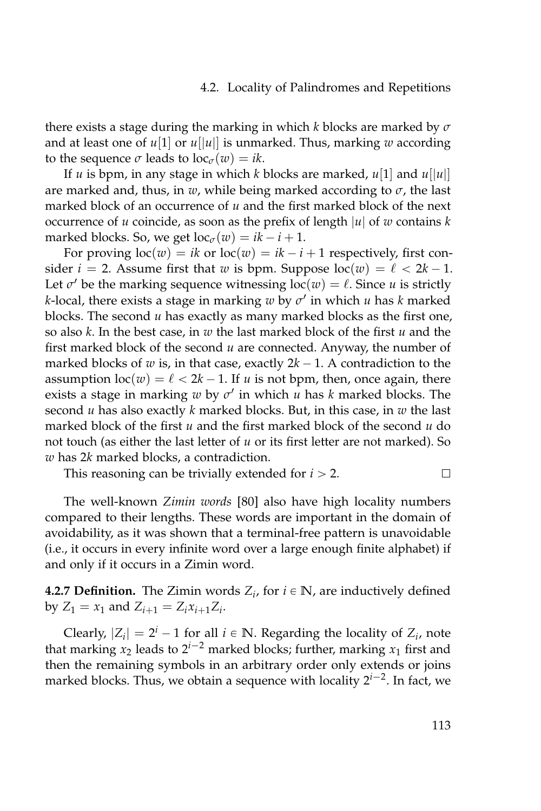#### 4.2. Locality of Palindromes and Repetitions

there exists a stage during the marking in which *k* blocks are marked by *σ* and at least one of  $u[1]$  or  $u[|u|]$  is unmarked. Thus, marking w according to the sequence  $\sigma$  leads to  $\text{loc}_{\sigma}(w) = ik$ .

If *u* is bpm, in any stage in which *k* blocks are marked,  $u[1]$  and  $u[|u|]$ are marked and, thus, in  $w$ , while being marked according to  $\sigma$ , the last marked block of an occurrence of *u* and the first marked block of the next occurrence of *u* coincide, as soon as the prefix of length |*u*| of *w* contains *k* marked blocks. So, we get  $\text{loc}_{\sigma}(w) = ik - i + 1$ .

For proving  $loc(w) = ik$  or  $loc(w) = ik - i + 1$  respectively, first consider  $i = 2$ . Assume first that *w* is bpm. Suppose  $\text{loc}(w) = \ell < 2k - 1$ . Let  $\sigma'$  be the marking sequence witnessing  $loc(w) = \ell$ . Since *u* is strictly *k*-local, there exists a stage in marking *w* by *σ* 1 in which *u* has *k* marked blocks. The second *u* has exactly as many marked blocks as the first one, so also *k*. In the best case, in *w* the last marked block of the first *u* and the first marked block of the second *u* are connected. Anyway, the number of marked blocks of *w* is, in that case, exactly  $2k - 1$ . A contradiction to the assumption  $\text{loc}(w) = \ell < 2k - 1$ . If *u* is not bpm, then, once again, there exists a stage in marking *w* by *σ* 1 in which *u* has *k* marked blocks. The second *u* has also exactly *k* marked blocks. But, in this case, in *w* the last marked block of the first *u* and the first marked block of the second *u* do not touch (as either the last letter of *u* or its first letter are not marked). So *w* has 2*k* marked blocks, a contradiction.

This reasoning can be trivially extended for  $i > 2$ .  $\Box$ 

The well-known *Zimin words* [\[80\]](#page-165-0) also have high locality numbers compared to their lengths. These words are important in the domain of avoidability, as it was shown that a terminal-free pattern is unavoidable (i.e., it occurs in every infinite word over a large enough finite alphabet) if and only if it occurs in a Zimin word.

**4.2.7 Definition.** The Zimin words  $Z_i$ , for  $i \in \mathbb{N}$ , are inductively defined by  $Z_1 = x_1$  and  $Z_{i+1} = Z_i x_{i+1} Z_i$ .

Clearly,  $|Z_i| = 2^i - 1$  for all  $i \in \mathbb{N}$ . Regarding the locality of  $Z_i$ , note that marking  $x_2$  leads to  $2^{i-2}$  marked blocks; further, marking  $x_1$  first and then the remaining symbols in an arbitrary order only extends or joins marked blocks. Thus, we obtain a sequence with locality 2<sup>*i*-2</sup>. In fact, we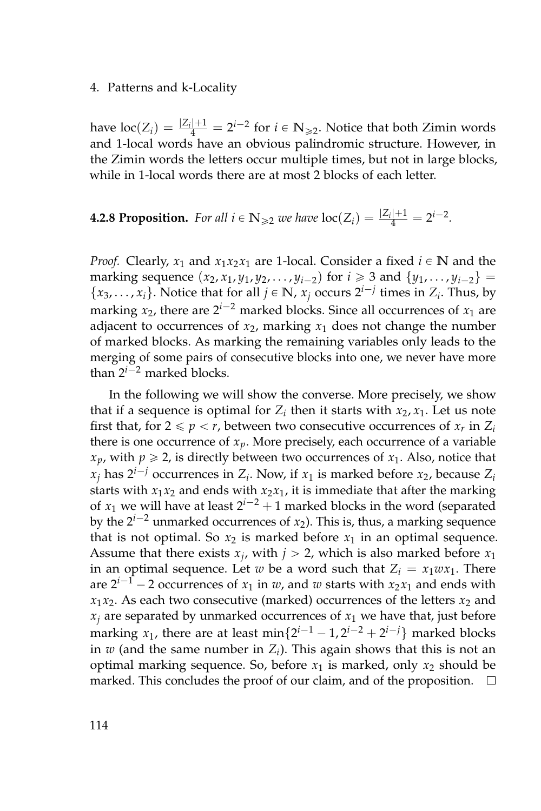#### 4. Patterns and k-Locality

have  $\text{loc}(Z_i) = \frac{|Z_i|+1}{4} = 2^{i-2}$  for  $i \in \mathbb{N}_{\geqslant 2}$ . Notice that both Zimin words and 1-local words have an obvious palindromic structure. However, in the Zimin words the letters occur multiple times, but not in large blocks, while in 1-local words there are at most 2 blocks of each letter.

# **4.2.8 Proposition.** For all  $i \in \mathbb{N}_{\geq 2}$  we have  $\text{loc}(Z_i) = \frac{|Z_i|+1}{4} = 2^{i-2}$ .

*Proof.* Clearly,  $x_1$  and  $x_1x_2x_1$  are 1-local. Consider a fixed  $i \in \mathbb{N}$  and the marking sequence  $(x_2, x_1, y_1, y_2, \ldots, y_{i-2})$  for  $i \ge 3$  and  $\{y_1, \ldots, y_{i-2}\}$  $\{x_3, \ldots, x_i\}$ . Notice that for all  $j \in \mathbb{N}$ ,  $x_j$  occurs  $2^{i-j}$  times in  $Z_i$ . Thus, by marking  $x_2$ , there are  $2^{i-2}$  marked blocks. Since all occurrences of  $x_1$  are adjacent to occurrences of  $x_2$ , marking  $x_1$  does not change the number of marked blocks. As marking the remaining variables only leads to the merging of some pairs of consecutive blocks into one, we never have more than  $2^{i-2}$  marked blocks.

In the following we will show the converse. More precisely, we show that if a sequence is optimal for  $Z_i$  then it starts with  $x_2, x_1$ . Let us note first that, for  $2 \leq p < r$ , between two consecutive occurrences of  $x_r$  in  $Z_i$ there is one occurrence of  $x_p$ . More precisely, each occurrence of a variable  $x_p$ , with  $p \ge 2$ , is directly between two occurrences of  $x_1$ . Also, notice that  $x_j$  has  $2^{i-j}$  occurrences in  $Z_i$ . Now, if  $x_1$  is marked before  $x_2$ , because  $Z_i$ starts with  $x_1x_2$  and ends with  $x_2x_1$ , it is immediate that after the marking of  $x_1$  we will have at least  $2^{i-2} + 1$  marked blocks in the word (separated by the  $2^{i-2}$  unmarked occurrences of  $x_2$ ). This is, thus, a marking sequence that is not optimal. So  $x_2$  is marked before  $x_1$  in an optimal sequence. Assume that there exists  $x_j$ , with  $j > 2$ , which is also marked before  $x_1$ in an optimal sequence. Let *w* be a word such that  $Z_i = x_1 w x_1$ . There are  $2^{i-1}$  – 2 occurrences of  $x_1$  in *w*, and *w* starts with  $x_2x_1$  and ends with  $x_1x_2$ . As each two consecutive (marked) occurrences of the letters  $x_2$  and  $x_i$  are separated by unmarked occurrences of  $x_1$  we have that, just before marking  $x_1$ , there are at least  $\min\{2^{i-1} - 1, 2^{i-2} + 2^{i-j}\}$  marked blocks in *w* (and the same number in *Z<sup>i</sup>* ). This again shows that this is not an optimal marking sequence. So, before  $x_1$  is marked, only  $x_2$  should be marked. This concludes the proof of our claim, and of the proposition.  $\Box$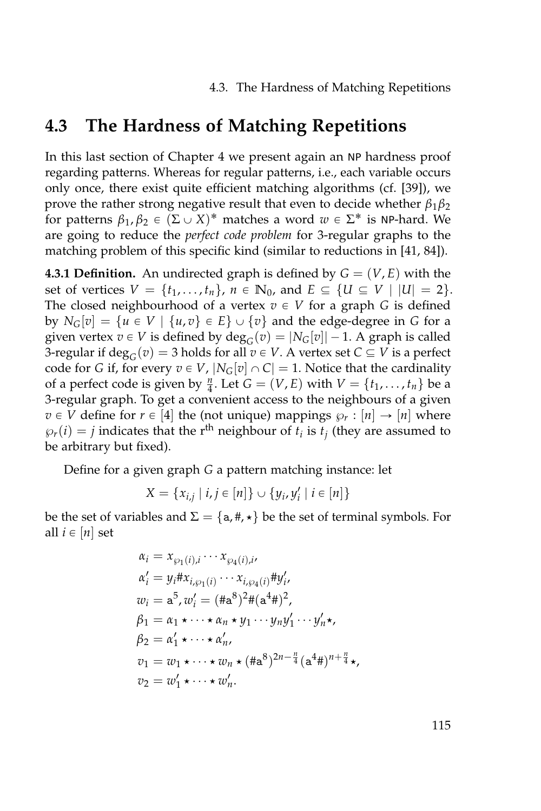4.3. The Hardness of Matching Repetitions

## **4.3 The Hardness of Matching Repetitions**

In this last section of Chapter [4](#page-122-0) we present again an NP hardness proof regarding patterns. Whereas for regular patterns, i.e., each variable occurs only once, there exist quite efficient matching algorithms (cf. [\[39\]](#page-161-0)), we prove the rather strong negative result that even to decide whether  $\beta_1\beta_2$ for patterns  $\beta_1, \beta_2 \in (\Sigma \cup X)^*$  matches a word  $w \in \Sigma^*$  is NP-hard. We are going to reduce the *perfect code problem* for 3-regular graphs to the matching problem of this specific kind (similar to reductions in [\[41,](#page-161-1) [84\]](#page-165-1)).

**4.3.1 Definition.** An undirected graph is defined by  $G = (V, E)$  with the set of vertices  $V = \{t_1, ..., t_n\}$ ,  $n \in \mathbb{N}_0$ , and  $E \subseteq \{U \subseteq V \mid |U| = 2\}$ . The closed neighbourhood of a vertex  $v \in V$  for a graph *G* is defined by  $N_G[v] = \{u \in V \mid \{u, v\} \in E\} \cup \{v\}$  and the edge-degree in *G* for a given vertex  $v \in V$  is defined by  $\deg_G(v) = |N_G[v]| - 1$ . A graph is called 3-regular if  $\deg_G(v) = 3$  holds for all  $v \in V$ . A vertex set  $C \subseteq V$  is a perfect code for *G* if, for every  $v \in V$ ,  $|N_G[v] \cap C| = 1$ . Notice that the cardinality of a perfect code is given by  $\frac{n}{4}$ . Let  $G = (V, E)$  with  $V = \{t_1, \ldots, t_n\}$  be a 3-regular graph. To get a convenient access to the neighbours of a given  $v \in V$  define for  $r \in [4]$  the (not unique) mappings  $\wp_r : [n] \to [n]$  where  $\wp_r(i) = j$  indicates that the r<sup>th</sup> neighbour of  $t_i$  is  $t_j$  (they are assumed to be arbitrary but fixed).

Define for a given graph *G* a pattern matching instance: let

$$
X = \{x_{i,j} \mid i,j \in [n]\} \cup \{y_i, y'_i \mid i \in [n]\}
$$

be the set of variables and  $\Sigma = \{a, \#, \star\}$  be the set of terminal symbols. For all  $i \in [n]$  set

$$
\alpha_i = x_{\wp_1(i),i} \cdots x_{\wp_4(i),i},
$$
  
\n
$$
\alpha'_i = y_i \# x_{i,\wp_1(i)} \cdots x_{i,\wp_4(i)} \# y'_i,
$$
  
\n
$$
w_i = \mathbf{a}^5, w'_i = (\# \mathbf{a}^8)^2 \# (\mathbf{a}^4 \#)^2,
$$
  
\n
$$
\beta_1 = \alpha_1 \star \cdots \star \alpha_n \star y_1 \cdots y_n y'_1 \cdots y'_n \star,
$$
  
\n
$$
\beta_2 = \alpha'_1 \star \cdots \star \alpha'_n,
$$
  
\n
$$
v_1 = w_1 \star \cdots \star w_n \star (\# \mathbf{a}^8)^{2n - \frac{n}{4}} (\mathbf{a}^4 \#)^{n + \frac{n}{4}} \star,
$$
  
\n
$$
v_2 = w'_1 \star \cdots \star w'_n.
$$

115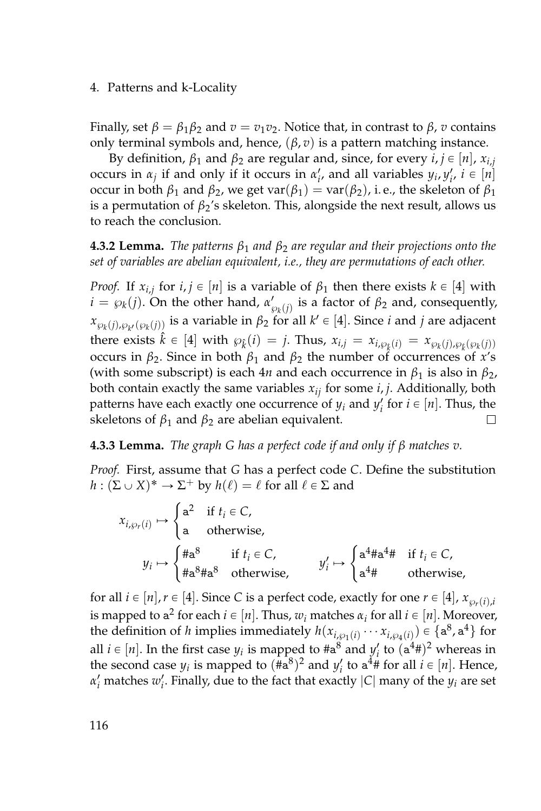#### 4. Patterns and k-Locality

Finally, set  $\beta = \beta_1 \beta_2$  and  $v = v_1 v_2$ . Notice that, in contrast to  $\beta$ , *v* contains only terminal symbols and, hence,  $(\beta, v)$  is a pattern matching instance.

By definition,  $β_1$  and  $β_2$  are regular and, since, for every  $i, j \in [n]$ ,  $x_{i,j}$ occurs in  $\alpha_j$  if and only if it occurs in  $\alpha'_i$ , and all variables  $y_i, y'_i, i \in [n]$ occur in both  $β_1$  and  $β_2$ , we get var( $β_1$ ) = var( $β_2$ ), i.e., the skeleton of  $β_1$ is a permutation of  $\beta_2$ 's skeleton. This, alongside the next result, allows us to reach the conclusion.

**4.3.2 Lemma.** *The patterns β*<sup>1</sup> *and β*<sup>2</sup> *are regular and their projections onto the set of variables are abelian equivalent, i.e., they are permutations of each other.*

*Proof.* If  $x_{i,j}$  for  $i, j \in [n]$  is a variable of  $\beta_1$  then there exists  $k \in [4]$  with *i* =  $\wp_k(j)$ . On the other hand,  $\alpha'_{\wp_k(j)}$  is a factor of  $\beta_2$  and, consequently,  $x_{\wp_k(j),\wp_{k'}(\wp_k(j))}$  is a variable in  $\beta_2$  for all  $k' \in [4]$ . Since *i* and *j* are adjacent there exists  $\hat{k} \in [4]$  with  $\wp_k(i) = j$ . Thus,  $x_{i,j} = x_{i, \wp_k(i)} = x_{\wp_k(j), \wp_k(\wp_k(j))}$ occurs in *β*2. Since in both *β*<sup>1</sup> and *β*<sup>2</sup> the number of occurrences of *x*'s (with some subscript) is each 4*n* and each occurrence in  $\beta_1$  is also in  $\beta_2$ , both contain exactly the same variables  $x_{ij}$  for some  $i, j$ . Additionally, both patterns have each exactly one occurrence of  $y_i$  and  $y'_i$  for  $i \in [n]$ . Thus, the skeletons of  $β_1$  and  $β_2$  are abelian equivalent.  $\Box$ 

<span id="page-133-0"></span>**4.3.3 Lemma.** *The graph G has a perfect code if and only if β matches v.*

*Proof.* First, assume that *G* has a perfect code *C*. Define the substitution  $h: (\Sigma \cup X)^* \to \Sigma^+$  by  $h(\ell) = \ell$  for all  $\ell \in \Sigma$  and

$$
x_{i,\wp_r(i)} \mapsto \begin{cases} \mathsf{a}^2 & \text{if } t_i \in \mathbb{C}, \\ \mathsf{a} & \text{otherwise}, \end{cases}
$$
\n
$$
y_i \mapsto \begin{cases} \# \mathsf{a}^8 & \text{if } t_i \in \mathbb{C}, \\ \# \mathsf{a}^8 \# \mathsf{a}^8 & \text{otherwise}, \end{cases}
$$
\n
$$
y'_i \mapsto \begin{cases} \mathsf{a}^4 \# \mathsf{a}^4 \# & \text{if } t_i \in \mathbb{C}, \\ \mathsf{a}^4 \# & \text{otherwise}, \end{cases}
$$

for all  $i \in [n], r \in [4]$ . Since *C* is a perfect code, exactly for one  $r \in [4]$ ,  $x_{\varnothing r}(i), i$ is mapped to  $a^2$  for each  $i \in [n]$ . Thus,  $w_i$  matches  $\alpha_i$  for all  $i \in [n]$ . Moreover, the definition of *h* implies immediately  $h(x_{i,\wp_1(i)} \cdots x_{i,\wp_4(i)}) \in \{a^8, a^4\}$  for all  $i \in [n]$ . In the first case  $y_i$  is mapped to  $\#a^8$  and  $y'_i$  to  $(a^4 \#)^2$  whereas in the second case  $y_i$  is mapped to  $(\text{Ha}^8)^2$  and  $y'_i$  to  $a^4\text{ff}$  for all  $i \in [n]$ . Hence,  $\alpha'_i$  matches  $w'_i$ . Finally, due to the fact that exactly  $|C|$  many of the  $y_i$  are set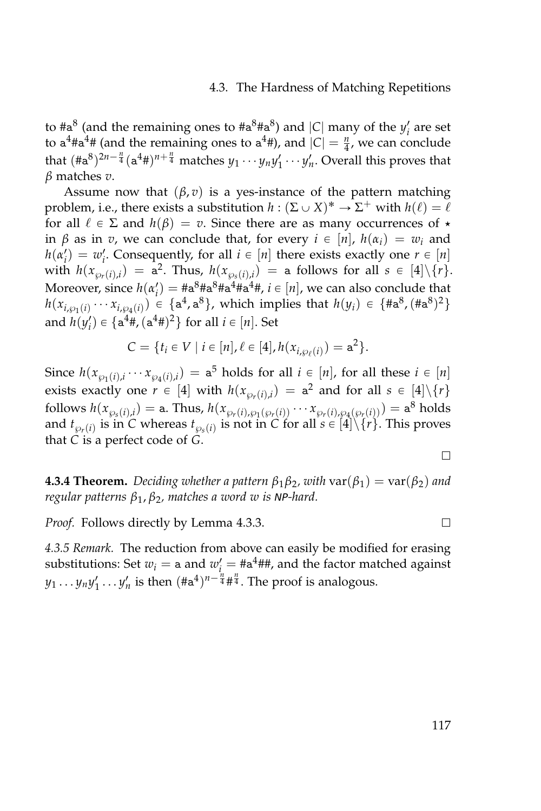#### 4.3. The Hardness of Matching Repetitions

to  $\#a^8$  (and the remaining ones to  $\#a^8\#a^8$ ) and |*C*| many of the *y'<sub>i</sub>* are set to  $a^4 \# a^4 \#$  (and the remaining ones to  $a^4 \#$ ), and  $|C| = \frac{n}{4}$ , we can conclude that  $(\text{Ha}^8)^{2n-\frac{n}{4}}(a^4\text{\#})^{n+\frac{n}{4}}$  matches  $y_1 \cdots y_n y_1' \cdots y_n'$ . Overall this proves that *β* matches *v*.

Assume now that  $(\beta, v)$  is a yes-instance of the pattern matching problem, i.e., there exists a substitution  $h : (\Sigma \cup X)^* \to \Sigma^+$  with  $h(\ell) = \ell$ for all  $\ell \in \Sigma$  and  $h(\beta) = v$ . Since there are as many occurrences of  $\star$ in *β* as in *v*, we can conclude that, for every *i* ∈ [*n*], *h*( $α<sub>i</sub>$ ) =  $w<sub>i</sub>$  and  $h(\alpha_i') = w_i'$ . Consequently, for all  $i \in [n]$  there exists exactly one  $r \in [n]$ with  $h(x_{\wp_r(i),i}) = a^2$ . Thus,  $h(x_{\wp_s(i),i}) = a$  follows for all  $s \in [4] \setminus \{r\}.$ Moreover, since  $h(\alpha_i') = \#a^8 \#a^8 \#a^4 \#a^4 \#$ ,  $i \in [n]$ , we can also conclude that  $h(x_{i,\wp_1(i)} \cdots x_{i,\wp_4(i)}) \in \{a^4, a^8\}$ , which implies that  $h(y_i) \in \{ \text{\#a}^8, (\text{\#a}^8)^2 \}$ and  $h(y'_i) \in \{a^4\#,(a^4\#)^2\}$  for all  $i \in [n]$ . Set

$$
C = \{ t_i \in V \mid i \in [n], \ell \in [4], h(x_{i, \wp_{\ell}(i)}) = a^2 \}.
$$

Since  $h(x_{\wp_1(i),i} \cdots x_{\wp_4(i),i}) = \mathsf{a}^5$  holds for all  $i \in [n]$ , for all these  $i \in [n]$ exists exactly one  $r \in [4]$  with  $h(x_{\wp_r(i),i}) = a^2$  and for all  $s \in [4] \setminus \{r\}$  $\text{follows } h(x_{\wp_s(i),i}) = \text{a. Thus, } h(x_{\wp_r(i),\wp_1(\wp_r(i))} \cdots x_{\wp_r(i),\wp_4(\wp_r(i))}) = \text{a}^8 \text{ holds}$ and  $t_{\wp_r(i)}$  is in *C* whereas  $t_{\wp_s(i)}$  is not in *C* for all  $s \in [4] \backslash \{r\}$ . This proves that *C* is a perfect code of *G*.

**4.3.4 Theorem.** Deciding whether a pattern  $\beta_1 \beta_2$ , with  $\text{var}(\beta_1) = \text{var}(\beta_2)$  and *regular patterns β*1, *β*2*, matches a word w is* NP*-hard.*

*Proof.* Follows directly by Lemma [4.3.3.](#page-133-0)

*4.3.5 Remark.* The reduction from above can easily be modified for erasing substitutions: Set  $w_i = \texttt{a}$  and  $w'_i = \texttt{Ha}^4\texttt{HH}$ , and the factor matched against  $y_1 \ldots y_n y'_1 \ldots y'_n$  is then  $(\#a^4)^{n-\frac{n}{4}} \#^{\frac{n}{4}}$ . The proof is analogous.

 $\Box$ 

 $\Box$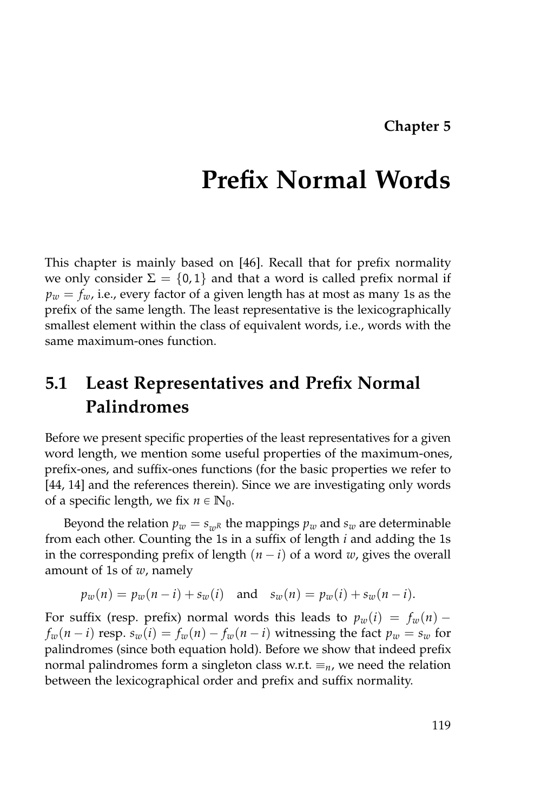# **Prefix Normal Words**

This chapter is mainly based on [\[46\]](#page-162-0). Recall that for prefix normality we only consider  $\Sigma = \{0, 1\}$  and that a word is called prefix normal if  $p_w = f_w$ , i.e., every factor of a given length has at most as many 1s as the prefix of the same length. The least representative is the lexicographically smallest element within the class of equivalent words, i.e., words with the same maximum-ones function.

# **5.1 Least Representatives and Prefix Normal Palindromes**

Before we present specific properties of the least representatives for a given word length, we mention some useful properties of the maximum-ones, prefix-ones, and suffix-ones functions (for the basic properties we refer to [\[44,](#page-161-2) [14\]](#page-159-1) and the references therein). Since we are investigating only words of a specific length, we fix  $n \in \mathbb{N}_0$ .

Beyond the relation  $p_w = s_{wR}$  the mappings  $p_w$  and  $s_w$  are determinable from each other. Counting the 1s in a suffix of length *i* and adding the 1s in the corresponding prefix of length  $(n - i)$  of a word *w*, gives the overall amount of 1s of *w*, namely

$$
p_w(n) = p_w(n-i) + s_w(i)
$$
 and  $s_w(n) = p_w(i) + s_w(n-i)$ .

For suffix (resp. prefix) normal words this leads to  $p_w(i) = f_w(n)$  –  $f_w(n-i)$  resp.  $s_w(i) = f_w(n) - f_w(n-i)$  witnessing the fact  $p_w = s_w$  for palindromes (since both equation hold). Before we show that indeed prefix normal palindromes form a singleton class w.r.t.  $\equiv_n$ , we need the relation between the lexicographical order and prefix and suffix normality.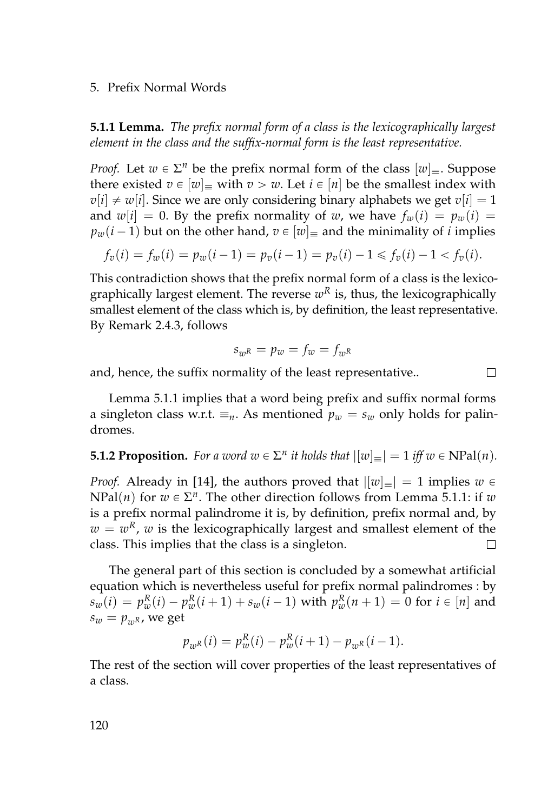#### 5. Prefix Normal Words

<span id="page-137-0"></span>**5.1.1 Lemma.** *The prefix normal form of a class is the lexicographically largest element in the class and the suffix-normal form is the least representative.*

*Proof.* Let  $w \in \Sigma^n$  be the prefix normal form of the class  $[w]_{\equiv}$ . Suppose there existed  $v \in [w]$  with  $v > w$ . Let  $i \in [n]$  be the smallest index with  $v[i] \neq w[i]$ . Since we are only considering binary alphabets we get  $v[i] = 1$ and  $w[i] = 0$ . By the prefix normality of *w*, we have  $f_w(i) = p_w(i)$  $p_w(i-1)$  but on the other hand,  $v \in [w]$  and the minimality of *i* implies

$$
f_v(i) = f_w(i) = p_w(i-1) = p_v(i-1) = p_v(i) - 1 \le f_v(i) - 1 < f_v(i).
$$

This contradiction shows that the prefix normal form of a class is the lexicographically largest element. The reverse  $w^R$  is, thus, the lexicographically smallest element of the class which is, by definition, the least representative. By Remark [2.4.3,](#page-40-0) follows

$$
s_{w^R} = p_w = f_w = f_{w^R}
$$

 $\Box$ 

and, hence, the suffix normality of the least representative..

Lemma [5.1.1](#page-137-0) implies that a word being prefix and suffix normal forms a singleton class w.r.t.  $\equiv_n$ . As mentioned  $p_w = s_w$  only holds for palindromes.

### <span id="page-137-1"></span>**5.1.2 Proposition.** For a word  $w \in \Sigma^n$  it holds that  $|[w]_{\equiv}| = 1$  iff  $w \in \text{NPal}(n)$ *.*

*Proof.* Already in [\[14\]](#page-159-1), the authors proved that  $||w|| = 1$  implies  $w \in$  $NPal(n)$  for  $w \in \Sigma^n$ . The other direction follows from Lemma [5.1.1:](#page-137-0) if *w* is a prefix normal palindrome it is, by definition, prefix normal and, by  $w = w<sup>R</sup>$ , *w* is the lexicographically largest and smallest element of the class. This implies that the class is a singleton.  $\Box$ 

The general part of this section is concluded by a somewhat artificial equation which is nevertheless useful for prefix normal palindromes : by  $s_w(i) = p_w^R(i) - p_w^R(i+1) + s_w(i-1)$  with  $p_w^R(n+1) = 0$  for  $i \in [n]$  and  $s_w = p_{wR}$ , we get

$$
p_{wR}(i) = p_w^R(i) - p_w^R(i+1) - p_{wR}(i-1).
$$

The rest of the section will cover properties of the least representatives of a class.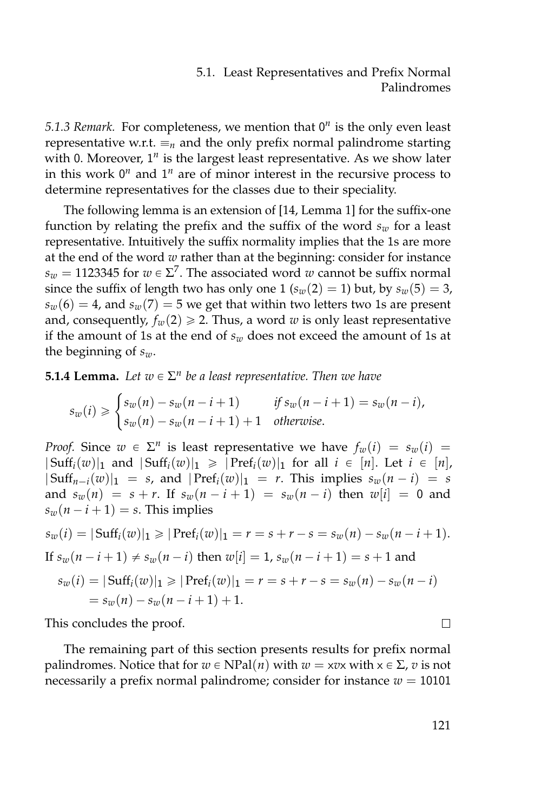#### 5.1. Least Representatives and Prefix Normal Palindromes

<span id="page-138-0"></span>5.1.3 Remark. For completeness, we mention that 0<sup>n</sup> is the only even least representative w.r.t.  $\equiv_n$  and the only prefix normal palindrome starting with 0. Moreover, 1<sup>n</sup> is the largest least representative. As we show later in this work  $0^n$  and  $1^n$  are of minor interest in the recursive process to determine representatives for the classes due to their speciality.

The following lemma is an extension of [\[14,](#page-159-1) Lemma 1] for the suffix-one function by relating the prefix and the suffix of the word  $s_w$  for a least representative. Intuitively the suffix normality implies that the 1s are more at the end of the word *w* rather than at the beginning: consider for instance  $s_w = 1123345$  for  $w \in \Sigma^7$ . The associated word  $w$  cannot be suffix normal since the suffix of length two has only one 1 ( $s_w(2) = 1$ ) but, by  $s_w(5) = 3$ ,  $s_w(6) = 4$ , and  $s_w(7) = 5$  we get that within two letters two 1s are present and, consequently,  $f_w(2) \ge 2$ . Thus, a word *w* is only least representative if the amount of 1s at the end of  $s_w$  does not exceed the amount of 1s at the beginning of *sw*.

**5.1.4 Lemma.** Let  $w \in \Sigma^n$  be a least representative. Then we have

$$
s_w(i) \geqslant \begin{cases} s_w(n) - s_w(n-i+1) & \text{if } s_w(n-i+1) = s_w(n-i), \\ s_w(n) - s_w(n-i+1) + 1 & \text{otherwise.} \end{cases}
$$

*Proof.* Since  $w \in \Sigma^n$  is least representative we have  $f_w(i) = s_w(i)$  $|\operatorname{Suff}_i(w)|_1$  and  $|\operatorname{Suff}_i(w)|_1 \geqslant |\operatorname{Pref}_i(w)|_1$  for all  $i \in [n]$ . Let  $i \in [n]$ ,  $|\operatorname{Suff}_{n-i}(w)|_1 = s$ , and  $|\operatorname{Pref}_i(w)|_1 = r$ . This implies  $s_w(n-i) = s$ and  $s_w(n) = s + r$ . If  $s_w(n-i+1) = s_w(n-i)$  then  $w[i] = 0$  and  $s_w(n-i+1) = s$ . This implies

$$
s_w(i) = |\text{Suff}_i(w)|_1 \ge |\text{Pref}_i(w)|_1 = r = s + r - s = s_w(n) - s_w(n - i + 1).
$$
  
If  $s_w(n - i + 1) \ne s_w(n - i)$  then  $w[i] = 1$ ,  $s_w(n - i + 1) = s + 1$  and  
 $s_w(i) = |\text{Suff}_i(w)|_1 \ge |\text{Pref}_i(w)|_1 = r = s + r - s = s_w(n) - s_w(n - i)$   
 $= s_w(n) - s_w(n - i + 1) + 1.$ 

This concludes the proof.

The remaining part of this section presents results for prefix normal palindromes. Notice that for  $w \in NPal(n)$  with  $w = xv$ *x* with  $x \in \Sigma$ , *v* is not necessarily a prefix normal palindrome; consider for instance  $w = 10101$ 

 $\Box$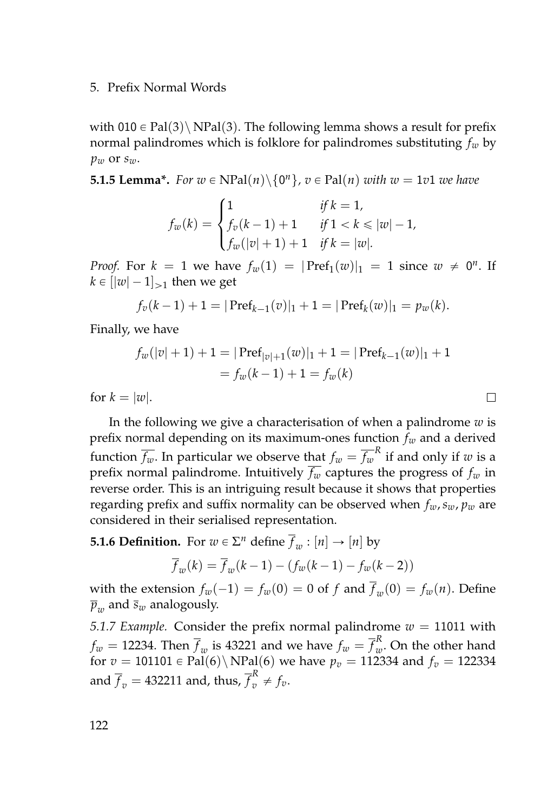#### 5. Prefix Normal Words

with 010  $\in$  Pal(3)\ NPal(3). The following lemma shows a result for prefix normal palindromes which is folklore for palindromes substituting *f<sup>w</sup>* by *p<sup>w</sup>* or *sw*.

**5.1.5 Lemma\*.** For  $w \in \text{NPal}(n) \setminus \{0^n\}$ ,  $v \in \text{Pal}(n)$  with  $w = 1v1$  we have

$$
f_w(k) = \begin{cases} 1 & \text{if } k = 1, \\ f_v(k-1) + 1 & \text{if } 1 < k \le |w| - 1, \\ f_w(|v|+1) + 1 & \text{if } k = |w|. \end{cases}
$$

*Proof.* For  $k = 1$  we have  $f_w(1) = |\text{Pref}_1(w)|_1 = 1$  since  $w \neq 0^n$ . If  $k \in [|\mathcal{w}| - 1]_{\geq 1}$  then we get

$$
f_v(k-1)+1=|\operatorname{Pref}_{k-1}(v)|_1+1=|\operatorname{Pref}_k(w)|_1=p_w(k).
$$

Finally, we have

$$
f_w(|v|+1) + 1 = |\operatorname{Pref}_{|v|+1}(w)|_1 + 1 = |\operatorname{Pref}_{k-1}(w)|_1 + 1
$$
  
=  $f_w(k-1) + 1 = f_w(k)$ 

 $\Box$ 

for  $k = |w|$ .

In the following we give a characterisation of when a palindrome *w* is prefix normal depending on its maximum-ones function *f<sup>w</sup>* and a derived function  $\overline{f_w}.$  In particular we observe that  $f_w = \overline{f_w}^R$  if and only if  $w$  is a prefix normal palindrome. Intuitively  $\overline{f_w}$  captures the progress of  $f_w$  in reverse order. This is an intriguing result because it shows that properties regarding prefix and suffix normality can be observed when  $f_w$ ,  $s_w$ ,  $p_w$  are considered in their serialised representation.

<span id="page-139-0"></span>**5.1.6 Definition.** For  $w \in \Sigma^n$  define  $\overline{f}_w : [n] \rightarrow [n]$  by

$$
\overline{f}_w(k) = \overline{f}_w(k-1) - (f_w(k-1) - f_w(k-2))
$$

with the extension  $f_w(-1) = f_w(0) = 0$  of  $f$  and  $f_w(0) = f_w(n)$ . Define  $\overline{p}_w$  and  $\overline{s}_w$  analogously.

*5.1.7 Example.* Consider the prefix normal palindrome  $w = 11011$  with  $f_w = 12234$ . Then  $\overline{f}_w$  is 43221 and we have  $f_w = \overline{f}_w^R$ *w* . On the other hand for  $v = 101101 \in \text{Pal}(6) \setminus \text{NPal}(6)$  we have  $p_v = 112334$  and  $f_v = 122334$ and  $\overline{f}_v = 432211$  and, thus,  $\overline{f}_v^R \neq f_v$ .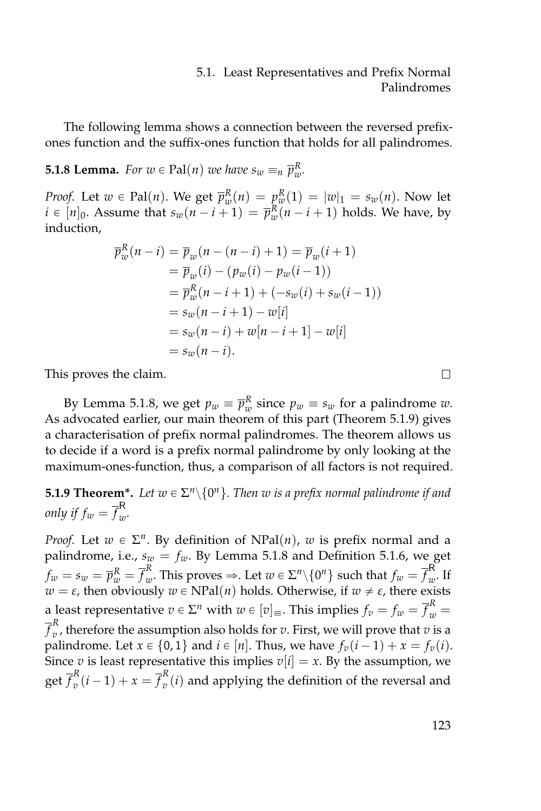#### 5.1. Least Representatives and Prefix Normal Palindromes

The following lemma shows a connection between the reversed prefixones function and the suffix-ones function that holds for all palindromes.

## <span id="page-140-0"></span>**5.1.8 Lemma.** For  $w \in \text{Pal}(n)$  we have  $s_w \equiv_n \overline{p}_w^R$ .

*Proof.* Let  $w \in \text{Pal}(n)$ . We get  $\overline{p}_w^R(n) = p_w^R(1) = |w|_1 = s_w(n)$ . Now let  $i \in [n]_0$ . Assume that  $s_w(n-i+1) = \overline{p}_w^R(n-i+1)$  holds. We have, by induction,

$$
\overline{p}_{w}^{R}(n-i) = \overline{p}_{w}(n-(n-i)+1) = \overline{p}_{w}(i+1)
$$
\n
$$
= \overline{p}_{w}(i) - (p_{w}(i) - p_{w}(i-1))
$$
\n
$$
= \overline{p}_{w}^{R}(n-i+1) + (-s_{w}(i) + s_{w}(i-1))
$$
\n
$$
= s_{w}(n-i+1) - w[i]
$$
\n
$$
= s_{w}(n-i) + w[n-i+1] - w[i]
$$
\n
$$
= s_{w}(n-i).
$$

This proves the claim.

By Lemma [5.1.8,](#page-140-0) we get  $p_w \equiv \overline{p}_w^R$  since  $p_w \equiv s_w$  for a palindrome  $w$ . As advocated earlier, our main theorem of this part (Theorem [5.1.9\)](#page-140-1) gives a characterisation of prefix normal palindromes. The theorem allows us to decide if a word is a prefix normal palindrome by only looking at the maximum-ones-function, thus, a comparison of all factors is not required.

<span id="page-140-1"></span>**5.1.9 Theorem\*.** Let  $w \in \Sigma^n \setminus \{0^n\}$ . Then  $w$  is a prefix normal palindrome if and *only if*  $f_w = \overline{f}_w^{\mathsf{R}}$ *w .*

*Proof.* Let  $w \in \Sigma^n$ . By definition of NPal(*n*), *w* is prefix normal and a palindrome, i.e.,  $s_w = f_w$ . By Lemma [5.1.8](#page-140-0) and Definition [5.1.6,](#page-139-0) we get  $f_w = s_w = \overline{p}_w^R = \overline{f}_w^R$  $_{w}^{R}.$  This proves  $\Rightarrow$ . Let  $w \in \Sigma^{n} \backslash \{0^{n}\}$  such that  $f_{w} = \overline{f}_{w}^{\mathsf{R}}$  $\frac{1}{w}$ . If  $w = \varepsilon$ , then obviously  $w \in \text{NPal}(n)$  holds. Otherwise, if  $w \neq \varepsilon$ , there exists a least representative  $v \in \Sigma^n$  with  $w \in [v]_\equiv$ . This implies  $f_v = f_w = \overline{f}_w^R = 0$ *f R*  $\hat{v}$ , therefore the assumption also holds for *v*. First, we will prove that *v* is a palindrome. Let  $x \in \{0, 1\}$  and  $i \in [n]$ . Thus, we have  $f_v(i-1) + x = f_v(i)$ . Since *v* is least representative this implies  $v[i] = x$ . By the assumption, we  $\operatorname{get} \overline{f}_v^R$  $v_v^R(i-1) + x = \overline{f}_v^R$  $v_{v}^{(i)}$  and applying the definition of the reversal and

 $\Box$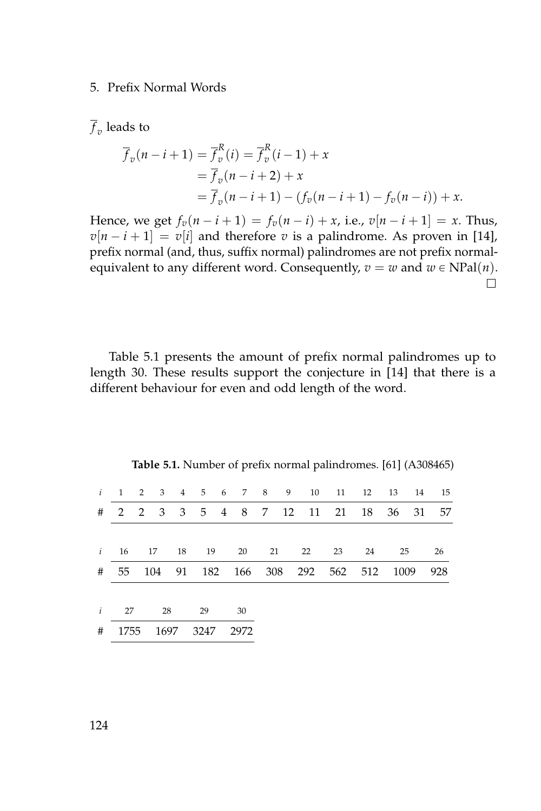#### 5. Prefix Normal Words

 $f_v$  leads to

$$
\overline{f}_v(n-i+1) = \overline{f}_v^R(i) = \overline{f}_v^R(i-1) + x
$$
  
=  $\overline{f}_v(n-i+2) + x$   
=  $\overline{f}_v(n-i+1) - (f_v(n-i+1) - f_v(n-i)) + x$ .

Hence, we get  $f_v(n - i + 1) = f_v(n - i) + x$ , i.e.,  $v[n - i + 1] = x$ . Thus,  $v[n - i + 1] = v[i]$  and therefore *v* is a palindrome. As proven in [\[14\]](#page-159-1), prefix normal (and, thus, suffix normal) palindromes are not prefix normalequivalent to any different word. Consequently,  $v = w$  and  $w \in NPal(n)$ .  $\Box$ 

[Table 5.1](#page-141-0) presents the amount of prefix normal palindromes up to length 30. These results support the conjecture in [\[14\]](#page-159-1) that there is a different behaviour for even and odd length of the word.

<span id="page-141-0"></span>

| $\mathbf{i}$ | 1 2 3 4     |                                   |      |      |    |    |      |    |  |    |                  | 5 6 7 8 9 10 11 12 | 13       |  | 14 15 |
|--------------|-------------|-----------------------------------|------|------|----|----|------|----|--|----|------------------|--------------------|----------|--|-------|
| #            | 2 2 3 3     |                                   |      |      |    |    |      |    |  |    | 5 4 8 7 12 11 21 |                    | 18 36 31 |  | - 57  |
|              |             |                                   |      |      |    |    |      |    |  |    |                  |                    |          |  |       |
|              | $i = 16$ 17 |                                   |      | 18   | 19 |    | 20   | 21 |  | 22 | 23               | - 24               | 25       |  | 26    |
| #            |             | 55 104 91 182 166 308 292 562 512 |      |      |    |    |      |    |  |    |                  |                    | 1009     |  | 928   |
|              |             |                                   |      |      |    |    |      |    |  |    |                  |                    |          |  |       |
| $\mathbf{i}$ | 27<br>28    |                                   |      | 29   |    | 30 |      |    |  |    |                  |                    |          |  |       |
| #            | 1755        |                                   | 1697 | 3247 |    |    | 2972 |    |  |    |                  |                    |          |  |       |
|              |             |                                   |      |      |    |    |      |    |  |    |                  |                    |          |  |       |

**Table 5.1.** Number of prefix normal palindromes. [\[61\]](#page-163-0) (A308465)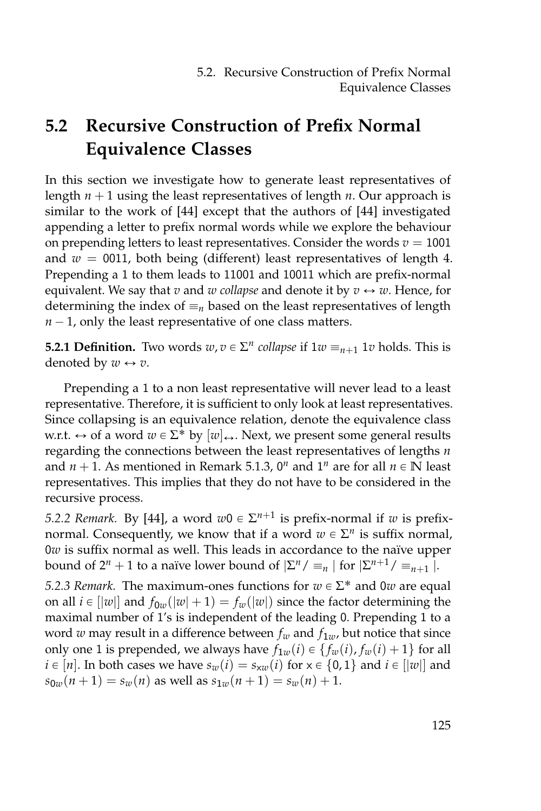# **5.2 Recursive Construction of Prefix Normal Equivalence Classes**

In this section we investigate how to generate least representatives of length  $n + 1$  using the least representatives of length  $n$ . Our approach is similar to the work of [\[44\]](#page-161-2) except that the authors of [\[44\]](#page-161-2) investigated appending a letter to prefix normal words while we explore the behaviour on prepending letters to least representatives. Consider the words  $v = 1001$ and  $w = 0011$ , both being (different) least representatives of length 4. Prepending a 1 to them leads to 11001 and 10011 which are prefix-normal equivalent. We say that *v* and *w collapse* and denote it by  $v \leftrightarrow w$ . Hence, for determining the index of  $\equiv_n$  based on the least representatives of length  $n - 1$ , only the least representative of one class matters.

**5.2.1 Definition.** Two words  $w, v \in \Sigma^n$  collapse if  $1w \equiv_{n+1} 1v$  holds. This is denoted by  $w \leftrightarrow v$ .

Prepending a 1 to a non least representative will never lead to a least representative. Therefore, it is sufficient to only look at least representatives. Since collapsing is an equivalence relation, denote the equivalence class w.r.t.  $\leftrightarrow$  of a word  $w \in \Sigma^*$  by  $[w]_{\leftrightarrow}$ . Next, we present some general results regarding the connections between the least representatives of lengths *n* and  $n + 1$ . As mentioned in Remark [5.1.3,](#page-138-0)  $0^n$  and  $1^n$  are for all  $n \in \mathbb{N}$  least representatives. This implies that they do not have to be considered in the recursive process.

*5.2.2 Remark.* By [\[44\]](#page-161-2), a word  $w0 \in \Sigma^{n+1}$  is prefix-normal if *w* is prefixnormal. Consequently, we know that if a word  $w \in \Sigma^n$  is suffix normal, 0*w* is suffix normal as well. This leads in accordance to the naïve upper bound of  $2^n + 1$  to a naïve lower bound of  $|\Sigma^n / \equiv_n |\text{ for } |\Sigma^{n+1} / \equiv_{n+1} \hat{ } |$ .

<span id="page-142-0"></span>*5.2.3 Remark.* The maximum-ones functions for  $w \in \Sigma^*$  and 0*w* are equal on all  $i \in ||w||$  and  $f_{0w}(|w| + 1) = f_w(|w|)$  since the factor determining the maximal number of 1's is independent of the leading 0. Prepending 1 to a word *w* may result in a difference between  $f_w$  and  $f_{1w}$ , but notice that since only one 1 is prepended, we always have  $f_{1w}(i) \in \{f_w(i), f_w(i) + 1\}$  for all  $i \in [n]$ . In both cases we have  $s_w(i) = s_{xw}(i)$  for  $x \in \{0, 1\}$  and  $i \in [|w|]$  and  $s_{0w}(n+1) = s_w(n)$  as well as  $s_{1w}(n+1) = s_w(n) + 1$ .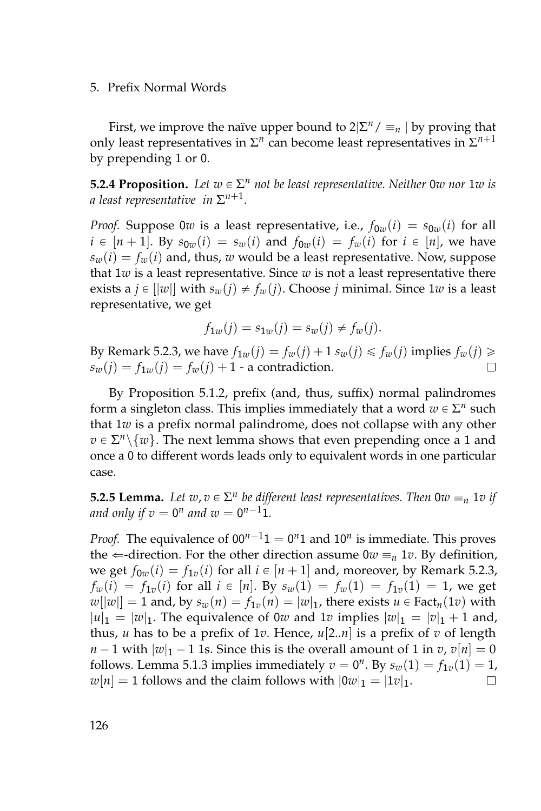5. Prefix Normal Words

First, we improve the naïve upper bound to  $2|\Sigma^n / \equiv_n |\text{ by proving that}$ only least representatives in  $\Sigma^n$  can become least representatives in  $\Sigma^{n+1}$ by prepending 1 or 0.

**5.2.4 Proposition.** Let  $w \in \Sigma^n$  not be least representative. Neither 0*w* nor 1*w* is *a least representative in* Σ *n*+1 *.*

*Proof.* Suppose 0*w* is a least representative, i.e.,  $f_{0w}(i) = s_{0w}(i)$  for all  $i \in [n+1]$ . By  $s_{0w}(i) = s_w(i)$  and  $f_{0w}(i) = f_w(i)$  for  $i \in [n]$ , we have  $s_w(i) = f_w(i)$  and, thus, *w* would be a least representative. Now, suppose that 1*w* is a least representative. Since *w* is not a least representative there exists a  $j \in ||w||$  with  $s_w(j) \neq f_w(j)$ . Choose *j* minimal. Since 1*w* is a least representative, we get

$$
f_{1w}(j) = s_{1w}(j) = s_w(j) \neq f_w(j).
$$

By Remark [5.2.3,](#page-142-0) we have  $f_{1w}(j) = f_w(j) + 1 s_w(j) \leq f_w(j)$  implies  $f_w(j) \geq$  $s_w(j) = f_{1w}(j) = f_w(j) + 1$  - a contradiction.  $\Box$ 

By Proposition [5.1.2,](#page-137-1) prefix (and, thus, suffix) normal palindromes form a singleton class. This implies immediately that a word  $w \in \Sigma^n$  such that 1*w* is a prefix normal palindrome, does not collapse with any other  $v \in \Sigma^n \setminus \{w\}$ . The next lemma shows that even prepending once a 1 and once a 0 to different words leads only to equivalent words in one particular case.

**5.2.5 Lemma.** Let  $w, v \in \Sigma^n$  be different least representatives. Then  $0w \equiv_n 1v$  if and only if  $v = 0^n$  and  $w = 0^{n-1}1$ *.* 

*Proof.* The equivalence of  $00^{n-1}1 = 0^n1$  and  $10^n$  is immediate. This proves the  $\Leftarrow$ -direction. For the other direction assume  $0w \equiv_n 1v$ . By definition, we get  $f_{0w}(i) = f_{1v}(i)$  for all  $i \in [n + 1]$  and, moreover, by Remark [5.2.3,](#page-142-0)  $f_w(i) = f_{1v}(i)$  for all  $i \in [n]$ . By  $s_w(1) = f_w(1) = f_{1v}(1) = 1$ , we get  $w[|w|] = 1$  and, by  $s_w(n) = f_{1v}(n) = |w|_1$ , there exists  $u \in \text{Fact}_n(1v)$  with  $|u|_1 = |w|_1$ . The equivalence of 0*w* and 1*v* implies  $|w|_1 = |v|_1 + 1$  and, thus, *u* has to be a prefix of 1*v*. Hence, *u*[2..*n*] is a prefix of *v* of length  $n-1$  with  $|w|_1 - 1$  1s. Since this is the overall amount of 1 in *v*,  $v[n] = 0$ follows. Lemma [5.1.3](#page-138-0) implies immediately  $v = 0^n$ . By  $s_w(1) = f_{1v}(1) = 1$ ,  $w[n] = 1$  follows and the claim follows with  $|0w|_1 = |1v|_1$ .  $\Box$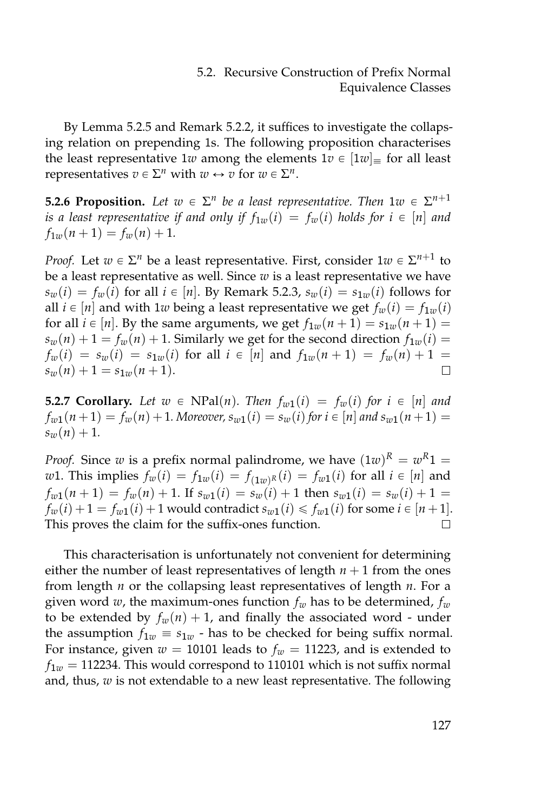By Lemma [5.2.5](#page-143-0) and Remark [5.2.2,](#page-142-0) it suffices to investigate the collapsing relation on prepending 1s. The following proposition characterises the least representative 1*w* among the elements  $1v \in [1w]_{\equiv}$  for all least representatives  $v \in \Sigma^n$  with  $w \leftrightarrow v$  for  $w \in \Sigma^n$ .

<span id="page-144-0"></span>**5.2.6 Proposition.** Let  $w \in \Sigma^n$  be a least representative. Then  $1w \in \Sigma^{n+1}$ *is a least representative if and only if*  $f_{1w}(i) = f_w(i)$  *holds for*  $i \in [n]$  *and*  $f_{1w}(n+1) = f_w(n) + 1.$ 

*Proof.* Let  $w \in \Sigma^n$  be a least representative. First, consider  $1w \in \Sigma^{n+1}$  to be a least representative as well. Since *w* is a least representative we have  $s_w(i) = f_w(i)$  for all  $i \in [n]$ . By Remark [5.2.3,](#page-142-1)  $s_w(i) = s_{1w}(i)$  follows for all  $i \in [n]$  and with 1*w* being a least representative we get  $f_w(i) = f_{1w}(i)$ for all  $i \in [n]$ . By the same arguments, we get  $f_{1w}(n + 1) = s_{1w}(n + 1) =$  $s_w(n) + 1 = f_w(n) + 1$ . Similarly we get for the second direction  $f_{1w}(i) =$  $f_w(i) = s_w(i) = s_{1w}(i)$  for all  $i \in [n]$  and  $f_{1w}(n+1) = f_w(n) + 1 =$  $s_w(n) + 1 = s_{1w}(n+1)$ .  $\Box$ 

<span id="page-144-1"></span>**5.2.7 Corollary.** Let  $w \in \text{NPal}(n)$ . Then  $f_{w1}(i) = f_w(i)$  for  $i \in [n]$  and  $f_{w1}(n+1) = f_{w}(n) + 1$ *. Moreover,*  $s_{w1}(i) = s_{w}(i)$  for  $i \in [n]$  and  $s_{w1}(n+1) =$  $s_w(n) + 1$ .

*Proof.* Since *w* is a prefix normal palindrome, we have  $(1w)^R = w^R1 =$ *w*1. This implies  $f_w(i) = f_{1w}(i) = f_{(1w)^R}(i) = f_{w1}(i)$  for all  $i \in [n]$  and  $f_{w1}(n+1) = f_{w}(n) + 1$ . If  $s_{w1}(i) = s_{w}(i) + 1$  then  $s_{w1}(i) = s_{w}(i) + 1$  $f_w(i) + 1 = f_{w1}(i) + 1$  would contradict  $s_{w1}(i) \leq f_{w1}(i)$  for some  $i \in [n+1]$ . This proves the claim for the suffix-ones function.  $\Box$ 

This characterisation is unfortunately not convenient for determining either the number of least representatives of length  $n + 1$  from the ones from length *n* or the collapsing least representatives of length *n*. For a given word *w*, the maximum-ones function *f<sup>w</sup>* has to be determined, *f<sup>w</sup>* to be extended by  $f_w(n) + 1$ , and finally the associated word - under the assumption  $f_{1w} \equiv s_{1w}$  - has to be checked for being suffix normal. For instance, given  $w = 10101$  leads to  $f_w = 11223$ , and is extended to  $f_{1w} = 112234$ . This would correspond to 110101 which is not suffix normal and, thus, *w* is not extendable to a new least representative. The following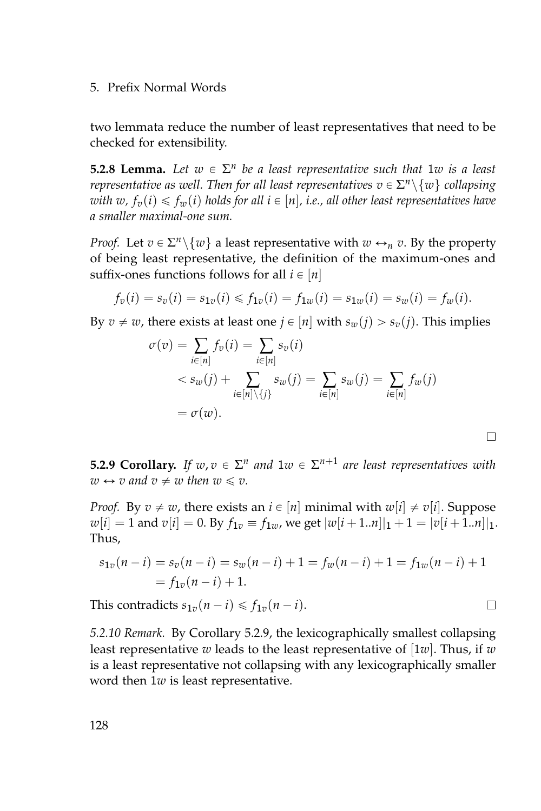two lemmata reduce the number of least representatives that need to be checked for extensibility.

**5.2.8 Lemma.** Let  $w \in \Sigma^n$  be a least representative such that  $1w$  is a least *representative as well. Then for all least representatives*  $v \in \Sigma^n \backslash \{w\}$  *collapsing with*  $w$ ,  $f_v(i) \leq f_w(i)$  *holds for all*  $i \in [n]$ , *i.e.*, *all other least representatives have a smaller maximal-one sum.*

*Proof.* Let  $v \in \Sigma^n \setminus \{w\}$  a least representative with  $w \leftrightarrow_n v$ . By the property of being least representative, the definition of the maximum-ones and suffix-ones functions follows for all  $i \in [n]$ 

$$
f_v(i) = s_v(i) = s_{1v}(i) \le f_{1v}(i) = f_{1w}(i) = s_{1w}(i) = s_w(i) = f_w(i).
$$

By  $v \neq w$ , there exists at least one  $j \in [n]$  with  $s_w(j) > s_v(j)$ . This implies

$$
\sigma(v) = \sum_{i \in [n]} f_v(i) = \sum_{i \in [n]} s_v(i)
$$
  

$$
< s_w(j) + \sum_{i \in [n] \setminus \{j\}} s_w(j) = \sum_{i \in [n]} s_w(j) = \sum_{i \in [n]} f_w(j)
$$
  

$$
= \sigma(w).
$$

<span id="page-145-0"></span>**5.2.9 Corollary.** If  $w, v \in \Sigma^n$  and  $1w \in \Sigma^{n+1}$  are least representatives with  $w \leftrightarrow v$  and  $v \neq w$  then  $w \leq v$ .

*Proof.* By  $v \neq w$ , there exists an  $i \in [n]$  minimal with  $w[i] \neq v[i]$ . Suppose  $w[i] = 1$  and  $v[i] = 0$ . By  $f_{1v} \equiv f_{1w}$ , we get  $|w[i+1..n]|_1 + 1 = |v[i+1..n]|_1$ . Thus,

$$
s_{1v}(n-i) = s_v(n-i) = s_w(n-i) + 1 = f_w(n-i) + 1 = f_{1w}(n-i) + 1
$$
  
=  $f_{1v}(n-i) + 1$ .

This contradicts  $s_{1v}(n - i) \leq f_{1v}(n - i)$ .

<span id="page-145-1"></span>*5.2.10 Remark.* By Corollary [5.2.9,](#page-145-0) the lexicographically smallest collapsing least representative *w* leads to the least representative of [1*w*]. Thus, if *w* is a least representative not collapsing with any lexicographically smaller word then 1*w* is least representative.

 $\Box$ 

 $\Box$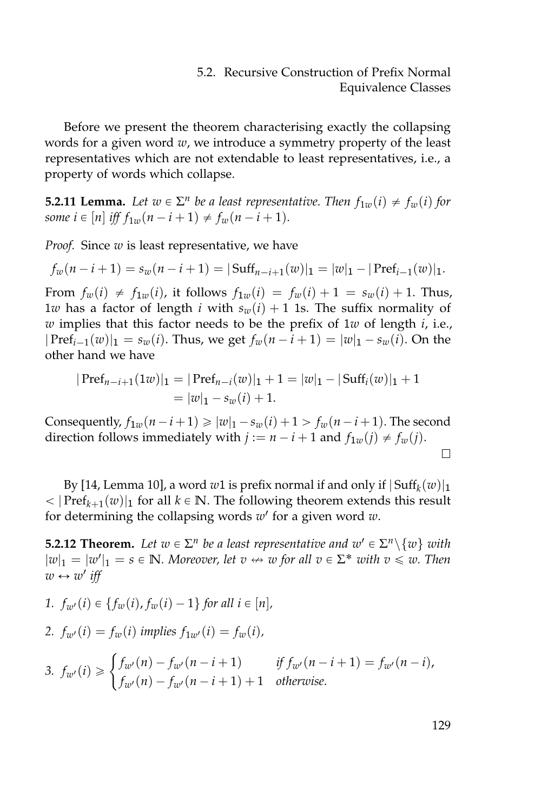Before we present the theorem characterising exactly the collapsing words for a given word *w*, we introduce a symmetry property of the least representatives which are not extendable to least representatives, i.e., a property of words which collapse.

<span id="page-146-0"></span>**5.2.11 Lemma.** Let  $w \in \Sigma^n$  be a least representative. Then  $f_{1w}(i) \neq f_w(i)$  for *some*  $i \in [n]$  *iff*  $f_{1w}(n - i + 1) \neq f_w(n - i + 1)$ *.* 

*Proof.* Since *w* is least representative, we have

$$
f_w(n-i+1) = s_w(n-i+1) = |\operatorname{Suff}_{n-i+1}(w)|_1 = |w|_1 - |\operatorname{Pref}_{i-1}(w)|_1.
$$

From  $f_w(i) \neq f_{1w}(i)$ , it follows  $f_{1w}(i) = f_w(i) + 1 = s_w(i) + 1$ . Thus, 1*w* has a factor of length *i* with  $s_w(i) + 1$  1s. The suffix normality of *w* implies that this factor needs to be the prefix of 1*w* of length *i*, i.e.,  $|\text{Pref}_{i-1}(w)|_1 = s_w(i)$ . Thus, we get  $f_w(n-i+1) = |w|_1 - s_w(i)$ . On the other hand we have

$$
|\operatorname{Pref}_{n-i+1}(1w)|_1 = |\operatorname{Pref}_{n-i}(w)|_1 + 1 = |w|_1 - |\operatorname{Suff}_i(w)|_1 + 1
$$
  
= |w|\_1 - s\_w(i) + 1.

Consequently,  $f_{1w}(n - i + 1) \ge |w|_1 - s_w(i) + 1 > f_w(n - i + 1)$ . The second direction follows immediately with  $j := n - i + 1$  and  $f_{1w}(j) \neq f_{w}(j)$ .  $\Box$ 

By [\[14,](#page-159-0) Lemma 10], a word  $w1$  is prefix normal if and only if  $|\operatorname{Suff}_k(w)|_1$  $<$  | Pref<sub>k+1</sub>(*w*)|<sub>1</sub> for all *k*  $\in$  **N**. The following theorem extends this result for determining the collapsing words *w* 1 for a given word *w*.

<span id="page-146-4"></span>**5.2.12 Theorem.** Let  $w \in \Sigma^n$  be a least representative and  $w' \in \Sigma^n \setminus \{w\}$  with  $|w|_1 = |w'|_1 = s \in \mathbb{N}$ *. Moreover, let*  $v \leftrightarrow w$  *for all*  $v \in \Sigma^*$  *with*  $v \leq w$ *. Then*  $w \leftrightarrow w'$  iff

<span id="page-146-3"></span><span id="page-146-2"></span><span id="page-146-1"></span>*1.*  $f_{w}(i) \in \{f_{w}(i), f_{w}(i) - 1\}$  *for all i*  $\in [n]$ *, 2.*  $f_{w}(i) = f_{w}(i)$  *implies*  $f_{1w}(i) = f_{w}(i)$ , 3.  $f_{w'}(i) \geqslant$  $\int f_{w'}(n) - f_{w'}(n-i+1)$  *if*  $f_{w'}(n-i+1) = f_{w'}(n-i)$ ,  $f_{w'}(n) - f_{w'}(n - i + 1) + 1$  *otherwise.*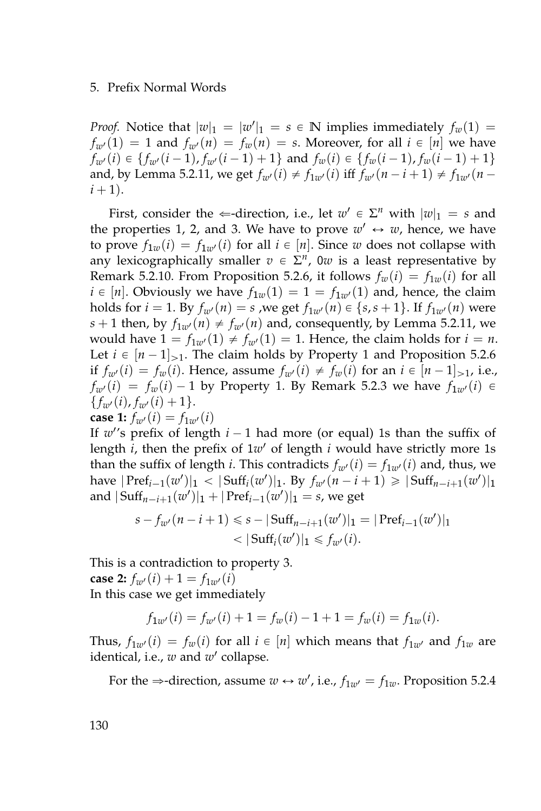*Proof.* Notice that  $|w|_1 = |w'|_1 = s \in \mathbb{N}$  implies immediately  $f_w(1) =$  $f_{w}(1) = 1$  and  $f_{w}(n) = f_{w}(n) = s$ . Moreover, for all  $i \in [n]$  we have  $f_{w}(i) \in \{f_{w}(i-1), f_{w}(i-1)+1\}$  and  $f_{w}(i) \in \{f_{w}(i-1), f_{w}(i-1)+1\}$ and, by Lemma [5.2.11,](#page-146-0) we get  $f_{w}(i) \neq f_{1w}(i)$  iff  $f_{w}(n - i + 1) \neq f_{1w}(n - i)$  $i + 1$ ).

First, consider the  $\Leftarrow$ -direction, i.e., let  $w' \in \Sigma^n$  with  $|w|_1 = s$  and the properties [1,](#page-146-1) [2,](#page-146-2) and [3.](#page-146-3) We have to prove  $w' \leftrightarrow w$ , hence, we have to prove  $f_{1w}(i) = f_{1w'}(i)$  for all  $i \in [n]$ . Since w does not collapse with any lexicographically smaller  $v \in \Sigma^n$ , 0*w* is a least representative by Remark [5.2.10.](#page-145-1) From Proposition [5.2.6,](#page-144-0) it follows  $f_w(i) = f_{1w}(i)$  for all  $i \in [n]$ . Obviously we have  $f_{1w}(1) = 1 = f_{1w}(1)$  and, hence, the claim holds for  $i = 1$ . By  $f_{w}(n) = s$  ,we get  $f_{1w}(n) \in \{s, s + 1\}$ . If  $f_{1w}(n)$  were  $s + 1$  then, by  $f_{1w'}(n) \neq f_{w'}(n)$  and, consequently, by Lemma [5.2.11,](#page-146-0) we would have  $1 = f_{1w'}(1) \neq f_{w'}(1) = 1$ . Hence, the claim holds for  $i = n$ . Let  $i \in [n-1]_{>1}$ . The claim holds by Property 1 and Proposition [5.2.6](#page-144-0) if  $f_{w}(i) = f_{w}(i)$ . Hence, assume  $f_{w}(i) \neq f_{w}(i)$  for an  $i \in [n-1]_{>1}$ , i.e.,  $f_{w'}(i) = f_w(i) - 1$  by Property 1. By Remark [5.2.3](#page-142-1) we have  $f_{1w'}(i) \in$  ${f_{w'}(i), f_{w'}(i) + 1}.$ **case 1:**  $f_{w'}(i) = f_{1w'}(i)$ 

If  $w$ <sup>'</sup>'s prefix of length  $i - 1$  had more (or equal) 1s than the suffix of length *i*, then the prefix of  $1w'$  of length *i* would have strictly more 1s than the suffix of length *i*. This contradicts  $f_{w}(i) = f_{1w}(i)$  and, thus, we have  $|\text{Pref}_{i-1}(w')|_1 < |\text{Suff}_{i}(w')|_1$ . By  $f_{w'}(n-i+1) \geq |\text{Suff}_{n-i+1}(w')|_1$ and  $|\operatorname{Suff}_{n-i+1}(w')|_1 + |\operatorname{Pref}_{i-1}(w')|_1 = s$ , we get

$$
s - f_{w'}(n - i + 1) \leq s - |\text{Suff}_{n - i + 1}(w')|_1 = |\text{Pref}_{i-1}(w')|_1
$$
  
<  $|\text{Suff}_i(w')|_1 \leq f_{w'}(i).$ 

This is a contradiction to property 3. **case 2:**  $f_{w}(i) + 1 = f_{1w}(i)$ In this case we get immediately

 $f_{1w'}(i) = f_{w'}(i) + 1 = f_w(i) - 1 + 1 = f_w(i) = f_{1w}(i).$ 

Thus,  $f_{1w'}(i) = f_w(i)$  for all  $i \in [n]$  which means that  $f_{1w'}$  and  $f_{1w}$  are identical, i.e., w and w' collapse.

For the  $\Rightarrow$ -direction, assume  $w \leftrightarrow w'$ , i.e.,  $f_{1w'} = f_{1w}$ . Proposition [5.2.4](#page-143-1)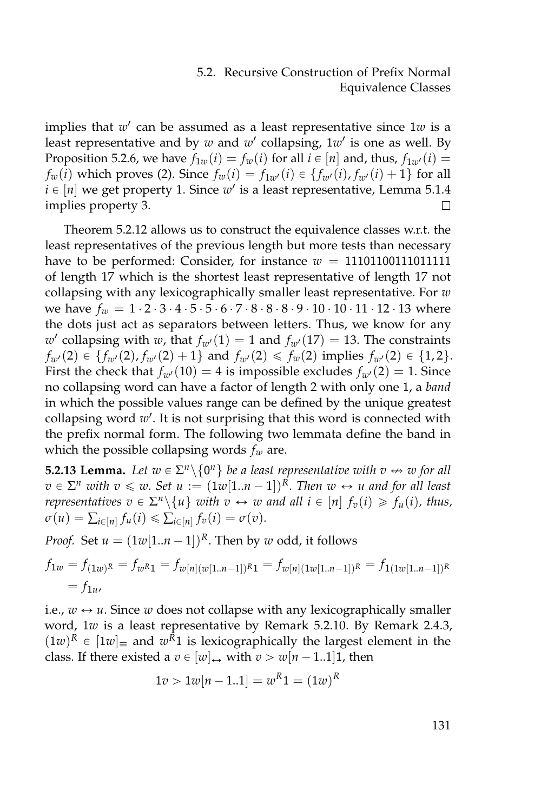implies that  $w'$  can be assumed as a least representative since  $1w$  is a least representative and by *w* and *w'* collapsing, 1*w'* is one as well. By Proposition [5.2.6,](#page-144-0) we have  $f_{1w}(i) = f_w(i)$  for all  $i \in [n]$  and, thus,  $f_{1w}(i) =$ *fw*(*i*) which proves [\(2\)](#page-146-2). Since  $f_w(i) = f_{1w'}(i) \in \{f_{w'}(i), f_{w'}(i) + 1\}$  for all  $i \in [n]$  we get property [1.](#page-146-1) Since  $w'$  is a least representative, Lemma [5.1.4](#page-138-0) implies property [3.](#page-146-3)

Theorem [5.2.12](#page-146-4) allows us to construct the equivalence classes w.r.t. the least representatives of the previous length but more tests than necessary have to be performed: Consider, for instance  $w = 11101100111011111$ of length 17 which is the shortest least representative of length 17 not collapsing with any lexicographically smaller least representative. For *w* we have  $f_w = 1 \cdot 2 \cdot 3 \cdot 4 \cdot 5 \cdot 5 \cdot 6 \cdot 7 \cdot 8 \cdot 8 \cdot 9 \cdot 10 \cdot 10 \cdot 11 \cdot 12 \cdot 13$  where the dots just act as separators between letters. Thus, we know for any  $w'$  collapsing with *w*, that  $f_{w'}(1) = 1$  and  $f_{w'}(17) = 13$ . The constraints  $f_{w}(2) \in \{f_{w}(2), f_{w}(2) + 1\}$  and  $f_{w}(2) \leq f_{w}(2)$  implies  $f_{w}(2) \in \{1, 2\}.$ First the check that  $f_{w}(10) = 4$  is impossible excludes  $f_{w}(2) = 1$ . Since no collapsing word can have a factor of length 2 with only one 1, a *band* in which the possible values range can be defined by the unique greatest collapsing word w'. It is not surprising that this word is connected with the prefix normal form. The following two lemmata define the band in which the possible collapsing words *f<sup>w</sup>* are.

<span id="page-148-0"></span>**5.2.13 Lemma.** Let  $w \in \Sigma^n \setminus \{0^n\}$  be a least representative with  $v \leftrightarrow w$  for all  $v \in \Sigma^n$  *with*  $v \leq w$ . Set  $u := (1w[1..n-1])^R$ . Then  $w \leftrightarrow u$  and for all least *representatives*  $v \in \Sigma^n \setminus \{u\}$  *with*  $v \leftrightarrow w$  *and all*  $i \in [n]$   $f_v(i) \geq f_u(i)$ *, thus,*  $\sigma(u) = \sum_{i \in [n]} f_u(i) \leq \sum_{i \in [n]} f_v(i) = \sigma(v).$ 

*Proof.* Set  $u = (1w[1..n-1])^R$ . Then by *w* odd, it follows

$$
f_{1w} = f_{(1w)^R} = f_{w^R 1} = f_{w[n](w[1..n-1])^R 1} = f_{w[n](1w[1..n-1])^R} = f_{1(u)[1..n-1])^R}
$$
  
=  $f_{1u}$ ,

i.e.,  $w \leftrightarrow u$ . Since w does not collapse with any lexicographically smaller word, 1*w* is a least representative by Remark [5.2.10.](#page-145-1) By Remark [2.4.3,](#page-40-0)  $(1w)^R \in [1w]$  and  $w^R1$  is lexicographically the largest element in the class. If there existed a  $v \in [w]_n$  with  $v > w[n - 1..1]$ , then

$$
1v > 1w[n-1..1] = w^R 1 = (1w)^R
$$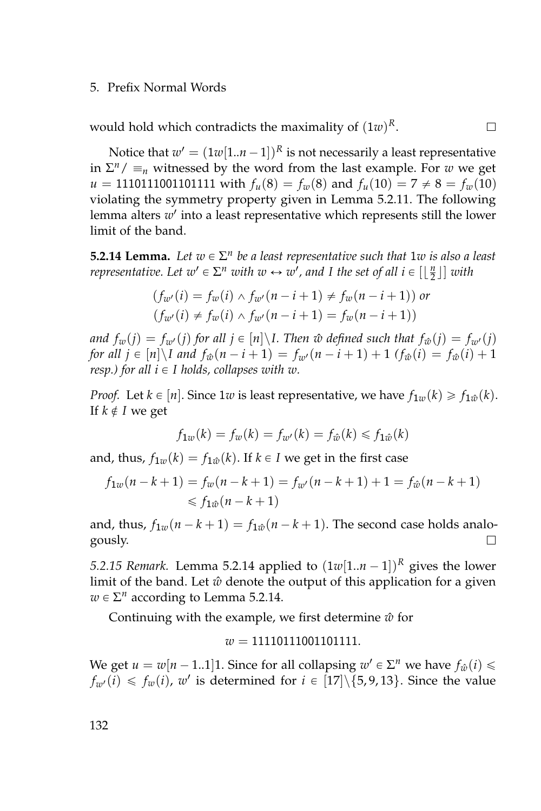would hold which contradicts the maximality of  $(1w)^R$ .

Notice that  $w' = (1w[1..n-1])^R$  is not necessarily a least representative  $\sum^{n}/\equiv_{n}$  witnessed by the word from the last example. For *w* we get  $u = 1110111001101111$  with  $f_u(8) = f_w(8)$  and  $f_u(10) = 7 \neq 8 = f_w(10)$ violating the symmetry property given in Lemma [5.2.11.](#page-146-0) The following lemma alters w' into a least representative which represents still the lower limit of the band.

 $\Box$ 

<span id="page-149-0"></span>**5.2.14 Lemma.** Let  $w \in \Sigma^n$  be a least representative such that  $1w$  is also a least *representative. Let*  $w' \in \Sigma^n$  *with*  $w \leftrightarrow w'$ *, and I the set of all*  $i \in [\lfloor \frac{n}{2} \rfloor]$  *with* 

$$
(f_{w'}(i) = f_w(i) \land f_{w'}(n - i + 1) \neq f_w(n - i + 1)) \text{ or}
$$
  

$$
(f_{w'}(i) \neq f_w(i) \land f_{w'}(n - i + 1) = f_w(n - i + 1))
$$

*and*  $f_w(j) = f_{w}(j)$  *for all*  $j \in [n] \backslash I$ . Then  $\hat{w}$  defined such that  $f_{\hat{w}}(j) = f_{w}(j)$ *for all*  $j \in [n] \setminus I$  *and*  $f_{\hat{w}}(n - i + 1) = f_{w}(n - i + 1) + 1$   $(f_{\hat{w}}(i) = f_{\hat{w}}(i) + 1)$ *resp.)* for all  $i \in I$  *holds, collapses with w.* 

*Proof.* Let  $k \in [n]$ . Since 1*w* is least representative, we have  $f_{1w}(k) \geq f_{1w}(k)$ . If  $k \notin I$  we get

$$
f_{1w}(k) = f_w(k) = f_{w'}(k) = f_{\hat{w}}(k) \le f_{1\hat{w}}(k)
$$

and, thus,  $f_{1w}(k) = f_{1w}(k)$ . If  $k \in I$  we get in the first case

$$
f_{1w}(n-k+1) = f_w(n-k+1) = f_{w'}(n-k+1) + 1 = f_{\hat{w}}(n-k+1)
$$
  
\n
$$
\leq f_{1\hat{w}}(n-k+1)
$$

and, thus,  $f_{1w}(n - k + 1) = f_{1w}(n - k + 1)$ . The second case holds analo- $\Box$ gously.

*5.2.15 Remark.* Lemma [5.2.14](#page-149-0) applied to  $(1w[1..n - 1])^R$  gives the lower limit of the band. Let  $\hat{w}$  denote the output of this application for a given  $w \in \Sigma^n$  according to Lemma [5.2.14.](#page-149-0)

Continuing with the example, we first determine  $\hat{w}$  for

$$
w=11110111001101111.
$$

We get  $u = w[n-1..1]$ 1. Since for all collapsing  $w' \in \Sigma^n$  we have  $f_{\hat{w}}(i) \leq$  $f_{w'}(i) \leq f_w(i)$ ,  $w'$  is determined for  $i \in [17]\setminus\{5, 9, 13\}$ . Since the value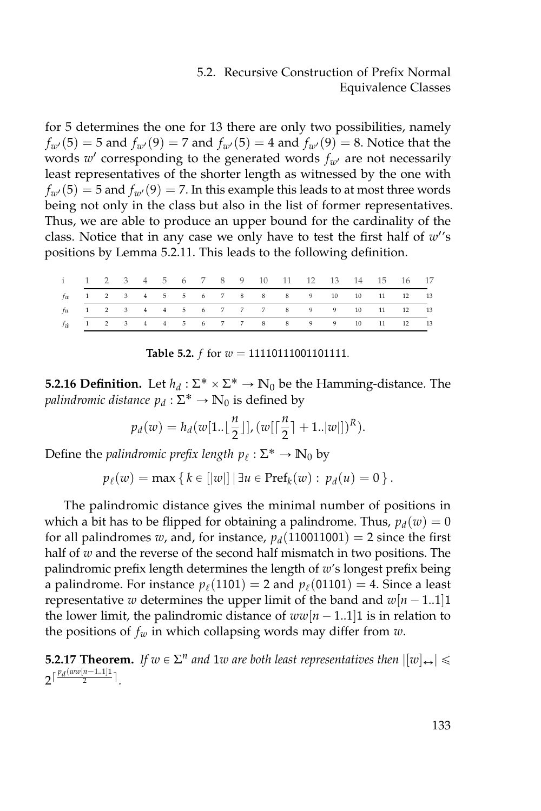for 5 determines the one for 13 there are only two possibilities, namely  $f_{w}(5) = 5$  and  $f_{w}(9) = 7$  and  $f_{w}(5) = 4$  and  $f_{w}(9) = 8$ . Notice that the words  $w'$  corresponding to the generated words  $f_{w'}$  are not necessarily least representatives of the shorter length as witnessed by the one with  $f_{w}(5) = 5$  and  $f_{w}(9) = 7$ . In this example this leads to at most three words being not only in the class but also in the list of former representatives. Thus, we are able to produce an upper bound for the cardinality of the class. Notice that in any case we only have to test the first half of  $w$ 's positions by Lemma [5.2.11.](#page-146-0) This leads to the following definition.

|  |  |  |  |  | 1 2 3 4 5 6 7 8 9 10 11 12 13 14 15 16 17           |  |  |  |
|--|--|--|--|--|-----------------------------------------------------|--|--|--|
|  |  |  |  |  | $f_{W}$ 1 2 3 4 5 5 6 7 8 8 8 9 10 10 11 12 13      |  |  |  |
|  |  |  |  |  | fu 1 2 3 4 4 5 6 7 7 7 8 9 9 10 11 12 13            |  |  |  |
|  |  |  |  |  | $f_{\hat{w}}$ 1 2 3 4 4 5 6 7 7 8 8 9 9 10 11 12 13 |  |  |  |

**Table 5.2.** *f* for *w* = 11110111001101111.

**5.2.16 Definition.** Let  $h_d$  :  $\Sigma^* \times \Sigma^* \rightarrow \mathbb{N}_0$  be the Hamming-distance. The *palindromic distance*  $p_d : \Sigma^* \to \mathbb{N}_0$  is defined by

$$
p_d(w) = h_d(w[1..\lfloor \frac{n}{2} \rfloor], (w[\lceil \frac{n}{2} \rceil + 1..\lceil w \rceil])^R).
$$

Define the *palindromic prefix length*  $p_\ell : \Sigma^* \to \mathbb{N}_0$  by

$$
p_{\ell}(w) = \max \{ k \in [|w|] | \exists u \in \text{Pref}_k(w) : p_d(u) = 0 \}.
$$

The palindromic distance gives the minimal number of positions in which a bit has to be flipped for obtaining a palindrome. Thus,  $p_d(w) = 0$ for all palindromes *w*, and, for instance,  $p_d(110011001) = 2$  since the first half of *w* and the reverse of the second half mismatch in two positions. The palindromic prefix length determines the length of *w*'s longest prefix being a palindrome. For instance  $p_\ell(1101) = 2$  and  $p_\ell(01101) = 4$ . Since a least representative *w* determines the upper limit of the band and  $w[n - 1..1]1$ the lower limit, the palindromic distance of  $ww[n - 1..1]1$  is in relation to the positions of *f<sup>w</sup>* in which collapsing words may differ from *w*.

**5.2.17 Theorem.** If  $w \in \Sigma^n$  and 1w are both least representatives then  $|[w]_{\leftrightarrow}| \leq$  $2^{\lceil \frac{p_d(ww[n-1..1]1}{2} \rceil}$ .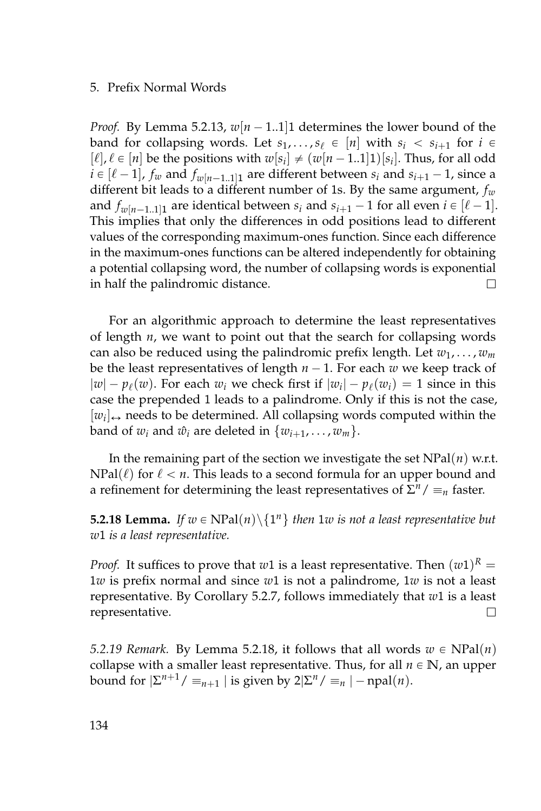*Proof.* By Lemma [5.2.13,](#page-148-0)  $w[n-1..1]1$  determines the lower bound of the band for collapsing words. Let  $s_1, \ldots, s_\ell \in [n]$  with  $s_i < s_{i+1}$  for  $i \in$  $[\ell], \ell \in [n]$  be the positions with  $w[s_i] \neq (w[n-1..1]1)[s_i]$ . Thus, for all odd  $i \in [\ell - 1]$ ,  $f_w$  and  $f_{w[n-1..1]1}$  are different between  $s_i$  and  $s_{i+1} - 1$ , since a different bit leads to a different number of 1s. By the same argument, *f<sup>w</sup>* and  $f_{w[n-1..1]1}$  are identical between  $s_i$  and  $s_{i+1} - 1$  for all even  $i \in [\ell - 1]$ . This implies that only the differences in odd positions lead to different values of the corresponding maximum-ones function. Since each difference in the maximum-ones functions can be altered independently for obtaining a potential collapsing word, the number of collapsing words is exponential in half the palindromic distance. П

For an algorithmic approach to determine the least representatives of length *n*, we want to point out that the search for collapsing words can also be reduced using the palindromic prefix length. Let *w*1, . . . , *w<sup>m</sup>* be the least representatives of length  $n - 1$ . For each w we keep track of  $|w| - p_{\ell}(w)$ . For each  $w_i$  we check first if  $|w_i| - p_{\ell}(w_i) = 1$  since in this case the prepended 1 leads to a palindrome. Only if this is not the case,  $[w_i] \leftrightarrow$  needs to be determined. All collapsing words computed within the band of  $w_i$  and  $\hat{w}_i$  are deleted in  $\{w_{i+1}, \ldots, w_m\}$ .

In the remaining part of the section we investigate the set NPal(*n*) w.r.t.  $NPal(\ell)$  for  $\ell < n$ . This leads to a second formula for an upper bound and a refinement for determining the least representatives of  $\Sigma^n / \equiv_n \text{ faster.}$ 

<span id="page-151-0"></span>**5.2.18 Lemma.** If  $w \in \text{NPal}(n) \backslash \{1^n\}$  then 1w is not a least representative but *w*1 *is a least representative.*

*Proof.* It suffices to prove that  $w1$  is a least representative. Then  $(w1)^R =$ 1*w* is prefix normal and since *w*1 is not a palindrome, 1*w* is not a least representative. By Corollary [5.2.7,](#page-144-1) follows immediately that *w*1 is a least representative. П

<span id="page-151-1"></span>*5.2.19 Remark.* By Lemma [5.2.18,](#page-151-0) it follows that all words  $w \in NPal(n)$ collapse with a smaller least representative. Thus, for all  $n \in \mathbb{N}$ , an upper bound for  $|\Sigma^{n+1}/\equiv_{n+1} |\text{ is given by } 2|\Sigma^n/\equiv_n |\text{ - npal}(n)$ .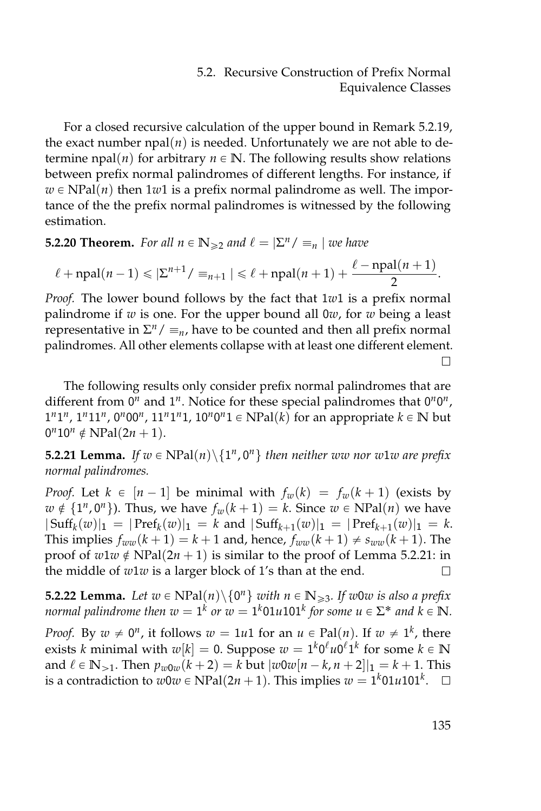For a closed recursive calculation of the upper bound in Remark [5.2.19,](#page-151-1) the exact number  $npal(n)$  is needed. Unfortunately we are not able to determine npal(*n*) for arbitrary  $n \in \mathbb{N}$ . The following results show relations between prefix normal palindromes of different lengths. For instance, if  $w \in NPal(n)$  then 1*w*1 is a prefix normal palindrome as well. The importance of the the prefix normal palindromes is witnessed by the following estimation.

**5.2.20 Theorem.** For all  $n \in \mathbb{N}_{\geq 2}$  and  $\ell = |\Sigma^n / \equiv_n |$  we have

$$
\ell+\operatorname{npal}(n-1)\leqslant |\Sigma^{n+1}/\equiv_{n+1}| \leqslant \ell+\operatorname{npal}(n+1)+\frac{\ell-\operatorname{npal}(n+1)}{2}.
$$

*Proof.* The lower bound follows by the fact that 1*w*1 is a prefix normal palindrome if *w* is one. For the upper bound all 0*w*, for *w* being a least *representative in*  $\Sigma^n / \equiv_n$ , have to be counted and then all prefix normal palindromes. All other elements collapse with at least one different element.  $\Box$ 

The following results only consider prefix normal palindromes that are different from  $0^n$  and  $1^n$ . Notice for these special palindromes that  $0^n0^n$ ,  $1^n1^n$ ,  $1^n11^n$ ,  $0^n00^n$ ,  $11^n1^n1$ ,  $10^n0^n1 \in \text{NPal}(k)$  for an appropriate  $k \in \mathbb{N}$  but  $0^n 10^n \notin \text{NPal}(2n + 1).$ 

<span id="page-152-0"></span>**5.2.21 Lemma.** If  $w \in \text{NPal}(n) \backslash \{1^n, 0^n\}$  then neither ww nor w1w are prefix *normal palindromes.*

*Proof.* Let  $k \in [n-1]$  be minimal with  $f_w(k) = f_w(k+1)$  (exists by  $w \notin \{1^n, 0^n\}$ ). Thus, we have  $f_w(k + 1) = k$ . Since  $w \in \text{NPal}(n)$  we have  $|\operatorname{Suff}_k(w)|_1 = |\operatorname{Pref}_k(w)|_1 = k$  and  $|\operatorname{Suff}_{k+1}(w)|_1 = |\operatorname{Pref}_{k+1}(w)|_1 = k$ . This implies  $f_{ww}(k+1) = k+1$  and, hence,  $f_{ww}(k+1) \neq s_{ww}(k+1)$ . The proof of  $w1w \notin \text{NPal}(2n + 1)$  is similar to the proof of Lemma [5.2.21:](#page-152-0) in the middle of *w*1*w* is a larger block of 1's than at the end. П

<span id="page-152-1"></span>**5.2.22 Lemma.** Let  $w \in \text{NPal}(n) \backslash \{0^n\}$  with  $n \in \mathbb{N}_{\geq 3}$ . If w0w is also a prefix normal palindrome then  $w = 1^k$  or  $w = 1^k01u101^k$  for some  $u \in \Sigma^*$  and  $k \in \mathbb{N}$ .

*Proof.* By  $w \neq 0^n$ , it follows  $w = 1u1$  for an  $u \in \text{Pal}(n)$ . If  $w \neq 1^k$ , there exists *k* minimal with  $w[k] = 0$ . Suppose  $w = 1^k 0^\ell u 0^\ell 1^k$  for some  $k \in \mathbb{N}$ and  $\ell \in \mathbb{N}_{>1}$ . Then  $p_{w0w}(k+2) = k$  but  $|w0w[n-k,n+2]|_1 = k+1$ . This is a contradiction to  $w0w \in \text{NPal}(2n + 1)$ . This implies  $w = 1^k01u101^k$ .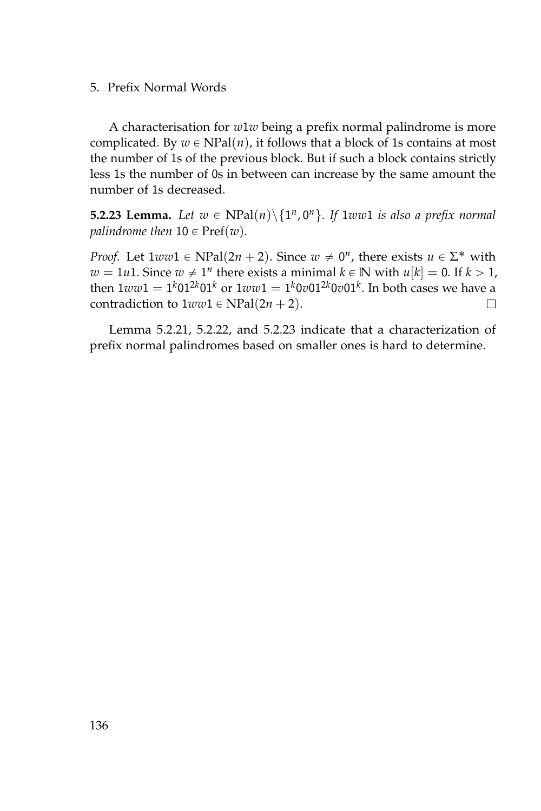A characterisation for *w*1*w* being a prefix normal palindrome is more complicated. By  $w \in \text{NPal}(n)$ , it follows that a block of 1s contains at most the number of 1s of the previous block. But if such a block contains strictly less 1s the number of 0s in between can increase by the same amount the number of 1s decreased.

<span id="page-153-0"></span>**5.2.23 Lemma.** Let  $w \in \text{NPal}(n) \backslash \{1^n, 0^n\}$ . If  $1ww1$  is also a prefix normal *palindrome then*  $10 \in \text{Pref}(w)$ *.* 

*Proof.* Let  $1ww1 \in \text{NPal}(2n + 2)$ . Since  $w \neq 0^n$ , there exists  $u \in \Sigma^*$  with  $w = 1u1$ . Since  $w \neq 1^n$  there exists a minimal  $k \in \mathbb{N}$  with  $u[k] = 0$ . If  $k > 1$ , then  $1ww1=1^k01^{2k}01^k$  or  $1ww1=1^k0v01^{2k}0v01^k$ . In both cases we have a contradiction to  $1ww1 \in NPal(2n + 2)$ .  $\Box$ 

Lemma [5.2.21,](#page-152-0) [5.2.22,](#page-152-1) and [5.2.23](#page-153-0) indicate that a characterization of prefix normal palindromes based on smaller ones is hard to determine.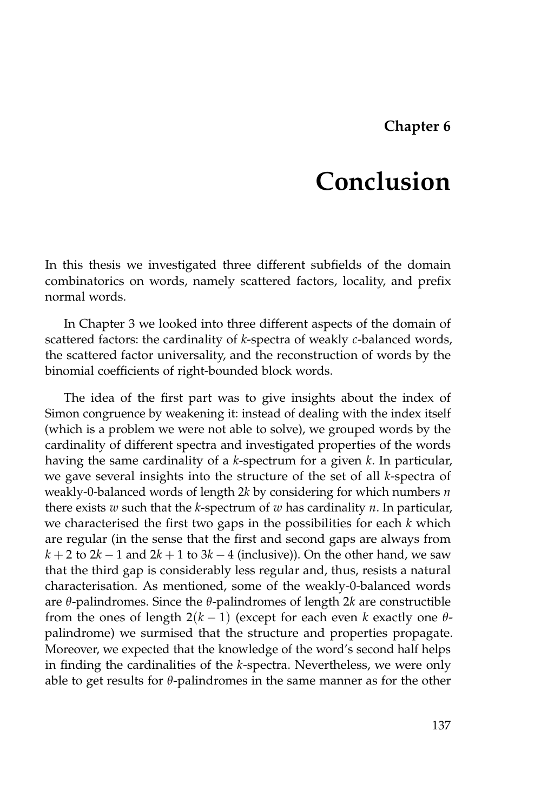# **Chapter 6**

# **Conclusion**

In this thesis we investigated three different subfields of the domain combinatorics on words, namely scattered factors, locality, and prefix normal words.

In Chapter [3](#page-42-0) we looked into three different aspects of the domain of scattered factors: the cardinality of *k*-spectra of weakly *c*-balanced words, the scattered factor universality, and the reconstruction of words by the binomial coefficients of right-bounded block words.

The idea of the first part was to give insights about the index of Simon congruence by weakening it: instead of dealing with the index itself (which is a problem we were not able to solve), we grouped words by the cardinality of different spectra and investigated properties of the words having the same cardinality of a *k*-spectrum for a given *k*. In particular, we gave several insights into the structure of the set of all *k*-spectra of weakly-0-balanced words of length 2*k* by considering for which numbers *n* there exists *w* such that the *k*-spectrum of *w* has cardinality *n*. In particular, we characterised the first two gaps in the possibilities for each *k* which are regular (in the sense that the first and second gaps are always from  $k + 2$  to  $2k - 1$  and  $2k + 1$  to  $3k - 4$  (inclusive)). On the other hand, we saw that the third gap is considerably less regular and, thus, resists a natural characterisation. As mentioned, some of the weakly-0-balanced words are *θ*-palindromes. Since the *θ*-palindromes of length 2*k* are constructible from the ones of length  $2(k - 1)$  (except for each even *k* exactly one  $\theta$ palindrome) we surmised that the structure and properties propagate. Moreover, we expected that the knowledge of the word's second half helps in finding the cardinalities of the *k*-spectra. Nevertheless, we were only able to get results for *θ*-palindromes in the same manner as for the other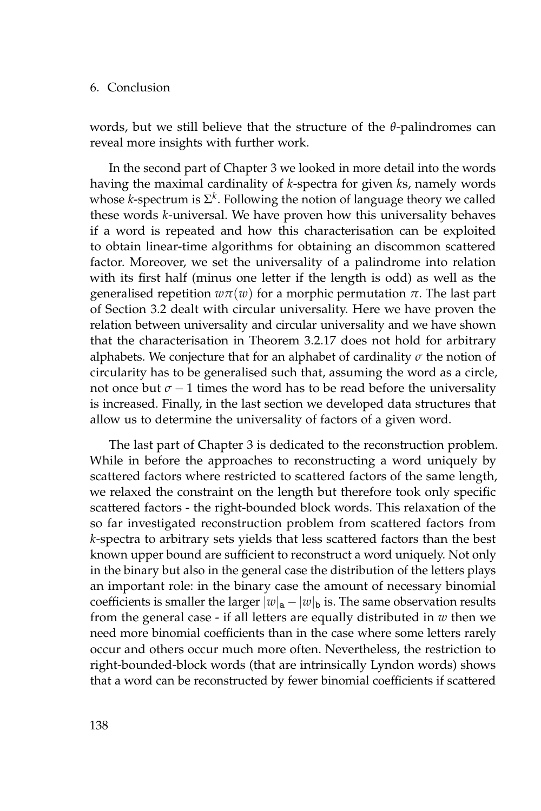## 6. Conclusion

words, but we still believe that the structure of the *θ*-palindromes can reveal more insights with further work.

In the second part of Chapter [3](#page-42-0) we looked in more detail into the words having the maximal cardinality of *k*-spectra for given *k*s, namely words whose *k*-spectrum is  $\Sigma^k$ . Following the notion of language theory we called these words *k*-universal. We have proven how this universality behaves if a word is repeated and how this characterisation can be exploited to obtain linear-time algorithms for obtaining an discommon scattered factor. Moreover, we set the universality of a palindrome into relation with its first half (minus one letter if the length is odd) as well as the generalised repetition *wπ*(*w*) for a morphic permutation *π*. The last part of Section [3.2](#page-66-0) dealt with circular universality. Here we have proven the relation between universality and circular universality and we have shown that the characterisation in Theorem [3.2.17](#page-77-0) does not hold for arbitrary alphabets. We conjecture that for an alphabet of cardinality *σ* the notion of circularity has to be generalised such that, assuming the word as a circle, not once but  $\sigma - 1$  times the word has to be read before the universality is increased. Finally, in the last section we developed data structures that allow us to determine the universality of factors of a given word.

The last part of Chapter [3](#page-42-0) is dedicated to the reconstruction problem. While in before the approaches to reconstructing a word uniquely by scattered factors where restricted to scattered factors of the same length, we relaxed the constraint on the length but therefore took only specific scattered factors - the right-bounded block words. This relaxation of the so far investigated reconstruction problem from scattered factors from *k*-spectra to arbitrary sets yields that less scattered factors than the best known upper bound are sufficient to reconstruct a word uniquely. Not only in the binary but also in the general case the distribution of the letters plays an important role: in the binary case the amount of necessary binomial coefficients is smaller the larger  $|w|_a - |w|_b$  is. The same observation results from the general case - if all letters are equally distributed in *w* then we need more binomial coefficients than in the case where some letters rarely occur and others occur much more often. Nevertheless, the restriction to right-bounded-block words (that are intrinsically Lyndon words) shows that a word can be reconstructed by fewer binomial coefficients if scattered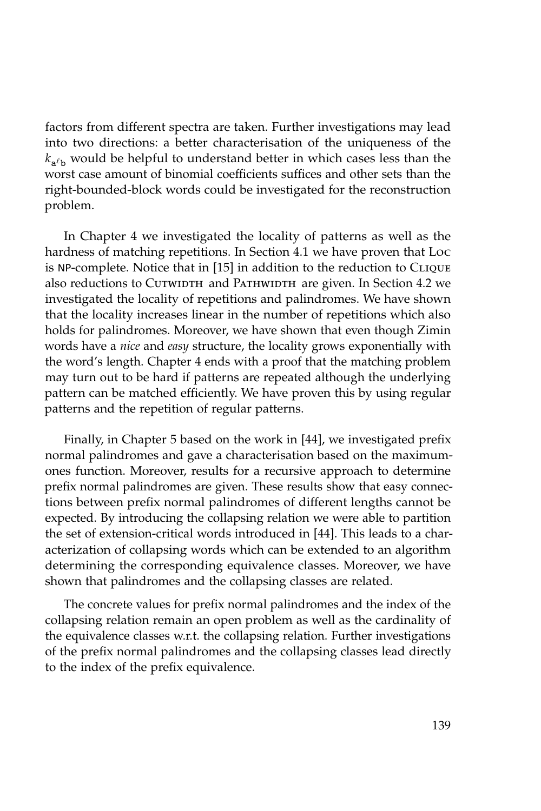factors from different spectra are taken. Further investigations may lead into two directions: a better characterisation of the uniqueness of the  $k_{\mathtt{a}^{\ell} \mathtt{b}}$  would be helpful to understand better in which cases less than the worst case amount of binomial coefficients suffices and other sets than the right-bounded-block words could be investigated for the reconstruction problem.

In Chapter [4](#page-122-0) we investigated the locality of patterns as well as the hardness of matching repetitions. In Section [4.1](#page-123-0) we have proven that Loc is NP-complete. Notice that in [\[15\]](#page-159-1) in addition to the reduction to Clique also reductions to CUTWIDTH and PATHWIDTH are given. In Section [4.2](#page-126-0) we investigated the locality of repetitions and palindromes. We have shown that the locality increases linear in the number of repetitions which also holds for palindromes. Moreover, we have shown that even though Zimin words have a *nice* and *easy* structure, the locality grows exponentially with the word's length. Chapter [4](#page-122-0) ends with a proof that the matching problem may turn out to be hard if patterns are repeated although the underlying pattern can be matched efficiently. We have proven this by using regular patterns and the repetition of regular patterns.

Finally, in Chapter [5](#page-136-0) based on the work in [\[44\]](#page-161-0), we investigated prefix normal palindromes and gave a characterisation based on the maximumones function. Moreover, results for a recursive approach to determine prefix normal palindromes are given. These results show that easy connections between prefix normal palindromes of different lengths cannot be expected. By introducing the collapsing relation we were able to partition the set of extension-critical words introduced in [\[44\]](#page-161-0). This leads to a characterization of collapsing words which can be extended to an algorithm determining the corresponding equivalence classes. Moreover, we have shown that palindromes and the collapsing classes are related.

The concrete values for prefix normal palindromes and the index of the collapsing relation remain an open problem as well as the cardinality of the equivalence classes w.r.t. the collapsing relation. Further investigations of the prefix normal palindromes and the collapsing classes lead directly to the index of the prefix equivalence.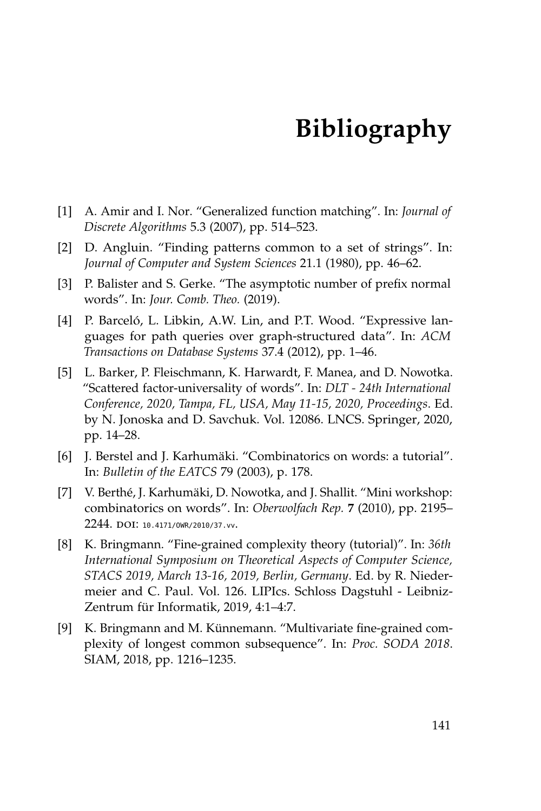- [1] A. Amir and I. Nor. "Generalized function matching". In: *Journal of Discrete Algorithms* 5.3 (2007), pp. 514–523.
- [2] D. Angluin. "Finding patterns common to a set of strings". In: *Journal of Computer and System Sciences* 21.1 (1980), pp. 46–62.
- [3] P. Balister and S. Gerke. "The asymptotic number of prefix normal words". In: *Jour. Comb. Theo.* (2019).
- [4] P. Barceló, L. Libkin, A.W. Lin, and P.T. Wood. "Expressive languages for path queries over graph-structured data". In: *ACM Transactions on Database Systems* 37.4 (2012), pp. 1–46.
- [5] L. Barker, P. Fleischmann, K. Harwardt, F. Manea, and D. Nowotka. "Scattered factor-universality of words". In: *DLT - 24th International Conference, 2020, Tampa, FL, USA, May 11-15, 2020, Proceedings*. Ed. by N. Jonoska and D. Savchuk. Vol. 12086. LNCS. Springer, 2020, pp. 14–28.
- [6] J. Berstel and J. Karhumäki. "Combinatorics on words: a tutorial". In: *Bulletin of the EATCS* 79 (2003), p. 178.
- [7] V. Berthé, J. Karhumäki, D. Nowotka, and J. Shallit. "Mini workshop: combinatorics on words". In: *Oberwolfach Rep.* **7** (2010), pp. 2195– 2244. DOI: 10.4171/0WR/2010/37.vv.
- [8] K. Bringmann. "Fine-grained complexity theory (tutorial)". In: *36th International Symposium on Theoretical Aspects of Computer Science, STACS 2019, March 13-16, 2019, Berlin, Germany*. Ed. by R. Niedermeier and C. Paul. Vol. 126. LIPIcs. Schloss Dagstuhl - Leibniz-Zentrum für Informatik, 2019, 4:1–4:7.
- [9] K. Bringmann and M. Künnemann. "Multivariate fine-grained complexity of longest common subsequence". In: *Proc. SODA 2018*. SIAM, 2018, pp. 1216–1235.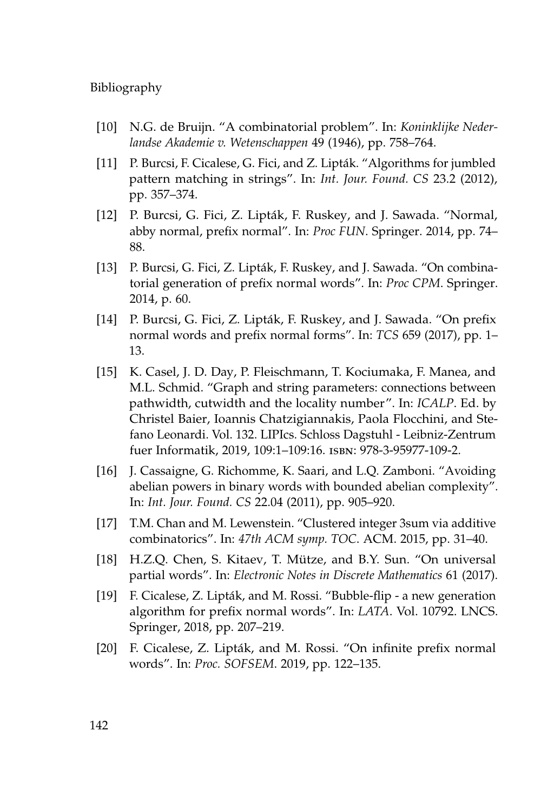- [10] N.G. de Bruijn. "A combinatorial problem". In: *Koninklijke Nederlandse Akademie v. Wetenschappen* 49 (1946), pp. 758–764.
- [11] P. Burcsi, F. Cicalese, G. Fici, and Z. Lipták. "Algorithms for jumbled pattern matching in strings". In: *Int. Jour. Found. CS* 23.2 (2012), pp. 357–374.
- [12] P. Burcsi, G. Fici, Z. Lipták, F. Ruskey, and J. Sawada. "Normal, abby normal, prefix normal". In: *Proc FUN*. Springer. 2014, pp. 74– 88.
- [13] P. Burcsi, G. Fici, Z. Lipták, F. Ruskey, and J. Sawada. "On combinatorial generation of prefix normal words". In: *Proc CPM*. Springer. 2014, p. 60.
- <span id="page-159-0"></span>[14] P. Burcsi, G. Fici, Z. Lipták, F. Ruskey, and J. Sawada. "On prefix normal words and prefix normal forms". In: *TCS* 659 (2017), pp. 1– 13.
- <span id="page-159-1"></span>[15] K. Casel, J. D. Day, P. Fleischmann, T. Kociumaka, F. Manea, and M.L. Schmid. "Graph and string parameters: connections between pathwidth, cutwidth and the locality number". In: *ICALP*. Ed. by Christel Baier, Ioannis Chatzigiannakis, Paola Flocchini, and Stefano Leonardi. Vol. 132. LIPIcs. Schloss Dagstuhl - Leibniz-Zentrum fuer Informatik, 2019, 109:1–109:16. isbn: 978-3-95977-109-2.
- [16] J. Cassaigne, G. Richomme, K. Saari, and L.Q. Zamboni. "Avoiding abelian powers in binary words with bounded abelian complexity". In: *Int. Jour. Found. CS* 22.04 (2011), pp. 905–920.
- [17] T.M. Chan and M. Lewenstein. "Clustered integer 3sum via additive combinatorics". In: *47th ACM symp. TOC*. ACM. 2015, pp. 31–40.
- [18] H.Z.Q. Chen, S. Kitaev, T. Mütze, and B.Y. Sun. "On universal partial words". In: *Electronic Notes in Discrete Mathematics* 61 (2017).
- [19] F. Cicalese, Z. Lipták, and M. Rossi. "Bubble-flip a new generation algorithm for prefix normal words". In: *LATA*. Vol. 10792. LNCS. Springer, 2018, pp. 207–219.
- [20] F. Cicalese, Z. Lipták, and M. Rossi. "On infinite prefix normal words". In: *Proc. SOFSEM*. 2019, pp. 122–135.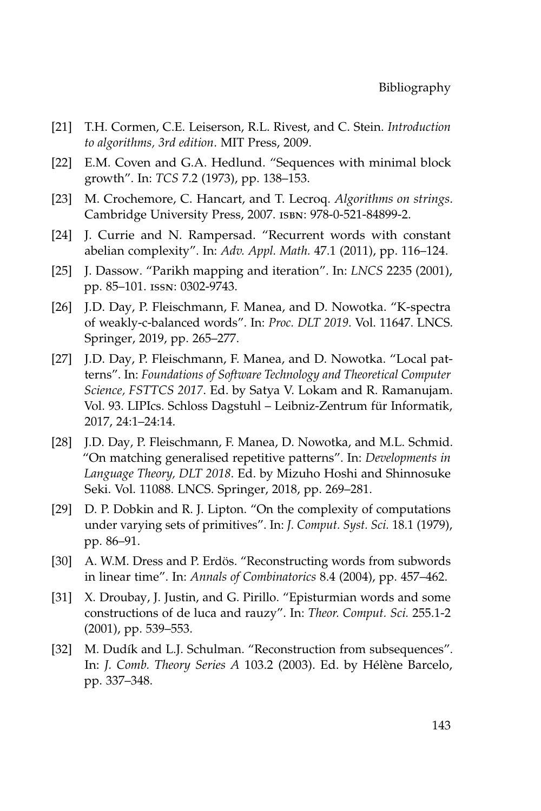- [21] T.H. Cormen, C.E. Leiserson, R.L. Rivest, and C. Stein. *Introduction to algorithms, 3rd edition*. MIT Press, 2009.
- [22] E.M. Coven and G.A. Hedlund. "Sequences with minimal block growth". In: *TCS* 7.2 (1973), pp. 138–153.
- [23] M. Crochemore, C. Hancart, and T. Lecroq. *Algorithms on strings*. Cambridge University Press, 2007. isbn: 978-0-521-84899-2.
- [24] J. Currie and N. Rampersad. "Recurrent words with constant abelian complexity". In: *Adv. Appl. Math.* 47.1 (2011), pp. 116–124.
- [25] J. Dassow. "Parikh mapping and iteration". In: *LNCS* 2235 (2001), pp. 85–101. issn: 0302-9743.
- [26] J.D. Day, P. Fleischmann, F. Manea, and D. Nowotka. "K-spectra of weakly-c-balanced words". In: *Proc. DLT 2019*. Vol. 11647. LNCS. Springer, 2019, pp. 265–277.
- [27] J.D. Day, P. Fleischmann, F. Manea, and D. Nowotka. "Local patterns". In: *Foundations of Software Technology and Theoretical Computer Science, FSTTCS 2017*. Ed. by Satya V. Lokam and R. Ramanujam. Vol. 93. LIPIcs. Schloss Dagstuhl – Leibniz-Zentrum für Informatik, 2017, 24:1–24:14.
- [28] J.D. Day, P. Fleischmann, F. Manea, D. Nowotka, and M.L. Schmid. "On matching generalised repetitive patterns". In: *Developments in Language Theory, DLT 2018*. Ed. by Mizuho Hoshi and Shinnosuke Seki. Vol. 11088. LNCS. Springer, 2018, pp. 269–281.
- [29] D. P. Dobkin and R. J. Lipton. "On the complexity of computations under varying sets of primitives". In: *J. Comput. Syst. Sci.* 18.1 (1979), pp. 86–91.
- [30] A. W.M. Dress and P. Erdös. "Reconstructing words from subwords in linear time". In: *Annals of Combinatorics* 8.4 (2004), pp. 457–462.
- [31] X. Droubay, J. Justin, and G. Pirillo. "Episturmian words and some constructions of de luca and rauzy". In: *Theor. Comput. Sci.* 255.1-2 (2001), pp. 539–553.
- [32] M. Dudík and L.J. Schulman. "Reconstruction from subsequences". In: *J. Comb. Theory Series A* 103.2 (2003). Ed. by Hélène Barcelo, pp. 337–348.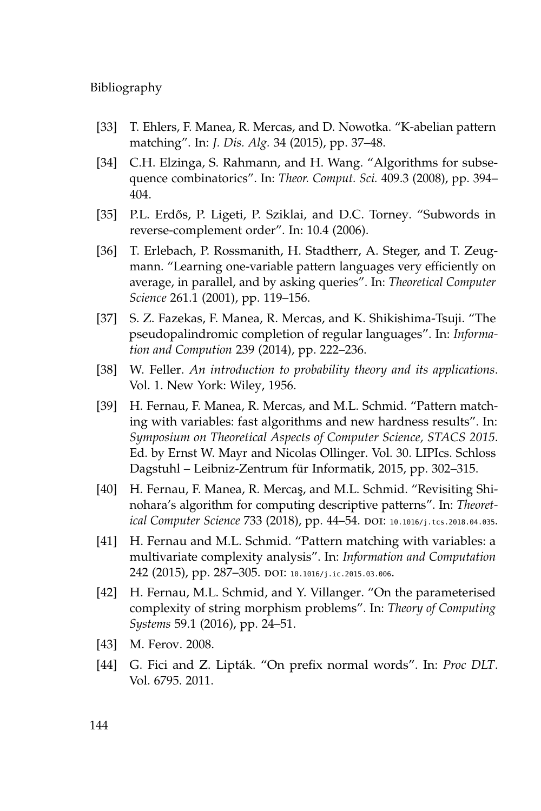- [33] T. Ehlers, F. Manea, R. Mercas, and D. Nowotka. "K-abelian pattern matching". In: *J. Dis. Alg.* 34 (2015), pp. 37–48.
- [34] C.H. Elzinga, S. Rahmann, and H. Wang. "Algorithms for subsequence combinatorics". In: *Theor. Comput. Sci.* 409.3 (2008), pp. 394– 404.
- [35] P.L. Erdős, P. Ligeti, P. Sziklai, and D.C. Torney. "Subwords in reverse-complement order". In: 10.4 (2006).
- [36] T. Erlebach, P. Rossmanith, H. Stadtherr, A. Steger, and T. Zeugmann. "Learning one-variable pattern languages very efficiently on average, in parallel, and by asking queries". In: *Theoretical Computer Science* 261.1 (2001), pp. 119–156.
- [37] S. Z. Fazekas, F. Manea, R. Mercas, and K. Shikishima-Tsuji. "The pseudopalindromic completion of regular languages". In: *Information and Compution* 239 (2014), pp. 222–236.
- [38] W. Feller. *An introduction to probability theory and its applications*. Vol. 1. New York: Wiley, 1956.
- [39] H. Fernau, F. Manea, R. Mercas, and M.L. Schmid. "Pattern matching with variables: fast algorithms and new hardness results". In: *Symposium on Theoretical Aspects of Computer Science, STACS 2015*. Ed. by Ernst W. Mayr and Nicolas Ollinger. Vol. 30. LIPIcs. Schloss Dagstuhl – Leibniz-Zentrum für Informatik, 2015, pp. 302–315.
- [40] H. Fernau, F. Manea, R. Mercaş, and M.L. Schmid. "Revisiting Shinohara's algorithm for computing descriptive patterns". In: *Theoret-*ical Computer Science 733 (2018), pp. 44-54. DOI: [10.1016/j.tcs.2018.04.035](https://doi.org/10.1016/j.tcs.2018.04.035).
- [41] H. Fernau and M.L. Schmid. "Pattern matching with variables: a multivariate complexity analysis". In: *Information and Computation* 242 (2015), pp. 287-305. DOI: [10.1016/j.ic.2015.03.006](https://doi.org/10.1016/j.ic.2015.03.006).
- [42] H. Fernau, M.L. Schmid, and Y. Villanger. "On the parameterised complexity of string morphism problems". In: *Theory of Computing Systems* 59.1 (2016), pp. 24–51.
- [43] M. Ferov. 2008.
- <span id="page-161-0"></span>[44] G. Fici and Z. Lipták. "On prefix normal words". In: *Proc DLT*. Vol. 6795. 2011.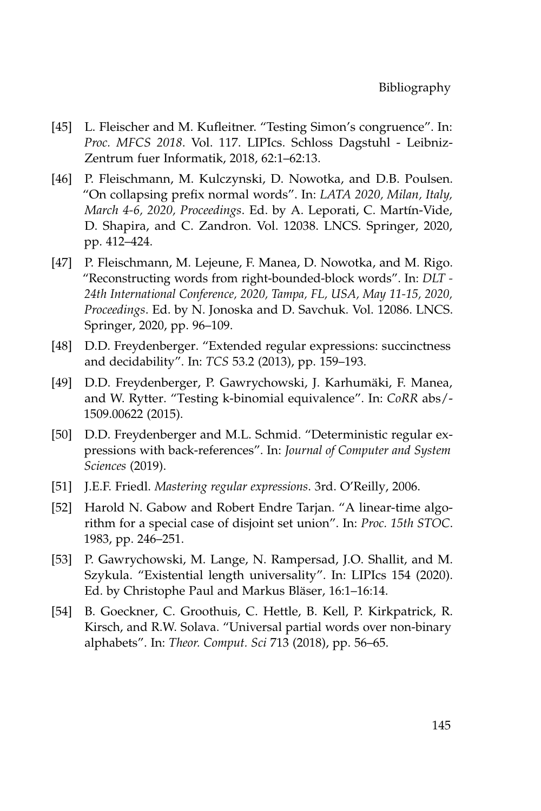- [45] L. Fleischer and M. Kufleitner. "Testing Simon's congruence". In: *Proc. MFCS 2018*. Vol. 117. LIPIcs. Schloss Dagstuhl - Leibniz-Zentrum fuer Informatik, 2018, 62:1–62:13.
- [46] P. Fleischmann, M. Kulczynski, D. Nowotka, and D.B. Poulsen. "On collapsing prefix normal words". In: *LATA 2020, Milan, Italy, March 4-6, 2020, Proceedings*. Ed. by A. Leporati, C. Martín-Vide, D. Shapira, and C. Zandron. Vol. 12038. LNCS. Springer, 2020, pp. 412–424.
- [47] P. Fleischmann, M. Lejeune, F. Manea, D. Nowotka, and M. Rigo. "Reconstructing words from right-bounded-block words". In: *DLT - 24th International Conference, 2020, Tampa, FL, USA, May 11-15, 2020, Proceedings*. Ed. by N. Jonoska and D. Savchuk. Vol. 12086. LNCS. Springer, 2020, pp. 96–109.
- [48] D.D. Freydenberger. "Extended regular expressions: succinctness and decidability". In: *TCS* 53.2 (2013), pp. 159–193.
- [49] D.D. Freydenberger, P. Gawrychowski, J. Karhumäki, F. Manea, and W. Rytter. "Testing k-binomial equivalence". In: *CoRR* abs/- 1509.00622 (2015).
- [50] D.D. Freydenberger and M.L. Schmid. "Deterministic regular expressions with back-references". In: *Journal of Computer and System Sciences* (2019).
- [51] J.E.F. Friedl. *Mastering regular expressions*. 3rd. O'Reilly, 2006.
- [52] Harold N. Gabow and Robert Endre Tarjan. "A linear-time algorithm for a special case of disjoint set union". In: *Proc. 15th STOC*. 1983, pp. 246–251.
- [53] P. Gawrychowski, M. Lange, N. Rampersad, J.O. Shallit, and M. Szykula. "Existential length universality". In: LIPIcs 154 (2020). Ed. by Christophe Paul and Markus Bläser, 16:1–16:14.
- [54] B. Goeckner, C. Groothuis, C. Hettle, B. Kell, P. Kirkpatrick, R. Kirsch, and R.W. Solava. "Universal partial words over non-binary alphabets". In: *Theor. Comput. Sci* 713 (2018), pp. 56–65.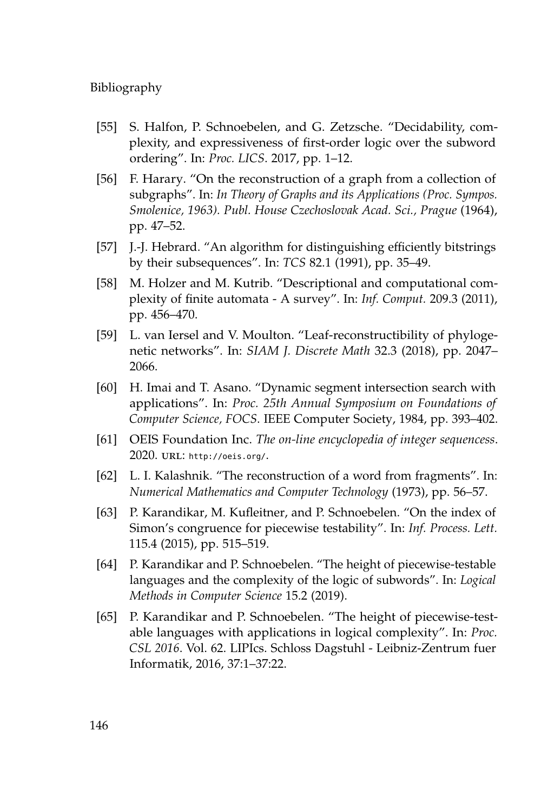- [55] S. Halfon, P. Schnoebelen, and G. Zetzsche. "Decidability, complexity, and expressiveness of first-order logic over the subword ordering". In: *Proc. LICS*. 2017, pp. 1–12.
- [56] F. Harary. "On the reconstruction of a graph from a collection of subgraphs". In: *In Theory of Graphs and its Applications (Proc. Sympos. Smolenice, 1963). Publ. House Czechoslovak Acad. Sci., Prague* (1964), pp. 47–52.
- [57] J.-J. Hebrard. "An algorithm for distinguishing efficiently bitstrings by their subsequences". In: *TCS* 82.1 (1991), pp. 35–49.
- [58] M. Holzer and M. Kutrib. "Descriptional and computational complexity of finite automata - A survey". In: *Inf. Comput.* 209.3 (2011), pp. 456–470.
- [59] L. van Iersel and V. Moulton. "Leaf-reconstructibility of phylogenetic networks". In: *SIAM J. Discrete Math* 32.3 (2018), pp. 2047– 2066.
- [60] H. Imai and T. Asano. "Dynamic segment intersection search with applications". In: *Proc. 25th Annual Symposium on Foundations of Computer Science, FOCS*. IEEE Computer Society, 1984, pp. 393–402.
- [61] OEIS Foundation Inc. *The on-line encyclopedia of integer sequencess*. 2020. url: <http://oeis.org/>.
- [62] L. I. Kalashnik. "The reconstruction of a word from fragments". In: *Numerical Mathematics and Computer Technology* (1973), pp. 56–57.
- [63] P. Karandikar, M. Kufleitner, and P. Schnoebelen. "On the index of Simon's congruence for piecewise testability". In: *Inf. Process. Lett.* 115.4 (2015), pp. 515–519.
- [64] P. Karandikar and P. Schnoebelen. "The height of piecewise-testable languages and the complexity of the logic of subwords". In: *Logical Methods in Computer Science* 15.2 (2019).
- [65] P. Karandikar and P. Schnoebelen. "The height of piecewise-testable languages with applications in logical complexity". In: *Proc. CSL 2016*. Vol. 62. LIPIcs. Schloss Dagstuhl - Leibniz-Zentrum fuer Informatik, 2016, 37:1–37:22.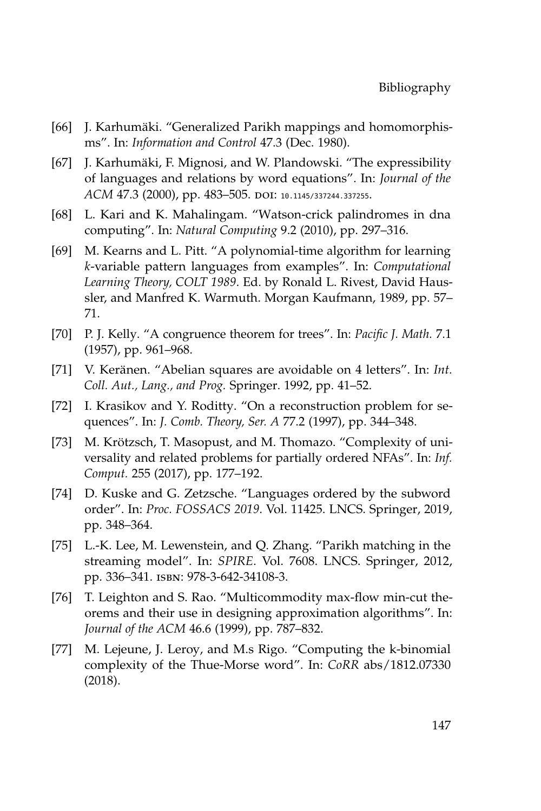- [66] J. Karhumäki. "Generalized Parikh mappings and homomorphisms". In: *Information and Control* 47.3 (Dec. 1980).
- [67] J. Karhumäki, F. Mignosi, and W. Plandowski. "The expressibility of languages and relations by word equations". In: *Journal of the ACM* 47.3 (2000), pp. 483-505. DOI: [10.1145/337244.337255](https://doi.org/10.1145/337244.337255).
- [68] L. Kari and K. Mahalingam. "Watson-crick palindromes in dna computing". In: *Natural Computing* 9.2 (2010), pp. 297–316.
- [69] M. Kearns and L. Pitt. "A polynomial-time algorithm for learning *k*-variable pattern languages from examples". In: *Computational Learning Theory, COLT 1989*. Ed. by Ronald L. Rivest, David Haussler, and Manfred K. Warmuth. Morgan Kaufmann, 1989, pp. 57– 71.
- [70] P. J. Kelly. "A congruence theorem for trees". In: *Pacific J. Math.* 7.1 (1957), pp. 961–968.
- [71] V. Keränen. "Abelian squares are avoidable on 4 letters". In: *Int. Coll. Aut., Lang., and Prog.* Springer. 1992, pp. 41–52.
- [72] I. Krasikov and Y. Roditty. "On a reconstruction problem for sequences". In: *J. Comb. Theory, Ser. A* 77.2 (1997), pp. 344–348.
- [73] M. Krötzsch, T. Masopust, and M. Thomazo. "Complexity of universality and related problems for partially ordered NFAs". In: *Inf. Comput.* 255 (2017), pp. 177–192.
- [74] D. Kuske and G. Zetzsche. "Languages ordered by the subword order". In: *Proc. FOSSACS 2019*. Vol. 11425. LNCS. Springer, 2019, pp. 348–364.
- [75] L.-K. Lee, M. Lewenstein, and Q. Zhang. "Parikh matching in the streaming model". In: *SPIRE*. Vol. 7608. LNCS. Springer, 2012, pp. 336–341. isbn: 978-3-642-34108-3.
- [76] T. Leighton and S. Rao. "Multicommodity max-flow min-cut theorems and their use in designing approximation algorithms". In: *Journal of the ACM* 46.6 (1999), pp. 787–832.
- [77] M. Lejeune, J. Leroy, and M.s Rigo. "Computing the k-binomial complexity of the Thue-Morse word". In: *CoRR* abs/1812.07330 (2018).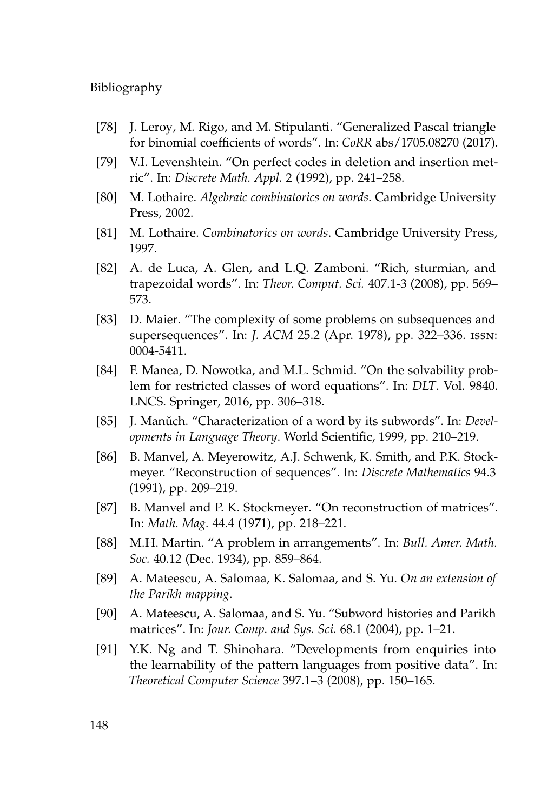- [78] J. Leroy, M. Rigo, and M. Stipulanti. "Generalized Pascal triangle for binomial coefficients of words". In: *CoRR* abs/1705.08270 (2017).
- [79] V.I. Levenshtein. "On perfect codes in deletion and insertion metric". In: *Discrete Math. Appl.* 2 (1992), pp. 241–258.
- [80] M. Lothaire. *Algebraic combinatorics on words*. Cambridge University Press, 2002.
- [81] M. Lothaire. *Combinatorics on words*. Cambridge University Press, 1997.
- [82] A. de Luca, A. Glen, and L.Q. Zamboni. "Rich, sturmian, and trapezoidal words". In: *Theor. Comput. Sci.* 407.1-3 (2008), pp. 569– 573.
- [83] D. Maier. "The complexity of some problems on subsequences and supersequences". In: *J. ACM* 25.2 (Apr. 1978), pp. 322–336. issn: 0004-5411.
- [84] F. Manea, D. Nowotka, and M.L. Schmid. "On the solvability problem for restricted classes of word equations". In: *DLT*. Vol. 9840. LNCS. Springer, 2016, pp. 306–318.
- [85] J. Manǔch. "Characterization of a word by its subwords". In: *Developments in Language Theory*. World Scientific, 1999, pp. 210–219.
- [86] B. Manvel, A. Meyerowitz, A.J. Schwenk, K. Smith, and P.K. Stockmeyer. "Reconstruction of sequences". In: *Discrete Mathematics* 94.3 (1991), pp. 209–219.
- [87] B. Manvel and P. K. Stockmeyer. "On reconstruction of matrices". In: *Math. Mag.* 44.4 (1971), pp. 218–221.
- [88] M.H. Martin. "A problem in arrangements". In: *Bull. Amer. Math. Soc.* 40.12 (Dec. 1934), pp. 859–864.
- [89] A. Mateescu, A. Salomaa, K. Salomaa, and S. Yu. *On an extension of the Parikh mapping*.
- [90] A. Mateescu, A. Salomaa, and S. Yu. "Subword histories and Parikh matrices". In: *Jour. Comp. and Sys. Sci.* 68.1 (2004), pp. 1–21.
- [91] Y.K. Ng and T. Shinohara. "Developments from enquiries into the learnability of the pattern languages from positive data". In: *Theoretical Computer Science* 397.1–3 (2008), pp. 150–165.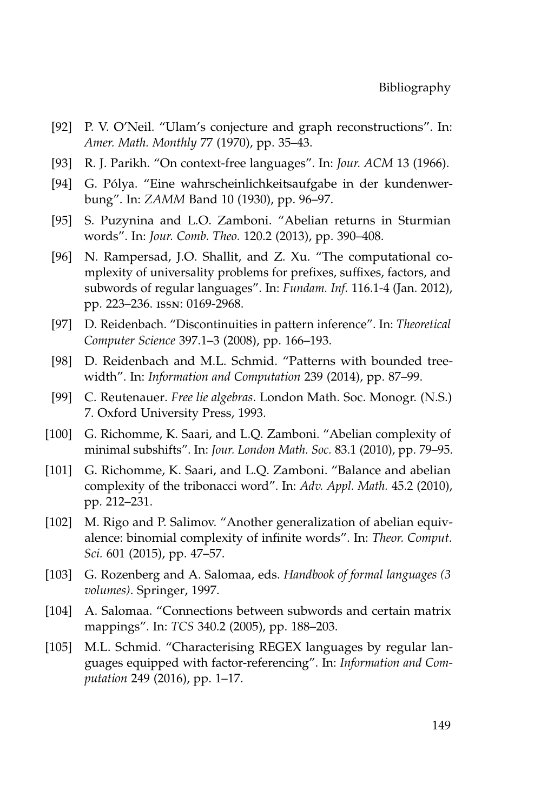- [92] P. V. O'Neil. "Ulam's conjecture and graph reconstructions". In: *Amer. Math. Monthly* 77 (1970), pp. 35–43.
- [93] R. J. Parikh. "On context-free languages". In: *Jour. ACM* 13 (1966).
- [94] G. Pólya. "Eine wahrscheinlichkeitsaufgabe in der kundenwerbung". In: *ZAMM* Band 10 (1930), pp. 96–97.
- [95] S. Puzynina and L.O. Zamboni. "Abelian returns in Sturmian words". In: *Jour. Comb. Theo.* 120.2 (2013), pp. 390–408.
- [96] N. Rampersad, J.O. Shallit, and Z. Xu. "The computational complexity of universality problems for prefixes, suffixes, factors, and subwords of regular languages". In: *Fundam. Inf.* 116.1-4 (Jan. 2012), pp. 223–236. issn: 0169-2968.
- [97] D. Reidenbach. "Discontinuities in pattern inference". In: *Theoretical Computer Science* 397.1–3 (2008), pp. 166–193.
- [98] D. Reidenbach and M.L. Schmid. "Patterns with bounded treewidth". In: *Information and Computation* 239 (2014), pp. 87–99.
- [99] C. Reutenauer. *Free lie algebras*. London Math. Soc. Monogr. (N.S.) 7. Oxford University Press, 1993.
- [100] G. Richomme, K. Saari, and L.Q. Zamboni. "Abelian complexity of minimal subshifts". In: *Jour. London Math. Soc.* 83.1 (2010), pp. 79–95.
- [101] G. Richomme, K. Saari, and L.Q. Zamboni. "Balance and abelian complexity of the tribonacci word". In: *Adv. Appl. Math.* 45.2 (2010), pp. 212–231.
- [102] M. Rigo and P. Salimov. "Another generalization of abelian equivalence: binomial complexity of infinite words". In: *Theor. Comput. Sci.* 601 (2015), pp. 47–57.
- [103] G. Rozenberg and A. Salomaa, eds. *Handbook of formal languages (3 volumes)*. Springer, 1997.
- [104] A. Salomaa. "Connections between subwords and certain matrix mappings". In: *TCS* 340.2 (2005), pp. 188–203.
- [105] M.L. Schmid. "Characterising REGEX languages by regular languages equipped with factor-referencing". In: *Information and Computation* 249 (2016), pp. 1–17.